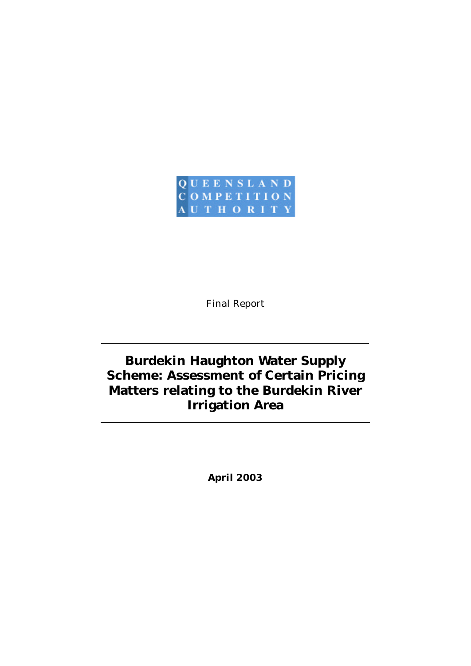

Final Report

# **Burdekin Haughton Water Supply Scheme: Assessment of Certain Pricing Matters relating to the Burdekin River Irrigation Area**

*April 2003*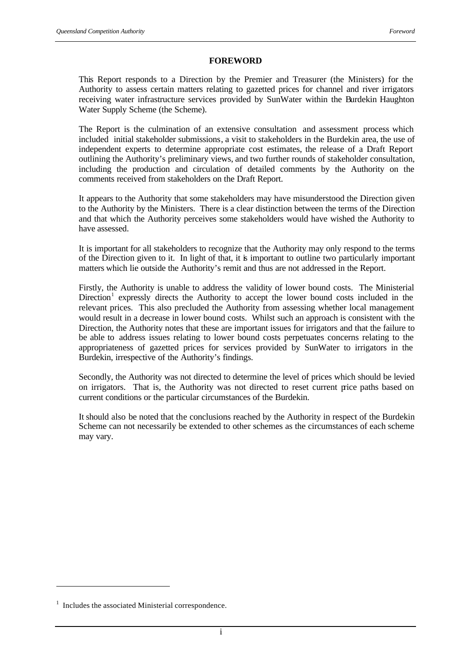## **FOREWORD**

This Report responds to a Direction by the Premier and Treasurer (the Ministers) for the Authority to assess certain matters relating to gazetted prices for channel and river irrigators receiving water infrastructure services provided by SunWater within the Burdekin Haughton Water Supply Scheme (the Scheme).

The Report is the culmination of an extensive consultation and assessment process which included initial stakeholder submissions, a visit to stakeholders in the Burdekin area, the use of independent experts to determine appropriate cost estimates, the release of a Draft Report outlining the Authority's preliminary views, and two further rounds of stakeholder consultation, including the production and circulation of detailed comments by the Authority on the comments received from stakeholders on the Draft Report.

It appears to the Authority that some stakeholders may have misunderstood the Direction given to the Authority by the Ministers. There is a clear distinction between the terms of the Direction and that which the Authority perceives some stakeholders would have wished the Authority to have assessed.

It is important for all stakeholders to recognize that the Authority may only respond to the terms of the Direction given to it. In light of that, it is important to outline two particularly important matters which lie outside the Authority's remit and thus are not addressed in the Report.

Firstly, the Authority is unable to address the validity of lower bound costs. The Ministerial Direction<sup>1</sup> expressly directs the Authority to accept the lower bound costs included in the relevant prices. This also precluded the Authority from assessing whether local management would result in a decrease in lower bound costs. Whilst such an approach is consistent with the Direction, the Authority notes that these are important issues for irrigators and that the failure to be able to address issues relating to lower bound costs perpetuates concerns relating to the appropriateness of gazetted prices for services provided by SunWater to irrigators in the Burdekin, irrespective of the Authority's findings.

Secondly, the Authority was not directed to determine the level of prices which should be levied on irrigators. That is, the Authority was not directed to reset current price paths based on current conditions or the particular circumstances of the Burdekin.

It should also be noted that the conclusions reached by the Authority in respect of the Burdekin Scheme can not necessarily be extended to other schemes as the circumstances of each scheme may vary.

l

<sup>&</sup>lt;sup>1</sup> Includes the associated Ministerial correspondence.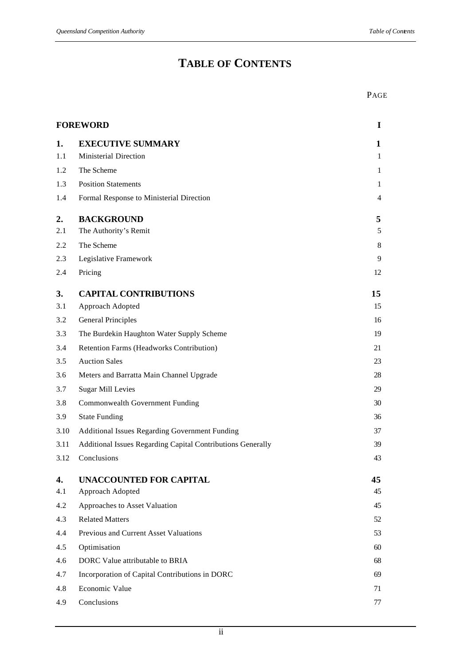# **TABLE OF CONTENTS**

|      | <b>FOREWORD</b>                                             |                |  |
|------|-------------------------------------------------------------|----------------|--|
| 1.   | <b>EXECUTIVE SUMMARY</b>                                    | $\mathbf{1}$   |  |
| 1.1  | <b>Ministerial Direction</b>                                | $\mathbf{1}$   |  |
| 1.2  | The Scheme                                                  | $\mathbf{1}$   |  |
| 1.3  | <b>Position Statements</b>                                  | 1              |  |
| 1.4  | Formal Response to Ministerial Direction                    | $\overline{4}$ |  |
| 2.   | <b>BACKGROUND</b>                                           | 5              |  |
| 2.1  | The Authority's Remit                                       | 5              |  |
| 2.2  | The Scheme                                                  | 8              |  |
| 2.3  | Legislative Framework                                       | 9              |  |
| 2.4  | Pricing                                                     | 12             |  |
| 3.   | <b>CAPITAL CONTRIBUTIONS</b>                                | 15             |  |
| 3.1  | Approach Adopted                                            | 15             |  |
| 3.2  | <b>General Principles</b>                                   | 16             |  |
| 3.3  | The Burdekin Haughton Water Supply Scheme                   | 19             |  |
| 3.4  | Retention Farms (Headworks Contribution)                    | 21             |  |
| 3.5  | <b>Auction Sales</b>                                        | 23             |  |
| 3.6  | Meters and Barratta Main Channel Upgrade                    | 28             |  |
| 3.7  | <b>Sugar Mill Levies</b>                                    | 29             |  |
| 3.8  | Commonwealth Government Funding                             | 30             |  |
| 3.9  | <b>State Funding</b>                                        | 36             |  |
| 3.10 | <b>Additional Issues Regarding Government Funding</b>       | 37             |  |
| 3.11 | Additional Issues Regarding Capital Contributions Generally | 39             |  |
| 3.12 | Conclusions                                                 | 43             |  |
| 4.   | <b>UNACCOUNTED FOR CAPITAL</b>                              | 45             |  |
| 4.1  | Approach Adopted                                            | 45             |  |
| 4.2  | Approaches to Asset Valuation                               | 45             |  |
| 4.3  | <b>Related Matters</b>                                      | 52             |  |
| 4.4  | Previous and Current Asset Valuations                       | 53             |  |
| 4.5  | Optimisation                                                | 60             |  |
| 4.6  | DORC Value attributable to BRIA                             | 68             |  |
| 4.7  | Incorporation of Capital Contributions in DORC              | 69             |  |
| 4.8  | Economic Value                                              | 71             |  |
| 4.9  | Conclusions                                                 | 77             |  |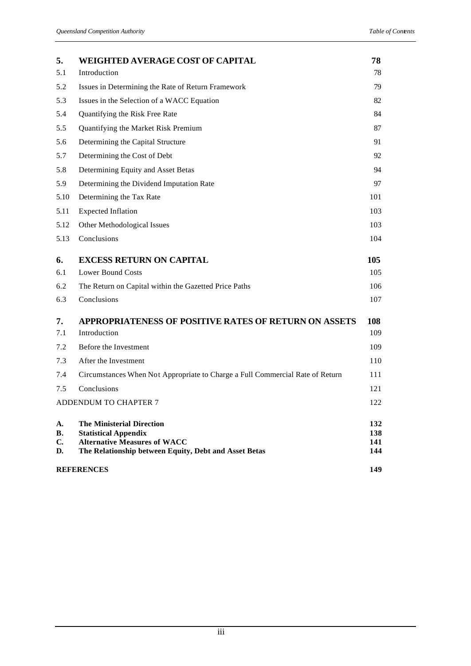| 5.                          | <b>WEIGHTED AVERAGE COST OF CAPITAL</b>                                                                                                                         | 78                       |
|-----------------------------|-----------------------------------------------------------------------------------------------------------------------------------------------------------------|--------------------------|
| 5.1                         | Introduction                                                                                                                                                    | 78                       |
| 5.2                         | Issues in Determining the Rate of Return Framework                                                                                                              | 79.                      |
| 5.3                         | Issues in the Selection of a WACC Equation                                                                                                                      | 82                       |
| 5.4                         | Quantifying the Risk Free Rate                                                                                                                                  | 84                       |
| 5.5                         | Quantifying the Market Risk Premium                                                                                                                             | 87                       |
| 5.6                         | Determining the Capital Structure                                                                                                                               | 91                       |
| 5.7                         | Determining the Cost of Debt                                                                                                                                    | 92                       |
| 5.8                         | Determining Equity and Asset Betas                                                                                                                              | 94                       |
| 5.9                         | Determining the Dividend Imputation Rate                                                                                                                        | 97                       |
| 5.10                        | Determining the Tax Rate                                                                                                                                        | 101                      |
| 5.11                        | <b>Expected Inflation</b>                                                                                                                                       | 103                      |
| 5.12                        | Other Methodological Issues                                                                                                                                     | 103                      |
| 5.13                        | Conclusions                                                                                                                                                     | 104                      |
| 6.                          | <b>EXCESS RETURN ON CAPITAL</b>                                                                                                                                 | 105                      |
| 6.1                         | <b>Lower Bound Costs</b>                                                                                                                                        | 105                      |
| 6.2                         | The Return on Capital within the Gazetted Price Paths                                                                                                           | 106                      |
| 6.3                         | Conclusions                                                                                                                                                     | 107                      |
| 7.                          | <b>APPROPRIATENESS OF POSITIVE RATES OF RETURN ON ASSETS</b>                                                                                                    | 108                      |
| 7.1                         | Introduction                                                                                                                                                    | 109                      |
| 7.2                         | Before the Investment                                                                                                                                           | 109                      |
| 7.3                         | After the Investment                                                                                                                                            | 110                      |
| 7.4                         | Circumstances When Not Appropriate to Charge a Full Commercial Rate of Return                                                                                   | 111                      |
| 7.5                         | Conclusions                                                                                                                                                     | 121                      |
|                             | ADDENDUM TO CHAPTER 7                                                                                                                                           | 122                      |
| A.<br><b>B.</b><br>C.<br>D. | <b>The Ministerial Direction</b><br><b>Statistical Appendix</b><br><b>Alternative Measures of WACC</b><br>The Relationship between Equity, Debt and Asset Betas | 132<br>138<br>141<br>144 |
| <b>REFERENCES</b>           |                                                                                                                                                                 |                          |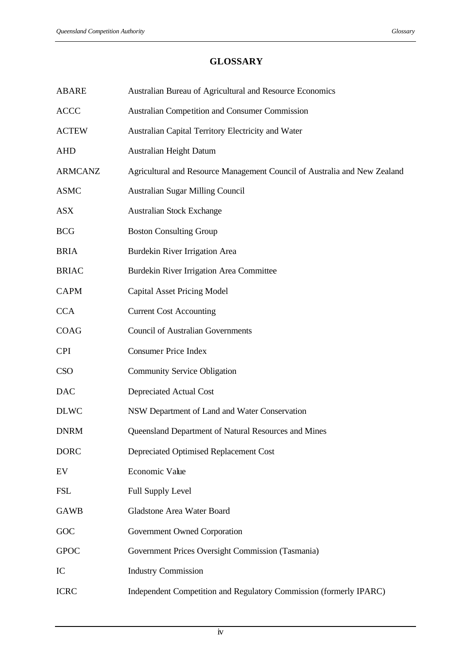## **GLOSSARY**

| <b>ABARE</b>   | Australian Bureau of Agricultural and Resource Economics                  |
|----------------|---------------------------------------------------------------------------|
| <b>ACCC</b>    | Australian Competition and Consumer Commission                            |
| <b>ACTEW</b>   | Australian Capital Territory Electricity and Water                        |
| <b>AHD</b>     | Australian Height Datum                                                   |
| <b>ARMCANZ</b> | Agricultural and Resource Management Council of Australia and New Zealand |
| <b>ASMC</b>    | Australian Sugar Milling Council                                          |
| <b>ASX</b>     | <b>Australian Stock Exchange</b>                                          |
| <b>BCG</b>     | <b>Boston Consulting Group</b>                                            |
| <b>BRIA</b>    | Burdekin River Irrigation Area                                            |
| <b>BRIAC</b>   | Burdekin River Irrigation Area Committee                                  |
| <b>CAPM</b>    | <b>Capital Asset Pricing Model</b>                                        |
| <b>CCA</b>     | <b>Current Cost Accounting</b>                                            |
| COAG           | <b>Council of Australian Governments</b>                                  |
| <b>CPI</b>     | <b>Consumer Price Index</b>                                               |
| <b>CSO</b>     | <b>Community Service Obligation</b>                                       |
| <b>DAC</b>     | Depreciated Actual Cost                                                   |
| <b>DLWC</b>    | NSW Department of Land and Water Conservation                             |
| <b>DNRM</b>    | Queensland Department of Natural Resources and Mines                      |
| <b>DORC</b>    | Depreciated Optimised Replacement Cost                                    |
| EV             | Economic Value                                                            |
| <b>FSL</b>     | <b>Full Supply Level</b>                                                  |
| <b>GAWB</b>    | Gladstone Area Water Board                                                |
| GOC            | Government Owned Corporation                                              |
| <b>GPOC</b>    | Government Prices Oversight Commission (Tasmania)                         |
| IC             | <b>Industry Commission</b>                                                |
| <b>ICRC</b>    | Independent Competition and Regulatory Commission (formerly IPARC)        |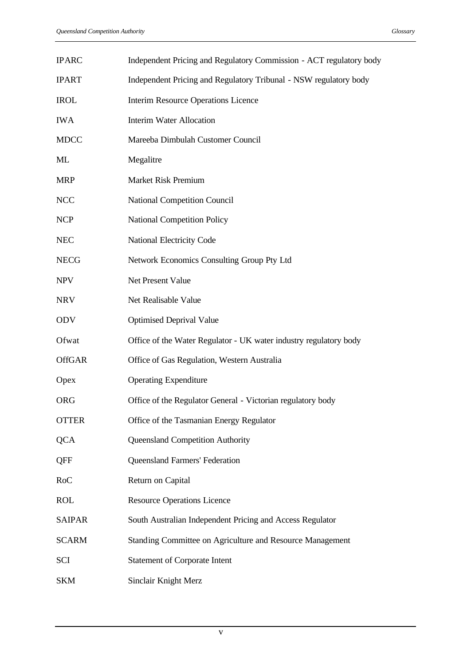| <b>IPARC</b>  | Independent Pricing and Regulatory Commission - ACT regulatory body |
|---------------|---------------------------------------------------------------------|
| <b>IPART</b>  | Independent Pricing and Regulatory Tribunal - NSW regulatory body   |
| <b>IROL</b>   | <b>Interim Resource Operations Licence</b>                          |
| <b>IWA</b>    | <b>Interim Water Allocation</b>                                     |
| <b>MDCC</b>   | Mareeba Dimbulah Customer Council                                   |
| ML            | Megalitre                                                           |
| <b>MRP</b>    | <b>Market Risk Premium</b>                                          |
| <b>NCC</b>    | <b>National Competition Council</b>                                 |
| <b>NCP</b>    | <b>National Competition Policy</b>                                  |
| <b>NEC</b>    | National Electricity Code                                           |
| <b>NECG</b>   | Network Economics Consulting Group Pty Ltd                          |
| <b>NPV</b>    | Net Present Value                                                   |
| <b>NRV</b>    | Net Realisable Value                                                |
| <b>ODV</b>    | <b>Optimised Deprival Value</b>                                     |
| Ofwat         | Office of the Water Regulator - UK water industry regulatory body   |
| <b>OffGAR</b> | Office of Gas Regulation, Western Australia                         |
| Opex          | <b>Operating Expenditure</b>                                        |
| <b>ORG</b>    | Office of the Regulator General - Victorian regulatory body         |
| <b>OTTER</b>  | Office of the Tasmanian Energy Regulator                            |
| <b>QCA</b>    | <b>Queensland Competition Authority</b>                             |
| QFF           | <b>Queensland Farmers' Federation</b>                               |
| <b>RoC</b>    | Return on Capital                                                   |
| <b>ROL</b>    | <b>Resource Operations Licence</b>                                  |
| <b>SAIPAR</b> | South Australian Independent Pricing and Access Regulator           |
| <b>SCARM</b>  | Standing Committee on Agriculture and Resource Management           |
| SCI           | <b>Statement of Corporate Intent</b>                                |
| <b>SKM</b>    | Sinclair Knight Merz                                                |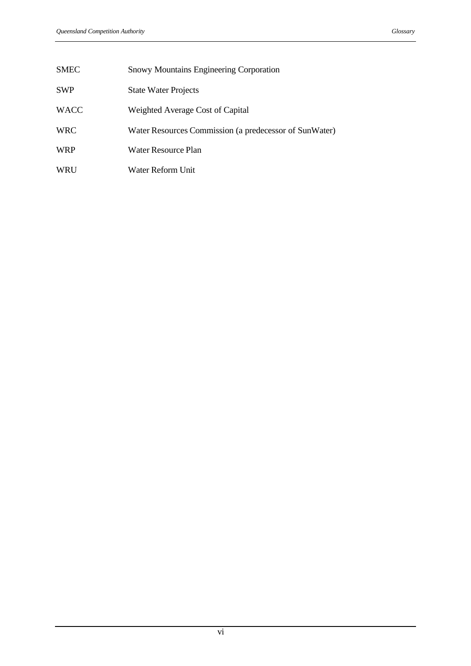| SMEC | <b>Snowy Mountains Engineering Corporation</b>         |
|------|--------------------------------------------------------|
| SWP  | <b>State Water Projects</b>                            |
| WACC | Weighted Average Cost of Capital                       |
| WRC  | Water Resources Commission (a predecessor of SunWater) |
| WRP  | Water Resource Plan                                    |
| WRU  | Water Reform Unit                                      |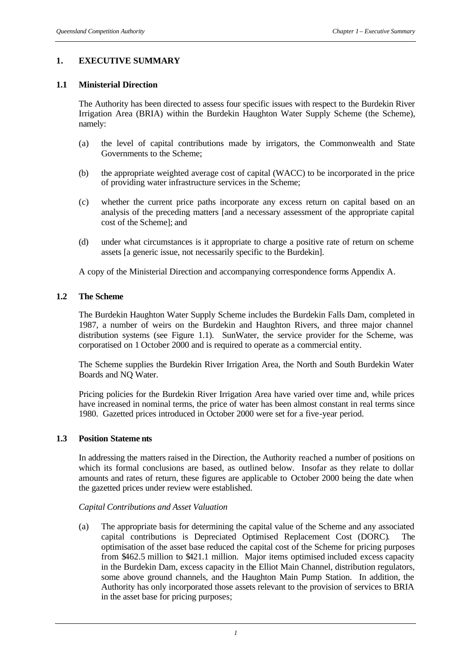## **1. EXECUTIVE SUMMARY**

## **1.1 Ministerial Direction**

The Authority has been directed to assess four specific issues with respect to the Burdekin River Irrigation Area (BRIA) within the Burdekin Haughton Water Supply Scheme (the Scheme), namely:

- (a) the level of capital contributions made by irrigators, the Commonwealth and State Governments to the Scheme;
- (b) the appropriate weighted average cost of capital (WACC) to be incorporated in the price of providing water infrastructure services in the Scheme;
- (c) whether the current price paths incorporate any excess return on capital based on an analysis of the preceding matters [and a necessary assessment of the appropriate capital cost of the Scheme]; and
- (d) under what circumstances is it appropriate to charge a positive rate of return on scheme assets [a generic issue, not necessarily specific to the Burdekin].

A copy of the Ministerial Direction and accompanying correspondence forms Appendix A.

## **1.2 The Scheme**

The Burdekin Haughton Water Supply Scheme includes the Burdekin Falls Dam, completed in 1987, a number of weirs on the Burdekin and Haughton Rivers, and three major channel distribution systems (see Figure 1.1). SunWater, the service provider for the Scheme, was corporatised on 1 October 2000 and is required to operate as a commercial entity.

The Scheme supplies the Burdekin River Irrigation Area, the North and South Burdekin Water Boards and NQ Water.

Pricing policies for the Burdekin River Irrigation Area have varied over time and, while prices have increased in nominal terms, the price of water has been almost constant in real terms since 1980. Gazetted prices introduced in October 2000 were set for a five-year period.

#### **1.3 Position Stateme nts**

In addressing the matters raised in the Direction, the Authority reached a number of positions on which its formal conclusions are based, as outlined below. Insofar as they relate to dollar amounts and rates of return, these figures are applicable to October 2000 being the date when the gazetted prices under review were established.

#### *Capital Contributions and Asset Valuation*

(a) The appropriate basis for determining the capital value of the Scheme and any associated capital contributions is Depreciated Optimised Replacement Cost (DORC). The optimisation of the asset base reduced the capital cost of the Scheme for pricing purposes from \$462.5 million to \$421.1 million. Major items optimised included excess capacity in the Burdekin Dam, excess capacity in the Elliot Main Channel, distribution regulators, some above ground channels, and the Haughton Main Pump Station. In addition, the Authority has only incorporated those assets relevant to the provision of services to BRIA in the asset base for pricing purposes;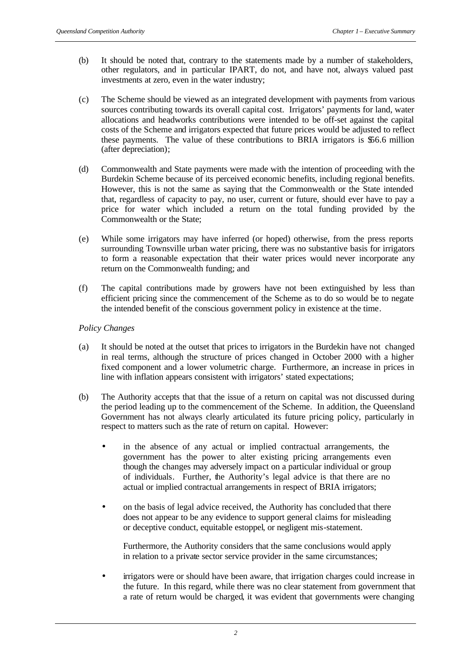- (b) It should be noted that, contrary to the statements made by a number of stakeholders, other regulators, and in particular IPART, do not, and have not, always valued past investments at zero, even in the water industry;
- (c) The Scheme should be viewed as an integrated development with payments from various sources contributing towards its overall capital cost. Irrigators' payments for land, water allocations and headworks contributions were intended to be off-set against the capital costs of the Scheme and irrigators expected that future prices would be adjusted to reflect these payments. The value of these contributions to BRIA irrigators is \$56.6 million (after depreciation);
- (d) Commonwealth and State payments were made with the intention of proceeding with the Burdekin Scheme because of its perceived economic benefits, including regional benefits. However, this is not the same as saying that the Commonwealth or the State intended that, regardless of capacity to pay, no user, current or future, should ever have to pay a price for water which included a return on the total funding provided by the Commonwealth or the State;
- (e) While some irrigators may have inferred (or hoped) otherwise, from the press reports surrounding Townsville urban water pricing, there was no substantive basis for irrigators to form a reasonable expectation that their water prices would never incorporate any return on the Commonwealth funding; and
- (f) The capital contributions made by growers have not been extinguished by less than efficient pricing since the commencement of the Scheme as to do so would be to negate the intended benefit of the conscious government policy in existence at the time.

## *Policy Changes*

- (a) It should be noted at the outset that prices to irrigators in the Burdekin have not changed in real terms, although the structure of prices changed in October 2000 with a higher fixed component and a lower volumetric charge. Furthermore, an increase in prices in line with inflation appears consistent with irrigators' stated expectations;
- (b) The Authority accepts that that the issue of a return on capital was not discussed during the period leading up to the commencement of the Scheme. In addition, the Queensland Government has not always clearly articulated its future pricing policy, particularly in respect to matters such as the rate of return on capital. However:
	- in the absence of any actual or implied contractual arrangements, the government has the power to alter existing pricing arrangements even though the changes may adversely impact on a particular individual or group of individuals. Further, the Authority's legal advice is that there are no actual or implied contractual arrangements in respect of BRIA irrigators;
	- on the basis of legal advice received, the Authority has concluded that there does not appear to be any evidence to support general claims for misleading or deceptive conduct, equitable estoppel, or negligent mis-statement.

Furthermore, the Authority considers that the same conclusions would apply in relation to a private sector service provider in the same circumstances;

• irrigators were or should have been aware, that irrigation charges could increase in the future. In this regard, while there was no clear statement from government that a rate of return would be charged, it was evident that governments were changing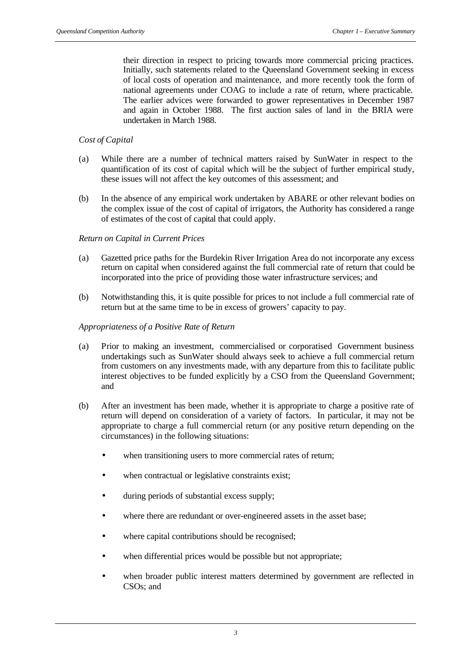their direction in respect to pricing towards more commercial pricing practices. Initially, such statements related to the Queensland Government seeking in excess of local costs of operation and maintenance, and more recently took the form of national agreements under COAG to include a rate of return, where practicable. The earlier advices were forwarded to grower representatives in December 1987 and again in October 1988. The first auction sales of land in the BRIA were undertaken in March 1988.

## *Cost of Capital*

- (a) While there are a number of technical matters raised by SunWater in respect to the quantification of its cost of capital which will be the subject of further empirical study, these issues will not affect the key outcomes of this assessment; and
- (b) In the absence of any empirical work undertaken by ABARE or other relevant bodies on the complex issue of the cost of capital of irrigators, the Authority has considered a range of estimates of the cost of capital that could apply.

#### *Return on Capital in Current Prices*

- (a) Gazetted price paths for the Burdekin River Irrigation Area do not incorporate any excess return on capital when considered against the full commercial rate of return that could be incorporated into the price of providing those water infrastructure services; and
- (b) Notwithstanding this, it is quite possible for prices to not include a full commercial rate of return but at the same time to be in excess of growers' capacity to pay.

#### *Appropriateness of a Positive Rate of Return*

- (a) Prior to making an investment, commercialised or corporatised Government business undertakings such as SunWater should always seek to achieve a full commercial return from customers on any investments made, with any departure from this to facilitate public interest objectives to be funded explicitly by a CSO from the Queensland Government; and
- (b) After an investment has been made, whether it is appropriate to charge a positive rate of return will depend on consideration of a variety of factors. In particular, it may not be appropriate to charge a full commercial return (or any positive return depending on the circumstances) in the following situations:
	- when transitioning users to more commercial rates of return;
	- when contractual or legislative constraints exist;
	- during periods of substantial excess supply;
	- where there are redundant or over-engineered assets in the asset base;
	- where capital contributions should be recognised;
	- when differential prices would be possible but not appropriate;
	- when broader public interest matters determined by government are reflected in CSOs; and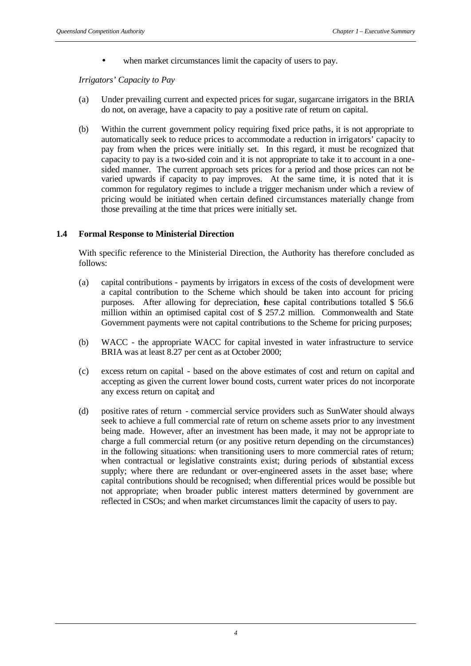• when market circumstances limit the capacity of users to pay.

*Irrigators' Capacity to Pay*

- (a) Under prevailing current and expected prices for sugar, sugarcane irrigators in the BRIA do not, on average, have a capacity to pay a positive rate of return on capital.
- (b) Within the current government policy requiring fixed price paths, it is not appropriate to automatically seek to reduce prices to accommodate a reduction in irrigators' capacity to pay from when the prices were initially set. In this regard, it must be recognized that capacity to pay is a two-sided coin and it is not appropriate to take it to account in a onesided manner. The current approach sets prices for a period and those prices can not be varied upwards if capacity to pay improves. At the same time, it is noted that it is common for regulatory regimes to include a trigger mechanism under which a review of pricing would be initiated when certain defined circumstances materially change from those prevailing at the time that prices were initially set.

## **1.4 Formal Response to Ministerial Direction**

With specific reference to the Ministerial Direction, the Authority has therefore concluded as follows:

- (a) capital contributions payments by irrigators in excess of the costs of development were a capital contribution to the Scheme which should be taken into account for pricing purposes. After allowing for depreciation, these capital contributions totalled \$ 56.6 million within an optimised capital cost of \$ 257.2 million. Commonwealth and State Government payments were not capital contributions to the Scheme for pricing purposes;
- (b) WACC the appropriate WACC for capital invested in water infrastructure to service BRIA was at least 8.27 per cent as at October 2000;
- (c) excess return on capital based on the above estimates of cost and return on capital and accepting as given the current lower bound costs, current water prices do not incorporate any excess return on capital; and
- (d) positive rates of return commercial service providers such as SunWater should always seek to achieve a full commercial rate of return on scheme assets prior to any investment being made. However, after an investment has been made, it may not be appropriate to charge a full commercial return (or any positive return depending on the circumstances) in the following situations: when transitioning users to more commercial rates of return; when contractual or legislative constraints exist; during periods of substantial excess supply; where there are redundant or over-engineered assets in the asset base; where capital contributions should be recognised; when differential prices would be possible but not appropriate; when broader public interest matters determined by government are reflected in CSOs; and when market circumstances limit the capacity of users to pay.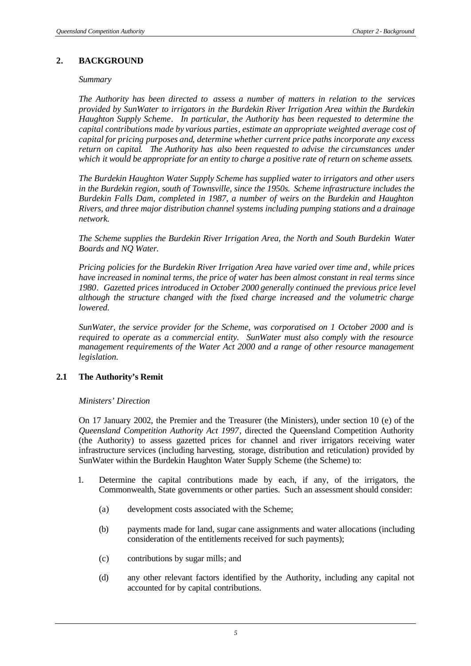#### **2. BACKGROUND**

#### *Summary*

*The Authority has been directed to assess a number of matters in relation to the services provided by SunWater to irrigators in the Burdekin River Irrigation Area within the Burdekin Haughton Supply Scheme. In particular, the Authority has been requested to determine the capital contributions made by various parties, estimate an appropriate weighted average cost of capital for pricing purposes and, determine whether current price paths incorporate any excess return on capital. The Authority has also been requested to advise the circumstances under which it would be appropriate for an entity to charge a positive rate of return on scheme assets.*

*The Burdekin Haughton Water Supply Scheme has supplied water to irrigators and other users in the Burdekin region, south of Townsville, since the 1950s. Scheme infrastructure includes the Burdekin Falls Dam, completed in 1987, a number of weirs on the Burdekin and Haughton Rivers, and three major distribution channel systems including pumping stations and a drainage network.*

*The Scheme supplies the Burdekin River Irrigation Area, the North and South Burdekin Water Boards and NQ Water.*

*Pricing policies for the Burdekin River Irrigation Area have varied over time and, while prices have increased in nominal terms, the price of water has been almost constant in real terms since 1980. Gazetted prices introduced in October 2000 generally continued the previous price level although the structure changed with the fixed charge increased and the volumetric charge lowered.*

*SunWater, the service provider for the Scheme, was corporatised on 1 October 2000 and is required to operate as a commercial entity. SunWater must also comply with the resource management requirements of the Water Act 2000 and a range of other resource management legislation.*

#### **2.1 The Authority's Remit**

#### *Ministers' Direction*

On 17 January 2002, the Premier and the Treasurer (the Ministers), under section 10 (e) of the *Queensland Competition Authority Act 1997*, directed the Queensland Competition Authority (the Authority) to assess gazetted prices for channel and river irrigators receiving water infrastructure services (including harvesting, storage, distribution and reticulation) provided by SunWater within the Burdekin Haughton Water Supply Scheme (the Scheme) to:

- 1. Determine the capital contributions made by each, if any, of the irrigators, the Commonwealth, State governments or other parties. Such an assessment should consider:
	- (a) development costs associated with the Scheme;
	- (b) payments made for land, sugar cane assignments and water allocations (including consideration of the entitlements received for such payments);
	- (c) contributions by sugar mills; and
	- (d) any other relevant factors identified by the Authority, including any capital not accounted for by capital contributions.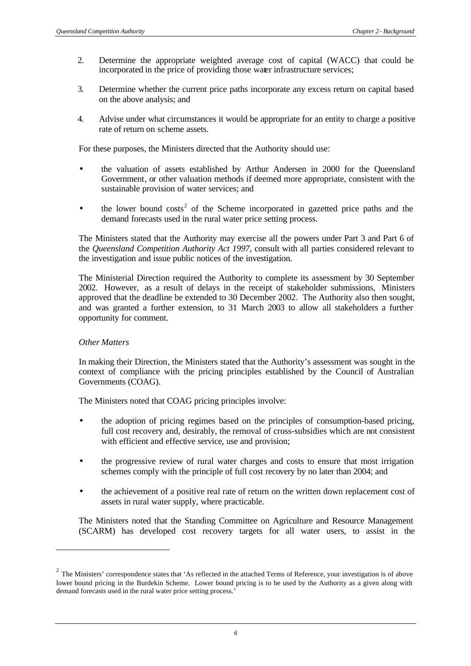- 2. Determine the appropriate weighted average cost of capital (WACC) that could be incorporated in the price of providing those water infrastructure services;
- 3. Determine whether the current price paths incorporate any excess return on capital based on the above analysis; and
- 4. Advise under what circumstances it would be appropriate for an entity to charge a positive rate of return on scheme assets.

For these purposes, the Ministers directed that the Authority should use:

- the valuation of assets established by Arthur Andersen in 2000 for the Queensland Government, or other valuation methods if deemed more appropriate, consistent with the sustainable provision of water services; and
- $\bullet$  the lower bound costs<sup>2</sup> of the Scheme incorporated in gazetted price paths and the demand forecasts used in the rural water price setting process.

The Ministers stated that the Authority may exercise all the powers under Part 3 and Part 6 of the *Queensland Competition Authority Act 1997,* consult with all parties considered relevant to the investigation and issue public notices of the investigation.

The Ministerial Direction required the Authority to complete its assessment by 30 September 2002. However, as a result of delays in the receipt of stakeholder submissions, Ministers approved that the deadline be extended to 30 December 2002. The Authority also then sought, and was granted a further extension, to 31 March 2003 to allow all stakeholders a further opportunity for comment.

#### *Other Matters*

l

In making their Direction, the Ministers stated that the Authority's assessment was sought in the context of compliance with the pricing principles established by the Council of Australian Governments (COAG).

The Ministers noted that COAG pricing principles involve:

- the adoption of pricing regimes based on the principles of consumption-based pricing, full cost recovery and, desirably, the removal of cross-subsidies which are not consistent with efficient and effective service, use and provision;
- the progressive review of rural water charges and costs to ensure that most irrigation schemes comply with the principle of full cost recovery by no later than 2004; and
- the achievement of a positive real rate of return on the written down replacement cost of assets in rural water supply, where practicable.

The Ministers noted that the Standing Committee on Agriculture and Resource Management (SCARM) has developed cost recovery targets for all water users, to assist in the

 $2$  The Ministers' correspondence states that 'As reflected in the attached Terms of Reference, your investigation is of above lower bound pricing in the Burdekin Scheme. Lower bound pricing is to be used by the Authority as a given along with demand forecasts used in the rural water price setting process.'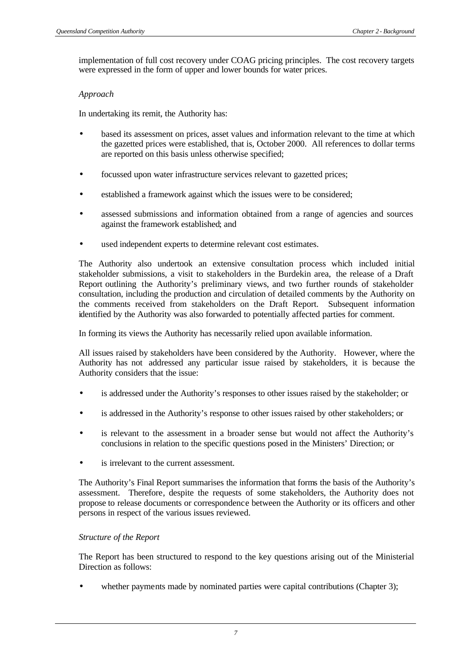implementation of full cost recovery under COAG pricing principles. The cost recovery targets were expressed in the form of upper and lower bounds for water prices.

## *Approach*

In undertaking its remit, the Authority has:

- based its assessment on prices, asset values and information relevant to the time at which the gazetted prices were established, that is, October 2000. All references to dollar terms are reported on this basis unless otherwise specified;
- focussed upon water infrastructure services relevant to gazetted prices;
- established a framework against which the issues were to be considered;
- assessed submissions and information obtained from a range of agencies and sources against the framework established; and
- used independent experts to determine relevant cost estimates.

The Authority also undertook an extensive consultation process which included initial stakeholder submissions, a visit to stakeholders in the Burdekin area, the release of a Draft Report outlining the Authority's preliminary views, and two further rounds of stakeholder consultation, including the production and circulation of detailed comments by the Authority on the comments received from stakeholders on the Draft Report. Subsequent information identified by the Authority was also forwarded to potentially affected parties for comment.

In forming its views the Authority has necessarily relied upon available information.

All issues raised by stakeholders have been considered by the Authority. However, where the Authority has not addressed any particular issue raised by stakeholders, it is because the Authority considers that the issue:

- is addressed under the Authority's responses to other issues raised by the stakeholder; or
- is addressed in the Authority's response to other issues raised by other stakeholders; or
- is relevant to the assessment in a broader sense but would not affect the Authority's conclusions in relation to the specific questions posed in the Ministers' Direction; or
- is irrelevant to the current assessment.

The Authority's Final Report summarises the information that forms the basis of the Authority's assessment. Therefore, despite the requests of some stakeholders, the Authority does not propose to release documents or correspondence between the Authority or its officers and other persons in respect of the various issues reviewed.

#### *Structure of the Report*

The Report has been structured to respond to the key questions arising out of the Ministerial Direction as follows:

whether payments made by nominated parties were capital contributions (Chapter 3);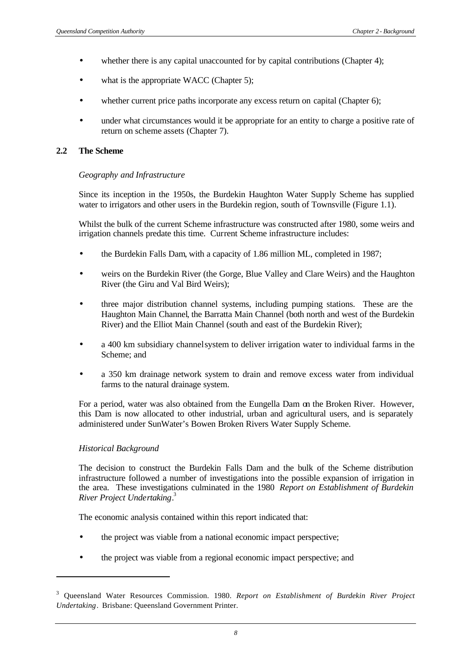- whether there is any capital unaccounted for by capital contributions (Chapter 4);
- what is the appropriate WACC (Chapter 5);
- whether current price paths incorporate any excess return on capital (Chapter 6);
- under what circumstances would it be appropriate for an entity to charge a positive rate of return on scheme assets (Chapter 7).

#### **2.2 The Scheme**

#### *Geography and Infrastructure*

Since its inception in the 1950s, the Burdekin Haughton Water Supply Scheme has supplied water to irrigators and other users in the Burdekin region, south of Townsville (Figure 1.1).

Whilst the bulk of the current Scheme infrastructure was constructed after 1980, some weirs and irrigation channels predate this time. Current Scheme infrastructure includes:

- the Burdekin Falls Dam, with a capacity of 1.86 million ML, completed in 1987;
- weirs on the Burdekin River (the Gorge, Blue Valley and Clare Weirs) and the Haughton River (the Giru and Val Bird Weirs);
- three major distribution channel systems, including pumping stations. These are the Haughton Main Channel, the Barratta Main Channel (both north and west of the Burdekin River) and the Elliot Main Channel (south and east of the Burdekin River);
- a 400 km subsidiary channel system to deliver irrigation water to individual farms in the Scheme; and
- a 350 km drainage network system to drain and remove excess water from individual farms to the natural drainage system.

For a period, water was also obtained from the Eungella Dam on the Broken River. However, this Dam is now allocated to other industrial, urban and agricultural users, and is separately administered under SunWater's Bowen Broken Rivers Water Supply Scheme.

#### *Historical Background*

l

The decision to construct the Burdekin Falls Dam and the bulk of the Scheme distribution infrastructure followed a number of investigations into the possible expansion of irrigation in the area. These investigations culminated in the 1980 *Report on Establishment of Burdekin River Project Undertaking*. 3

The economic analysis contained within this report indicated that:

- the project was viable from a national economic impact perspective;
- the project was viable from a regional economic impact perspective; and

<sup>3</sup> Queensland Water Resources Commission. 1980. *Report on Establishment of Burdekin River Project Undertaking*. Brisbane: Queensland Government Printer.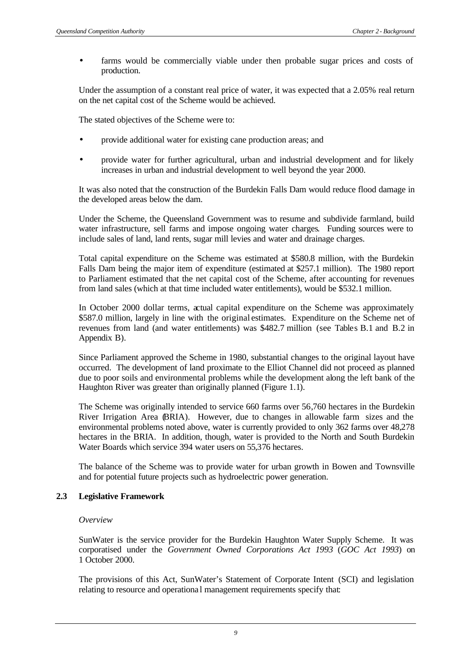• farms would be commercially viable under then probable sugar prices and costs of production.

Under the assumption of a constant real price of water, it was expected that a 2.05% real return on the net capital cost of the Scheme would be achieved.

The stated objectives of the Scheme were to:

- provide additional water for existing cane production areas; and
- provide water for further agricultural, urban and industrial development and for likely increases in urban and industrial development to well beyond the year 2000.

It was also noted that the construction of the Burdekin Falls Dam would reduce flood damage in the developed areas below the dam.

Under the Scheme, the Queensland Government was to resume and subdivide farmland, build water infrastructure, sell farms and impose ongoing water charges. Funding sources were to include sales of land, land rents, sugar mill levies and water and drainage charges.

Total capital expenditure on the Scheme was estimated at \$580.8 million, with the Burdekin Falls Dam being the major item of expenditure (estimated at \$257.1 million). The 1980 report to Parliament estimated that the net capital cost of the Scheme, after accounting for revenues from land sales (which at that time included water entitlements), would be \$532.1 million.

In October 2000 dollar terms, actual capital expenditure on the Scheme was approximately \$587.0 million, largely in line with the original estimates. Expenditure on the Scheme net of revenues from land (and water entitlements) was \$482.7 million (see Tables B.1 and B.2 in Appendix B).

Since Parliament approved the Scheme in 1980, substantial changes to the original layout have occurred. The development of land proximate to the Elliot Channel did not proceed as planned due to poor soils and environmental problems while the development along the left bank of the Haughton River was greater than originally planned (Figure 1.1).

The Scheme was originally intended to service 660 farms over 56,760 hectares in the Burdekin River Irrigation Area (BRIA). However, due to changes in allowable farm sizes and the environmental problems noted above, water is currently provided to only 362 farms over 48,278 hectares in the BRIA. In addition, though, water is provided to the North and South Burdekin Water Boards which service 394 water users on 55,376 hectares.

The balance of the Scheme was to provide water for urban growth in Bowen and Townsville and for potential future projects such as hydroelectric power generation.

## **2.3 Legislative Framework**

#### *Overview*

SunWater is the service provider for the Burdekin Haughton Water Supply Scheme. It was corporatised under the *Government Owned Corporations Act 1993* (*GOC Act 1993*) on 1 October 2000.

The provisions of this Act, SunWater's Statement of Corporate Intent (SCI) and legislation relating to resource and operational management requirements specify that: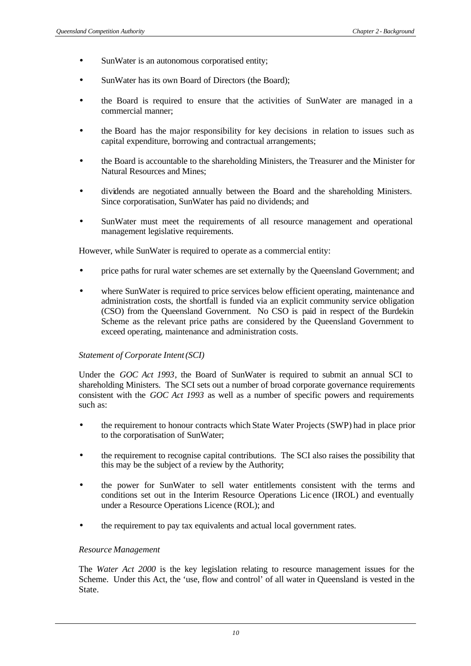- SunWater is an autonomous corporatised entity;
- SunWater has its own Board of Directors (the Board);
- the Board is required to ensure that the activities of SunWater are managed in a commercial manner;
- the Board has the major responsibility for key decisions in relation to issues such as capital expenditure, borrowing and contractual arrangements;
- the Board is accountable to the shareholding Ministers, the Treasurer and the Minister for Natural Resources and Mines;
- dividends are negotiated annually between the Board and the shareholding Ministers. Since corporatisation, SunWater has paid no dividends; and
- SunWater must meet the requirements of all resource management and operational management legislative requirements.

However, while SunWater is required to operate as a commercial entity:

- price paths for rural water schemes are set externally by the Queensland Government; and
- where SunWater is required to price services below efficient operating, maintenance and administration costs, the shortfall is funded via an explicit community service obligation (CSO) from the Queensland Government. No CSO is paid in respect of the Burdekin Scheme as the relevant price paths are considered by the Queensland Government to exceed operating, maintenance and administration costs.

#### *Statement of Corporate Intent (SCI)*

Under the *GOC Act 1993*, the Board of SunWater is required to submit an annual SCI to shareholding Ministers. The SCI sets out a number of broad corporate governance requirements consistent with the *GOC Act 1993* as well as a number of specific powers and requirements such as:

- the requirement to honour contracts which State Water Projects (SWP) had in place prior to the corporatisation of SunWater;
- the requirement to recognise capital contributions. The SCI also raises the possibility that this may be the subject of a review by the Authority;
- the power for SunWater to sell water entitlements consistent with the terms and conditions set out in the Interim Resource Operations Lic ence (IROL) and eventually under a Resource Operations Licence (ROL); and
- the requirement to pay tax equivalents and actual local government rates.

#### *Resource Management*

The *Water Act 2000* is the key legislation relating to resource management issues for the Scheme. Under this Act, the 'use, flow and control' of all water in Queensland is vested in the State.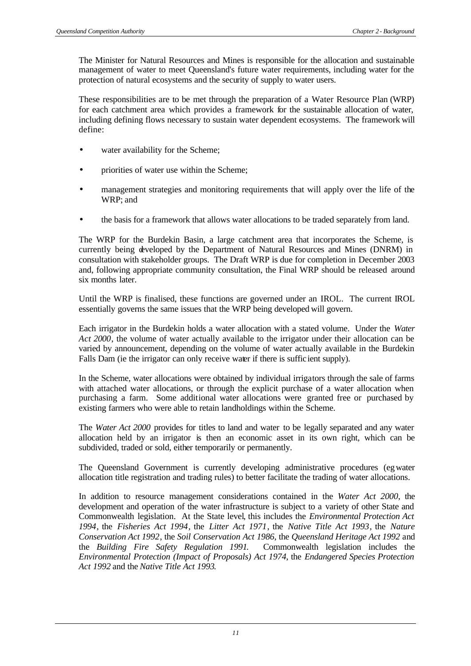The Minister for Natural Resources and Mines is responsible for the allocation and sustainable management of water to meet Queensland's future water requirements, including water for the protection of natural ecosystems and the security of supply to water users.

These responsibilities are to be met through the preparation of a Water Resource Plan (WRP) for each catchment area which provides a framework for the sustainable allocation of water, including defining flows necessary to sustain water dependent ecosystems. The framework will define:

- water availability for the Scheme;
- priorities of water use within the Scheme;
- management strategies and monitoring requirements that will apply over the life of the WRP; and
- the basis for a framework that allows water allocations to be traded separately from land.

The WRP for the Burdekin Basin, a large catchment area that incorporates the Scheme, is currently being developed by the Department of Natural Resources and Mines (DNRM) in consultation with stakeholder groups. The Draft WRP is due for completion in December 2003 and, following appropriate community consultation, the Final WRP should be released around six months later.

Until the WRP is finalised, these functions are governed under an IROL. The current IROL essentially governs the same issues that the WRP being developed will govern.

Each irrigator in the Burdekin holds a water allocation with a stated volume. Under the *Water Act 2000*, the volume of water actually available to the irrigator under their allocation can be varied by announcement, depending on the volume of water actually available in the Burdekin Falls Dam (ie the irrigator can only receive water if there is sufficient supply).

In the Scheme, water allocations were obtained by individual irrigators through the sale of farms with attached water allocations, or through the explicit purchase of a water allocation when purchasing a farm. Some additional water allocations were granted free or purchased by existing farmers who were able to retain landholdings within the Scheme.

The *Water Act 2000* provides for titles to land and water to be legally separated and any water allocation held by an irrigator is then an economic asset in its own right, which can be subdivided, traded or sold, either temporarily or permanently.

The Queensland Government is currently developing administrative procedures (egwater allocation title registration and trading rules) to better facilitate the trading of water allocations.

In addition to resource management considerations contained in the *Water Act 2000*, the development and operation of the water infrastructure is subject to a variety of other State and Commonwealth legislation. At the State level, this includes the *Environmental Protection Act 1994*, the *Fisheries Act 1994*, the *Litter Act 1971*, the *Native Title Act 1993*, the *Nature Conservation Act 1992*, the *Soil Conservation Act 1986*, the *Queensland Heritage Act 1992* and the *Building Fire Safety Regulation 1991*. Commonwealth legislation includes the *Environmental Protection (Impact of Proposals) Act 1974*, the *Endangered Species Protection Act 1992* and the *Native Title Act 1993*.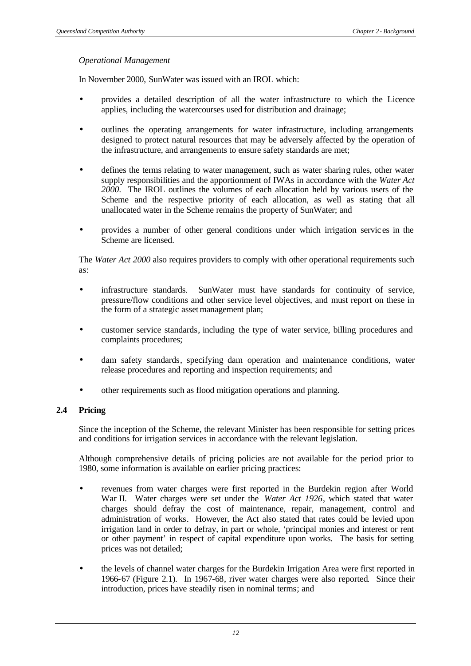#### *Operational Management*

In November 2000, SunWater was issued with an IROL which:

- provides a detailed description of all the water infrastructure to which the Licence applies, including the watercourses used for distribution and drainage;
- outlines the operating arrangements for water infrastructure, including arrangements designed to protect natural resources that may be adversely affected by the operation of the infrastructure, and arrangements to ensure safety standards are met;
- defines the terms relating to water management, such as water sharing rules, other water supply responsibilities and the apportionment of IWAs in accordance with the *Water Act 2000.* The IROL outlines the volumes of each allocation held by various users of the Scheme and the respective priority of each allocation, as well as stating that all unallocated water in the Scheme remains the property of SunWater; and
- provides a number of other general conditions under which irrigation servic es in the Scheme are licensed.

The *Water Act 2000* also requires providers to comply with other operational requirements such as:

- infrastructure standards. SunWater must have standards for continuity of service, pressure/flow conditions and other service level objectives, and must report on these in the form of a strategic asset management plan;
- customer service standards, including the type of water service, billing procedures and complaints procedures;
- dam safety standards, specifying dam operation and maintenance conditions, water release procedures and reporting and inspection requirements; and
- other requirements such as flood mitigation operations and planning.

### **2.4 Pricing**

Since the inception of the Scheme, the relevant Minister has been responsible for setting prices and conditions for irrigation services in accordance with the relevant legislation.

Although comprehensive details of pricing policies are not available for the period prior to 1980, some information is available on earlier pricing practices:

- revenues from water charges were first reported in the Burdekin region after World War II. Water charges were set under the *Water Act 1926*, which stated that water charges should defray the cost of maintenance, repair, management, control and administration of works. However, the Act also stated that rates could be levied upon irrigation land in order to defray, in part or whole, 'principal monies and interest or rent or other payment' in respect of capital expenditure upon works. The basis for setting prices was not detailed;
- the levels of channel water charges for the Burdekin Irrigation Area were first reported in 1966-67 (Figure 2.1). In 1967-68, river water charges were also reported. Since their introduction, prices have steadily risen in nominal terms; and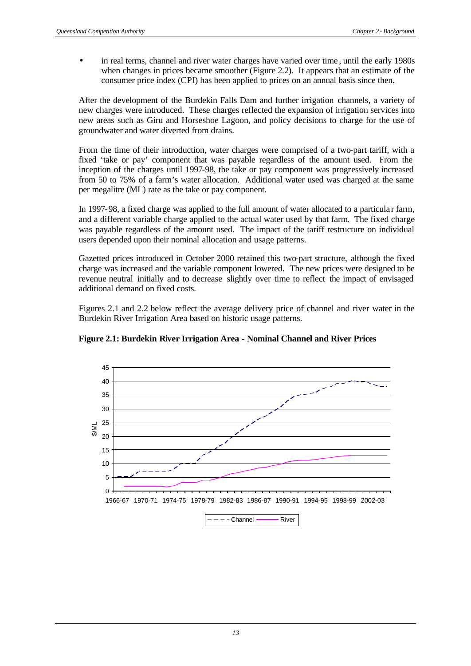• in real terms, channel and river water charges have varied over time, until the early 1980s when changes in prices became smoother (Figure 2.2). It appears that an estimate of the consumer price index (CPI) has been applied to prices on an annual basis since then.

After the development of the Burdekin Falls Dam and further irrigation channels, a variety of new charges were introduced. These charges reflected the expansion of irrigation services into new areas such as Giru and Horseshoe Lagoon, and policy decisions to charge for the use of groundwater and water diverted from drains.

From the time of their introduction, water charges were comprised of a two-part tariff, with a fixed 'take or pay' component that was payable regardless of the amount used. From the inception of the charges until 1997-98, the take or pay component was progressively increased from 50 to 75% of a farm's water allocation. Additional water used was charged at the same per megalitre (ML) rate as the take or pay component.

In 1997-98, a fixed charge was applied to the full amount of water allocated to a particula r farm, and a different variable charge applied to the actual water used by that farm. The fixed charge was payable regardless of the amount used. The impact of the tariff restructure on individual users depended upon their nominal allocation and usage patterns.

Gazetted prices introduced in October 2000 retained this two-part structure, although the fixed charge was increased and the variable component lowered. The new prices were designed to be revenue neutral initially and to decrease slightly over time to reflect the impact of envisaged additional demand on fixed costs.

Figures 2.1 and 2.2 below reflect the average delivery price of channel and river water in the Burdekin River Irrigation Area based on historic usage patterns.



**Figure 2.1: Burdekin River Irrigation Area - Nominal Channel and River Prices**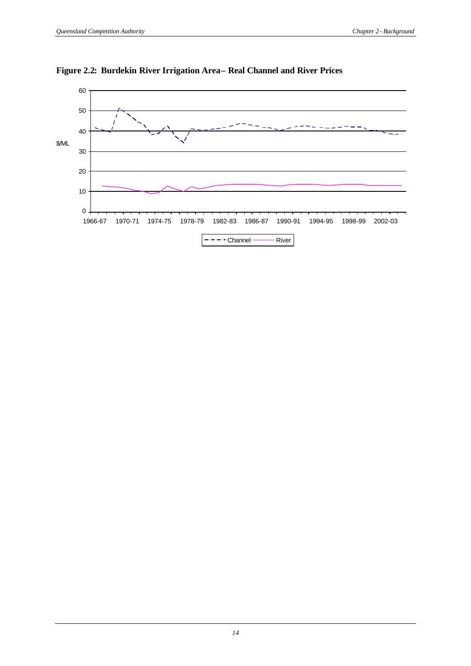

## **Figure 2.2: Burdekin River Irrigation Area– Real Channel and River Prices**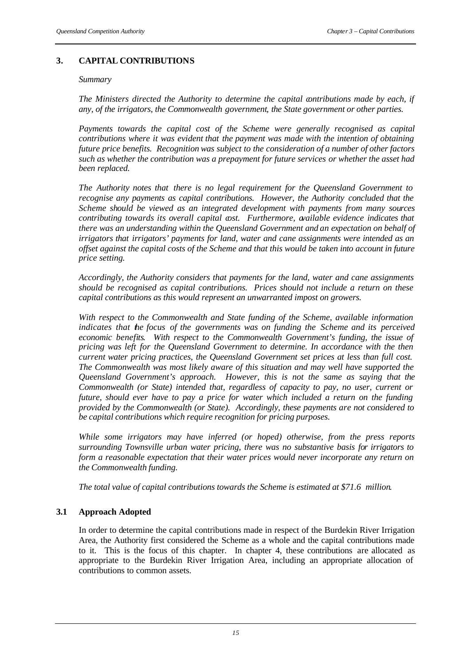## **3. CAPITAL CONTRIBUTIONS**

#### *Summary*

*The Ministers directed the Authority to determine the capital contributions made by each, if any, of the irrigators, the Commonwealth government, the State government or other parties.*

*Payments towards the capital cost of the Scheme were generally recognised as capital contributions where it was evident that the payment was made with the intention of obtaining future price benefits. Recognition was subject to the consideration of a number of other factors such as whether the contribution was a prepayment for future services or whether the asset had been replaced.*

*The Authority notes that there is no legal requirement for the Queensland Government to recognise any payments as capital contributions. However, the Authority concluded that the Scheme should be viewed as an integrated development with payments from many sources contributing towards its overall capital cost. Furthermore, available evidence indicates that there was an understanding within the Queensland Government and an expectation on behalf of irrigators that irrigators' payments for land, water and cane assignments were intended as an offset against the capital costs of the Scheme and that this would be taken into account in future price setting.*

*Accordingly, the Authority considers that payments for the land, water and cane assignments should be recognised as capital contributions. Prices should not include a return on these capital contributions as this would represent an unwarranted impost on growers.*

*With respect to the Commonwealth and State funding of the Scheme, available information*  indicates that he focus of the governments was on funding the Scheme and its perceived *economic benefits. With respect to the Commonwealth Government's funding, the issue of pricing was left for the Queensland Government to determine. In accordance with the then current water pricing practices, the Queensland Government set prices at less than full cost. The Commonwealth was most likely aware of this situation and may well have supported the Queensland Government's approach. However, this is not the same as saying that the Commonwealth (or State) intended that, regardless of capacity to pay, no user, current or future, should ever have to pay a price for water which included a return on the funding provided by the Commonwealth (or State). Accordingly, these payments are not considered to be capital contributions which require recognition for pricing purposes.*

*While some irrigators may have inferred (or hoped) otherwise, from the press reports surrounding Townsville urban water pricing, there was no substantive basis for irrigators to form a reasonable expectation that their water prices would never incorporate any return on the Commonwealth funding.*

*The total value of capital contributions towards the Scheme is estimated at \$71.6 million.*

## **3.1 Approach Adopted**

In order to determine the capital contributions made in respect of the Burdekin River Irrigation Area, the Authority first considered the Scheme as a whole and the capital contributions made to it. This is the focus of this chapter. In chapter 4, these contributions are allocated as appropriate to the Burdekin River Irrigation Area, including an appropriate allocation of contributions to common assets.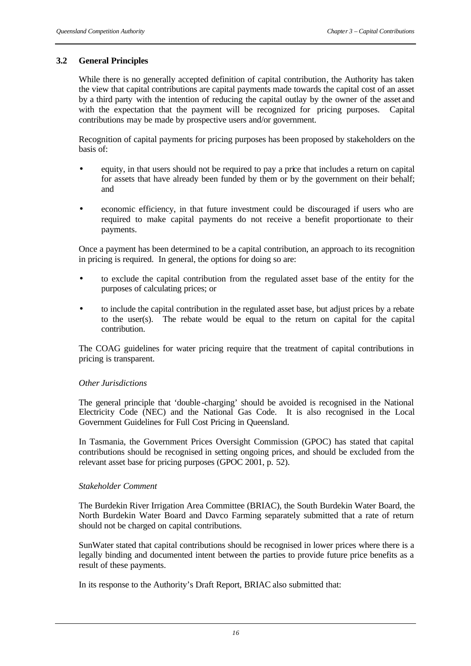## **3.2 General Principles**

While there is no generally accepted definition of capital contribution, the Authority has taken the view that capital contributions are capital payments made towards the capital cost of an asset by a third party with the intention of reducing the capital outlay by the owner of the asset and with the expectation that the payment will be recognized for pricing purposes. Capital contributions may be made by prospective users and/or government.

Recognition of capital payments for pricing purposes has been proposed by stakeholders on the basis of:

- equity, in that users should not be required to pay a price that includes a return on capital for assets that have already been funded by them or by the government on their behalf; and
- economic efficiency, in that future investment could be discouraged if users who are required to make capital payments do not receive a benefit proportionate to their payments.

Once a payment has been determined to be a capital contribution, an approach to its recognition in pricing is required. In general, the options for doing so are:

- to exclude the capital contribution from the regulated asset base of the entity for the purposes of calculating prices; or
- to include the capital contribution in the regulated asset base, but adjust prices by a rebate to the user(s). The rebate would be equal to the return on capital for the capital contribution.

The COAG guidelines for water pricing require that the treatment of capital contributions in pricing is transparent.

#### *Other Jurisdictions*

The general principle that 'double -charging' should be avoided is recognised in the National Electricity Code (NEC) and the National Gas Code. It is also recognised in the Local Government Guidelines for Full Cost Pricing in Queensland.

In Tasmania, the Government Prices Oversight Commission (GPOC) has stated that capital contributions should be recognised in setting ongoing prices, and should be excluded from the relevant asset base for pricing purposes (GPOC 2001, p. 52).

#### *Stakeholder Comment*

The Burdekin River Irrigation Area Committee (BRIAC), the South Burdekin Water Board, the North Burdekin Water Board and Davco Farming separately submitted that a rate of return should not be charged on capital contributions.

SunWater stated that capital contributions should be recognised in lower prices where there is a legally binding and documented intent between the parties to provide future price benefits as a result of these payments.

In its response to the Authority's Draft Report, BRIAC also submitted that: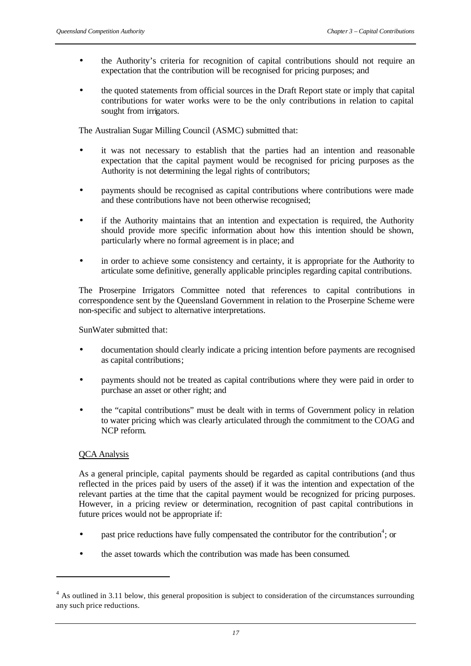- the Authority's criteria for recognition of capital contributions should not require an expectation that the contribution will be recognised for pricing purposes; and
- the quoted statements from official sources in the Draft Report state or imply that capital contributions for water works were to be the only contributions in relation to capital sought from irrigators.

The Australian Sugar Milling Council (ASMC) submitted that:

- it was not necessary to establish that the parties had an intention and reasonable expectation that the capital payment would be recognised for pricing purposes as the Authority is not determining the legal rights of contributors;
- payments should be recognised as capital contributions where contributions were made and these contributions have not been otherwise recognised;
- if the Authority maintains that an intention and expectation is required, the Authority should provide more specific information about how this intention should be shown, particularly where no formal agreement is in place; and
- in order to achieve some consistency and certainty, it is appropriate for the Authority to articulate some definitive, generally applicable principles regarding capital contributions.

The Proserpine Irrigators Committee noted that references to capital contributions in correspondence sent by the Queensland Government in relation to the Proserpine Scheme were non-specific and subject to alternative interpretations.

SunWater submitted that:

- documentation should clearly indicate a pricing intention before payments are recognised as capital contributions;
- payments should not be treated as capital contributions where they were paid in order to purchase an asset or other right; and
- the "capital contributions" must be dealt with in terms of Government policy in relation to water pricing which was clearly articulated through the commitment to the COAG and NCP reform.

#### QCA Analysis

l

As a general principle, capital payments should be regarded as capital contributions (and thus reflected in the prices paid by users of the asset) if it was the intention and expectation of the relevant parties at the time that the capital payment would be recognized for pricing purposes. However, in a pricing review or determination, recognition of past capital contributions in future prices would not be appropriate if:

- past price reductions have fully compensated the contributor for the contribution<sup>4</sup>; or
- the asset towards which the contribution was made has been consumed.

<sup>&</sup>lt;sup>4</sup> As outlined in 3.11 below, this general proposition is subject to consideration of the circumstances surrounding any such price reductions.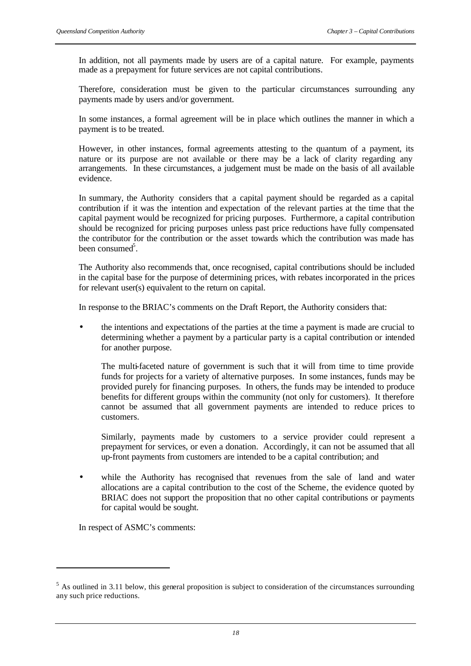In addition, not all payments made by users are of a capital nature. For example, payments made as a prepayment for future services are not capital contributions.

Therefore, consideration must be given to the particular circumstances surrounding any payments made by users and/or government.

In some instances, a formal agreement will be in place which outlines the manner in which a payment is to be treated.

However, in other instances, formal agreements attesting to the quantum of a payment, its nature or its purpose are not available or there may be a lack of clarity regarding any arrangements. In these circumstances, a judgement must be made on the basis of all available evidence.

In summary, the Authority considers that a capital payment should be regarded as a capital contribution if it was the intention and expectation of the relevant parties at the time that the capital payment would be recognized for pricing purposes. Furthermore, a capital contribution should be recognized for pricing purposes unless past price reductions have fully compensated the contributor for the contribution or the asset towards which the contribution was made has been consumed<sup>5</sup>.

The Authority also recommends that, once recognised, capital contributions should be included in the capital base for the purpose of determining prices, with rebates incorporated in the prices for relevant user(s) equivalent to the return on capital.

In response to the BRIAC's comments on the Draft Report, the Authority considers that:

• the intentions and expectations of the parties at the time a payment is made are crucial to determining whether a payment by a particular party is a capital contribution or intended for another purpose.

The multi-faceted nature of government is such that it will from time to time provide funds for projects for a variety of alternative purposes. In some instances, funds may be provided purely for financing purposes. In others, the funds may be intended to produce benefits for different groups within the community (not only for customers). It therefore cannot be assumed that all government payments are intended to reduce prices to customers.

Similarly, payments made by customers to a service provider could represent a prepayment for services, or even a donation. Accordingly, it can not be assumed that all up-front payments from customers are intended to be a capital contribution; and

while the Authority has recognised that revenues from the sale of land and water allocations are a capital contribution to the cost of the Scheme, the evidence quoted by BRIAC does not support the proposition that no other capital contributions or payments for capital would be sought.

In respect of ASMC's comments:

l

 $<sup>5</sup>$  As outlined in 3.11 below, this general proposition is subject to consideration of the circumstances surrounding</sup> any such price reductions.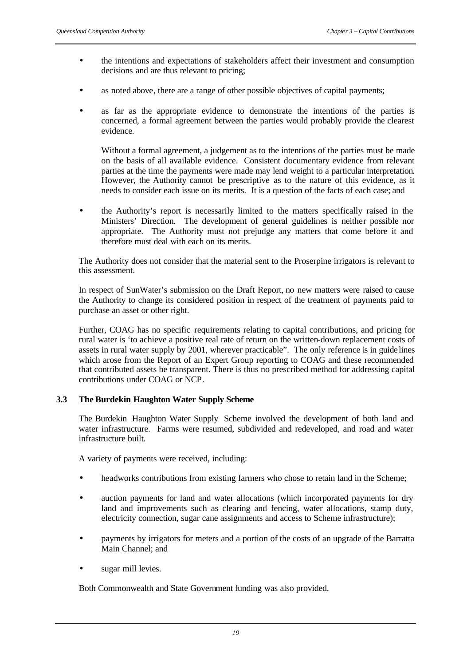- the intentions and expectations of stakeholders affect their investment and consumption decisions and are thus relevant to pricing;
- as noted above, there are a range of other possible objectives of capital payments;
- as far as the appropriate evidence to demonstrate the intentions of the parties is concerned, a formal agreement between the parties would probably provide the clearest evidence.

Without a formal agreement, a judgement as to the intentions of the parties must be made on the basis of all available evidence. Consistent documentary evidence from relevant parties at the time the payments were made may lend weight to a particular interpretation. However, the Authority cannot be prescriptive as to the nature of this evidence, as it needs to consider each issue on its merits. It is a question of the facts of each case; and

• the Authority's report is necessarily limited to the matters specifically raised in the Ministers' Direction. The development of general guidelines is neither possible nor appropriate. The Authority must not prejudge any matters that come before it and therefore must deal with each on its merits.

The Authority does not consider that the material sent to the Proserpine irrigators is relevant to this assessment.

In respect of SunWater's submission on the Draft Report, no new matters were raised to cause the Authority to change its considered position in respect of the treatment of payments paid to purchase an asset or other right.

Further, COAG has no specific requirements relating to capital contributions, and pricing for rural water is 'to achieve a positive real rate of return on the written-down replacement costs of assets in rural water supply by 2001, wherever practicable". The only reference is in guidelines which arose from the Report of an Expert Group reporting to COAG and these recommended that contributed assets be transparent. There is thus no prescribed method for addressing capital contributions under COAG or NCP.

## **3.3 The Burdekin Haughton Water Supply Scheme**

The Burdekin Haughton Water Supply Scheme involved the development of both land and water infrastructure. Farms were resumed, subdivided and redeveloped, and road and water infrastructure built.

A variety of payments were received, including:

- headworks contributions from existing farmers who chose to retain land in the Scheme;
- auction payments for land and water allocations (which incorporated payments for dry land and improvements such as clearing and fencing, water allocations, stamp duty, electricity connection, sugar cane assignments and access to Scheme infrastructure);
- payments by irrigators for meters and a portion of the costs of an upgrade of the Barratta Main Channel; and
- sugar mill levies.

Both Commonwealth and State Government funding was also provided.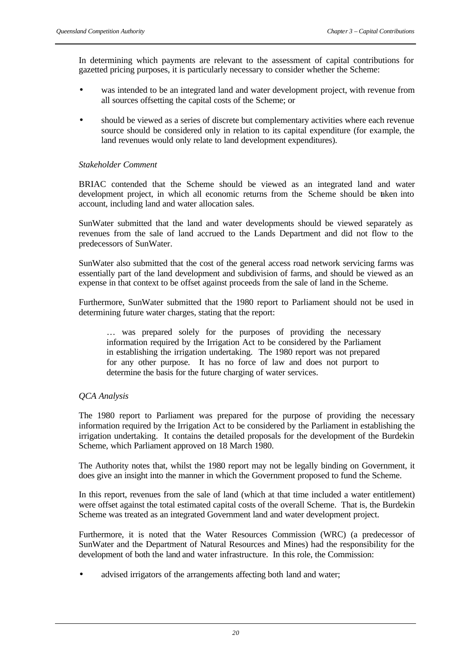In determining which payments are relevant to the assessment of capital contributions for gazetted pricing purposes, it is particularly necessary to consider whether the Scheme:

- was intended to be an integrated land and water development project, with revenue from all sources offsetting the capital costs of the Scheme; or
- should be viewed as a series of discrete but complementary activities where each revenue source should be considered only in relation to its capital expenditure (for example, the land revenues would only relate to land development expenditures).

## *Stakeholder Comment*

BRIAC contended that the Scheme should be viewed as an integrated land and water development project, in which all economic returns from the Scheme should be taken into account, including land and water allocation sales.

SunWater submitted that the land and water developments should be viewed separately as revenues from the sale of land accrued to the Lands Department and did not flow to the predecessors of SunWater.

SunWater also submitted that the cost of the general access road network servicing farms was essentially part of the land development and subdivision of farms, and should be viewed as an expense in that context to be offset against proceeds from the sale of land in the Scheme.

Furthermore, SunWater submitted that the 1980 report to Parliament should not be used in determining future water charges, stating that the report:

… was prepared solely for the purposes of providing the necessary information required by the Irrigation Act to be considered by the Parliament in establishing the irrigation undertaking. The 1980 report was not prepared for any other purpose. It has no force of law and does not purport to determine the basis for the future charging of water services.

## *QCA Analysis*

The 1980 report to Parliament was prepared for the purpose of providing the necessary information required by the Irrigation Act to be considered by the Parliament in establishing the irrigation undertaking. It contains the detailed proposals for the development of the Burdekin Scheme, which Parliament approved on 18 March 1980.

The Authority notes that, whilst the 1980 report may not be legally binding on Government, it does give an insight into the manner in which the Government proposed to fund the Scheme.

In this report, revenues from the sale of land (which at that time included a water entitlement) were offset against the total estimated capital costs of the overall Scheme. That is, the Burdekin Scheme was treated as an integrated Government land and water development project.

Furthermore, it is noted that the Water Resources Commission (WRC) (a predecessor of SunWater and the Department of Natural Resources and Mines) had the responsibility for the development of both the land and water infrastructure. In this role, the Commission:

advised irrigators of the arrangements affecting both land and water;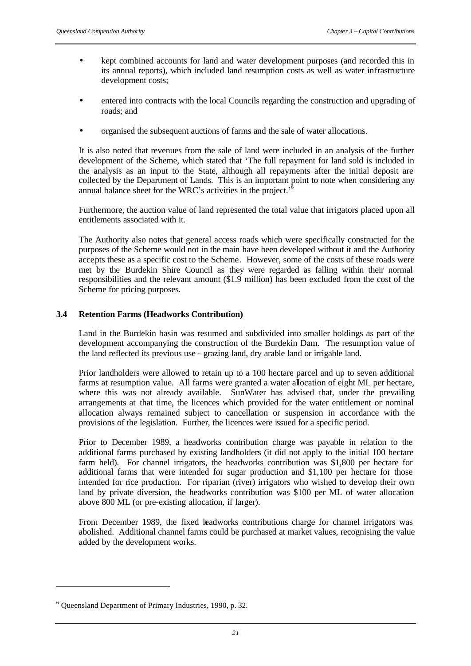- kept combined accounts for land and water development purposes (and recorded this in its annual reports), which included land resumption costs as well as water infrastructure development costs;
- entered into contracts with the local Councils regarding the construction and upgrading of roads; and
- organised the subsequent auctions of farms and the sale of water allocations.

It is also noted that revenues from the sale of land were included in an analysis of the further development of the Scheme, which stated that 'The full repayment for land sold is included in the analysis as an input to the State, although all repayments after the initial deposit are collected by the Department of Lands. This is an important point to note when considering any annual balance sheet for the WRC's activities in the project.<sup> $\frac{6}{5}$ </sup>

Furthermore, the auction value of land represented the total value that irrigators placed upon all entitlements associated with it.

The Authority also notes that general access roads which were specifically constructed for the purposes of the Scheme would not in the main have been developed without it and the Authority accepts these as a specific cost to the Scheme. However, some of the costs of these roads were met by the Burdekin Shire Council as they were regarded as falling within their normal responsibilities and the relevant amount (\$1.9 million) has been excluded from the cost of the Scheme for pricing purposes.

## **3.4 Retention Farms (Headworks Contribution)**

Land in the Burdekin basin was resumed and subdivided into smaller holdings as part of the development accompanying the construction of the Burdekin Dam. The resumption value of the land reflected its previous use - grazing land, dry arable land or irrigable land.

Prior landholders were allowed to retain up to a 100 hectare parcel and up to seven additional farms at resumption value. All farms were granted a water allocation of eight ML per hectare, where this was not already available. SunWater has advised that, under the prevailing arrangements at that time, the licences which provided for the water entitlement or nominal allocation always remained subject to cancellation or suspension in accordance with the provisions of the legislation. Further, the licences were issued for a specific period.

Prior to December 1989, a headworks contribution charge was payable in relation to the additional farms purchased by existing landholders (it did not apply to the initial 100 hectare farm held). For channel irrigators, the headworks contribution was \$1,800 per hectare for additional farms that were intended for sugar production and \$1,100 per hectare for those intended for rice production. For riparian (river) irrigators who wished to develop their own land by private diversion, the headworks contribution was \$100 per ML of water allocation above 800 ML (or pre-existing allocation, if larger).

From December 1989, the fixed headworks contributions charge for channel irrigators was abolished. Additional channel farms could be purchased at market values, recognising the value added by the development works.

l

<sup>&</sup>lt;sup>6</sup> Queensland Department of Primary Industries, 1990, p. 32.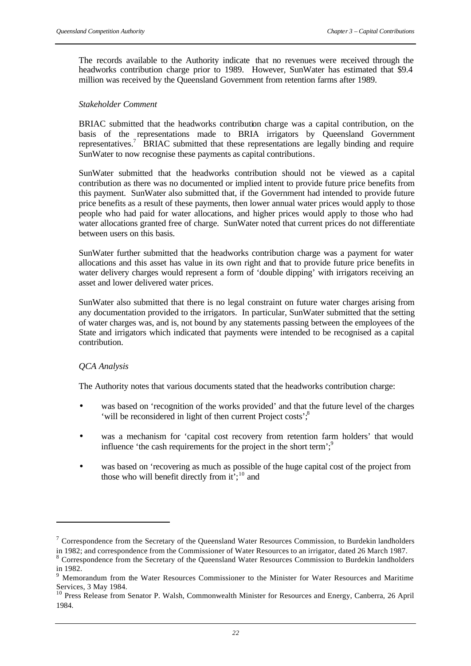The records available to the Authority indicate that no revenues were received through the headworks contribution charge prior to 1989. However, SunWater has estimated that \$9.4 million was received by the Queensland Government from retention farms after 1989.

#### *Stakeholder Comment*

BRIAC submitted that the headworks contribution charge was a capital contribution, on the basis of the representations made to BRIA irrigators by Queensland Government representatives.<sup>7</sup> BRIAC submitted that these representations are legally binding and require SunWater to now recognise these payments as capital contributions.

SunWater submitted that the headworks contribution should not be viewed as a capital contribution as there was no documented or implied intent to provide future price benefits from this payment. SunWater also submitted that, if the Government had intended to provide future price benefits as a result of these payments, then lower annual water prices would apply to those people who had paid for water allocations, and higher prices would apply to those who had water allocations granted free of charge. SunWater noted that current prices do not differentiate between users on this basis.

SunWater further submitted that the headworks contribution charge was a payment for water allocations and this asset has value in its own right and that to provide future price benefits in water delivery charges would represent a form of 'double dipping' with irrigators receiving an asset and lower delivered water prices.

SunWater also submitted that there is no legal constraint on future water charges arising from any documentation provided to the irrigators. In particular, SunWater submitted that the setting of water charges was, and is, not bound by any statements passing between the employees of the State and irrigators which indicated that payments were intended to be recognised as a capital contribution.

#### *QCA Analysis*

l

The Authority notes that various documents stated that the headworks contribution charge:

- was based on 'recognition of the works provided' and that the future level of the charges 'will be reconsidered in light of then current Project costs';<sup>8</sup>
- was a mechanism for 'capital cost recovery from retention farm holders' that would influence 'the cash requirements for the project in the short term'; $\degree$
- was based on 'recovering as much as possible of the huge capital cost of the project from those who will benefit directly from  $it^{\frac{1}{2}}$ ;<sup>10</sup> and

<sup>&</sup>lt;sup>7</sup> Correspondence from the Secretary of the Queensland Water Resources Commission, to Burdekin landholders in 1982; and correspondence from the Commissioner of Water Resources to an irrigator, dated 26 March 1987.

<sup>&</sup>lt;sup>8</sup> Correspondence from the Secretary of the Queensland Water Resources Commission to Burdekin landholders in 1982.

<sup>&</sup>lt;sup>9</sup> Memorandum from the Water Resources Commissioner to the Minister for Water Resources and Maritime Services, 3 May 1984.

<sup>&</sup>lt;sup>10</sup> Press Release from Senator P. Walsh, Commonwealth Minister for Resources and Energy, Canberra, 26 April 1984.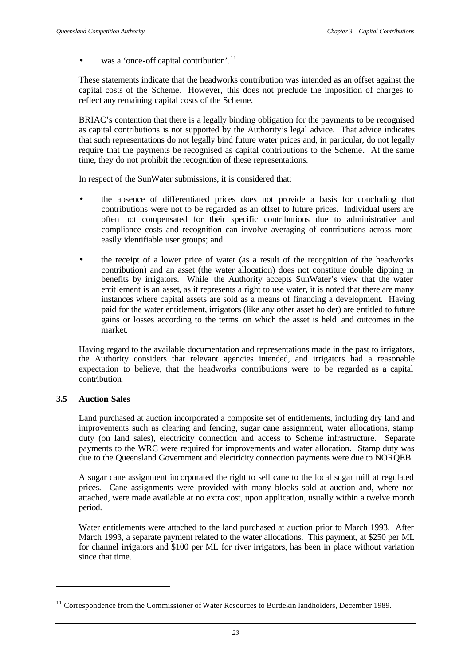• was a 'once-off capital contribution'. $^{11}$ 

These statements indicate that the headworks contribution was intended as an offset against the capital costs of the Scheme. However, this does not preclude the imposition of charges to reflect any remaining capital costs of the Scheme.

BRIAC's contention that there is a legally binding obligation for the payments to be recognised as capital contributions is not supported by the Authority's legal advice. That advice indicates that such representations do not legally bind future water prices and, in particular, do not legally require that the payments be recognised as capital contributions to the Scheme. At the same time, they do not prohibit the recognition of these representations.

In respect of the SunWater submissions, it is considered that:

- the absence of differentiated prices does not provide a basis for concluding that contributions were not to be regarded as an offset to future prices. Individual users are often not compensated for their specific contributions due to administrative and compliance costs and recognition can involve averaging of contributions across more easily identifiable user groups; and
- the receipt of a lower price of water (as a result of the recognition of the headworks contribution) and an asset (the water allocation) does not constitute double dipping in benefits by irrigators. While the Authority accepts SunWater's view that the water entitlement is an asset, as it represents a right to use water, it is noted that there are many instances where capital assets are sold as a means of financing a development. Having paid for the water entitlement, irrigators (like any other asset holder) are entitled to future gains or losses according to the terms on which the asset is held and outcomes in the market.

Having regard to the available documentation and representations made in the past to irrigators, the Authority considers that relevant agencies intended, and irrigators had a reasonable expectation to believe, that the headworks contributions were to be regarded as a capital contribution.

#### **3.5 Auction Sales**

l

Land purchased at auction incorporated a composite set of entitlements, including dry land and improvements such as clearing and fencing, sugar cane assignment, water allocations, stamp duty (on land sales), electricity connection and access to Scheme infrastructure. Separate payments to the WRC were required for improvements and water allocation. Stamp duty was due to the Queensland Government and electricity connection payments were due to NORQEB.

A sugar cane assignment incorporated the right to sell cane to the local sugar mill at regulated prices. Cane assignments were provided with many blocks sold at auction and, where not attached, were made available at no extra cost, upon application, usually within a twelve month period.

Water entitlements were attached to the land purchased at auction prior to March 1993. After March 1993, a separate payment related to the water allocations. This payment, at \$250 per ML for channel irrigators and \$100 per ML for river irrigators, has been in place without variation since that time.

<sup>&</sup>lt;sup>11</sup> Correspondence from the Commissioner of Water Resources to Burdekin landholders, December 1989.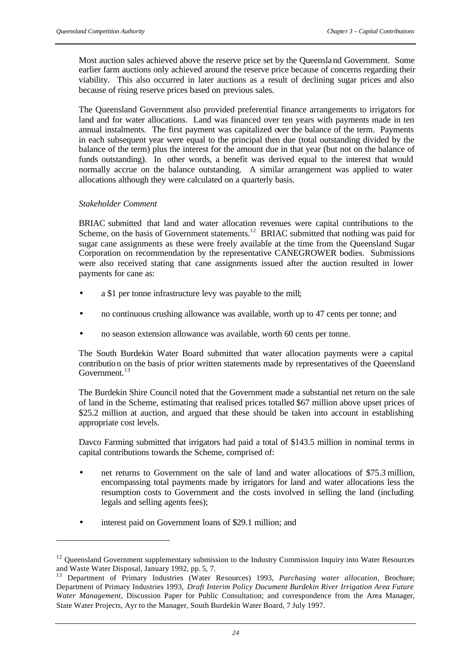Most auction sales achieved above the reserve price set by the Queensland Government. Some earlier farm auctions only achieved around the reserve price because of concerns regarding their viability. This also occurred in later auctions as a result of declining sugar prices and also because of rising reserve prices based on previous sales.

The Queensland Government also provided preferential finance arrangements to irrigators for land and for water allocations. Land was financed over ten years with payments made in ten annual instalments. The first payment was capitalized over the balance of the term. Payments in each subsequent year were equal to the principal then due (total outstanding divided by the balance of the term) plus the interest for the amount due in that year (but not on the balance of funds outstanding). In other words, a benefit was derived equal to the interest that would normally accrue on the balance outstanding. A similar arrangement was applied to water allocations although they were calculated on a quarterly basis.

#### *Stakeholder Comment*

l

BRIAC submitted that land and water allocation revenues were capital contributions to the Scheme, on the basis of Government statements.<sup>12</sup> BRIAC submitted that nothing was paid for sugar cane assignments as these were freely available at the time from the Queensland Sugar Corporation on recommendation by the representative CANEGROWER bodies. Submissions were also received stating that cane assignments issued after the auction resulted in lower payments for cane as:

- a \$1 per tonne infrastructure levy was payable to the mill;
- no continuous crushing allowance was available, worth up to 47 cents per tonne; and
- no season extension allowance was available, worth 60 cents per tonne.

The South Burdekin Water Board submitted that water allocation payments were a capital contribution on the basis of prior written statements made by representatives of the Queensland Government.<sup>13</sup>

The Burdekin Shire Council noted that the Government made a substantial net return on the sale of land in the Scheme, estimating that realised prices totalled \$67 million above upset prices of \$25.2 million at auction, and argued that these should be taken into account in establishing appropriate cost levels.

Davco Farming submitted that irrigators had paid a total of \$143.5 million in nominal terms in capital contributions towards the Scheme, comprised of:

- net returns to Government on the sale of land and water allocations of \$75.3 million, encompassing total payments made by irrigators for land and water allocations less the resumption costs to Government and the costs involved in selling the land (including legals and selling agents fees);
- interest paid on Government loans of \$29.1 million; and

<sup>&</sup>lt;sup>12</sup> Queensland Government supplementary submission to the Industry Commission Inquiry into Water Resources and Waste Water Disposal, January 1992, pp. 5, 7.

<sup>13</sup> Department of Primary Industries (Water Resources) 1993, *Purchasing water allocation*, Brochure; Department of Primary Industries 1993, *Draft Interim Policy Document Burdekin River Irrigation Area Future Water Management*, Discussion Paper for Public Consultation; and correspondence from the Area Manager, State Water Projects, Ayr to the Manager, South Burdekin Water Board, 7 July 1997.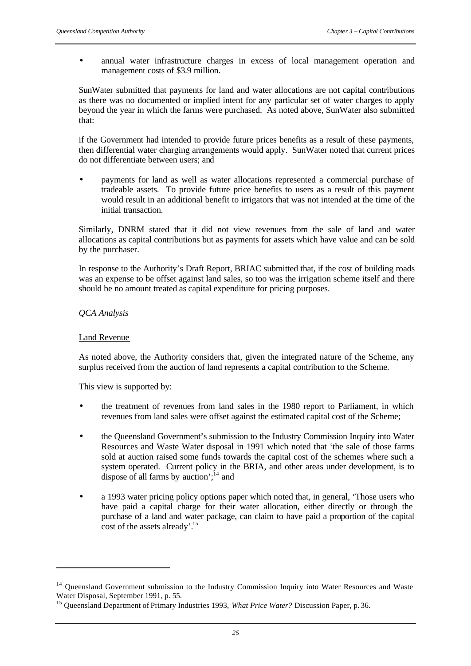• annual water infrastructure charges in excess of local management operation and management costs of \$3.9 million.

SunWater submitted that payments for land and water allocations are not capital contributions as there was no documented or implied intent for any particular set of water charges to apply beyond the year in which the farms were purchased. As noted above, SunWater also submitted that:

if the Government had intended to provide future prices benefits as a result of these payments, then differential water charging arrangements would apply. SunWater noted that current prices do not differentiate between users; and

• payments for land as well as water allocations represented a commercial purchase of tradeable assets. To provide future price benefits to users as a result of this payment would result in an additional benefit to irrigators that was not intended at the time of the initial transaction.

Similarly, DNRM stated that it did not view revenues from the sale of land and water allocations as capital contributions but as payments for assets which have value and can be sold by the purchaser.

In response to the Authority's Draft Report, BRIAC submitted that, if the cost of building roads was an expense to be offset against land sales, so too was the irrigation scheme itself and there should be no amount treated as capital expenditure for pricing purposes.

## *QCA Analysis*

### Land Revenue

l

As noted above, the Authority considers that, given the integrated nature of the Scheme, any surplus received from the auction of land represents a capital contribution to the Scheme.

This view is supported by:

- the treatment of revenues from land sales in the 1980 report to Parliament, in which revenues from land sales were offset against the estimated capital cost of the Scheme;
- the Queensland Government's submission to the Industry Commission Inquiry into Water Resources and Waste Water disposal in 1991 which noted that 'the sale of those farms sold at auction raised some funds towards the capital cost of the schemes where such a system operated. Current policy in the BRIA, and other areas under development, is to dispose of all farms by auction';  $^{14}$  and
- a 1993 water pricing policy options paper which noted that, in general, 'Those users who have paid a capital charge for their water allocation, either directly or through the purchase of a land and water package, can claim to have paid a proportion of the capital cost of the assets already'.<sup>15</sup>

<sup>&</sup>lt;sup>14</sup> Queensland Government submission to the Industry Commission Inquiry into Water Resources and Waste Water Disposal, September 1991, p. 55.

<sup>&</sup>lt;sup>15</sup> Queensland Department of Primary Industries 1993, *What Price Water?* Discussion Paper, p. 36.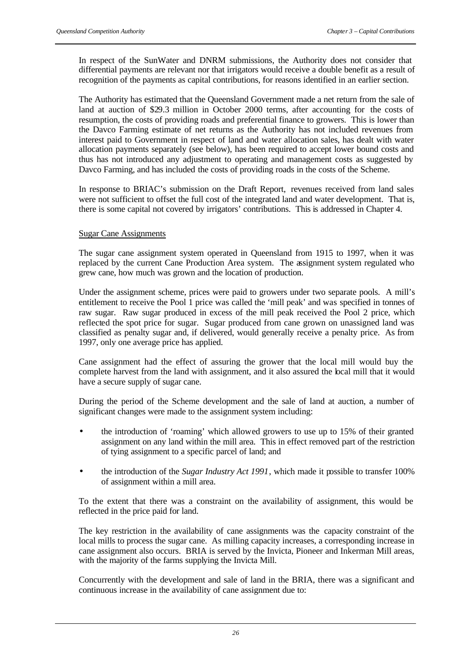In respect of the SunWater and DNRM submissions, the Authority does not consider that differential payments are relevant nor that irrigators would receive a double benefit as a result of recognition of the payments as capital contributions, for reasons identified in an earlier section.

The Authority has estimated that the Queensland Government made a net return from the sale of land at auction of \$29.3 million in October 2000 terms, after accounting for the costs of resumption, the costs of providing roads and preferential finance to growers. This is lower than the Davco Farming estimate of net returns as the Authority has not included revenues from interest paid to Government in respect of land and water allocation sales, has dealt with water allocation payments separately (see below), has been required to accept lower bound costs and thus has not introduced any adjustment to operating and management costs as suggested by Davco Farming, and has included the costs of providing roads in the costs of the Scheme.

In response to BRIAC's submission on the Draft Report, revenues received from land sales were not sufficient to offset the full cost of the integrated land and water development. That is, there is some capital not covered by irrigators' contributions. This is addressed in Chapter 4.

## Sugar Cane Assignments

The sugar cane assignment system operated in Queensland from 1915 to 1997, when it was replaced by the current Cane Production Area system. The assignment system regulated who grew cane, how much was grown and the location of production.

Under the assignment scheme, prices were paid to growers under two separate pools. A mill's entitlement to receive the Pool 1 price was called the 'mill peak' and was specified in tonnes of raw sugar. Raw sugar produced in excess of the mill peak received the Pool 2 price, which reflected the spot price for sugar. Sugar produced from cane grown on unassigned land was classified as penalty sugar and, if delivered, would generally receive a penalty price. As from 1997, only one average price has applied.

Cane assignment had the effect of assuring the grower that the local mill would buy the complete harvest from the land with assignment, and it also assured the local mill that it would have a secure supply of sugar cane.

During the period of the Scheme development and the sale of land at auction, a number of significant changes were made to the assignment system including:

- the introduction of 'roaming' which allowed growers to use up to 15% of their granted assignment on any land within the mill area. This in effect removed part of the restriction of tying assignment to a specific parcel of land; and
- the introduction of the *Sugar Industry Act 1991*, which made it possible to transfer 100% of assignment within a mill area.

To the extent that there was a constraint on the availability of assignment, this would be reflected in the price paid for land.

The key restriction in the availability of cane assignments was the capacity constraint of the local mills to process the sugar cane. As milling capacity increases, a corresponding increase in cane assignment also occurs. BRIA is served by the Invicta, Pioneer and Inkerman Mill areas, with the majority of the farms supplying the Invicta Mill.

Concurrently with the development and sale of land in the BRIA, there was a significant and continuous increase in the availability of cane assignment due to: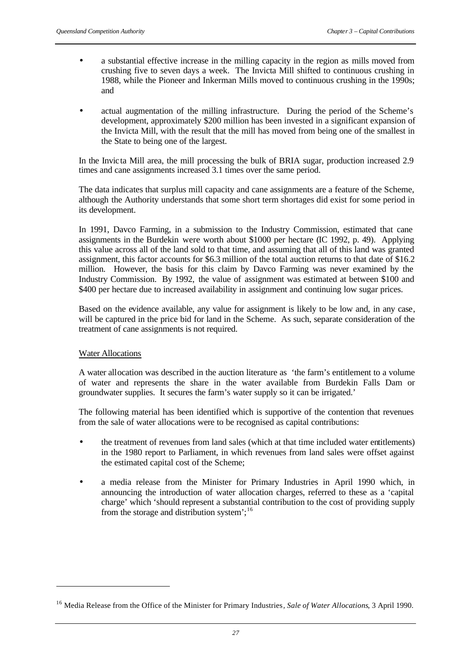- a substantial effective increase in the milling capacity in the region as mills moved from crushing five to seven days a week. The Invicta Mill shifted to continuous crushing in 1988, while the Pioneer and Inkerman Mills moved to continuous crushing in the 1990s; and
- actual augmentation of the milling infrastructure. During the period of the Scheme's development, approximately \$200 million has been invested in a significant expansion of the Invicta Mill, with the result that the mill has moved from being one of the smallest in the State to being one of the largest.

In the Invicta Mill area, the mill processing the bulk of BRIA sugar, production increased 2.9 times and cane assignments increased 3.1 times over the same period.

The data indicates that surplus mill capacity and cane assignments are a feature of the Scheme, although the Authority understands that some short term shortages did exist for some period in its development.

In 1991, Davco Farming, in a submission to the Industry Commission, estimated that cane assignments in the Burdekin were worth about \$1000 per hectare (IC 1992, p. 49). Applying this value across all of the land sold to that time, and assuming that all of this land was granted assignment, this factor accounts for \$6.3 million of the total auction returns to that date of \$16.2 million. However, the basis for this claim by Davco Farming was never examined by the Industry Commission. By 1992, the value of assignment was estimated at between \$100 and \$400 per hectare due to increased availability in assignment and continuing low sugar prices.

Based on the evidence available, any value for assignment is likely to be low and, in any case, will be captured in the price bid for land in the Scheme. As such, separate consideration of the treatment of cane assignments is not required.

## Water Allocations

l

A water allocation was described in the auction literature as 'the farm's entitlement to a volume of water and represents the share in the water available from Burdekin Falls Dam or groundwater supplies. It secures the farm's water supply so it can be irrigated.'

The following material has been identified which is supportive of the contention that revenues from the sale of water allocations were to be recognised as capital contributions:

- the treatment of revenues from land sales (which at that time included water entitlements) in the 1980 report to Parliament, in which revenues from land sales were offset against the estimated capital cost of the Scheme;
- a media release from the Minister for Primary Industries in April 1990 which, in announcing the introduction of water allocation charges, referred to these as a 'capital charge' which 'should represent a substantial contribution to the cost of providing supply from the storage and distribution system'; $^{16}$

<sup>16</sup> Media Release from the Office of the Minister for Primary Industries*, Sale of Water Allocations*, 3 April 1990.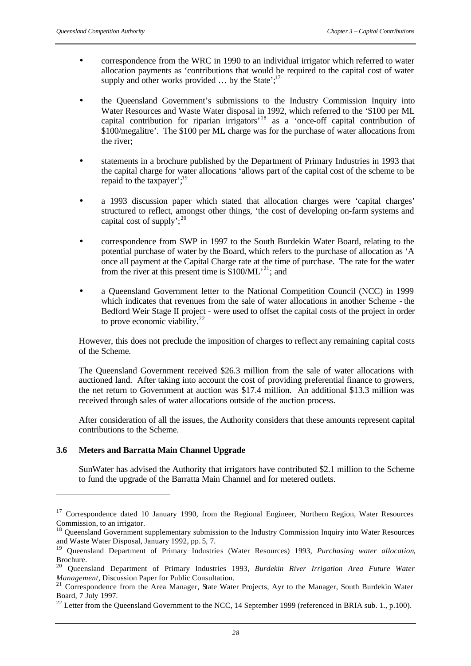- correspondence from the WRC in 1990 to an individual irrigator which referred to water allocation payments as 'contributions that would be required to the capital cost of water supply and other works provided  $\ldots$  by the State';<sup>17</sup>
- the Queensland Government's submissions to the Industry Commission Inquiry into Water Resources and Waste Water disposal in 1992, which referred to the '\$100 per ML capital contribution for riparian irrigators<sup>'18</sup> as a 'once-off capital contribution of \$100/megalitre'. The \$100 per ML charge was for the purchase of water allocations from the river;
- statements in a brochure published by the Department of Primary Industries in 1993 that the capital charge for water allocations 'allows part of the capital cost of the scheme to be repaid to the taxpayer'; $^{19}$
- a 1993 discussion paper which stated that allocation charges were 'capital charges' structured to reflect, amongst other things, 'the cost of developing on-farm systems and capital cost of supply';  $2^{20}$
- correspondence from SWP in 1997 to the South Burdekin Water Board, relating to the potential purchase of water by the Board, which refers to the purchase of allocation as 'A once all payment at the Capital Charge rate at the time of purchase. The rate for the water from the river at this present time is  $$100/ML^{21}$ ; and
- a Queensland Government letter to the National Competition Council (NCC) in 1999 which indicates that revenues from the sale of water allocations in another Scheme - the Bedford Weir Stage II project - were used to offset the capital costs of the project in order to prove economic viability. $22$

However, this does not preclude the imposition of charges to reflect any remaining capital costs of the Scheme.

The Queensland Government received \$26.3 million from the sale of water allocations with auctioned land. After taking into account the cost of providing preferential finance to growers, the net return to Government at auction was \$17.4 million. An additional \$13.3 million was received through sales of water allocations outside of the auction process.

After consideration of all the issues, the Authority considers that these amounts represent capital contributions to the Scheme.

# **3.6 Meters and Barratta Main Channel Upgrade**

l

SunWater has advised the Authority that irrigators have contributed \$2.1 million to the Scheme to fund the upgrade of the Barratta Main Channel and for metered outlets.

<sup>&</sup>lt;sup>17</sup> Correspondence dated 10 January 1990, from the Regional Engineer, Northern Region, Water Resources Commission, to an irrigator.

<sup>&</sup>lt;sup>18</sup> Queensland Government supplementary submission to the Industry Commission Inquiry into Water Resources and Waste Water Disposal, January 1992, pp. 5, 7.

<sup>19</sup> Queensland Department of Primary Industries (Water Resources) 1993, *Purchasing water allocation*, Brochure.

<sup>20</sup> Queensland Department of Primary Industries 1993, *Burdekin River Irrigation Area Future Water Management*, Discussion Paper for Public Consultation.

<sup>&</sup>lt;sup>21</sup> Correspondence from the Area Manager, State Water Projects, Ayr to the Manager, South Burdekin Water Board, 7 July 1997.

<sup>&</sup>lt;sup>22</sup> Letter from the Queensland Government to the NCC, 14 September 1999 (referenced in BRIA sub. 1., p.100).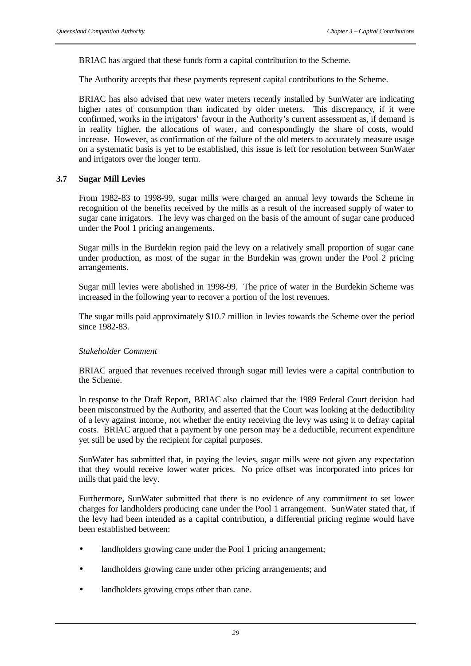BRIAC has argued that these funds form a capital contribution to the Scheme.

The Authority accepts that these payments represent capital contributions to the Scheme.

BRIAC has also advised that new water meters recently installed by SunWater are indicating higher rates of consumption than indicated by older meters. This discrepancy, if it were confirmed, works in the irrigators' favour in the Authority's current assessment as, if demand is in reality higher, the allocations of water, and correspondingly the share of costs, would increase. However, as confirmation of the failure of the old meters to accurately measure usage on a systematic basis is yet to be established, this issue is left for resolution between SunWater and irrigators over the longer term.

## **3.7 Sugar Mill Levies**

From 1982-83 to 1998-99, sugar mills were charged an annual levy towards the Scheme in recognition of the benefits received by the mills as a result of the increased supply of water to sugar cane irrigators. The levy was charged on the basis of the amount of sugar cane produced under the Pool 1 pricing arrangements.

Sugar mills in the Burdekin region paid the levy on a relatively small proportion of sugar cane under production, as most of the sugar in the Burdekin was grown under the Pool 2 pricing arrangements.

Sugar mill levies were abolished in 1998-99. The price of water in the Burdekin Scheme was increased in the following year to recover a portion of the lost revenues.

The sugar mills paid approximately \$10.7 million in levies towards the Scheme over the period since 1982-83.

## *Stakeholder Comment*

BRIAC argued that revenues received through sugar mill levies were a capital contribution to the Scheme.

In response to the Draft Report, BRIAC also claimed that the 1989 Federal Court decision had been misconstrued by the Authority, and asserted that the Court was looking at the deductibility of a levy against income, not whether the entity receiving the levy was using it to defray capital costs. BRIAC argued that a payment by one person may be a deductible, recurrent expenditure yet still be used by the recipient for capital purposes.

SunWater has submitted that, in paying the levies, sugar mills were not given any expectation that they would receive lower water prices. No price offset was incorporated into prices for mills that paid the levy.

Furthermore, SunWater submitted that there is no evidence of any commitment to set lower charges for landholders producing cane under the Pool 1 arrangement. SunWater stated that, if the levy had been intended as a capital contribution, a differential pricing regime would have been established between:

- landholders growing cane under the Pool 1 pricing arrangement;
- landholders growing cane under other pricing arrangements; and
- landholders growing crops other than cane.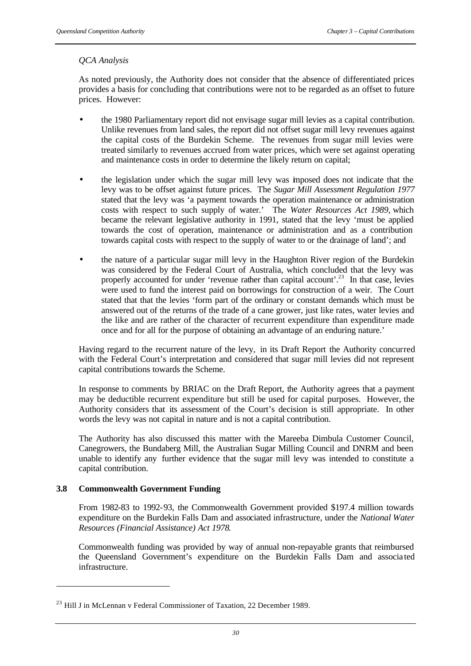# *QCA Analysis*

As noted previously, the Authority does not consider that the absence of differentiated prices provides a basis for concluding that contributions were not to be regarded as an offset to future prices. However:

- the 1980 Parliamentary report did not envisage sugar mill levies as a capital contribution. Unlike revenues from land sales, the report did not offset sugar mill levy revenues against the capital costs of the Burdekin Scheme. The revenues from sugar mill levies were treated similarly to revenues accrued from water prices, which were set against operating and maintenance costs in order to determine the likely return on capital;
- the legislation under which the sugar mill levy was imposed does not indicate that the levy was to be offset against future prices. The *Sugar Mill Assessment Regulation 1977* stated that the levy was 'a payment towards the operation maintenance or administration costs with respect to such supply of water.' The *Water Resources Act 1989,* which became the relevant legislative authority in 1991, stated that the levy 'must be applied towards the cost of operation, maintenance or administration and as a contribution towards capital costs with respect to the supply of water to or the drainage of land'; and
- the nature of a particular sugar mill levy in the Haughton River region of the Burdekin was considered by the Federal Court of Australia, which concluded that the levy was properly accounted for under 'revenue rather than capital account'.<sup>23</sup> In that case, levies were used to fund the interest paid on borrowings for construction of a weir. The Court stated that that the levies 'form part of the ordinary or constant demands which must be answered out of the returns of the trade of a cane grower, just like rates, water levies and the like and are rather of the character of recurrent expenditure than expenditure made once and for all for the purpose of obtaining an advantage of an enduring nature.'

Having regard to the recurrent nature of the levy, in its Draft Report the Authority concurred with the Federal Court's interpretation and considered that sugar mill levies did not represent capital contributions towards the Scheme.

In response to comments by BRIAC on the Draft Report, the Authority agrees that a payment may be deductible recurrent expenditure but still be used for capital purposes. However, the Authority considers that its assessment of the Court's decision is still appropriate. In other words the levy was not capital in nature and is not a capital contribution.

The Authority has also discussed this matter with the Mareeba Dimbula Customer Council, Canegrowers, the Bundaberg Mill, the Australian Sugar Milling Council and DNRM and been unable to identify any further evidence that the sugar mill levy was intended to constitute a capital contribution.

## **3.8 Commonwealth Government Funding**

l

From 1982-83 to 1992-93, the Commonwealth Government provided \$197.4 million towards expenditure on the Burdekin Falls Dam and associated infrastructure, under the *National Water Resources (Financial Assistance) Act 1978*.

Commonwealth funding was provided by way of annual non-repayable grants that reimbursed the Queensland Government's expenditure on the Burdekin Falls Dam and associa ted infrastructure.

 $^{23}$  Hill J in McLennan v Federal Commissioner of Taxation, 22 December 1989.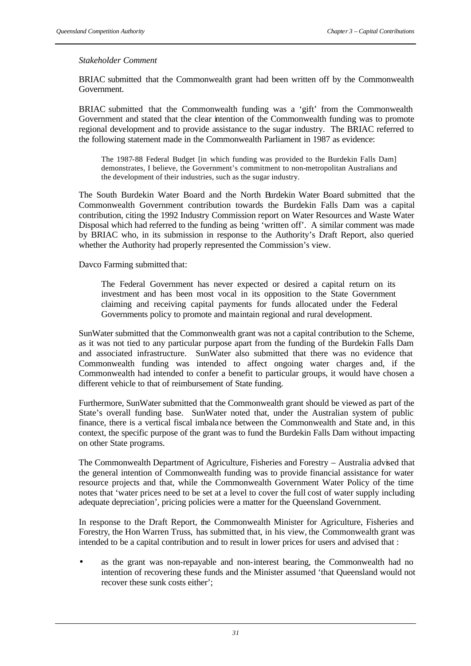### *Stakeholder Comment*

BRIAC submitted that the Commonwealth grant had been written off by the Commonwealth Government.

BRIAC submitted that the Commonwealth funding was a 'gift' from the Commonwealth Government and stated that the clear intention of the Commonwealth funding was to promote regional development and to provide assistance to the sugar industry. The BRIAC referred to the following statement made in the Commonwealth Parliament in 1987 as evidence:

The 1987-88 Federal Budget [in which funding was provided to the Burdekin Falls Dam] demonstrates, I believe, the Government's commitment to non-metropolitan Australians and the development of their industries, such as the sugar industry.

The South Burdekin Water Board and the North Burdekin Water Board submitted that the Commonwealth Government contribution towards the Burdekin Falls Dam was a capital contribution, citing the 1992 Industry Commission report on Water Resources and Waste Water Disposal which had referred to the funding as being 'written off'. A similar comment was made by BRIAC who, in its submission in response to the Authority's Draft Report, also queried whether the Authority had properly represented the Commission's view.

Davco Farming submitted that:

The Federal Government has never expected or desired a capital return on its investment and has been most vocal in its opposition to the State Government claiming and receiving capital payments for funds allocated under the Federal Governments policy to promote and maintain regional and rural development.

SunWater submitted that the Commonwealth grant was not a capital contribution to the Scheme, as it was not tied to any particular purpose apart from the funding of the Burdekin Falls Dam and associated infrastructure. SunWater also submitted that there was no evidence that Commonwealth funding was intended to affect ongoing water charges and, if the Commonwealth had intended to confer a benefit to particular groups, it would have chosen a different vehicle to that of reimbursement of State funding.

Furthermore, SunWater submitted that the Commonwealth grant should be viewed as part of the State's overall funding base. SunWater noted that, under the Australian system of public finance, there is a vertical fiscal imbalance between the Commonwealth and State and, in this context, the specific purpose of the grant was to fund the Burdekin Falls Dam without impacting on other State programs.

The Commonwealth Department of Agriculture, Fisheries and Forestry – Australia advised that the general intention of Commonwealth funding was to provide financial assistance for water resource projects and that, while the Commonwealth Government Water Policy of the time notes that 'water prices need to be set at a level to cover the full cost of water supply including adequate depreciation', pricing policies were a matter for the Queensland Government.

In response to the Draft Report, the Commonwealth Minister for Agriculture, Fisheries and Forestry, the Hon Warren Truss, has submitted that, in his view, the Commonwealth grant was intended to be a capital contribution and to result in lower prices for users and advised that :

as the grant was non-repayable and non-interest bearing, the Commonwealth had no intention of recovering these funds and the Minister assumed 'that Queensland would not recover these sunk costs either';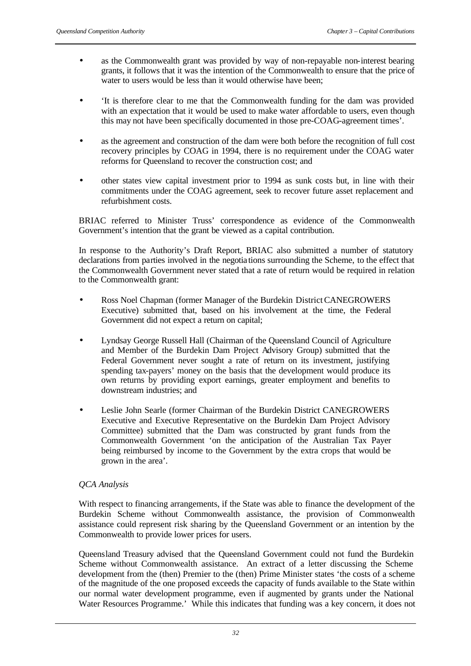- as the Commonwealth grant was provided by way of non-repayable non-interest bearing grants, it follows that it was the intention of the Commonwealth to ensure that the price of water to users would be less than it would otherwise have been;
- 'It is therefore clear to me that the Commonwealth funding for the dam was provided with an expectation that it would be used to make water affordable to users, even though this may not have been specifically documented in those pre-COAG-agreement times'.
- as the agreement and construction of the dam were both before the recognition of full cost recovery principles by COAG in 1994, there is no requirement under the COAG water reforms for Queensland to recover the construction cost; and
- other states view capital investment prior to 1994 as sunk costs but, in line with their commitments under the COAG agreement, seek to recover future asset replacement and refurbishment costs.

BRIAC referred to Minister Truss' correspondence as evidence of the Commonwealth Government's intention that the grant be viewed as a capital contribution.

In response to the Authority's Draft Report, BRIAC also submitted a number of statutory declarations from parties involved in the negotiations surrounding the Scheme, to the effect that the Commonwealth Government never stated that a rate of return would be required in relation to the Commonwealth grant:

- Ross Noel Chapman (former Manager of the Burdekin District CANEGROWERS Executive) submitted that, based on his involvement at the time, the Federal Government did not expect a return on capital;
- Lyndsay George Russell Hall (Chairman of the Queensland Council of Agriculture and Member of the Burdekin Dam Project Advisory Group) submitted that the Federal Government never sought a rate of return on its investment, justifying spending tax-payers' money on the basis that the development would produce its own returns by providing export earnings, greater employment and benefits to downstream industries; and
- Leslie John Searle (former Chairman of the Burdekin District CANEGROWERS Executive and Executive Representative on the Burdekin Dam Project Advisory Committee) submitted that the Dam was constructed by grant funds from the Commonwealth Government 'on the anticipation of the Australian Tax Payer being reimbursed by income to the Government by the extra crops that would be grown in the area'.

# *QCA Analysis*

With respect to financing arrangements, if the State was able to finance the development of the Burdekin Scheme without Commonwealth assistance, the provision of Commonwealth assistance could represent risk sharing by the Queensland Government or an intention by the Commonwealth to provide lower prices for users.

Queensland Treasury advised that the Queensland Government could not fund the Burdekin Scheme without Commonwealth assistance. An extract of a letter discussing the Scheme development from the (then) Premier to the (then) Prime Minister states 'the costs of a scheme of the magnitude of the one proposed exceeds the capacity of funds available to the State within our normal water development programme, even if augmented by grants under the National Water Resources Programme.' While this indicates that funding was a key concern, it does not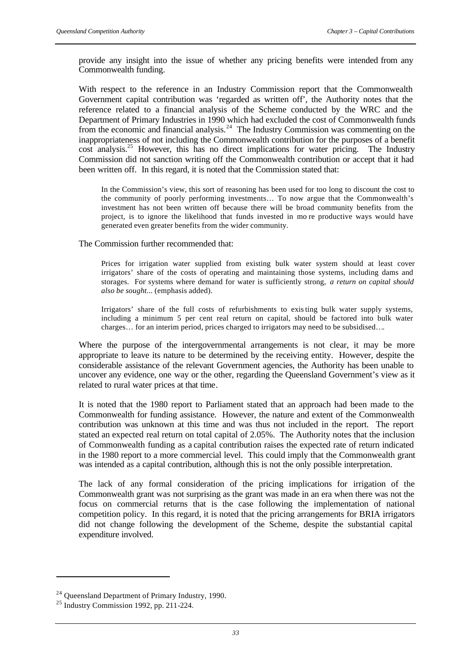provide any insight into the issue of whether any pricing benefits were intended from any Commonwealth funding.

With respect to the reference in an Industry Commission report that the Commonwealth Government capital contribution was 'regarded as written off', the Authority notes that the reference related to a financial analysis of the Scheme conducted by the WRC and the Department of Primary Industries in 1990 which had excluded the cost of Commonwealth funds from the economic and financial analysis.<sup>24</sup> The Industry Commission was commenting on the inappropriateness of not including the Commonwealth contribution for the purposes of a benefit cost analysis.<sup>25</sup> However, this has no direct implications for water pricing. The Industry Commission did not sanction writing off the Commonwealth contribution or accept that it had been written off. In this regard, it is noted that the Commission stated that:

In the Commission's view, this sort of reasoning has been used for too long to discount the cost to the community of poorly performing investments… To now argue that the Commonwealth's investment has not been written off because there will be broad community benefits from the project, is to ignore the likelihood that funds invested in mo re productive ways would have generated even greater benefits from the wider community.

The Commission further recommended that:

Prices for irrigation water supplied from existing bulk water system should at least cover irrigators' share of the costs of operating and maintaining those systems, including dams and storages. For systems where demand for water is sufficiently strong, *a return on capital should also be sought...* (emphasis added).

Irrigators' share of the full costs of refurbishments to existing bulk water supply systems, including a minimum 5 per cent real return on capital, should be factored into bulk water charges… for an interim period, prices charged to irrigators may need to be subsidised….

Where the purpose of the intergovernmental arrangements is not clear, it may be more appropriate to leave its nature to be determined by the receiving entity. However, despite the considerable assistance of the relevant Government agencies, the Authority has been unable to uncover any evidence, one way or the other, regarding the Queensland Government's view as it related to rural water prices at that time.

It is noted that the 1980 report to Parliament stated that an approach had been made to the Commonwealth for funding assistance. However, the nature and extent of the Commonwealth contribution was unknown at this time and was thus not included in the report. The report stated an expected real return on total capital of 2.05%. The Authority notes that the inclusion of Commonwealth funding as a capital contribution raises the expected rate of return indicated in the 1980 report to a more commercial level. This could imply that the Commonwealth grant was intended as a capital contribution, although this is not the only possible interpretation.

The lack of any formal consideration of the pricing implications for irrigation of the Commonwealth grant was not surprising as the grant was made in an era when there was not the focus on commercial returns that is the case following the implementation of national competition policy. In this regard, it is noted that the pricing arrangements for BRIA irrigators did not change following the development of the Scheme, despite the substantial capital expenditure involved.

l

 $24$  Queensland Department of Primary Industry, 1990.

<sup>25</sup> Industry Commission 1992, pp. 211-224.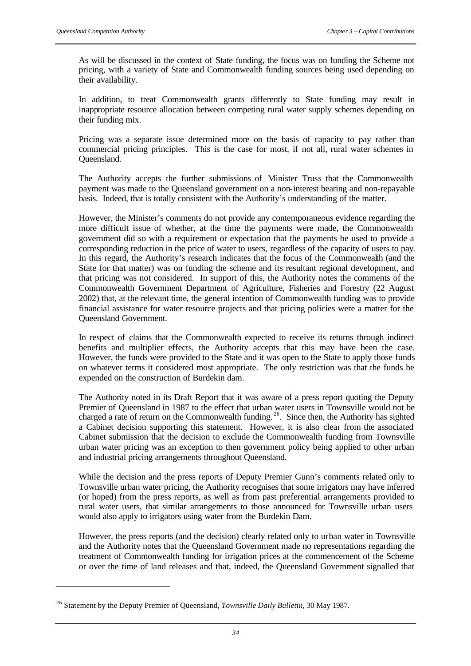As will be discussed in the context of State funding, the focus was on funding the Scheme not pricing, with a variety of State and Commonwealth funding sources being used depending on their availability.

In addition, to treat Commonwealth grants differently to State funding may result in inappropriate resource allocation between competing rural water supply schemes depending on their funding mix.

Pricing was a separate issue determined more on the basis of capacity to pay rather than commercial pricing principles. This is the case for most, if not all, rural water schemes in Queensland.

The Authority accepts the further submissions of Minister Truss that the Commonwealth payment was made to the Queensland government on a non-interest bearing and non-repayable basis. Indeed, that is totally consistent with the Authority's understanding of the matter.

However, the Minister's comments do not provide any contemporaneous evidence regarding the more difficult issue of whether, at the time the payments were made, the Commonwealth government did so with a requirement or expectation that the payments be used to provide a corresponding reduction in the price of water to users, regardless of the capacity of users to pay. In this regard, the Authority's research indicates that the focus of the Commonwealth (and the State for that matter) was on funding the scheme and its resultant regional development, and that pricing was not considered. In support of this, the Authority notes the comments of the Commonwealth Government Department of Agriculture, Fisheries and Forestry (22 August 2002) that, at the relevant time, the general intention of Commonwealth funding was to provide financial assistance for water resource projects and that pricing policies were a matter for the Queensland Government.

In respect of claims that the Commonwealth expected to receive its returns through indirect benefits and multiplier effects, the Authority accepts that this may have been the case. However, the funds were provided to the State and it was open to the State to apply those funds on whatever terms it considered most appropriate. The only restriction was that the funds be expended on the construction of Burdekin dam.

The Authority noted in its Draft Report that it was aware of a press report quoting the Deputy Premier of Queensland in 1987 to the effect that urban water users in Townsville would not be charged a rate of return on the Commonwealth funding.<sup>26</sup>. Since then, the Authority has sighted a Cabinet decision supporting this statement. However, it is also clear from the associated Cabinet submission that the decision to exclude the Commonwealth funding from Townsville urban water pricing was an exception to then government policy being applied to other urban and industrial pricing arrangements throughout Queensland.

While the decision and the press reports of Deputy Premier Gunn's comments related only to Townsville urban water pricing, the Authority recognises that some irrigators may have inferred (or hoped) from the press reports, as well as from past preferential arrangements provided to rural water users, that similar arrangements to those announced for Townsville urban users would also apply to irrigators using water from the Burdekin Dam.

However, the press reports (and the decision) clearly related only to urban water in Townsville and the Authority notes that the Queensland Government made no representations regarding the treatment of Commonwealth funding for irrigation prices at the commencement of the Scheme or over the time of land releases and that, indeed, the Queensland Government signalled that

l

<sup>26</sup> Statement by the Deputy Premier of Queensland, *Townsville Daily Bulletin*, 30 May 1987.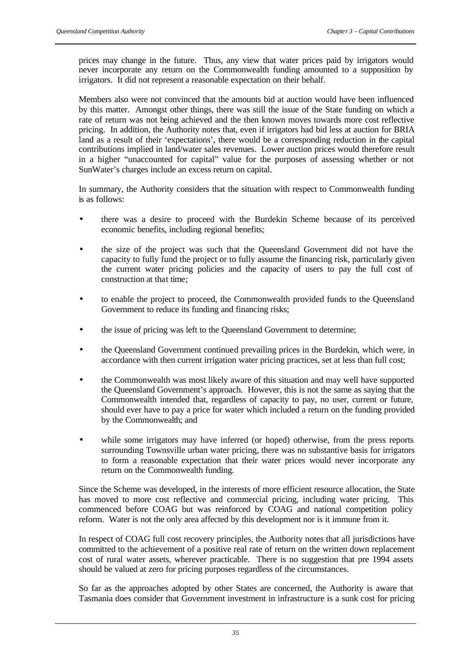prices may change in the future. Thus, any view that water prices paid by irrigators would never incorporate any return on the Commonwealth funding amounted to a supposition by irrigators. It did not represent a reasonable expectation on their behalf.

Members also were not convinced that the amounts bid at auction would have been influenced by this matter. Amongst other things, there was still the issue of the State funding on which a rate of return was not being achieved and the then known moves towards more cost reflective pricing. In addition, the Authority notes that, even if irrigators had bid less at auction for BRIA land as a result of their 'expectations', there would be a corresponding reduction in the capital contributions implied in land/water sales revenues. Lower auction prices would therefore result in a higher "unaccounted for capital" value for the purposes of assessing whether or not SunWater's charges include an excess return on capital.

In summary, the Authority considers that the situation with respect to Commonwealth funding is as follows:

- there was a desire to proceed with the Burdekin Scheme because of its perceived economic benefits, including regional benefits;
- the size of the project was such that the Queensland Government did not have the capacity to fully fund the project or to fully assume the financing risk, particularly given the current water pricing policies and the capacity of users to pay the full cost of construction at that time;
- to enable the project to proceed, the Commonwealth provided funds to the Queensland Government to reduce its funding and financing risks;
- the issue of pricing was left to the Queensland Government to determine;
- the Queensland Government continued prevailing prices in the Burdekin, which were, in accordance with then current irrigation water pricing practices, set at less than full cost;
- the Commonwealth was most likely aware of this situation and may well have supported the Queensland Government's approach. However, this is not the same as saying that the Commonwealth intended that, regardless of capacity to pay, no user, current or future, should ever have to pay a price for water which included a return on the funding provided by the Commonwealth; and
- while some irrigators may have inferred (or hoped) otherwise, from the press reports surrounding Townsville urban water pricing, there was no substantive basis for irrigators to form a reasonable expectation that their water prices would never incorporate any return on the Commonwealth funding.

Since the Scheme was developed, in the interests of more efficient resource allocation, the State has moved to more cost reflective and commercial pricing, including water pricing. This commenced before COAG but was reinforced by COAG and national competition policy reform. Water is not the only area affected by this development nor is it immune from it.

In respect of COAG full cost recovery principles, the Authority notes that all jurisdictions have committed to the achievement of a positive real rate of return on the written down replacement cost of rural water assets, wherever practicable. There is no suggestion that pre 1994 assets should be valued at zero for pricing purposes regardless of the circumstances.

So far as the approaches adopted by other States are concerned, the Authority is aware that Tasmania does consider that Government investment in infrastructure is a sunk cost for pricing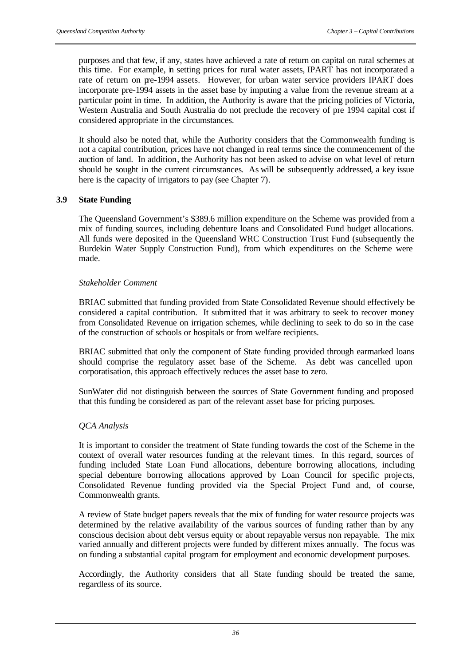purposes and that few, if any, states have achieved a rate of return on capital on rural schemes at this time. For example, in setting prices for rural water assets, IPART has not incorporated a rate of return on pre-1994 assets. However, for urban water service providers IPART does incorporate pre-1994 assets in the asset base by imputing a value from the revenue stream at a particular point in time. In addition, the Authority is aware that the pricing policies of Victoria, Western Australia and South Australia do not preclude the recovery of pre 1994 capital cost if considered appropriate in the circumstances.

It should also be noted that, while the Authority considers that the Commonwealth funding is not a capital contribution, prices have not changed in real terms since the commencement of the auction of land. In addition, the Authority has not been asked to advise on what level of return should be sought in the current circumstances. As will be subsequently addressed, a key issue here is the capacity of irrigators to pay (see Chapter 7).

## **3.9 State Funding**

The Queensland Government's \$389.6 million expenditure on the Scheme was provided from a mix of funding sources, including debenture loans and Consolidated Fund budget allocations. All funds were deposited in the Queensland WRC Construction Trust Fund (subsequently the Burdekin Water Supply Construction Fund), from which expenditures on the Scheme were made.

## *Stakeholder Comment*

BRIAC submitted that funding provided from State Consolidated Revenue should effectively be considered a capital contribution. It submitted that it was arbitrary to seek to recover money from Consolidated Revenue on irrigation schemes, while declining to seek to do so in the case of the construction of schools or hospitals or from welfare recipients.

BRIAC submitted that only the component of State funding provided through earmarked loans should comprise the regulatory asset base of the Scheme. As debt was cancelled upon corporatisation, this approach effectively reduces the asset base to zero.

SunWater did not distinguish between the sources of State Government funding and proposed that this funding be considered as part of the relevant asset base for pricing purposes.

## *QCA Analysis*

It is important to consider the treatment of State funding towards the cost of the Scheme in the context of overall water resources funding at the relevant times. In this regard, sources of funding included State Loan Fund allocations, debenture borrowing allocations, including special debenture borrowing allocations approved by Loan Council for specific projects, Consolidated Revenue funding provided via the Special Project Fund and, of course, Commonwealth grants.

A review of State budget papers reveals that the mix of funding for water resource projects was determined by the relative availability of the various sources of funding rather than by any conscious decision about debt versus equity or about repayable versus non repayable. The mix varied annually and different projects were funded by different mixes annually. The focus was on funding a substantial capital program for employment and economic development purposes.

Accordingly, the Authority considers that all State funding should be treated the same, regardless of its source.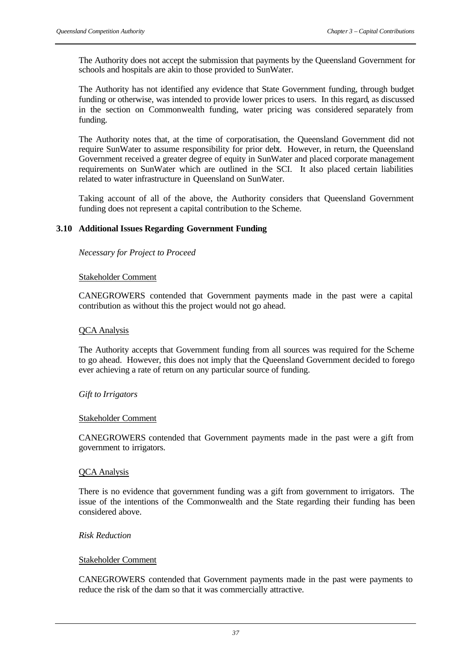The Authority does not accept the submission that payments by the Queensland Government for schools and hospitals are akin to those provided to SunWater.

The Authority has not identified any evidence that State Government funding, through budget funding or otherwise, was intended to provide lower prices to users. In this regard, as discussed in the section on Commonwealth funding, water pricing was considered separately from funding.

The Authority notes that, at the time of corporatisation, the Queensland Government did not require SunWater to assume responsibility for prior debt. However, in return, the Queensland Government received a greater degree of equity in SunWater and placed corporate management requirements on SunWater which are outlined in the SCI. It also placed certain liabilities related to water infrastructure in Queensland on SunWater.

Taking account of all of the above, the Authority considers that Queensland Government funding does not represent a capital contribution to the Scheme.

# **3.10 Additional Issues Regarding Government Funding**

*Necessary for Project to Proceed*

## Stakeholder Comment

CANEGROWERS contended that Government payments made in the past were a capital contribution as without this the project would not go ahead.

## QCA Analysis

The Authority accepts that Government funding from all sources was required for the Scheme to go ahead. However, this does not imply that the Queensland Government decided to forego ever achieving a rate of return on any particular source of funding.

## *Gift to Irrigators*

#### Stakeholder Comment

CANEGROWERS contended that Government payments made in the past were a gift from government to irrigators.

## QCA Analysis

There is no evidence that government funding was a gift from government to irrigators. The issue of the intentions of the Commonwealth and the State regarding their funding has been considered above.

## *Risk Reduction*

## Stakeholder Comment

CANEGROWERS contended that Government payments made in the past were payments to reduce the risk of the dam so that it was commercially attractive.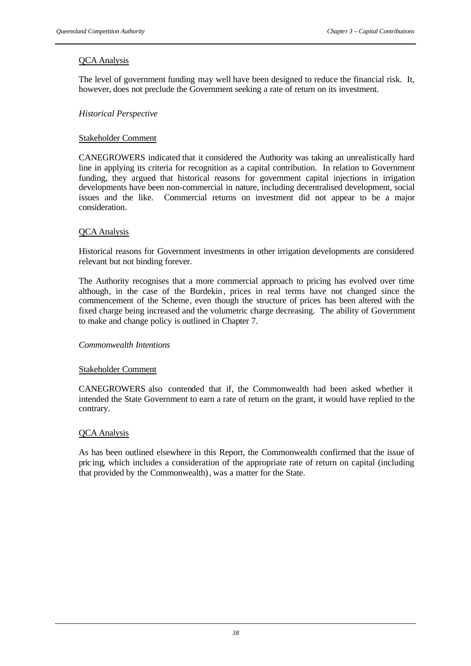# QCA Analysis

The level of government funding may well have been designed to reduce the financial risk. It, however, does not preclude the Government seeking a rate of return on its investment.

# *Historical Perspective*

## Stakeholder Comment

CANEGROWERS indicated that it considered the Authority was taking an unrealistically hard line in applying its criteria for recognition as a capital contribution. In relation to Government funding, they argued that historical reasons for government capital injections in irrigation developments have been non-commercial in nature, including decentralised development, social issues and the like. Commercial returns on investment did not appear to be a major consideration.

## QCA Analysis

Historical reasons for Government investments in other irrigation developments are considered relevant but not binding forever.

The Authority recognises that a more commercial approach to pricing has evolved over time although, in the case of the Burdekin, prices in real terms have not changed since the commencement of the Scheme, even though the structure of prices has been altered with the fixed charge being increased and the volumetric charge decreasing. The ability of Government to make and change policy is outlined in Chapter 7.

## *Commonwealth Intentions*

## Stakeholder Comment

CANEGROWERS also contended that if, the Commonwealth had been asked whether it intended the State Government to earn a rate of return on the grant, it would have replied to the contrary.

## QCA Analysis

As has been outlined elsewhere in this Report, the Commonwealth confirmed that the issue of pric ing, which includes a consideration of the appropriate rate of return on capital (including that provided by the Commonwealth), was a matter for the State.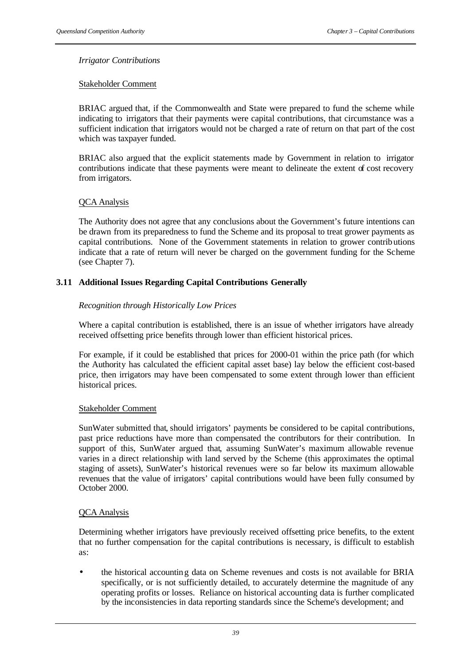## *Irrigator Contributions*

## Stakeholder Comment

BRIAC argued that, if the Commonwealth and State were prepared to fund the scheme while indicating to irrigators that their payments were capital contributions, that circumstance was a sufficient indication that irrigators would not be charged a rate of return on that part of the cost which was taxpayer funded.

BRIAC also argued that the explicit statements made by Government in relation to irrigator contributions indicate that these payments were meant to delineate the extent of cost recovery from irrigators.

## QCA Analysis

The Authority does not agree that any conclusions about the Government's future intentions can be drawn from its preparedness to fund the Scheme and its proposal to treat grower payments as capital contributions. None of the Government statements in relation to grower contributions indicate that a rate of return will never be charged on the government funding for the Scheme (see Chapter 7).

## **3.11 Additional Issues Regarding Capital Contributions Generally**

## *Recognition through Historically Low Prices*

Where a capital contribution is established, there is an issue of whether irrigators have already received offsetting price benefits through lower than efficient historical prices.

For example, if it could be established that prices for 2000-01 within the price path (for which the Authority has calculated the efficient capital asset base) lay below the efficient cost-based price, then irrigators may have been compensated to some extent through lower than efficient historical prices.

## Stakeholder Comment

SunWater submitted that, should irrigators' payments be considered to be capital contributions, past price reductions have more than compensated the contributors for their contribution. In support of this, SunWater argued that, assuming SunWater's maximum allowable revenue varies in a direct relationship with land served by the Scheme (this approximates the optimal staging of assets), SunWater's historical revenues were so far below its maximum allowable revenues that the value of irrigators' capital contributions would have been fully consumed by October 2000.

## QCA Analysis

Determining whether irrigators have previously received offsetting price benefits, to the extent that no further compensation for the capital contributions is necessary, is difficult to establish as:

• the historical accounting data on Scheme revenues and costs is not available for BRIA specifically, or is not sufficiently detailed, to accurately determine the magnitude of any operating profits or losses. Reliance on historical accounting data is further complicated by the inconsistencies in data reporting standards since the Scheme's development; and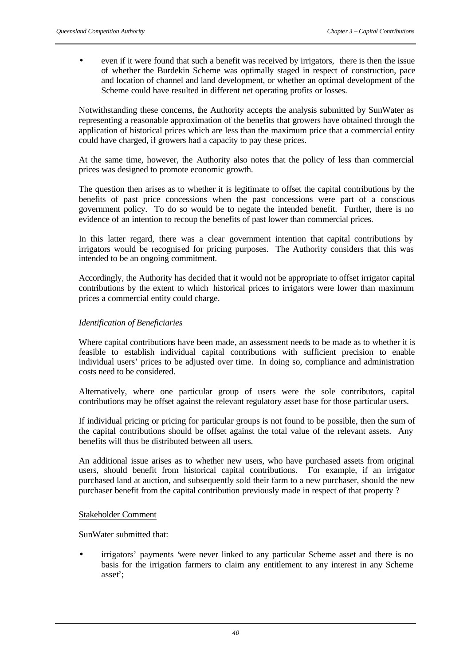• even if it were found that such a benefit was received by irrigators, there is then the issue of whether the Burdekin Scheme was optimally staged in respect of construction, pace and location of channel and land development, or whether an optimal development of the Scheme could have resulted in different net operating profits or losses.

Notwithstanding these concerns, the Authority accepts the analysis submitted by SunWater as representing a reasonable approximation of the benefits that growers have obtained through the application of historical prices which are less than the maximum price that a commercial entity could have charged, if growers had a capacity to pay these prices.

At the same time, however, the Authority also notes that the policy of less than commercial prices was designed to promote economic growth.

The question then arises as to whether it is legitimate to offset the capital contributions by the benefits of past price concessions when the past concessions were part of a conscious government policy. To do so would be to negate the intended benefit. Further, there is no evidence of an intention to recoup the benefits of past lower than commercial prices.

In this latter regard, there was a clear government intention that capital contributions by irrigators would be recognised for pricing purposes. The Authority considers that this was intended to be an ongoing commitment.

Accordingly, the Authority has decided that it would not be appropriate to offset irrigator capital contributions by the extent to which historical prices to irrigators were lower than maximum prices a commercial entity could charge.

# *Identification of Beneficiaries*

Where capital contributions have been made, an assessment needs to be made as to whether it is feasible to establish individual capital contributions with sufficient precision to enable individual users' prices to be adjusted over time. In doing so, compliance and administration costs need to be considered.

Alternatively, where one particular group of users were the sole contributors, capital contributions may be offset against the relevant regulatory asset base for those particular users.

If individual pricing or pricing for particular groups is not found to be possible, then the sum of the capital contributions should be offset against the total value of the relevant assets. Any benefits will thus be distributed between all users.

An additional issue arises as to whether new users, who have purchased assets from original users, should benefit from historical capital contributions. For example, if an irrigator purchased land at auction, and subsequently sold their farm to a new purchaser, should the new purchaser benefit from the capital contribution previously made in respect of that property ?

## Stakeholder Comment

SunWater submitted that:

• irrigators' payments 'were never linked to any particular Scheme asset and there is no basis for the irrigation farmers to claim any entitlement to any interest in any Scheme asset';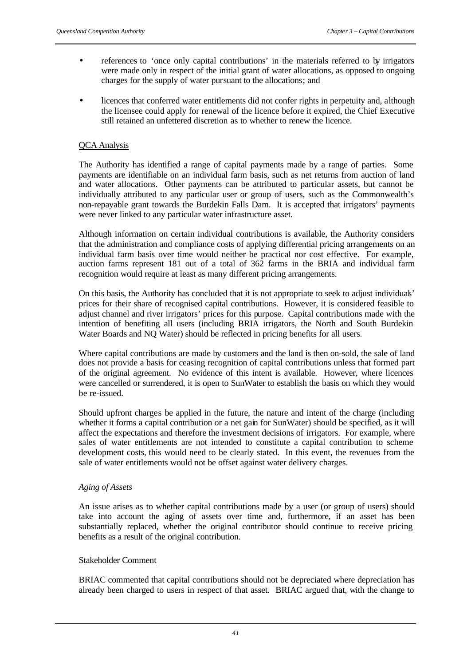- references to 'once only capital contributions' in the materials referred to by irrigators were made only in respect of the initial grant of water allocations, as opposed to ongoing charges for the supply of water pursuant to the allocations; and
- licences that conferred water entitlements did not confer rights in perpetuity and, although the licensee could apply for renewal of the licence before it expired, the Chief Executive still retained an unfettered discretion as to whether to renew the licence.

## QCA Analysis

The Authority has identified a range of capital payments made by a range of parties. Some payments are identifiable on an individual farm basis, such as net returns from auction of land and water allocations. Other payments can be attributed to particular assets, but cannot be individually attributed to any particular user or group of users, such as the Commonwealth's non-repayable grant towards the Burdekin Falls Dam. It is accepted that irrigators' payments were never linked to any particular water infrastructure asset.

Although information on certain individual contributions is available, the Authority considers that the administration and compliance costs of applying differential pricing arrangements on an individual farm basis over time would neither be practical nor cost effective. For example, auction farms represent 181 out of a total of 362 farms in the BRIA and individual farm recognition would require at least as many different pricing arrangements.

On this basis, the Authority has concluded that it is not appropriate to seek to adjust individuals' prices for their share of recognised capital contributions. However, it is considered feasible to adjust channel and river irrigators' prices for this purpose. Capital contributions made with the intention of benefiting all users (including BRIA irrigators, the North and South Burdekin Water Boards and NO Water) should be reflected in pricing benefits for all users.

Where capital contributions are made by customers and the land is then on-sold, the sale of land does not provide a basis for ceasing recognition of capital contributions unless that formed part of the original agreement. No evidence of this intent is available. However, where licences were cancelled or surrendered, it is open to SunWater to establish the basis on which they would be re-issued.

Should upfront charges be applied in the future, the nature and intent of the charge (including whether it forms a capital contribution or a net gain for SunWater) should be specified, as it will affect the expectations and therefore the investment decisions of irrigators. For example, where sales of water entitlements are not intended to constitute a capital contribution to scheme development costs, this would need to be clearly stated. In this event, the revenues from the sale of water entitlements would not be offset against water delivery charges.

## *Aging of Assets*

An issue arises as to whether capital contributions made by a user (or group of users) should take into account the aging of assets over time and, furthermore, if an asset has been substantially replaced, whether the original contributor should continue to receive pricing benefits as a result of the original contribution.

# Stakeholder Comment

BRIAC commented that capital contributions should not be depreciated where depreciation has already been charged to users in respect of that asset. BRIAC argued that, with the change to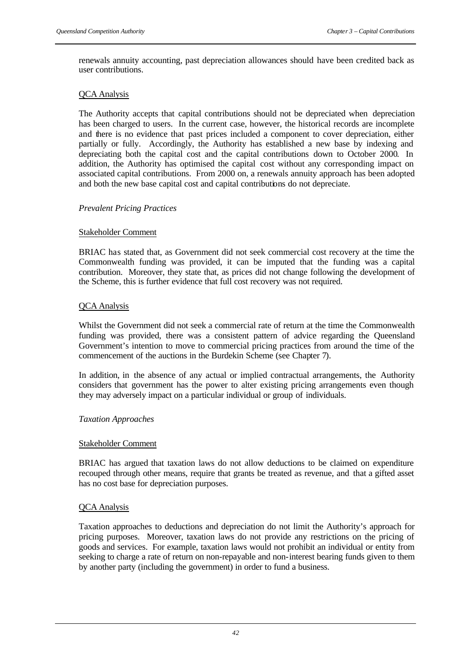renewals annuity accounting, past depreciation allowances should have been credited back as user contributions.

## QCA Analysis

The Authority accepts that capital contributions should not be depreciated when depreciation has been charged to users. In the current case, however, the historical records are incomplete and there is no evidence that past prices included a component to cover depreciation, either partially or fully. Accordingly, the Authority has established a new base by indexing and depreciating both the capital cost and the capital contributions down to October 2000. In addition, the Authority has optimised the capital cost without any corresponding impact on associated capital contributions. From 2000 on, a renewals annuity approach has been adopted and both the new base capital cost and capital contributions do not depreciate.

## *Prevalent Pricing Practices*

## Stakeholder Comment

BRIAC has stated that, as Government did not seek commercial cost recovery at the time the Commonwealth funding was provided, it can be imputed that the funding was a capital contribution. Moreover, they state that, as prices did not change following the development of the Scheme, this is further evidence that full cost recovery was not required.

## QCA Analysis

Whilst the Government did not seek a commercial rate of return at the time the Commonwealth funding was provided, there was a consistent pattern of advice regarding the Queensland Government's intention to move to commercial pricing practices from around the time of the commencement of the auctions in the Burdekin Scheme (see Chapter 7).

In addition, in the absence of any actual or implied contractual arrangements, the Authority considers that government has the power to alter existing pricing arrangements even though they may adversely impact on a particular individual or group of individuals.

## *Taxation Approaches*

## Stakeholder Comment

BRIAC has argued that taxation laws do not allow deductions to be claimed on expenditure recouped through other means, require that grants be treated as revenue, and that a gifted asset has no cost base for depreciation purposes.

## QCA Analysis

Taxation approaches to deductions and depreciation do not limit the Authority's approach for pricing purposes. Moreover, taxation laws do not provide any restrictions on the pricing of goods and services. For example, taxation laws would not prohibit an individual or entity from seeking to charge a rate of return on non-repayable and non-interest bearing funds given to them by another party (including the government) in order to fund a business.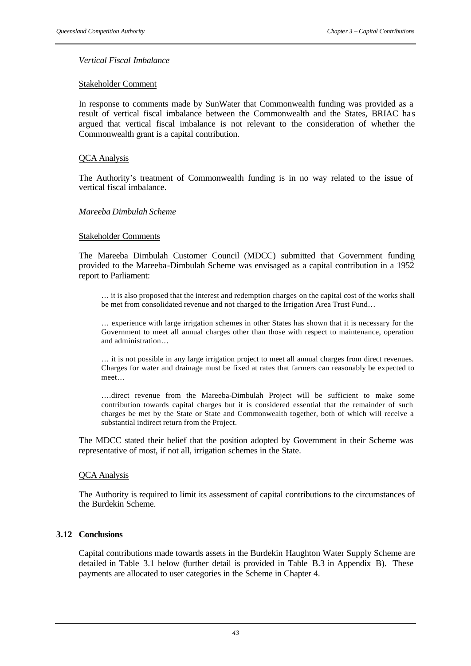### *Vertical Fiscal Imbalance*

#### Stakeholder Comment

In response to comments made by SunWater that Commonwealth funding was provided as a result of vertical fiscal imbalance between the Commonwealth and the States, BRIAC ha s argued that vertical fiscal imbalance is not relevant to the consideration of whether the Commonwealth grant is a capital contribution.

#### QCA Analysis

The Authority's treatment of Commonwealth funding is in no way related to the issue of vertical fiscal imbalance.

#### *Mareeba Dimbulah Scheme*

#### Stakeholder Comments

The Mareeba Dimbulah Customer Council (MDCC) submitted that Government funding provided to the Mareeba-Dimbulah Scheme was envisaged as a capital contribution in a 1952 report to Parliament:

… it is also proposed that the interest and redemption charges on the capital cost of the works shall be met from consolidated revenue and not charged to the Irrigation Area Trust Fund…

… experience with large irrigation schemes in other States has shown that it is necessary for the Government to meet all annual charges other than those with respect to maintenance, operation and administration…

… it is not possible in any large irrigation project to meet all annual charges from direct revenues. Charges for water and drainage must be fixed at rates that farmers can reasonably be expected to meet…

….direct revenue from the Mareeba-Dimbulah Project will be sufficient to make some contribution towards capital charges but it is considered essential that the remainder of such charges be met by the State or State and Commonwealth together, both of which will receive a substantial indirect return from the Project.

The MDCC stated their belief that the position adopted by Government in their Scheme was representative of most, if not all, irrigation schemes in the State.

#### QCA Analysis

The Authority is required to limit its assessment of capital contributions to the circumstances of the Burdekin Scheme.

## **3.12 Conclusions**

Capital contributions made towards assets in the Burdekin Haughton Water Supply Scheme are detailed in Table 3.1 below (further detail is provided in Table B.3 in Appendix B). These payments are allocated to user categories in the Scheme in Chapter 4.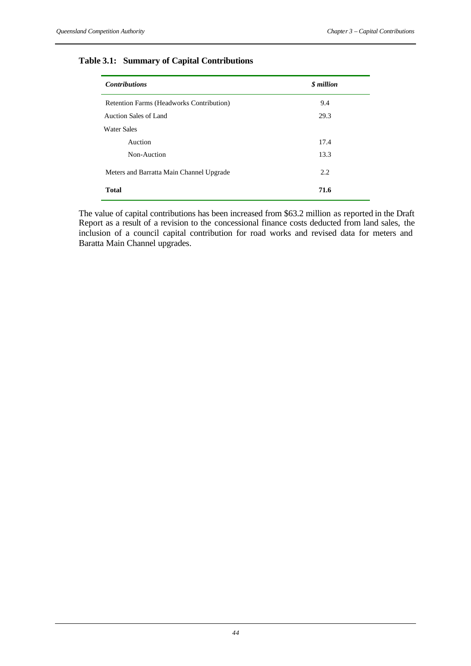# **Table 3.1: Summary of Capital Contributions**

| <b>Contributions</b>                     | \$ million |
|------------------------------------------|------------|
| Retention Farms (Headworks Contribution) | 9.4        |
| Auction Sales of Land                    | 29.3       |
| <b>Water Sales</b>                       |            |
| Auction                                  | 17.4       |
| Non-Auction                              | 13.3       |
| Meters and Barratta Main Channel Upgrade | 2.2        |
| <b>Total</b>                             | 71.6       |

The value of capital contributions has been increased from \$63.2 million as reported in the Draft Report as a result of a revision to the concessional finance costs deducted from land sales, the inclusion of a council capital contribution for road works and revised data for meters and Baratta Main Channel upgrades.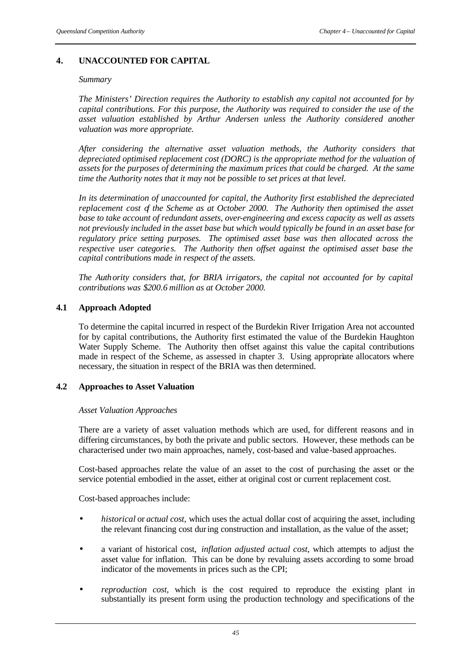# **4. UNACCOUNTED FOR CAPITAL**

#### *Summary*

*The Ministers' Direction requires the Authority to establish any capital not accounted for by capital contributions. For this purpose, the Authority was required to consider the use of the asset valuation established by Arthur Andersen unless the Authority considered another valuation was more appropriate.* 

*After considering the alternative asset valuation methods, the Authority considers that depreciated optimised replacement cost (DORC) is the appropriate method for the valuation of assets for the purposes of determining the maximum prices that could be charged. At the same time the Authority notes that it may not be possible to set prices at that level.*

*In its determination of unaccounted for capital, the Authority first established the depreciated replacement cost of the Scheme as at October 2000. The Authority then optimised the asset base to take account of redundant assets, over-engineering and excess capacity as well as assets not previously included in the asset base but which would typically be found in an asset base for regulatory price setting purposes. The optimised asset base was then allocated across the respective user categorie s. The Authority then offset against the optimised asset base the capital contributions made in respect of the assets.*

*The Authority considers that, for BRIA irrigators, the capital not accounted for by capital contributions was \$200.6 million as at October 2000.* 

## **4.1 Approach Adopted**

To determine the capital incurred in respect of the Burdekin River Irrigation Area not accounted for by capital contributions, the Authority first estimated the value of the Burdekin Haughton Water Supply Scheme. The Authority then offset against this value the capital contributions made in respect of the Scheme, as assessed in chapter 3. Using appropriate allocators where necessary, the situation in respect of the BRIA was then determined.

## **4.2 Approaches to Asset Valuation**

## *Asset Valuation Approaches*

There are a variety of asset valuation methods which are used, for different reasons and in differing circumstances, by both the private and public sectors. However, these methods can be characterised under two main approaches, namely, cost-based and value-based approaches.

Cost-based approaches relate the value of an asset to the cost of purchasing the asset or the service potential embodied in the asset, either at original cost or current replacement cost.

Cost-based approaches include:

- *historical* or *actual cost,* which uses the actual dollar cost of acquiring the asset, including the relevant financing cost during construction and installation, as the value of the asset;
- a variant of historical cost, *inflation adjusted actual cost*, which attempts to adjust the asset value for inflation. This can be done by revaluing assets according to some broad indicator of the movements in prices such as the CPI;
- *reproduction cost,* which is the cost required to reproduce the existing plant in substantially its present form using the production technology and specifications of the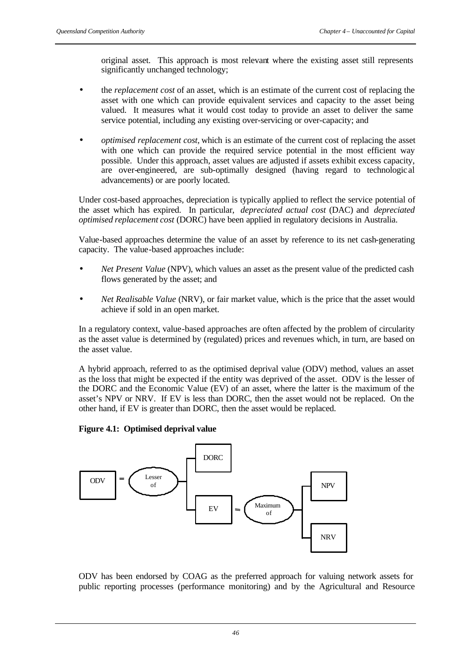original asset. This approach is most relevant where the existing asset still represents significantly unchanged technology;

- the *replacement cost* of an asset, which is an estimate of the current cost of replacing the asset with one which can provide equivalent services and capacity to the asset being valued. It measures what it would cost today to provide an asset to deliver the same service potential, including any existing over-servicing or over-capacity; and
- *optimised replacement cost,* which is an estimate of the current cost of replacing the asset with one which can provide the required service potential in the most efficient way possible. Under this approach, asset values are adjusted if assets exhibit excess capacity, are over-engineered, are sub-optimally designed (having regard to technologic al advancements) or are poorly located.

Under cost-based approaches, depreciation is typically applied to reflect the service potential of the asset which has expired. In particular, *depreciated actual cost* (DAC) and *depreciated optimised replacement cost* (DORC) have been applied in regulatory decisions in Australia.

Value-based approaches determine the value of an asset by reference to its net cash-generating capacity. The value-based approaches include:

- *Net Present Value* (NPV), which values an asset as the present value of the predicted cash flows generated by the asset; and
- *Net Realisable Value* (NRV), or fair market value, which is the price that the asset would achieve if sold in an open market.

In a regulatory context, value-based approaches are often affected by the problem of circularity as the asset value is determined by (regulated) prices and revenues which, in turn, are based on the asset value.

A hybrid approach, referred to as the optimised deprival value (ODV) method, values an asset as the loss that might be expected if the entity was deprived of the asset. ODV is the lesser of the DORC and the Economic Value (EV) of an asset, where the latter is the maximum of the asset's NPV or NRV. If EV is less than DORC, then the asset would not be replaced. On the other hand, if EV is greater than DORC, then the asset would be replaced.

## **Figure 4.1: Optimised deprival value**



ODV has been endorsed by COAG as the preferred approach for valuing network assets for public reporting processes (performance monitoring) and by the Agricultural and Resource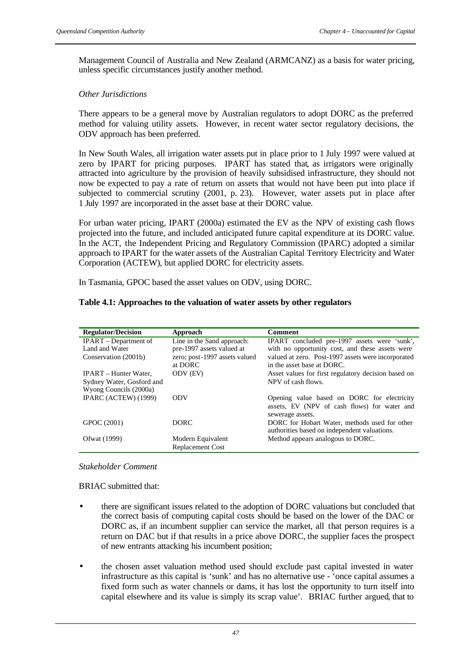Management Council of Australia and New Zealand (ARMCANZ) as a basis for water pricing, unless specific circumstances justify another method.

## *Other Jurisdictions*

There appears to be a general move by Australian regulators to adopt DORC as the preferred method for valuing utility assets. However, in recent water sector regulatory decisions, the ODV approach has been preferred.

In New South Wales, all irrigation water assets put in place prior to 1 July 1997 were valued at zero by IPART for pricing purposes. IPART has stated that, as irrigators were originally attracted into agriculture by the provision of heavily subsidised infrastructure, they should not now be expected to pay a rate of return on assets that would not have been put into place if subjected to commercial scrutiny (2001, p. 23). However, water assets put in place after 1 July 1997 are incorporated in the asset base at their DORC value.

For urban water pricing, IPART (2000a) estimated the EV as the NPV of existing cash flows projected into the future, and included anticipated future capital expenditure at its DORC value. In the ACT, the Independent Pricing and Regulatory Commission (IPARC) adopted a similar approach to IPART for the water assets of the Australian Capital Territory Electricity and Water Corporation (ACTEW), but applied DORC for electricity assets.

In Tasmania, GPOC based the asset values on ODV, using DORC.

## **Table 4.1: Approaches to the valuation of water assets by other regulators**

| <b>Regulator/Decision</b>    | Approach                      | <b>Comment</b>                                      |
|------------------------------|-------------------------------|-----------------------------------------------------|
| <b>IPART</b> – Department of | Line in the Sand approach:    | IPART concluded pre-1997 assets were 'sunk',        |
| Land and Water               | pre-1997 assets valued at     | with no opportunity cost, and these assets were     |
| Conservation (2001b)         | zero; post-1997 assets valued | valued at zero. Post-1997 assets were incorporated  |
|                              | at DORC                       | in the asset base at DORC.                          |
| <b>IPART</b> – Hunter Water, | ODV (EV)                      | Asset values for first regulatory decision based on |
| Sydney Water, Gosford and    |                               | NPV of cash flows.                                  |
| Wyong Councils (2000a)       |                               |                                                     |
| IPARC (ACTEW) (1999)         | <b>ODV</b>                    | Opening value based on DORC for electricity         |
|                              |                               | assets, EV (NPV of cash flows) for water and        |
|                              |                               | sewerage assets.                                    |
| GPOC (2001)                  | DORC.                         | DORC for Hobart Water, methods used for other       |
|                              |                               | authorities based on independent valuations.        |
| Ofwat (1999)                 | Modern Equivalent             | Method appears analogous to DORC.                   |
|                              | <b>Replacement Cost</b>       |                                                     |

## *Stakeholder Comment*

BRIAC submitted that:

- there are significant issues related to the adoption of DORC valuations but concluded that the correct basis of computing capital costs should be based on the lower of the DAC or DORC as, if an incumbent supplier can service the market, all that person requires is a return on DAC but if that results in a price above DORC, the supplier faces the prospect of new entrants attacking his incumbent position;
- the chosen asset valuation method used should exclude past capital invested in water infrastructure as this capital is 'sunk' and has no alternative use - 'once capital assumes a fixed form such as water channels or dams, it has lost the opportunity to turn itself into capital elsewhere and its value is simply its scrap value'. BRIAC further argued, that to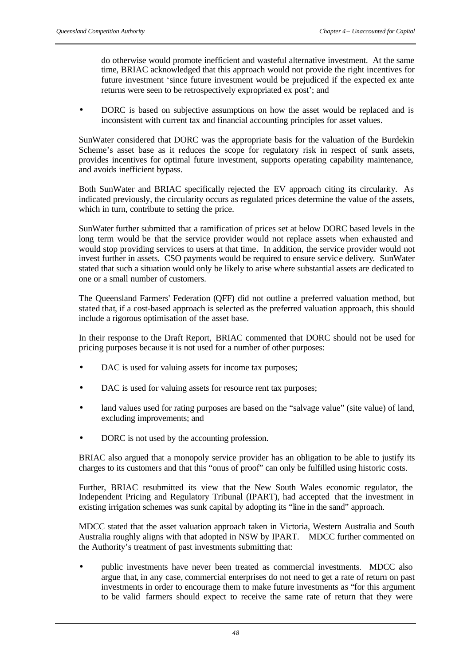do otherwise would promote inefficient and wasteful alternative investment. At the same time, BRIAC acknowledged that this approach would not provide the right incentives for future investment 'since future investment would be prejudiced if the expected ex ante returns were seen to be retrospectively expropriated ex post'; and

• DORC is based on subjective assumptions on how the asset would be replaced and is inconsistent with current tax and financial accounting principles for asset values.

SunWater considered that DORC was the appropriate basis for the valuation of the Burdekin Scheme's asset base as it reduces the scope for regulatory risk in respect of sunk assets, provides incentives for optimal future investment, supports operating capability maintenance, and avoids inefficient bypass.

Both SunWater and BRIAC specifically rejected the EV approach citing its circularity. As indicated previously, the circularity occurs as regulated prices determine the value of the assets, which in turn, contribute to setting the price.

SunWater further submitted that a ramification of prices set at below DORC based levels in the long term would be that the service provider would not replace assets when exhausted and would stop providing services to users at that time. In addition, the service provider would not invest further in assets. CSO payments would be required to ensure servic e delivery. SunWater stated that such a situation would only be likely to arise where substantial assets are dedicated to one or a small number of customers.

The Queensland Farmers' Federation (QFF) did not outline a preferred valuation method, but stated that, if a cost-based approach is selected as the preferred valuation approach, this should include a rigorous optimisation of the asset base.

In their response to the Draft Report, BRIAC commented that DORC should not be used for pricing purposes because it is not used for a number of other purposes:

- DAC is used for valuing assets for income tax purposes;
- DAC is used for valuing assets for resource rent tax purposes;
- land values used for rating purposes are based on the "salvage value" (site value) of land, excluding improvements; and
- DORC is not used by the accounting profession.

BRIAC also argued that a monopoly service provider has an obligation to be able to justify its charges to its customers and that this "onus of proof" can only be fulfilled using historic costs.

Further, BRIAC resubmitted its view that the New South Wales economic regulator, the Independent Pricing and Regulatory Tribunal (IPART), had accepted that the investment in existing irrigation schemes was sunk capital by adopting its "line in the sand" approach.

MDCC stated that the asset valuation approach taken in Victoria, Western Australia and South Australia roughly aligns with that adopted in NSW by IPART. MDCC further commented on the Authority's treatment of past investments submitting that:

• public investments have never been treated as commercial investments. MDCC also argue that, in any case, commercial enterprises do not need to get a rate of return on past investments in order to encourage them to make future investments as "for this argument to be valid farmers should expect to receive the same rate of return that they were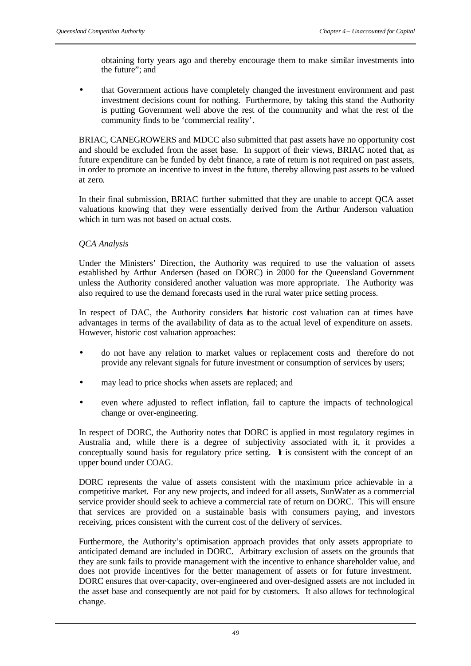obtaining forty years ago and thereby encourage them to make similar investments into the future"; and

that Government actions have completely changed the investment environment and past investment decisions count for nothing. Furthermore, by taking this stand the Authority is putting Government well above the rest of the community and what the rest of the community finds to be 'commercial reality'.

BRIAC, CANEGROWERS and MDCC also submitted that past assets have no opportunity cost and should be excluded from the asset base. In support of their views, BRIAC noted that, as future expenditure can be funded by debt finance, a rate of return is not required on past assets, in order to promote an incentive to invest in the future, thereby allowing past assets to be valued at zero.

In their final submission, BRIAC further submitted that they are unable to accept QCA asset valuations knowing that they were essentially derived from the Arthur Anderson valuation which in turn was not based on actual costs.

## *QCA Analysis*

Under the Ministers' Direction, the Authority was required to use the valuation of assets established by Arthur Andersen (based on DORC) in 2000 for the Queensland Government unless the Authority considered another valuation was more appropriate. The Authority was also required to use the demand forecasts used in the rural water price setting process.

In respect of DAC, the Authority considers that historic cost valuation can at times have advantages in terms of the availability of data as to the actual level of expenditure on assets. However, historic cost valuation approaches:

- do not have any relation to market values or replacement costs and therefore do not provide any relevant signals for future investment or consumption of services by users;
- may lead to price shocks when assets are replaced; and
- even where adjusted to reflect inflation, fail to capture the impacts of technological change or over-engineering.

In respect of DORC, the Authority notes that DORC is applied in most regulatory regimes in Australia and, while there is a degree of subjectivity associated with it, it provides a conceptually sound basis for regulatory price setting. It is consistent with the concept of an upper bound under COAG.

DORC represents the value of assets consistent with the maximum price achievable in a competitive market. For any new projects, and indeed for all assets, SunWater as a commercial service provider should seek to achieve a commercial rate of return on DORC. This will ensure that services are provided on a sustainable basis with consumers paying, and investors receiving, prices consistent with the current cost of the delivery of services.

Furthermore, the Authority's optimisation approach provides that only assets appropriate to anticipated demand are included in DORC. Arbitrary exclusion of assets on the grounds that they are sunk fails to provide management with the incentive to enhance shareholder value, and does not provide incentives for the better management of assets or for future investment. DORC ensures that over-capacity, over-engineered and over-designed assets are not included in the asset base and consequently are not paid for by customers. It also allows for technological change.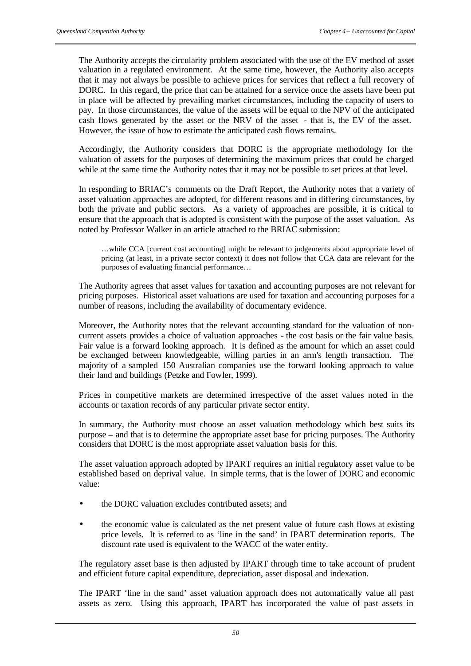The Authority accepts the circularity problem associated with the use of the EV method of asset valuation in a regulated environment. At the same time, however, the Authority also accepts that it may not always be possible to achieve prices for services that reflect a full recovery of DORC. In this regard, the price that can be attained for a service once the assets have been put in place will be affected by prevailing market circumstances, including the capacity of users to pay. In those circumstances, the value of the assets will be equal to the NPV of the anticipated cash flows generated by the asset or the NRV of the asset - that is, the EV of the asset. However, the issue of how to estimate the anticipated cash flows remains.

Accordingly, the Authority considers that DORC is the appropriate methodology for the valuation of assets for the purposes of determining the maximum prices that could be charged while at the same time the Authority notes that it may not be possible to set prices at that level.

In responding to BRIAC's comments on the Draft Report, the Authority notes that a variety of asset valuation approaches are adopted, for different reasons and in differing circumstances, by both the private and public sectors. As a variety of approaches are possible, it is critical to ensure that the approach that is adopted is consistent with the purpose of the asset valuation. As noted by Professor Walker in an article attached to the BRIAC submission:

…while CCA [current cost accounting] might be relevant to judgements about appropriate level of pricing (at least, in a private sector context) it does not follow that CCA data are relevant for the purposes of evaluating financial performance…

The Authority agrees that asset values for taxation and accounting purposes are not relevant for pricing purposes. Historical asset valuations are used for taxation and accounting purposes for a number of reasons, including the availability of documentary evidence.

Moreover, the Authority notes that the relevant accounting standard for the valuation of noncurrent assets provides a choice of valuation approaches - the cost basis or the fair value basis. Fair value is a forward looking approach. It is defined as the amount for which an asset could be exchanged between knowledgeable, willing parties in an arm's length transaction. The majority of a sampled 150 Australian companies use the forward looking approach to value their land and buildings (Petzke and Fowler, 1999).

Prices in competitive markets are determined irrespective of the asset values noted in the accounts or taxation records of any particular private sector entity.

In summary, the Authority must choose an asset valuation methodology which best suits its purpose – and that is to determine the appropriate asset base for pricing purposes. The Authority considers that DORC is the most appropriate asset valuation basis for this.

The asset valuation approach adopted by IPART requires an initial regulatory asset value to be established based on deprival value. In simple terms, that is the lower of DORC and economic value:

- the DORC valuation excludes contributed assets; and
- the economic value is calculated as the net present value of future cash flows at existing price levels. It is referred to as 'line in the sand' in IPART determination reports. The discount rate used is equivalent to the WACC of the water entity.

The regulatory asset base is then adjusted by IPART through time to take account of prudent and efficient future capital expenditure, depreciation, asset disposal and indexation.

The IPART 'line in the sand' asset valuation approach does not automatically value all past assets as zero. Using this approach, IPART has incorporated the value of past assets in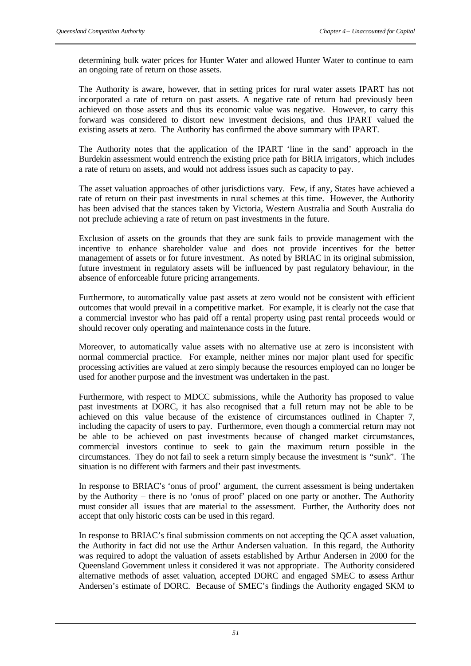determining bulk water prices for Hunter Water and allowed Hunter Water to continue to earn an ongoing rate of return on those assets.

The Authority is aware, however, that in setting prices for rural water assets IPART has not incorporated a rate of return on past assets. A negative rate of return had previously been achieved on those assets and thus its economic value was negative. However, to carry this forward was considered to distort new investment decisions, and thus IPART valued the existing assets at zero. The Authority has confirmed the above summary with IPART.

The Authority notes that the application of the IPART 'line in the sand' approach in the Burdekin assessment would entrench the existing price path for BRIA irrigators, which includes a rate of return on assets, and would not address issues such as capacity to pay.

The asset valuation approaches of other jurisdictions vary. Few, if any, States have achieved a rate of return on their past investments in rural schemes at this time. However, the Authority has been advised that the stances taken by Victoria, Western Australia and South Australia do not preclude achieving a rate of return on past investments in the future.

Exclusion of assets on the grounds that they are sunk fails to provide management with the incentive to enhance shareholder value and does not provide incentives for the better management of assets or for future investment. As noted by BRIAC in its original submission, future investment in regulatory assets will be influenced by past regulatory behaviour, in the absence of enforceable future pricing arrangements.

Furthermore, to automatically value past assets at zero would not be consistent with efficient outcomes that would prevail in a competitive market. For example, it is clearly not the case that a commercial investor who has paid off a rental property using past rental proceeds would or should recover only operating and maintenance costs in the future.

Moreover, to automatically value assets with no alternative use at zero is inconsistent with normal commercial practice. For example, neither mines nor major plant used for specific processing activities are valued at zero simply because the resources employed can no longer be used for another purpose and the investment was undertaken in the past.

Furthermore, with respect to MDCC submissions, while the Authority has proposed to value past investments at DORC, it has also recognised that a full return may not be able to be achieved on this value because of the existence of circumstances outlined in Chapter 7, including the capacity of users to pay. Furthermore, even though a commercial return may not be able to be achieved on past investments because of changed market circumstances, commercial investors continue to seek to gain the maximum return possible in the circumstances. They do not fail to seek a return simply because the investment is "sunk". The situation is no different with farmers and their past investments.

In response to BRIAC's 'onus of proof' argument, the current assessment is being undertaken by the Authority – there is no 'onus of proof' placed on one party or another. The Authority must consider all issues that are material to the assessment. Further, the Authority does not accept that only historic costs can be used in this regard.

In response to BRIAC's final submission comments on not accepting the QCA asset valuation, the Authority in fact did not use the Arthur Andersen valuation. In this regard, the Authority was required to adopt the valuation of assets established by Arthur Andersen in 2000 for the Queensland Government unless it considered it was not appropriate. The Authority considered alternative methods of asset valuation, accepted DORC and engaged SMEC to assess Arthur Andersen's estimate of DORC. Because of SMEC's findings the Authority engaged SKM to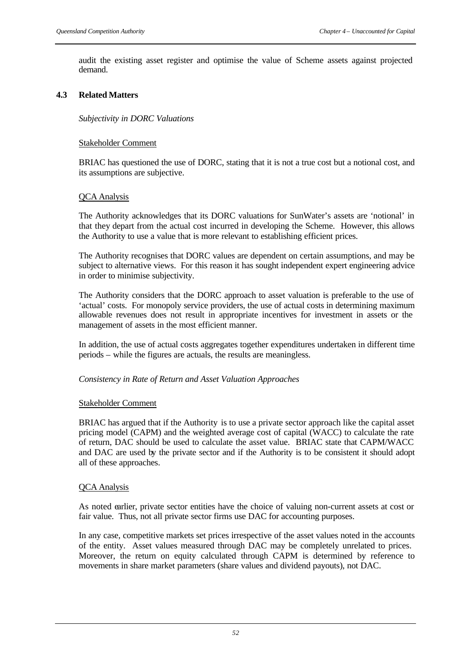audit the existing asset register and optimise the value of Scheme assets against projected demand.

## **4.3 Related Matters**

*Subjectivity in DORC Valuations*

#### Stakeholder Comment

BRIAC has questioned the use of DORC, stating that it is not a true cost but a notional cost, and its assumptions are subjective.

#### QCA Analysis

The Authority acknowledges that its DORC valuations for SunWater's assets are 'notional' in that they depart from the actual cost incurred in developing the Scheme. However, this allows the Authority to use a value that is more relevant to establishing efficient prices.

The Authority recognises that DORC values are dependent on certain assumptions, and may be subject to alternative views. For this reason it has sought independent expert engineering advice in order to minimise subjectivity.

The Authority considers that the DORC approach to asset valuation is preferable to the use of 'actual' costs. For monopoly service providers, the use of actual costs in determining maximum allowable revenues does not result in appropriate incentives for investment in assets or the management of assets in the most efficient manner.

In addition, the use of actual costs aggregates together expenditures undertaken in different time periods – while the figures are actuals, the results are meaningless.

## *Consistency in Rate of Return and Asset Valuation Approaches*

#### Stakeholder Comment

BRIAC has argued that if the Authority is to use a private sector approach like the capital asset pricing model (CAPM) and the weighted average cost of capital (WACC) to calculate the rate of return, DAC should be used to calculate the asset value. BRIAC state that CAPM/WACC and DAC are used by the private sector and if the Authority is to be consistent it should adopt all of these approaches.

## QCA Analysis

As noted earlier, private sector entities have the choice of valuing non-current assets at cost or fair value. Thus, not all private sector firms use DAC for accounting purposes.

In any case, competitive markets set prices irrespective of the asset values noted in the accounts of the entity. Asset values measured through DAC may be completely unrelated to prices. Moreover, the return on equity calculated through CAPM is determined by reference to movements in share market parameters (share values and dividend payouts), not DAC.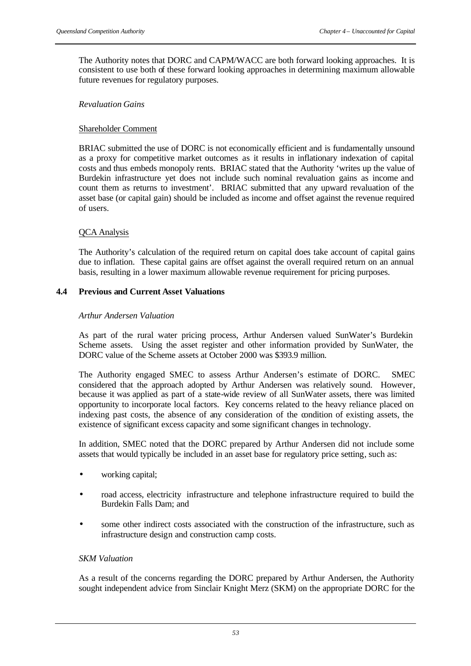The Authority notes that DORC and CAPM/WACC are both forward looking approaches. It is consistent to use both of these forward looking approaches in determining maximum allowable future revenues for regulatory purposes.

## *Revaluation Gains*

## Shareholder Comment

BRIAC submitted the use of DORC is not economically efficient and is fundamentally unsound as a proxy for competitive market outcomes as it results in inflationary indexation of capital costs and thus embeds monopoly rents. BRIAC stated that the Authority 'writes up the value of Burdekin infrastructure yet does not include such nominal revaluation gains as income and count them as returns to investment'. BRIAC submitted that any upward revaluation of the asset base (or capital gain) should be included as income and offset against the revenue required of users.

## QCA Analysis

The Authority's calculation of the required return on capital does take account of capital gains due to inflation. These capital gains are offset against the overall required return on an annual basis, resulting in a lower maximum allowable revenue requirement for pricing purposes.

## **4.4 Previous and Current Asset Valuations**

## *Arthur Andersen Valuation*

As part of the rural water pricing process, Arthur Andersen valued SunWater's Burdekin Scheme assets. Using the asset register and other information provided by SunWater, the DORC value of the Scheme assets at October 2000 was \$393.9 million.

The Authority engaged SMEC to assess Arthur Andersen's estimate of DORC. SMEC considered that the approach adopted by Arthur Andersen was relatively sound. However, because it was applied as part of a state-wide review of all SunWater assets, there was limited opportunity to incorporate local factors. Key concerns related to the heavy reliance placed on indexing past costs, the absence of any consideration of the condition of existing assets, the existence of significant excess capacity and some significant changes in technology.

In addition, SMEC noted that the DORC prepared by Arthur Andersen did not include some assets that would typically be included in an asset base for regulatory price setting, such as:

- working capital;
- road access, electricity infrastructure and telephone infrastructure required to build the Burdekin Falls Dam; and
- some other indirect costs associated with the construction of the infrastructure, such as infrastructure design and construction camp costs.

## *SKM Valuation*

As a result of the concerns regarding the DORC prepared by Arthur Andersen, the Authority sought independent advice from Sinclair Knight Merz (SKM) on the appropriate DORC for the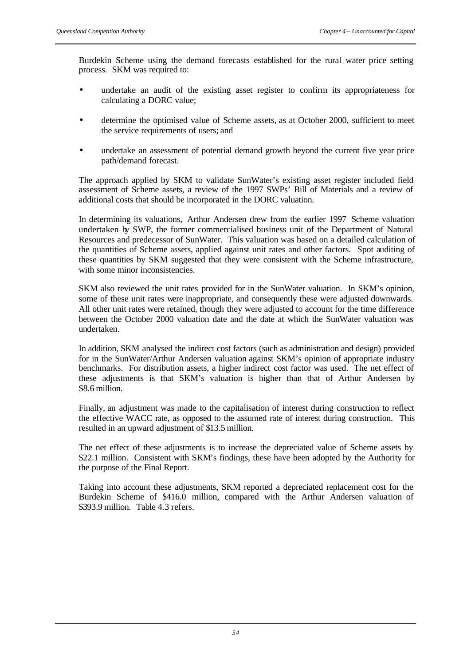Burdekin Scheme using the demand forecasts established for the rural water price setting process. SKM was required to:

- undertake an audit of the existing asset register to confirm its appropriateness for calculating a DORC value;
- determine the optimised value of Scheme assets, as at October 2000, sufficient to meet the service requirements of users; and
- undertake an assessment of potential demand growth beyond the current five year price path/demand forecast.

The approach applied by SKM to validate SunWater's existing asset register included field assessment of Scheme assets, a review of the 1997 SWPs' Bill of Materials and a review of additional costs that should be incorporated in the DORC valuation.

In determining its valuations, Arthur Andersen drew from the earlier 1997 Scheme valuation undertaken by SWP, the former commercialised business unit of the Department of Natural Resources and predecessor of SunWater. This valuation was based on a detailed calculation of the quantities of Scheme assets, applied against unit rates and other factors. Spot auditing of these quantities by SKM suggested that they were consistent with the Scheme infrastructure, with some minor inconsistencies.

SKM also reviewed the unit rates provided for in the SunWater valuation. In SKM's opinion, some of these unit rates were inappropriate, and consequently these were adjusted downwards. All other unit rates were retained, though they were adjusted to account for the time difference between the October 2000 valuation date and the date at which the SunWater valuation was undertaken.

In addition, SKM analysed the indirect cost factors (such as administration and design) provided for in the SunWater/Arthur Andersen valuation against SKM's opinion of appropriate industry benchmarks. For distribution assets, a higher indirect cost factor was used. The net effect of these adjustments is that SKM's valuation is higher than that of Arthur Andersen by \$8.6 million.

Finally, an adjustment was made to the capitalisation of interest during construction to reflect the effective WACC rate, as opposed to the assumed rate of interest during construction. This resulted in an upward adjustment of \$13.5 million.

The net effect of these adjustments is to increase the depreciated value of Scheme assets by \$22.1 million. Consistent with SKM's findings, these have been adopted by the Authority for the purpose of the Final Report.

Taking into account these adjustments, SKM reported a depreciated replacement cost for the Burdekin Scheme of \$416.0 million, compared with the Arthur Andersen valuation of \$393.9 million. Table 4.3 refers.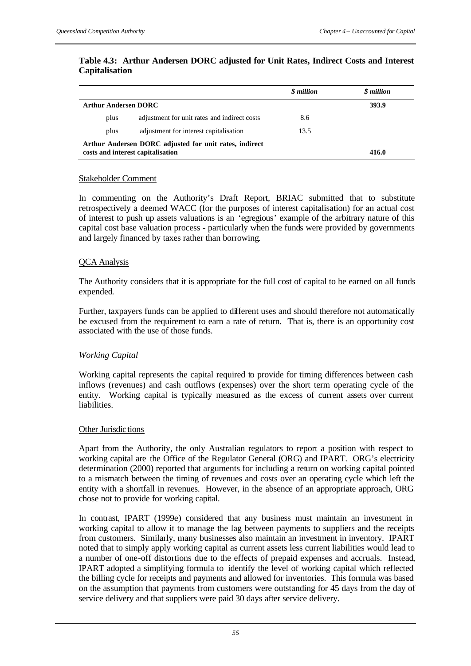## **Table 4.3: Arthur Andersen DORC adjusted for Unit Rates, Indirect Costs and Interest Capitalisation**

|                                                                                             |                                              | <i><b>\$</b></i> million | <i><b>\$</b></i> million |
|---------------------------------------------------------------------------------------------|----------------------------------------------|--------------------------|--------------------------|
| <b>Arthur Andersen DORC</b>                                                                 |                                              |                          | 393.9                    |
| plus                                                                                        | adjustment for unit rates and indirect costs | 8.6                      |                          |
| plus                                                                                        | adjustment for interest capitalisation       | 13.5                     |                          |
| Arthur Andersen DORC adjusted for unit rates, indirect<br>costs and interest capitalisation |                                              |                          | 416.0                    |

## Stakeholder Comment

In commenting on the Authority's Draft Report, BRIAC submitted that to substitute retrospectively a deemed WACC (for the purposes of interest capitalisation) for an actual cost of interest to push up assets valuations is an 'egregious' example of the arbitrary nature of this capital cost base valuation process - particularly when the funds were provided by governments and largely financed by taxes rather than borrowing.

## QCA Analysis

The Authority considers that it is appropriate for the full cost of capital to be earned on all funds expended.

Further, taxpayers funds can be applied to different uses and should therefore not automatically be excused from the requirement to earn a rate of return. That is, there is an opportunity cost associated with the use of those funds.

# *Working Capital*

Working capital represents the capital required to provide for timing differences between cash inflows (revenues) and cash outflows (expenses) over the short term operating cycle of the entity. Working capital is typically measured as the excess of current assets over current **liabilities** 

## Other Jurisdictions

Apart from the Authority, the only Australian regulators to report a position with respect to working capital are the Office of the Regulator General (ORG) and IPART. ORG's electricity determination (2000) reported that arguments for including a return on working capital pointed to a mismatch between the timing of revenues and costs over an operating cycle which left the entity with a shortfall in revenues. However, in the absence of an appropriate approach, ORG chose not to provide for working capital.

In contrast, IPART (1999e) considered that any business must maintain an investment in working capital to allow it to manage the lag between payments to suppliers and the receipts from customers. Similarly, many businesses also maintain an investment in inventory. IPART noted that to simply apply working capital as current assets less current liabilities would lead to a number of one-off distortions due to the effects of prepaid expenses and accruals. Instead, IPART adopted a simplifying formula to identify the level of working capital which reflected the billing cycle for receipts and payments and allowed for inventories. This formula was based on the assumption that payments from customers were outstanding for 45 days from the day of service delivery and that suppliers were paid 30 days after service delivery.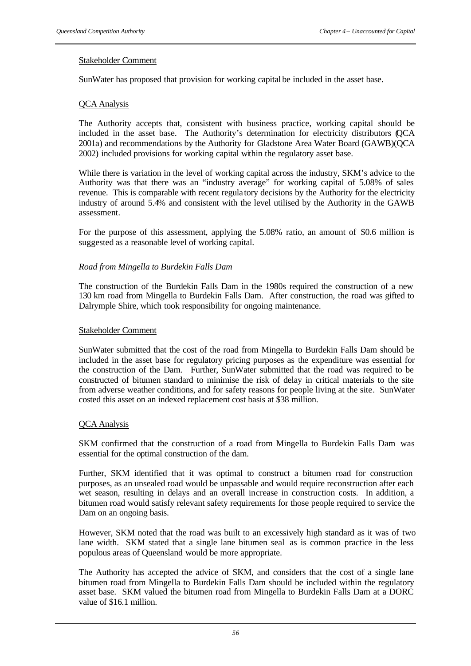## Stakeholder Comment

SunWater has proposed that provision for working capital be included in the asset base.

## QCA Analysis

The Authority accepts that, consistent with business practice, working capital should be included in the asset base. The Authority's determination for electricity distributors (QCA 2001a) and recommendations by the Authority for Gladstone Area Water Board (GAWB)(QCA 2002) included provisions for working capital within the regulatory asset base.

While there is variation in the level of working capital across the industry, SKM's advice to the Authority was that there was an "industry average" for working capital of 5.08% of sales revenue. This is comparable with recent regula tory decisions by the Authority for the electricity industry of around 5.4% and consistent with the level utilised by the Authority in the GAWB assessment.

For the purpose of this assessment, applying the 5.08% ratio, an amount of \$0.6 million is suggested as a reasonable level of working capital.

## *Road from Mingella to Burdekin Falls Dam*

The construction of the Burdekin Falls Dam in the 1980s required the construction of a new 130 km road from Mingella to Burdekin Falls Dam. After construction, the road was gifted to Dalrymple Shire, which took responsibility for ongoing maintenance.

## Stakeholder Comment

SunWater submitted that the cost of the road from Mingella to Burdekin Falls Dam should be included in the asset base for regulatory pricing purposes as the expenditure was essential for the construction of the Dam. Further, SunWater submitted that the road was required to be constructed of bitumen standard to minimise the risk of delay in critical materials to the site from adverse weather conditions, and for safety reasons for people living at the site. SunWater costed this asset on an indexed replacement cost basis at \$38 million.

## QCA Analysis

SKM confirmed that the construction of a road from Mingella to Burdekin Falls Dam was essential for the optimal construction of the dam.

Further, SKM identified that it was optimal to construct a bitumen road for construction purposes, as an unsealed road would be unpassable and would require reconstruction after each wet season, resulting in delays and an overall increase in construction costs. In addition, a bitumen road would satisfy relevant safety requirements for those people required to service the Dam on an ongoing basis.

However, SKM noted that the road was built to an excessively high standard as it was of two lane width. SKM stated that a single lane bitumen seal as is common practice in the less populous areas of Queensland would be more appropriate.

The Authority has accepted the advice of SKM, and considers that the cost of a single lane bitumen road from Mingella to Burdekin Falls Dam should be included within the regulatory asset base. SKM valued the bitumen road from Mingella to Burdekin Falls Dam at a DORC value of \$16.1 million.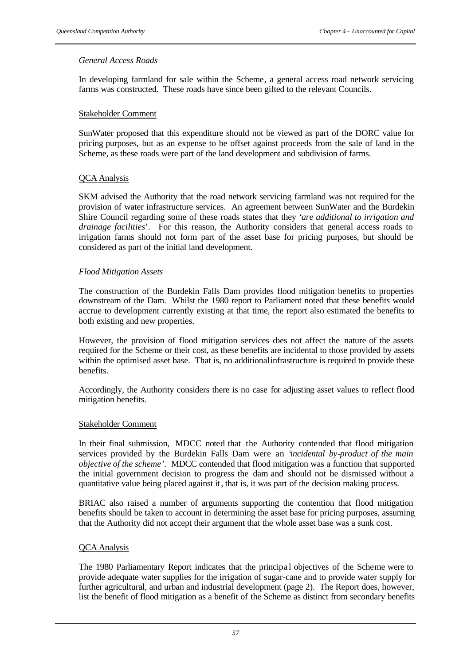## *General Access Roads*

In developing farmland for sale within the Scheme, a general access road network servicing farms was constructed. These roads have since been gifted to the relevant Councils.

## Stakeholder Comment

SunWater proposed that this expenditure should not be viewed as part of the DORC value for pricing purposes, but as an expense to be offset against proceeds from the sale of land in the Scheme, as these roads were part of the land development and subdivision of farms.

## QCA Analysis

SKM advised the Authority that the road network servicing farmland was not required for the provision of water infrastructure services. An agreement between SunWater and the Burdekin Shire Council regarding some of these roads states that they '*are additional to irrigation and drainage facilities*'. For this reason, the Authority considers that general access roads to irrigation farms should not form part of the asset base for pricing purposes, but should be considered as part of the initial land development.

## *Flood Mitigation Assets*

The construction of the Burdekin Falls Dam provides flood mitigation benefits to properties downstream of the Dam. Whilst the 1980 report to Parliament noted that these benefits would accrue to development currently existing at that time, the report also estimated the benefits to both existing and new properties.

However, the provision of flood mitigation services does not affect the nature of the assets required for the Scheme or their cost, as these benefits are incidental to those provided by assets within the optimised asset base. That is, no additional infrastructure is required to provide these benefits.

Accordingly, the Authority considers there is no case for adjusting asset values to reflect flood mitigation benefits.

## Stakeholder Comment

In their final submission, MDCC noted that the Authority contended that flood mitigation services provided by the Burdekin Falls Dam were an '*incidental by-product of the main objective of the scheme'*. MDCC contended that flood mitigation was a function that supported the initial government decision to progress the dam and should not be dismissed without a quantitative value being placed against it, that is, it was part of the decision making process.

BRIAC also raised a number of arguments supporting the contention that flood mitigation benefits should be taken to account in determining the asset base for pricing purposes, assuming that the Authority did not accept their argument that the whole asset base was a sunk cost.

## QCA Analysis

The 1980 Parliamentary Report indicates that the principal objectives of the Scheme were to provide adequate water supplies for the irrigation of sugar-cane and to provide water supply for further agricultural, and urban and industrial development (page 2). The Report does, however, list the benefit of flood mitigation as a benefit of the Scheme as distinct from secondary benefits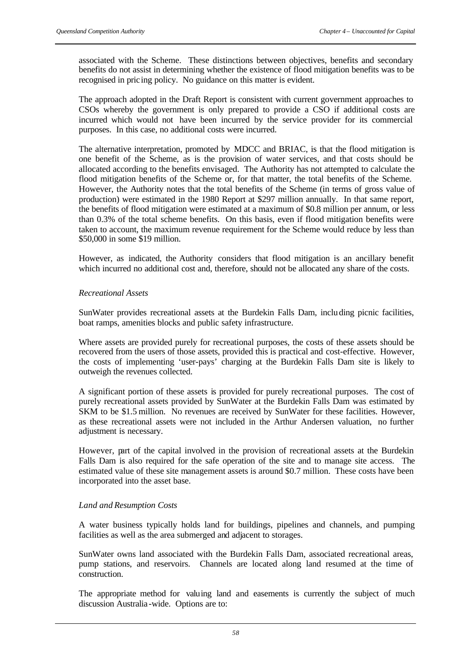associated with the Scheme. These distinctions between objectives, benefits and secondary benefits do not assist in determining whether the existence of flood mitigation benefits was to be recognised in pric ing policy. No guidance on this matter is evident.

The approach adopted in the Draft Report is consistent with current government approaches to CSOs whereby the government is only prepared to provide a CSO if additional costs are incurred which would not have been incurred by the service provider for its commercial purposes. In this case, no additional costs were incurred.

The alternative interpretation, promoted by MDCC and BRIAC, is that the flood mitigation is one benefit of the Scheme, as is the provision of water services, and that costs should be allocated according to the benefits envisaged. The Authority has not attempted to calculate the flood mitigation benefits of the Scheme or, for that matter, the total benefits of the Scheme. However, the Authority notes that the total benefits of the Scheme (in terms of gross value of production) were estimated in the 1980 Report at \$297 million annually. In that same report, the benefits of flood mitigation were estimated at a maximum of \$0.8 million per annum, or less than 0.3% of the total scheme benefits. On this basis, even if flood mitigation benefits were taken to account, the maximum revenue requirement for the Scheme would reduce by less than \$50,000 in some \$19 million.

However, as indicated, the Authority considers that flood mitigation is an ancillary benefit which incurred no additional cost and, therefore, should not be allocated any share of the costs.

## *Recreational Assets*

SunWater provides recreational assets at the Burdekin Falls Dam, including picnic facilities, boat ramps, amenities blocks and public safety infrastructure.

Where assets are provided purely for recreational purposes, the costs of these assets should be recovered from the users of those assets, provided this is practical and cost-effective. However, the costs of implementing 'user-pays' charging at the Burdekin Falls Dam site is likely to outweigh the revenues collected.

A significant portion of these assets is provided for purely recreational purposes. The cost of purely recreational assets provided by SunWater at the Burdekin Falls Dam was estimated by SKM to be \$1.5 million. No revenues are received by SunWater for these facilities. However, as these recreational assets were not included in the Arthur Andersen valuation, no further adjustment is necessary.

However, part of the capital involved in the provision of recreational assets at the Burdekin Falls Dam is also required for the safe operation of the site and to manage site access. The estimated value of these site management assets is around \$0.7 million. These costs have been incorporated into the asset base.

## *Land and Resumption Costs*

A water business typically holds land for buildings, pipelines and channels, and pumping facilities as well as the area submerged and adjacent to storages.

SunWater owns land associated with the Burdekin Falls Dam, associated recreational areas, pump stations, and reservoirs. Channels are located along land resumed at the time of construction.

The appropriate method for valuing land and easements is currently the subject of much discussion Australia -wide. Options are to: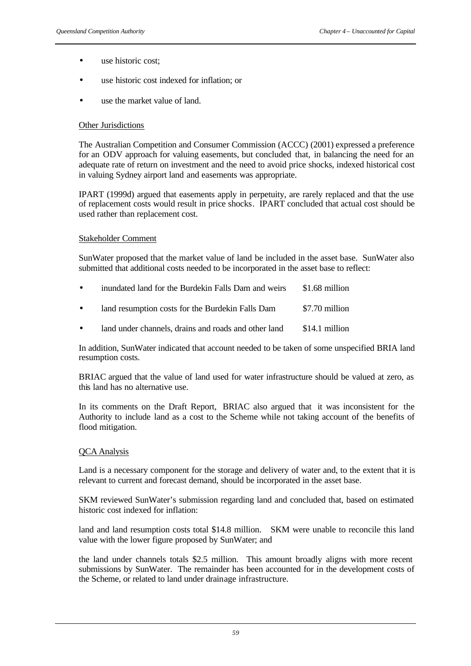- use historic cost;
- use historic cost indexed for inflation; or
- use the market value of land.

#### **Other Jurisdictions**

The Australian Competition and Consumer Commission (ACCC) (2001) expressed a preference for an ODV approach for valuing easements, but concluded that, in balancing the need for an adequate rate of return on investment and the need to avoid price shocks, indexed historical cost in valuing Sydney airport land and easements was appropriate.

IPART (1999d) argued that easements apply in perpetuity, are rarely replaced and that the use of replacement costs would result in price shocks. IPART concluded that actual cost should be used rather than replacement cost.

## Stakeholder Comment

SunWater proposed that the market value of land be included in the asset base. SunWater also submitted that additional costs needed to be incorporated in the asset base to reflect:

| $\bullet$ | inundated land for the Burdekin Falls Dam and weirs | \$1.68 million |
|-----------|-----------------------------------------------------|----------------|
| $\bullet$ | land resumption costs for the Burdekin Falls Dam    | \$7.70 million |
|           |                                                     |                |

land under channels, drains and roads and other land \$14.1 million

In addition, SunWater indicated that account needed to be taken of some unspecified BRIA land resumption costs.

BRIAC argued that the value of land used for water infrastructure should be valued at zero, as this land has no alternative use.

In its comments on the Draft Report, BRIAC also argued that it was inconsistent for the Authority to include land as a cost to the Scheme while not taking account of the benefits of flood mitigation.

## QCA Analysis

Land is a necessary component for the storage and delivery of water and, to the extent that it is relevant to current and forecast demand, should be incorporated in the asset base.

SKM reviewed SunWater's submission regarding land and concluded that, based on estimated historic cost indexed for inflation:

land and land resumption costs total \$14.8 million. SKM were unable to reconcile this land value with the lower figure proposed by SunWater; and

the land under channels totals \$2.5 million. This amount broadly aligns with more recent submissions by SunWater. The remainder has been accounted for in the development costs of the Scheme, or related to land under drainage infrastructure.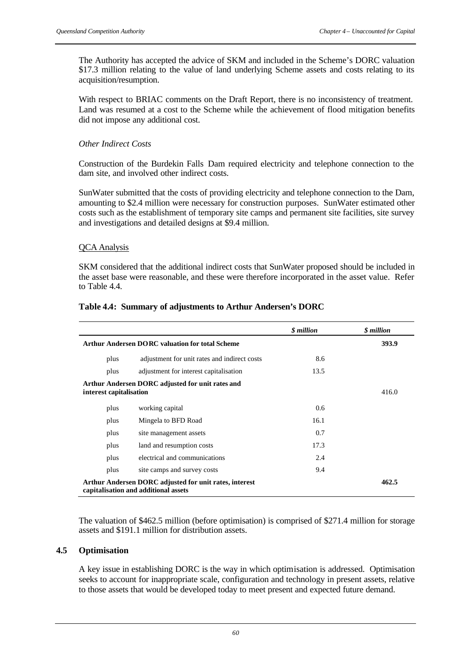The Authority has accepted the advice of SKM and included in the Scheme's DORC valuation \$17.3 million relating to the value of land underlying Scheme assets and costs relating to its acquisition/resumption.

With respect to BRIAC comments on the Draft Report, there is no inconsistency of treatment. Land was resumed at a cost to the Scheme while the achievement of flood mitigation benefits did not impose any additional cost.

## *Other Indirect Costs*

Construction of the Burdekin Falls Dam required electricity and telephone connection to the dam site, and involved other indirect costs.

SunWater submitted that the costs of providing electricity and telephone connection to the Dam, amounting to \$2.4 million were necessary for construction purposes. SunWater estimated other costs such as the establishment of temporary site camps and permanent site facilities, site survey and investigations and detailed designs at \$9.4 million.

## QCA Analysis

SKM considered that the additional indirect costs that SunWater proposed should be included in the asset base were reasonable, and these were therefore incorporated in the asset value. Refer to Table 4.4.

|                                                        |                                                                                                | \$ million | \$ million |
|--------------------------------------------------------|------------------------------------------------------------------------------------------------|------------|------------|
| <b>Arthur Andersen DORC valuation for total Scheme</b> |                                                                                                |            | 393.9      |
| plus                                                   | adjustment for unit rates and indirect costs                                                   | 8.6        |            |
| plus                                                   | adjustment for interest capitalisation                                                         | 13.5       |            |
| interest capitalisation                                | Arthur Andersen DORC adjusted for unit rates and                                               |            | 416.0      |
| plus                                                   | working capital                                                                                | 0.6        |            |
| plus                                                   | Mingela to BFD Road                                                                            | 16.1       |            |
| plus                                                   | site management assets                                                                         | 0.7        |            |
| plus                                                   | land and resumption costs                                                                      | 17.3       |            |
| plus                                                   | electrical and communications                                                                  | 2.4        |            |
| plus                                                   | site camps and survey costs                                                                    | 9.4        |            |
|                                                        | Arthur Andersen DORC adjusted for unit rates, interest<br>capitalisation and additional assets |            | 462.5      |

#### **Table 4.4: Summary of adjustments to Arthur Andersen's DORC**

The valuation of \$462.5 million (before optimisation) is comprised of \$271.4 million for storage assets and \$191.1 million for distribution assets.

## **4.5 Optimisation**

A key issue in establishing DORC is the way in which optimisation is addressed. Optimisation seeks to account for inappropriate scale, configuration and technology in present assets, relative to those assets that would be developed today to meet present and expected future demand.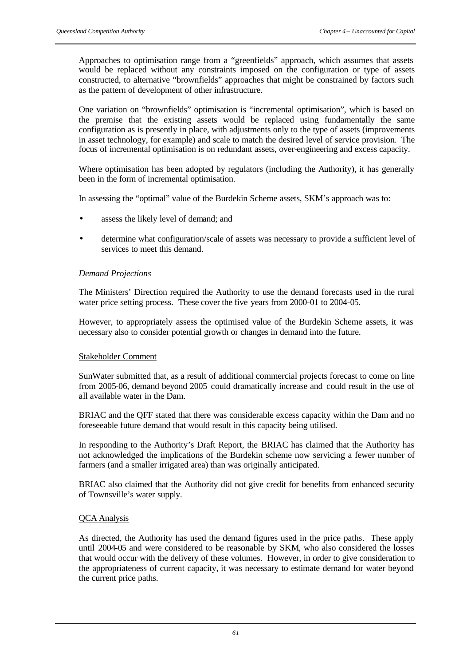Approaches to optimisation range from a "greenfields" approach, which assumes that assets would be replaced without any constraints imposed on the configuration or type of assets constructed, to alternative "brownfields" approaches that might be constrained by factors such as the pattern of development of other infrastructure.

One variation on "brownfields" optimisation is "incremental optimisation", which is based on the premise that the existing assets would be replaced using fundamentally the same configuration as is presently in place, with adjustments only to the type of assets (improvements in asset technology, for example) and scale to match the desired level of service provision. The focus of incremental optimisation is on redundant assets, over-engineering and excess capacity.

Where optimisation has been adopted by regulators (including the Authority), it has generally been in the form of incremental optimisation.

In assessing the "optimal" value of the Burdekin Scheme assets, SKM's approach was to:

- assess the likely level of demand; and
- determine what configuration/scale of assets was necessary to provide a sufficient level of services to meet this demand.

## *Demand Projections*

The Ministers' Direction required the Authority to use the demand forecasts used in the rural water price setting process. These cover the five years from 2000-01 to 2004-05.

However, to appropriately assess the optimised value of the Burdekin Scheme assets, it was necessary also to consider potential growth or changes in demand into the future.

## Stakeholder Comment

SunWater submitted that, as a result of additional commercial projects forecast to come on line from 2005-06, demand beyond 2005 could dramatically increase and could result in the use of all available water in the Dam.

BRIAC and the QFF stated that there was considerable excess capacity within the Dam and no foreseeable future demand that would result in this capacity being utilised.

In responding to the Authority's Draft Report, the BRIAC has claimed that the Authority has not acknowledged the implications of the Burdekin scheme now servicing a fewer number of farmers (and a smaller irrigated area) than was originally anticipated.

BRIAC also claimed that the Authority did not give credit for benefits from enhanced security of Townsville's water supply.

## QCA Analysis

As directed, the Authority has used the demand figures used in the price paths. These apply until 2004-05 and were considered to be reasonable by SKM, who also considered the losses that would occur with the delivery of these volumes. However, in order to give consideration to the appropriateness of current capacity, it was necessary to estimate demand for water beyond the current price paths.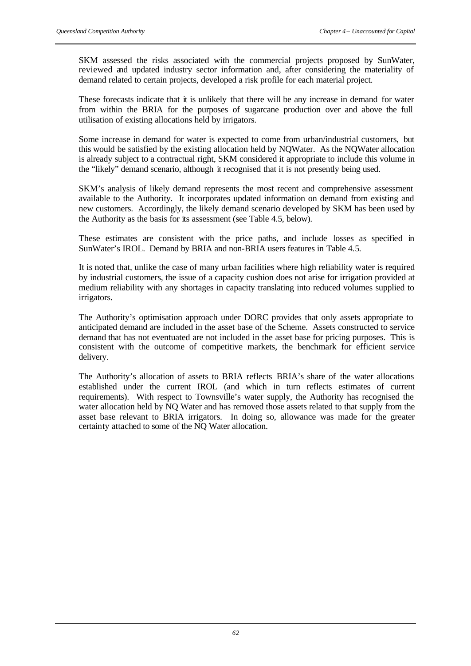SKM assessed the risks associated with the commercial projects proposed by SunWater, reviewed and updated industry sector information and, after considering the materiality of demand related to certain projects, developed a risk profile for each material project.

These forecasts indicate that it is unlikely that there will be any increase in demand for water from within the BRIA for the purposes of sugarcane production over and above the full utilisation of existing allocations held by irrigators.

Some increase in demand for water is expected to come from urban/industrial customers, but this would be satisfied by the existing allocation held by NQWater. As the NQWater allocation is already subject to a contractual right, SKM considered it appropriate to include this volume in the "likely" demand scenario, although it recognised that it is not presently being used.

SKM's analysis of likely demand represents the most recent and comprehensive assessment available to the Authority. It incorporates updated information on demand from existing and new customers. Accordingly, the likely demand scenario developed by SKM has been used by the Authority as the basis for its assessment (see Table 4.5, below).

These estimates are consistent with the price paths, and include losses as specified in SunWater's IROL. Demand by BRIA and non-BRIA users features in Table 4.5.

It is noted that, unlike the case of many urban facilities where high reliability water is required by industrial customers, the issue of a capacity cushion does not arise for irrigation provided at medium reliability with any shortages in capacity translating into reduced volumes supplied to irrigators.

The Authority's optimisation approach under DORC provides that only assets appropriate to anticipated demand are included in the asset base of the Scheme. Assets constructed to service demand that has not eventuated are not included in the asset base for pricing purposes. This is consistent with the outcome of competitive markets, the benchmark for efficient service delivery.

The Authority's allocation of assets to BRIA reflects BRIA's share of the water allocations established under the current IROL (and which in turn reflects estimates of current requirements). With respect to Townsville's water supply, the Authority has recognised the water allocation held by NQ Water and has removed those assets related to that supply from the asset base relevant to BRIA irrigators. In doing so, allowance was made for the greater certainty attached to some of the NQ Water allocation.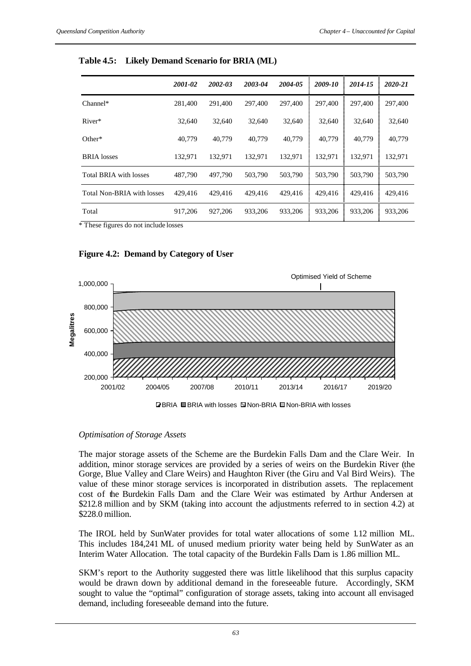|                            | 2001-02 | 2002-03 | 2003-04 | 2004-05 | 2009-10 | 2014-15 | 2020-21 |
|----------------------------|---------|---------|---------|---------|---------|---------|---------|
| $Channel*$                 | 281,400 | 291,400 | 297,400 | 297,400 | 297,400 | 297,400 | 297,400 |
| River*                     | 32,640  | 32.640  | 32,640  | 32,640  | 32,640  | 32,640  | 32,640  |
| Other*                     | 40,779  | 40,779  | 40,779  | 40,779  | 40,779  | 40,779  | 40,779  |
| <b>BRIA</b> losses         | 132.971 | 132.971 | 132.971 | 132,971 | 132,971 | 132,971 | 132,971 |
| Total BRIA with losses     | 487,790 | 497,790 | 503,790 | 503,790 | 503,790 | 503,790 | 503,790 |
| Total Non-BRIA with losses | 429,416 | 429,416 | 429.416 | 429,416 | 429,416 | 429,416 | 429,416 |
| Total                      | 917.206 | 927,206 | 933,206 | 933,206 | 933,206 | 933,206 | 933,206 |

**Table 4.5: Likely Demand Scenario for BRIA (ML)** 

\* These figures do not include losses

# **Figure 4.2: Demand by Category of User**



**D**BRIA ■BRIA with losses ■ Non-BRIA ■ Non-BRIA with losses

# *Optimisation of Storage Assets*

The major storage assets of the Scheme are the Burdekin Falls Dam and the Clare Weir. In addition, minor storage services are provided by a series of weirs on the Burdekin River (the Gorge, Blue Valley and Clare Weirs) and Haughton River (the Giru and Val Bird Weirs). The value of these minor storage services is incorporated in distribution assets. The replacement cost of the Burdekin Falls Dam and the Clare Weir was estimated by Arthur Andersen at \$212.8 million and by SKM (taking into account the adjustments referred to in section 4.2) at \$228.0 million.

The IROL held by SunWater provides for total water allocations of some 1.12 million ML. This includes 184,241 ML of unused medium priority water being held by SunWater as an Interim Water Allocation. The total capacity of the Burdekin Falls Dam is 1.86 million ML.

SKM's report to the Authority suggested there was little likelihood that this surplus capacity would be drawn down by additional demand in the foreseeable future. Accordingly, SKM sought to value the "optimal" configuration of storage assets, taking into account all envisaged demand, including foreseeable demand into the future.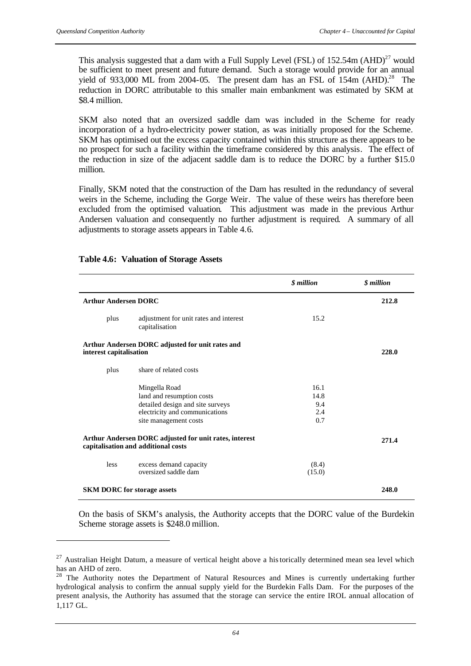l

This analysis suggested that a dam with a Full Supply Level (FSL) of  $152.54$ m (AHD)<sup>27</sup> would be sufficient to meet present and future demand. Such a storage would provide for an annual yield of 933,000 ML from 2004-05. The present dam has an FSL of  $154m$  (AHD).<sup>28</sup> The reduction in DORC attributable to this smaller main embankment was estimated by SKM at \$8.4 million.

SKM also noted that an oversized saddle dam was included in the Scheme for ready incorporation of a hydro-electricity power station, as was initially proposed for the Scheme. SKM has optimised out the excess capacity contained within this structure as there appears to be no prospect for such a facility within the timeframe considered by this analysis. The effect of the reduction in size of the adjacent saddle dam is to reduce the DORC by a further \$15.0 million.

Finally, SKM noted that the construction of the Dam has resulted in the redundancy of several weirs in the Scheme, including the Gorge Weir. The value of these weirs has therefore been excluded from the optimised valuation. This adjustment was made in the previous Arthur Andersen valuation and consequently no further adjustment is required. A summary of all adjustments to storage assets appears in Table 4.6.

|                                    |                                                                                                                                           | \$ million                        | \$ million |
|------------------------------------|-------------------------------------------------------------------------------------------------------------------------------------------|-----------------------------------|------------|
| <b>Arthur Andersen DORC</b>        |                                                                                                                                           |                                   | 212.8      |
| plus                               | adjustment for unit rates and interest<br>capitalisation                                                                                  | 15.2                              |            |
| interest capitalisation            | Arthur Andersen DORC adjusted for unit rates and                                                                                          |                                   | 228.0      |
| plus                               | share of related costs                                                                                                                    |                                   |            |
|                                    | Mingella Road<br>land and resumption costs<br>detailed design and site surveys<br>electricity and communications<br>site management costs | 16.1<br>14.8<br>9.4<br>2.4<br>0.7 |            |
|                                    | Arthur Andersen DORC adjusted for unit rates, interest<br>capitalisation and additional costs                                             |                                   | 271.4      |
| <i>less</i>                        | excess demand capacity<br>oversized saddle dam                                                                                            | (8.4)<br>(15.0)                   |            |
| <b>SKM DORC</b> for storage assets |                                                                                                                                           |                                   | 248.0      |

### **Table 4.6: Valuation of Storage Assets**

On the basis of SKM's analysis, the Authority accepts that the DORC value of the Burdekin Scheme storage assets is \$248.0 million.

 $27$  Australian Height Datum, a measure of vertical height above a historically determined mean sea level which has an AHD of zero.

 $28$  The Authority notes the Department of Natural Resources and Mines is currently undertaking further hydrological analysis to confirm the annual supply yield for the Burdekin Falls Dam. For the purposes of the present analysis, the Authority has assumed that the storage can service the entire IROL annual allocation of 1,117 GL.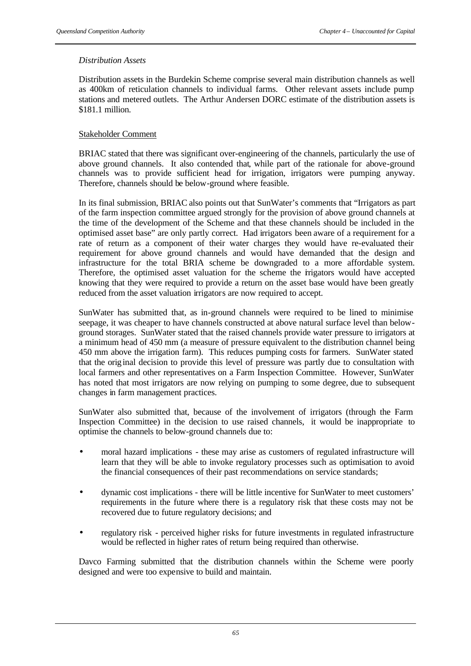### *Distribution Assets*

Distribution assets in the Burdekin Scheme comprise several main distribution channels as well as 400km of reticulation channels to individual farms. Other relevant assets include pump stations and metered outlets. The Arthur Andersen DORC estimate of the distribution assets is \$181.1 million.

### Stakeholder Comment

BRIAC stated that there was significant over-engineering of the channels, particularly the use of above ground channels. It also contended that, while part of the rationale for above-ground channels was to provide sufficient head for irrigation, irrigators were pumping anyway. Therefore, channels should be below-ground where feasible.

In its final submission, BRIAC also points out that SunWater's comments that "Irrigators as part of the farm inspection committee argued strongly for the provision of above ground channels at the time of the development of the Scheme and that these channels should be included in the optimised asset base" are only partly correct. Had irrigators been aware of a requirement for a rate of return as a component of their water charges they would have re-evaluated their requirement for above ground channels and would have demanded that the design and infrastructure for the total BRIA scheme be downgraded to a more affordable system. Therefore, the optimised asset valuation for the scheme the rrigators would have accepted knowing that they were required to provide a return on the asset base would have been greatly reduced from the asset valuation irrigators are now required to accept.

SunWater has submitted that, as in-ground channels were required to be lined to minimise seepage, it was cheaper to have channels constructed at above natural surface level than belowground storages. SunWater stated that the raised channels provide water pressure to irrigators at a minimum head of 450 mm (a measure of pressure equivalent to the distribution channel being 450 mm above the irrigation farm). This reduces pumping costs for farmers. SunWater stated that the original decision to provide this level of pressure was partly due to consultation with local farmers and other representatives on a Farm Inspection Committee. However, SunWater has noted that most irrigators are now relying on pumping to some degree, due to subsequent changes in farm management practices.

SunWater also submitted that, because of the involvement of irrigators (through the Farm Inspection Committee) in the decision to use raised channels, it would be inappropriate to optimise the channels to below-ground channels due to:

- moral hazard implications these may arise as customers of regulated infrastructure will learn that they will be able to invoke regulatory processes such as optimisation to avoid the financial consequences of their past recommendations on service standards;
- dynamic cost implications there will be little incentive for SunWater to meet customers' requirements in the future where there is a regulatory risk that these costs may not be recovered due to future regulatory decisions; and
- regulatory risk perceived higher risks for future investments in regulated infrastructure would be reflected in higher rates of return being required than otherwise.

Davco Farming submitted that the distribution channels within the Scheme were poorly designed and were too expensive to build and maintain.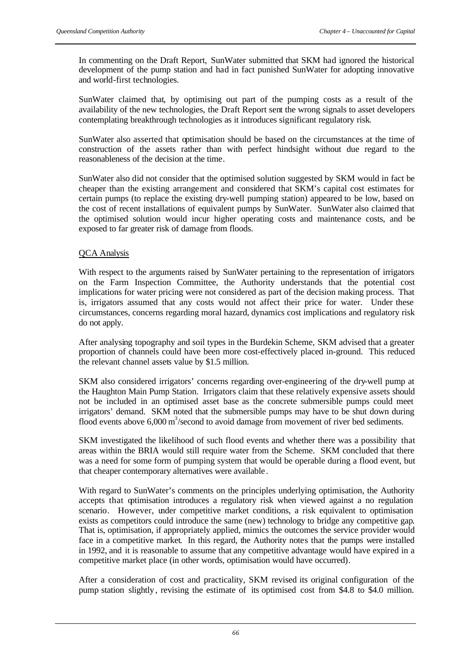In commenting on the Draft Report, SunWater submitted that SKM had ignored the historical development of the pump station and had in fact punished SunWater for adopting innovative and world-first technologies.

SunWater claimed that, by optimising out part of the pumping costs as a result of the availability of the new technologies, the Draft Report sent the wrong signals to asset developers contemplating breakthrough technologies as it introduces significant regulatory risk.

SunWater also asserted that optimisation should be based on the circumstances at the time of construction of the assets rather than with perfect hindsight without due regard to the reasonableness of the decision at the time.

SunWater also did not consider that the optimised solution suggested by SKM would in fact be cheaper than the existing arrangement and considered that SKM's capital cost estimates for certain pumps (to replace the existing dry-well pumping station) appeared to be low, based on the cost of recent installations of equivalent pumps by SunWater. SunWater also claimed that the optimised solution would incur higher operating costs and maintenance costs, and be exposed to far greater risk of damage from floods.

### QCA Analysis

With respect to the arguments raised by SunWater pertaining to the representation of irrigators on the Farm Inspection Committee, the Authority understands that the potential cost implications for water pricing were not considered as part of the decision making process. That is, irrigators assumed that any costs would not affect their price for water. Under these circumstances, concerns regarding moral hazard, dynamics cost implications and regulatory risk do not apply.

After analysing topography and soil types in the Burdekin Scheme, SKM advised that a greater proportion of channels could have been more cost-effectively placed in-ground. This reduced the relevant channel assets value by \$1.5 million.

SKM also considered irrigators' concerns regarding over-engineering of the dry-well pump at the Haughton Main Pump Station. Irrigators claim that these relatively expensive assets should not be included in an optimised asset base as the concrete submersible pumps could meet irrigators' demand. SKM noted that the submersible pumps may have to be shut down during flood events above 6,000 m<sup>3</sup>/second to avoid damage from movement of river bed sediments.

SKM investigated the likelihood of such flood events and whether there was a possibility that areas within the BRIA would still require water from the Scheme. SKM concluded that there was a need for some form of pumping system that would be operable during a flood event, but that cheaper contemporary alternatives were available .

With regard to SunWater's comments on the principles underlying optimisation, the Authority accepts that optimisation introduces a regulatory risk when viewed against a no regulation scenario. However, under competitive market conditions, a risk equivalent to optimisation exists as competitors could introduce the same (new) technology to bridge any competitive gap. That is, optimisation, if appropriately applied, mimics the outcomes the service provider would face in a competitive market. In this regard, the Authority notes that the pumps were installed in 1992, and it is reasonable to assume that any competitive advantage would have expired in a competitive market place (in other words, optimisation would have occurred).

After a consideration of cost and practicality, SKM revised its original configuration of the pump station slightly, revising the estimate of its optimised cost from \$4.8 to \$4.0 million.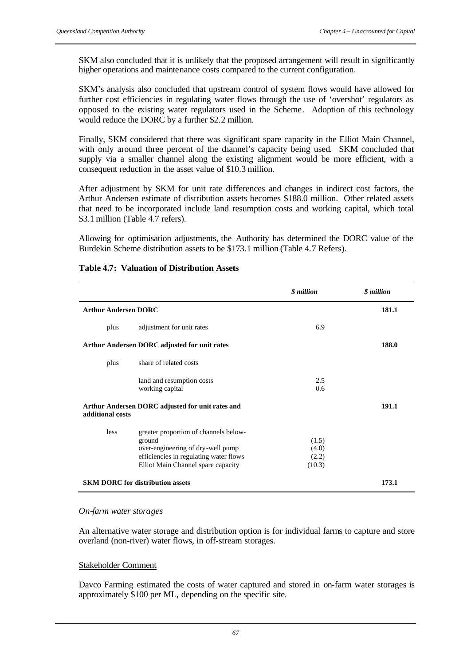SKM also concluded that it is unlikely that the proposed arrangement will result in significantly higher operations and maintenance costs compared to the current configuration.

SKM's analysis also concluded that upstream control of system flows would have allowed for further cost efficiencies in regulating water flows through the use of 'overshot' regulators as opposed to the existing water regulators used in the Scheme. Adoption of this technology would reduce the DORC by a further \$2.2 million.

Finally, SKM considered that there was significant spare capacity in the Elliot Main Channel, with only around three percent of the channel's capacity being used. SKM concluded that supply via a smaller channel along the existing alignment would be more efficient, with a consequent reduction in the asset value of \$10.3 million.

After adjustment by SKM for unit rate differences and changes in indirect cost factors, the Arthur Andersen estimate of distribution assets becomes \$188.0 million. Other related assets that need to be incorporated include land resumption costs and working capital, which total \$3.1 million (Table 4.7 refers).

Allowing for optimisation adjustments, the Authority has determined the DORC value of the Burdekin Scheme distribution assets to be \$173.1 million (Table 4.7 Refers).

|                             |                                                                                                                                                                      | <i><b>S</b></i> million           | <i><b>\$</b></i> million |
|-----------------------------|----------------------------------------------------------------------------------------------------------------------------------------------------------------------|-----------------------------------|--------------------------|
| <b>Arthur Andersen DORC</b> |                                                                                                                                                                      |                                   | 181.1                    |
| plus                        | adjustment for unit rates                                                                                                                                            | 6.9                               |                          |
|                             | <b>Arthur Andersen DORC adjusted for unit rates</b>                                                                                                                  |                                   | 188.0                    |
| plus                        | share of related costs                                                                                                                                               |                                   |                          |
|                             | land and resumption costs<br>working capital                                                                                                                         | 2.5<br>0.6                        |                          |
| additional costs            | Arthur Andersen DORC adjusted for unit rates and                                                                                                                     |                                   | 191.1                    |
| less                        | greater proportion of channels below-<br>ground<br>over-engineering of dry-well pump<br>efficiencies in regulating water flows<br>Elliot Main Channel spare capacity | (1.5)<br>(4.0)<br>(2.2)<br>(10.3) |                          |
|                             | <b>SKM DORC for distribution assets</b>                                                                                                                              |                                   | 173.1                    |

### **Table 4.7: Valuation of Distribution Assets**

#### *On-farm water storages*

An alternative water storage and distribution option is for individual farms to capture and store overland (non-river) water flows, in off-stream storages.

### Stakeholder Comment

Davco Farming estimated the costs of water captured and stored in on-farm water storages is approximately \$100 per ML, depending on the specific site.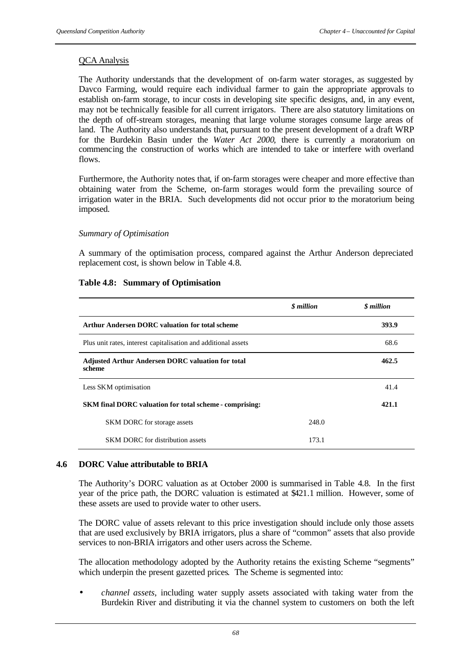### QCA Analysis

The Authority understands that the development of on-farm water storages, as suggested by Davco Farming, would require each individual farmer to gain the appropriate approvals to establish on-farm storage, to incur costs in developing site specific designs, and, in any event, may not be technically feasible for all current irrigators. There are also statutory limitations on the depth of off-stream storages, meaning that large volume storages consume large areas of land. The Authority also understands that, pursuant to the present development of a draft WRP for the Burdekin Basin under the *Water Act 2000,* there is currently a moratorium on commencing the construction of works which are intended to take or interfere with overland flows.

Furthermore, the Authority notes that, if on-farm storages were cheaper and more effective than obtaining water from the Scheme, on-farm storages would form the prevailing source of irrigation water in the BRIA. Such developments did not occur prior to the moratorium being imposed.

### *Summary of Optimisation*

A summary of the optimisation process, compared against the Arthur Anderson depreciated replacement cost, is shown below in Table 4.8.

|                                                                    | <i><b>S</b></i> million | <i><b>S</b></i> million |
|--------------------------------------------------------------------|-------------------------|-------------------------|
| Arthur Andersen DORC valuation for total scheme                    |                         | 393.9                   |
| Plus unit rates, interest capitalisation and additional assets     |                         | 68.6                    |
| <b>Adjusted Arthur Andersen DORC valuation for total</b><br>scheme |                         | 462.5                   |
| Less SKM optimisation                                              |                         | 41.4                    |
| <b>SKM</b> final DORC valuation for total scheme - comprising:     |                         | 421.1                   |
| <b>SKM DORC</b> for storage assets                                 | 248.0                   |                         |
| <b>SKM DORC</b> for distribution assets                            | 173.1                   |                         |

#### **Table 4.8: Summary of Optimisation**

### **4.6 DORC Value attributable to BRIA**

The Authority's DORC valuation as at October 2000 is summarised in Table 4.8. In the first year of the price path, the DORC valuation is estimated at \$421.1 million. However, some of these assets are used to provide water to other users.

The DORC value of assets relevant to this price investigation should include only those assets that are used exclusively by BRIA irrigators, plus a share of "common" assets that also provide services to non-BRIA irrigators and other users across the Scheme.

The allocation methodology adopted by the Authority retains the existing Scheme "segments" which underpin the present gazetted prices. The Scheme is segmented into:

• *channel assets*, including water supply assets associated with taking water from the Burdekin River and distributing it via the channel system to customers on both the left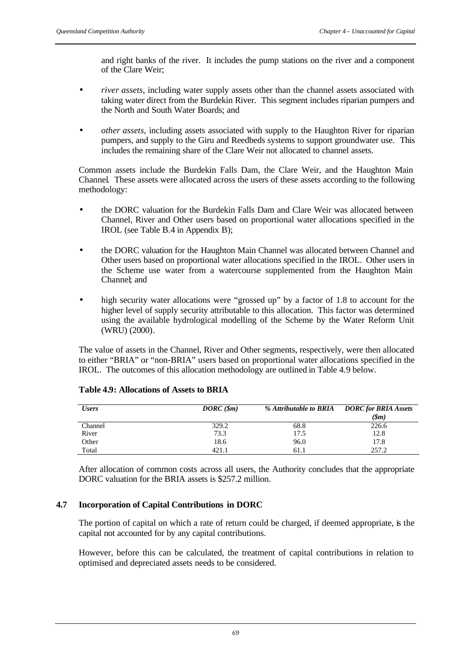and right banks of the river. It includes the pump stations on the river and a component of the Clare Weir;

- *river assets*, including water supply assets other than the channel assets associated with taking water direct from the Burdekin River. This segment includes riparian pumpers and the North and South Water Boards; and
- *other assets*, including assets associated with supply to the Haughton River for riparian pumpers, and supply to the Giru and Reedbeds systems to support groundwater use. This includes the remaining share of the Clare Weir not allocated to channel assets.

Common assets include the Burdekin Falls Dam, the Clare Weir, and the Haughton Main Channel. These assets were allocated across the users of these assets according to the following methodology:

- the DORC valuation for the Burdekin Falls Dam and Clare Weir was allocated between Channel, River and Other users based on proportional water allocations specified in the IROL (see Table B.4 in Appendix B);
- the DORC valuation for the Haughton Main Channel was allocated between Channel and Other users based on proportional water allocations specified in the IROL. Other users in the Scheme use water from a watercourse supplemented from the Haughton Main Channel; and
- high security water allocations were "grossed up" by a factor of 1.8 to account for the higher level of supply security attributable to this allocation. This factor was determined using the available hydrological modelling of the Scheme by the Water Reform Unit (WRU) (2000).

The value of assets in the Channel, River and Other segments, respectively, were then allocated to either "BRIA" or "non-BRIA" users based on proportional water allocations specified in the IROL. The outcomes of this allocation methodology are outlined in Table 4.9 below.

| <b>Users</b> | DORC(Sm) | % Attributable to BRIA | <b>DORC</b> for <b>BRIA</b> Assets |
|--------------|----------|------------------------|------------------------------------|
|              |          |                        | (\$m)                              |
| Channel      | 329.2    | 68.8                   | 226.6                              |
| River        | 73.3     | 17.5                   | 12.8                               |
| Other        | 18.6     | 96.0                   | 17.8                               |
| Total        | 421.1    | 61.1                   | 257.2                              |

### **Table 4.9: Allocations of Assets to BRIA**

After allocation of common costs across all users, the Authority concludes that the appropriate DORC valuation for the BRIA assets is \$257.2 million.

# **4.7 Incorporation of Capital Contributions in DORC**

The portion of capital on which a rate of return could be charged, if deemed appropriate, is the capital not accounted for by any capital contributions.

However, before this can be calculated, the treatment of capital contributions in relation to optimised and depreciated assets needs to be considered.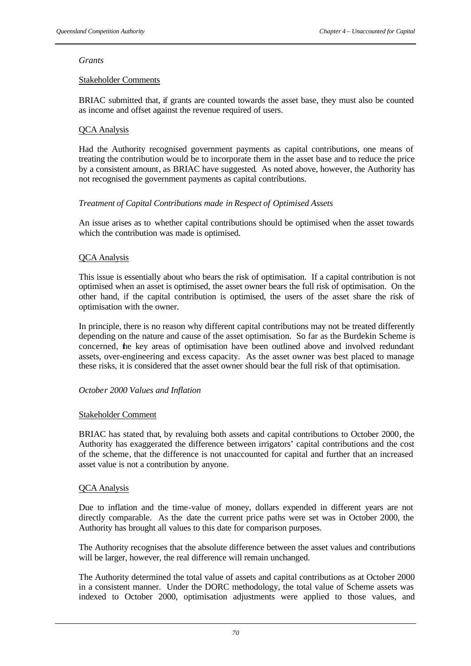### *Grants*

# Stakeholder Comments

BRIAC submitted that, if grants are counted towards the asset base, they must also be counted as income and offset against the revenue required of users.

# QCA Analysis

Had the Authority recognised government payments as capital contributions, one means of treating the contribution would be to incorporate them in the asset base and to reduce the price by a consistent amount, as BRIAC have suggested. As noted above, however, the Authority has not recognised the government payments as capital contributions.

# *Treatment of Capital Contributions made in Respect of Optimised Assets*

An issue arises as to whether capital contributions should be optimised when the asset towards which the contribution was made is optimised.

# QCA Analysis

This issue is essentially about who bears the risk of optimisation. If a capital contribution is not optimised when an asset is optimised, the asset owner bears the full risk of optimisation. On the other hand, if the capital contribution is optimised, the users of the asset share the risk of optimisation with the owner.

In principle, there is no reason why different capital contributions may not be treated differently depending on the nature and cause of the asset optimisation. So far as the Burdekin Scheme is concerned, the key areas of optimisation have been outlined above and involved redundant assets, over-engineering and excess capacity. As the asset owner was best placed to manage these risks, it is considered that the asset owner should bear the full risk of that optimisation.

### *October 2000 Values and Inflation*

### Stakeholder Comment

BRIAC has stated that, by revaluing both assets and capital contributions to October 2000, the Authority has exaggerated the difference between irrigators' capital contributions and the cost of the scheme, that the difference is not unaccounted for capital and further that an increased asset value is not a contribution by anyone.

### QCA Analysis

Due to inflation and the time-value of money, dollars expended in different years are not directly comparable. As the date the current price paths were set was in October 2000, the Authority has brought all values to this date for comparison purposes.

The Authority recognises that the absolute difference between the asset values and contributions will be larger, however, the real difference will remain unchanged.

The Authority determined the total value of assets and capital contributions as at October 2000 in a consistent manner. Under the DORC methodology, the total value of Scheme assets was indexed to October 2000, optimisation adjustments were applied to those values, and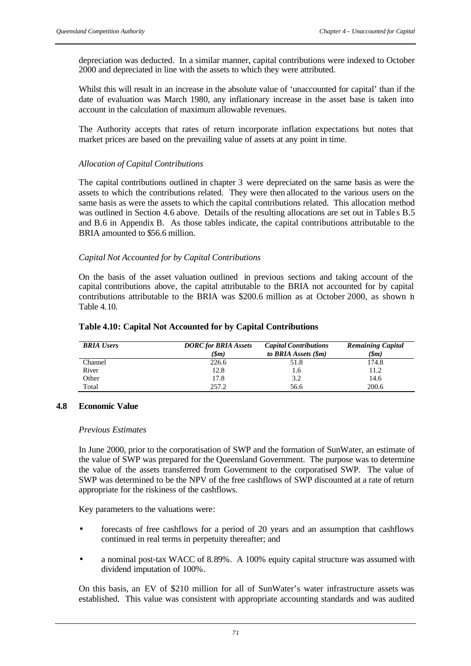depreciation was deducted. In a similar manner, capital contributions were indexed to October 2000 and depreciated in line with the assets to which they were attributed.

Whilst this will result in an increase in the absolute value of 'unaccounted for capital' than if the date of evaluation was March 1980, any inflationary increase in the asset base is taken into account in the calculation of maximum allowable revenues.

The Authority accepts that rates of return incorporate inflation expectations but notes that market prices are based on the prevailing value of assets at any point in time.

### *Allocation of Capital Contributions*

The capital contributions outlined in chapter 3 were depreciated on the same basis as were the assets to which the contributions related. They were then allocated to the various users on the same basis as were the assets to which the capital contributions related. This allocation method was outlined in Section 4.6 above. Details of the resulting allocations are set out in Table s B.5 and B.6 in Appendix B. As those tables indicate, the capital contributions attributable to the BRIA amounted to \$56.6 million.

# *Capital Not Accounted for by Capital Contributions*

On the basis of the asset valuation outlined in previous sections and taking account of the capital contributions above, the capital attributable to the BRIA not accounted for by capital contributions attributable to the BRIA was \$200.6 million as at October 2000, as shown in Table 4.10.

| <b>BRIA</b> Users | <b>DORC</b> for <b>BRIA</b> Assets | <b>Capital Contributions</b> | <b>Remaining Capital</b> |
|-------------------|------------------------------------|------------------------------|--------------------------|
|                   | (Sm)                               | to BRIA Assets (\$m)         | (\$m)                    |
| Channel           | 226.6                              | 51.8                         | 174.8                    |
| River             | 12.8                               | 1.6                          | 11.2                     |
| Other             | 17.8                               | 3.2                          | 14.6                     |
| Total             | 257.2                              | 56.6                         | 200.6                    |

#### **Table 4.10: Capital Not Accounted for by Capital Contributions**

### **4.8 Economic Value**

#### *Previous Estimates*

In June 2000, prior to the corporatisation of SWP and the formation of SunWater, an estimate of the value of SWP was prepared for the Queensland Government. The purpose was to determine the value of the assets transferred from Government to the corporatised SWP. The value of SWP was determined to be the NPV of the free cashflows of SWP discounted at a rate of return appropriate for the riskiness of the cashflows.

Key parameters to the valuations were:

- forecasts of free cashflows for a period of 20 years and an assumption that cashflows continued in real terms in perpetuity thereafter; and
- a nominal post-tax WACC of 8.89%. A 100% equity capital structure was assumed with dividend imputation of 100%.

On this basis, an EV of \$210 million for all of SunWater's water infrastructure assets was established. This value was consistent with appropriate accounting standards and was audited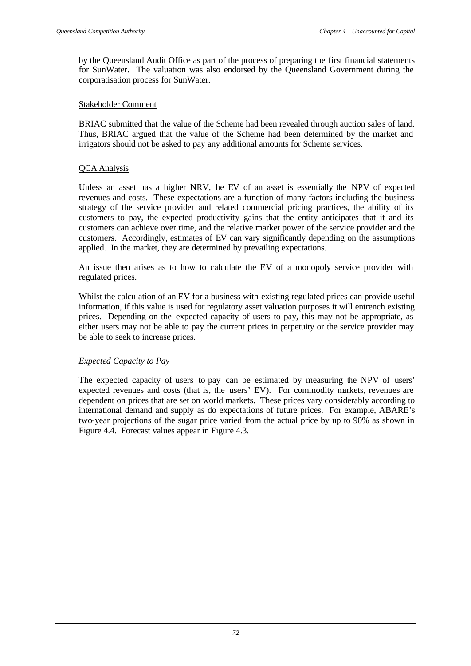by the Queensland Audit Office as part of the process of preparing the first financial statements for SunWater. The valuation was also endorsed by the Queensland Government during the corporatisation process for SunWater.

#### Stakeholder Comment

BRIAC submitted that the value of the Scheme had been revealed through auction sale s of land. Thus, BRIAC argued that the value of the Scheme had been determined by the market and irrigators should not be asked to pay any additional amounts for Scheme services.

### QCA Analysis

Unless an asset has a higher NRV, the EV of an asset is essentially the NPV of expected revenues and costs. These expectations are a function of many factors including the business strategy of the service provider and related commercial pricing practices, the ability of its customers to pay, the expected productivity gains that the entity anticipates that it and its customers can achieve over time, and the relative market power of the service provider and the customers. Accordingly, estimates of EV can vary significantly depending on the assumptions applied. In the market, they are determined by prevailing expectations.

An issue then arises as to how to calculate the EV of a monopoly service provider with regulated prices.

Whilst the calculation of an EV for a business with existing regulated prices can provide useful information, if this value is used for regulatory asset valuation purposes it will entrench existing prices. Depending on the expected capacity of users to pay, this may not be appropriate, as either users may not be able to pay the current prices in perpetuity or the service provider may be able to seek to increase prices.

### *Expected Capacity to Pay*

The expected capacity of users to pay can be estimated by measuring the NPV of users' expected revenues and costs (that is, the users' EV). For commodity markets, revenues are dependent on prices that are set on world markets. These prices vary considerably according to international demand and supply as do expectations of future prices. For example, ABARE's two-year projections of the sugar price varied from the actual price by up to 90% as shown in Figure 4.4. Forecast values appear in Figure 4.3.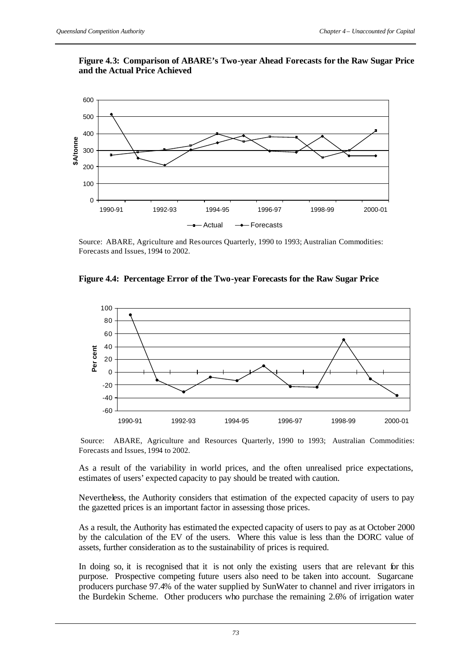### **Figure 4.3: Comparison of ABARE's Two-year Ahead Forecasts for the Raw Sugar Price and the Actual Price Achieved**



Source: ABARE, Agriculture and Resources Quarterly, 1990 to 1993; Australian Commodities: Forecasts and Issues, 1994 to 2002.





Source: ABARE, Agriculture and Resources Quarterly, 1990 to 1993; Australian Commodities: Forecasts and Issues, 1994 to 2002.

As a result of the variability in world prices, and the often unrealised price expectations, estimates of users' expected capacity to pay should be treated with caution.

Nevertheless, the Authority considers that estimation of the expected capacity of users to pay the gazetted prices is an important factor in assessing those prices.

As a result, the Authority has estimated the expected capacity of users to pay as at October 2000 by the calculation of the EV of the users. Where this value is less than the DORC value of assets, further consideration as to the sustainability of prices is required.

In doing so, it is recognised that it is not only the existing users that are relevant for this purpose. Prospective competing future users also need to be taken into account. Sugarcane producers purchase 97.4% of the water supplied by SunWater to channel and river irrigators in the Burdekin Scheme. Other producers who purchase the remaining 2.6% of irrigation water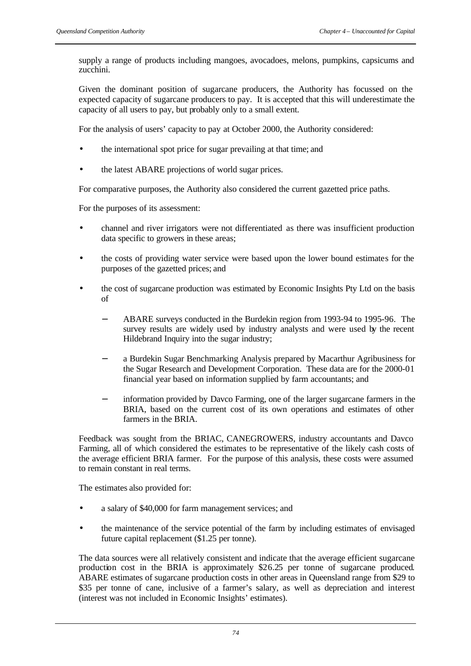supply a range of products including mangoes, avocadoes, melons, pumpkins, capsicums and zucchini.

Given the dominant position of sugarcane producers, the Authority has focussed on the expected capacity of sugarcane producers to pay. It is accepted that this will underestimate the capacity of all users to pay, but probably only to a small extent.

For the analysis of users' capacity to pay at October 2000, the Authority considered:

- the international spot price for sugar prevailing at that time; and
- the latest ABARE projections of world sugar prices.

For comparative purposes, the Authority also considered the current gazetted price paths.

For the purposes of its assessment:

- channel and river irrigators were not differentiated as there was insufficient production data specific to growers in these areas;
- the costs of providing water service were based upon the lower bound estimates for the purposes of the gazetted prices; and
- the cost of sugarcane production was estimated by Economic Insights Pty Ltd on the basis of
	- − ABARE surveys conducted in the Burdekin region from 1993-94 to 1995-96. The survey results are widely used by industry analysts and were used by the recent Hildebrand Inquiry into the sugar industry;
	- − a Burdekin Sugar Benchmarking Analysis prepared by Macarthur Agribusiness for the Sugar Research and Development Corporation. These data are for the 2000-01 financial year based on information supplied by farm accountants; and
	- information provided by Davco Farming, one of the larger sugarcane farmers in the BRIA, based on the current cost of its own operations and estimates of other farmers in the BRIA.

Feedback was sought from the BRIAC, CANEGROWERS, industry accountants and Davco Farming, all of which considered the estimates to be representative of the likely cash costs of the average efficient BRIA farmer. For the purpose of this analysis, these costs were assumed to remain constant in real terms.

The estimates also provided for:

- a salary of \$40,000 for farm management services; and
- the maintenance of the service potential of the farm by including estimates of envisaged future capital replacement (\$1.25 per tonne).

The data sources were all relatively consistent and indicate that the average efficient sugarcane production cost in the BRIA is approximately \$26.25 per tonne of sugarcane produced. ABARE estimates of sugarcane production costs in other areas in Queensland range from \$29 to \$35 per tonne of cane, inclusive of a farmer's salary, as well as depreciation and interest (interest was not included in Economic Insights' estimates).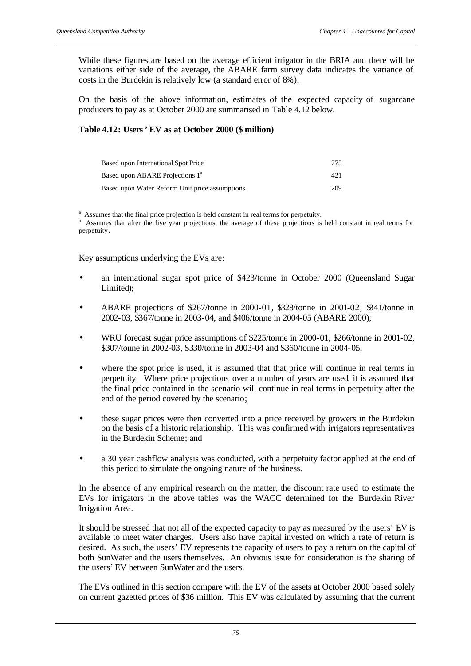While these figures are based on the average efficient irrigator in the BRIA and there will be variations either side of the average, the ABARE farm survey data indicates the variance of costs in the Burdekin is relatively low (a standard error of 8%).

On the basis of the above information, estimates of the expected capacity of sugarcane producers to pay as at October 2000 are summarised in Table 4.12 below.

# **Table 4.12: Users' EV as at October 2000 (\$ million)**

| Based upon International Spot Price            | 775  |
|------------------------------------------------|------|
| Based upon ABARE Projections 1 <sup>a</sup>    | 42.1 |
| Based upon Water Reform Unit price assumptions | 209  |

<sup>a</sup> Assumes that the final price projection is held constant in real terms for perpetuity.

<sup>b</sup> Assumes that after the five year projections, the average of these projections is held constant in real terms for perpetuity.

Key assumptions underlying the EVs are:

- an international sugar spot price of \$423/tonne in October 2000 (Queensland Sugar Limited);
- ABARE projections of \$267/tonne in 2000-01, \$328/tonne in 2001-02, \$341/tonne in 2002-03, \$367/tonne in 2003-04, and \$406/tonne in 2004-05 (ABARE 2000);
- WRU forecast sugar price assumptions of \$225/tonne in 2000-01, \$266/tonne in 2001-02, \$307/tonne in 2002-03, \$330/tonne in 2003-04 and \$360/tonne in 2004-05;
- where the spot price is used, it is assumed that that price will continue in real terms in perpetuity. Where price projections over a number of years are used, it is assumed that the final price contained in the scenario will continue in real terms in perpetuity after the end of the period covered by the scenario;
- these sugar prices were then converted into a price received by growers in the Burdekin on the basis of a historic relationship. This was confirmed with irrigators representatives in the Burdekin Scheme; and
- a 30 year cashflow analysis was conducted, with a perpetuity factor applied at the end of this period to simulate the ongoing nature of the business.

In the absence of any empirical research on the matter, the discount rate used to estimate the EVs for irrigators in the above tables was the WACC determined for the Burdekin River Irrigation Area.

It should be stressed that not all of the expected capacity to pay as measured by the users' EV is available to meet water charges. Users also have capital invested on which a rate of return is desired. As such, the users' EV represents the capacity of users to pay a return on the capital of both SunWater and the users themselves. An obvious issue for consideration is the sharing of the users' EV between SunWater and the users.

The EVs outlined in this section compare with the EV of the assets at October 2000 based solely on current gazetted prices of \$36 million. This EV was calculated by assuming that the current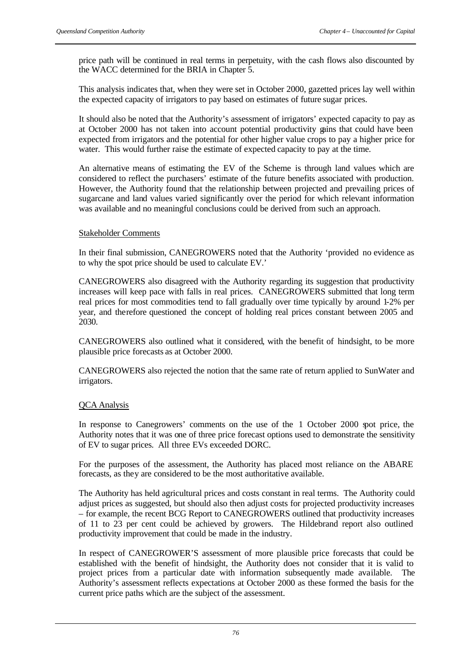price path will be continued in real terms in perpetuity, with the cash flows also discounted by the WACC determined for the BRIA in Chapter 5.

This analysis indicates that, when they were set in October 2000, gazetted prices lay well within the expected capacity of irrigators to pay based on estimates of future sugar prices.

It should also be noted that the Authority's assessment of irrigators' expected capacity to pay as at October 2000 has not taken into account potential productivity gains that could have been expected from irrigators and the potential for other higher value crops to pay a higher price for water. This would further raise the estimate of expected capacity to pay at the time.

An alternative means of estimating the EV of the Scheme is through land values which are considered to reflect the purchasers' estimate of the future benefits associated with production. However, the Authority found that the relationship between projected and prevailing prices of sugarcane and land values varied significantly over the period for which relevant information was available and no meaningful conclusions could be derived from such an approach.

### Stakeholder Comments

In their final submission, CANEGROWERS noted that the Authority 'provided no evidence as to why the spot price should be used to calculate EV.'

CANEGROWERS also disagreed with the Authority regarding its suggestion that productivity increases will keep pace with falls in real prices. CANEGROWERS submitted that long term real prices for most commodities tend to fall gradually over time typically by around 1-2% per year, and therefore questioned the concept of holding real prices constant between 2005 and 2030.

CANEGROWERS also outlined what it considered, with the benefit of hindsight, to be more plausible price forecasts as at October 2000.

CANEGROWERS also rejected the notion that the same rate of return applied to SunWater and irrigators.

### QCA Analysis

In response to Canegrowers' comments on the use of the 1 October 2000 spot price, the Authority notes that it was one of three price forecast options used to demonstrate the sensitivity of EV to sugar prices. All three EVs exceeded DORC.

For the purposes of the assessment, the Authority has placed most reliance on the ABARE forecasts, as they are considered to be the most authoritative available.

The Authority has held agricultural prices and costs constant in real terms. The Authority could adjust prices as suggested, but should also then adjust costs for projected productivity increases – for example, the recent BCG Report to CANEGROWERS outlined that productivity increases of 11 to 23 per cent could be achieved by growers. The Hildebrand report also outlined productivity improvement that could be made in the industry.

In respect of CANEGROWER'S assessment of more plausible price forecasts that could be established with the benefit of hindsight, the Authority does not consider that it is valid to project prices from a particular date with information subsequently made available. The Authority's assessment reflects expectations at October 2000 as these formed the basis for the current price paths which are the subject of the assessment.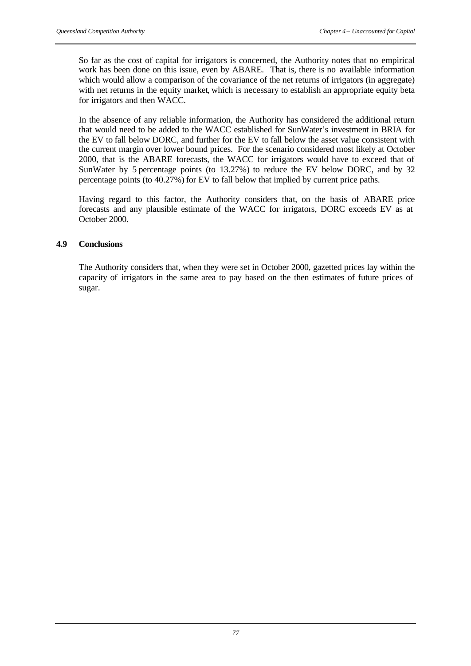So far as the cost of capital for irrigators is concerned, the Authority notes that no empirical work has been done on this issue, even by ABARE. That is, there is no available information which would allow a comparison of the covariance of the net returns of irrigators (in aggregate) with net returns in the equity market, which is necessary to establish an appropriate equity beta for irrigators and then WACC.

In the absence of any reliable information, the Authority has considered the additional return that would need to be added to the WACC established for SunWater's investment in BRIA for the EV to fall below DORC, and further for the EV to fall below the asset value consistent with the current margin over lower bound prices. For the scenario considered most likely at October 2000, that is the ABARE forecasts, the WACC for irrigators would have to exceed that of SunWater by 5 percentage points (to 13.27%) to reduce the EV below DORC, and by 32 percentage points (to 40.27%) for EV to fall below that implied by current price paths.

Having regard to this factor, the Authority considers that, on the basis of ABARE price forecasts and any plausible estimate of the WACC for irrigators, DORC exceeds EV as at October 2000.

# **4.9 Conclusions**

The Authority considers that, when they were set in October 2000, gazetted prices lay within the capacity of irrigators in the same area to pay based on the then estimates of future prices of sugar.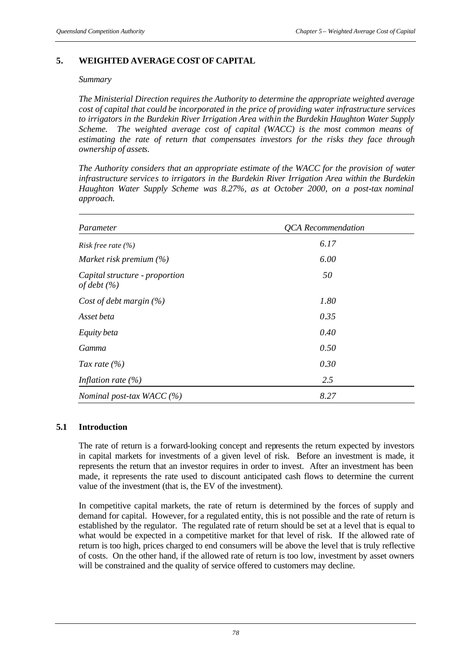# **5. WEIGHTED AVERAGE COST OF CAPITAL**

#### *Summary*

*The Ministerial Direction requires the Authority to determine the appropriate weighted average cost of capital that could be incorporated in the price of providing water infrastructure services to irrigators in the Burdekin River Irrigation Area within the Burdekin Haughton Water Supply Scheme. The weighted average cost of capital (WACC) is the most common means of estimating the rate of return that compensates investors for the risks they face through ownership of assets.*

*The Authority considers that an appropriate estimate of the WACC for the provision of water infrastructure services to irrigators in the Burdekin River Irrigation Area within the Burdekin Haughton Water Supply Scheme was 8.27%, as at October 2000, on a post-tax nominal approach.* 

| Parameter                                         | <b>QCA</b> Recommendation |
|---------------------------------------------------|---------------------------|
| <i>Risk free rate</i> $(\%)$                      | 6.17                      |
| Market risk premium $(\%)$                        | 6.00                      |
| Capital structure - proportion<br>of debt $(\% )$ | 50                        |
| Cost of debt margin $(\%)$                        | 1.80                      |
| Asset beta                                        | 0.35                      |
| Equity beta                                       | 0.40                      |
| Gamma                                             | 0.50                      |
| Tax rate $(\% )$                                  | 0.30                      |
| Inflation rate $(\% )$                            | 2.5                       |
| Nominal post-tax WACC $(%)$                       | 8.27                      |

### **5.1 Introduction**

The rate of return is a forward-looking concept and represents the return expected by investors in capital markets for investments of a given level of risk. Before an investment is made, it represents the return that an investor requires in order to invest. After an investment has been made, it represents the rate used to discount anticipated cash flows to determine the current value of the investment (that is, the EV of the investment).

In competitive capital markets, the rate of return is determined by the forces of supply and demand for capital. However, for a regulated entity, this is not possible and the rate of return is established by the regulator. The regulated rate of return should be set at a level that is equal to what would be expected in a competitive market for that level of risk. If the allowed rate of return is too high, prices charged to end consumers will be above the level that is truly reflective of costs. On the other hand, if the allowed rate of return is too low, investment by asset owners will be constrained and the quality of service offered to customers may decline.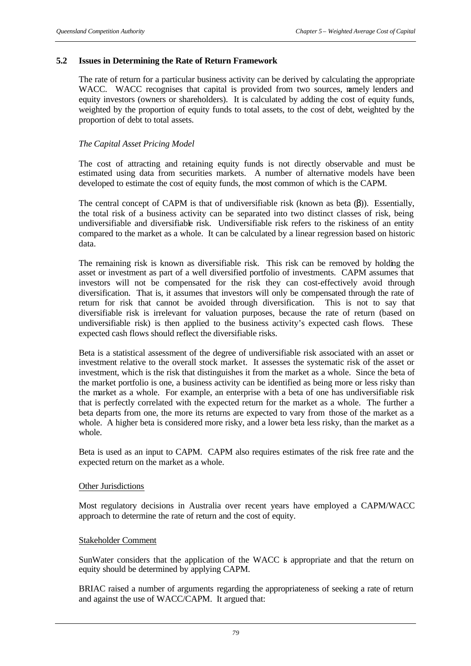### **5.2 Issues in Determining the Rate of Return Framework**

The rate of return for a particular business activity can be derived by calculating the appropriate WACC. WACC recognises that capital is provided from two sources, namely lenders and equity investors (owners or shareholders). It is calculated by adding the cost of equity funds, weighted by the proportion of equity funds to total assets, to the cost of debt, weighted by the proportion of debt to total assets.

# *The Capital Asset Pricing Model*

The cost of attracting and retaining equity funds is not directly observable and must be estimated using data from securities markets. A number of alternative models have been developed to estimate the cost of equity funds, the most common of which is the CAPM.

The central concept of CAPM is that of undiversifiable risk (known as beta  $(\beta)$ ). Essentially, the total risk of a business activity can be separated into two distinct classes of risk, being undiversifiable and diversifiable risk. Undiversifiable risk refers to the riskiness of an entity compared to the market as a whole. It can be calculated by a linear regression based on historic data.

The remaining risk is known as diversifiable risk. This risk can be removed by holding the asset or investment as part of a well diversified portfolio of investments. CAPM assumes that investors will not be compensated for the risk they can cost-effectively avoid through diversification. That is, it assumes that investors will only be compensated through the rate of return for risk that cannot be avoided through diversification. This is not to say that diversifiable risk is irrelevant for valuation purposes, because the rate of return (based on undiversifiable risk) is then applied to the business activity's expected cash flows. These expected cash flows should reflect the diversifiable risks.

Beta is a statistical assessment of the degree of undiversifiable risk associated with an asset or investment relative to the overall stock market. It assesses the systematic risk of the asset or investment, which is the risk that distinguishes it from the market as a whole. Since the beta of the market portfolio is one, a business activity can be identified as being more or less risky than the market as a whole. For example, an enterprise with a beta of one has undiversifiable risk that is perfectly correlated with the expected return for the market as a whole. The further a beta departs from one, the more its returns are expected to vary from those of the market as a whole. A higher beta is considered more risky, and a lower beta less risky, than the market as a whole.

Beta is used as an input to CAPM. CAPM also requires estimates of the risk free rate and the expected return on the market as a whole.

### Other Jurisdictions

Most regulatory decisions in Australia over recent years have employed a CAPM/WACC approach to determine the rate of return and the cost of equity.

### Stakeholder Comment

SunWater considers that the application of the WACC is appropriate and that the return on equity should be determined by applying CAPM.

BRIAC raised a number of arguments regarding the appropriateness of seeking a rate of return and against the use of WACC/CAPM. It argued that: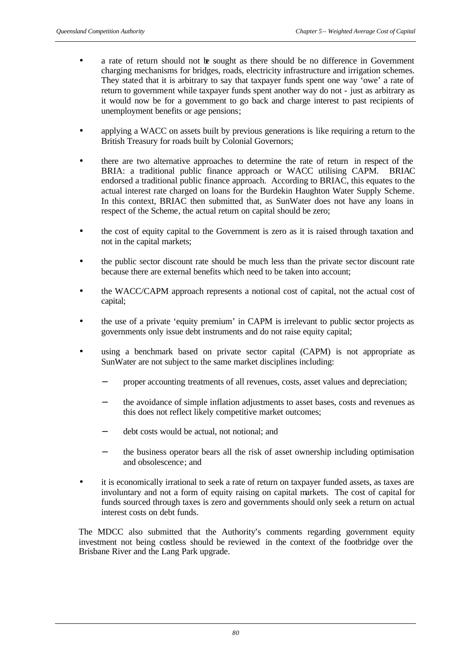- a rate of return should not be sought as there should be no difference in Government charging mechanisms for bridges, roads, electricity infrastructure and irrigation schemes. They stated that it is arbitrary to say that taxpayer funds spent one way 'owe' a rate of return to government while taxpayer funds spent another way do not - just as arbitrary as it would now be for a government to go back and charge interest to past recipients of unemployment benefits or age pensions;
- applying a WACC on assets built by previous generations is like requiring a return to the British Treasury for roads built by Colonial Governors;
- there are two alternative approaches to determine the rate of return in respect of the BRIA: a traditional public finance approach or WACC utilising CAPM. BRIAC endorsed a traditional public finance approach. According to BRIAC, this equates to the actual interest rate charged on loans for the Burdekin Haughton Water Supply Scheme. In this context, BRIAC then submitted that, as SunWater does not have any loans in respect of the Scheme, the actual return on capital should be zero;
- the cost of equity capital to the Government is zero as it is raised through taxation and not in the capital markets;
- the public sector discount rate should be much less than the private sector discount rate because there are external benefits which need to be taken into account;
- the WACC/CAPM approach represents a notional cost of capital, not the actual cost of capital;
- the use of a private 'equity premium' in CAPM is irrelevant to public sector projects as governments only issue debt instruments and do not raise equity capital;
- using a benchmark based on private sector capital (CAPM) is not appropriate as SunWater are not subject to the same market disciplines including:
	- proper accounting treatments of all revenues, costs, asset values and depreciation;
	- the avoidance of simple inflation adjustments to asset bases, costs and revenues as this does not reflect likely competitive market outcomes;
	- debt costs would be actual, not notional; and
	- the business operator bears all the risk of asset ownership including optimisation and obsolescence; and
- it is economically irrational to seek a rate of return on taxpayer funded assets, as taxes are involuntary and not a form of equity raising on capital markets. The cost of capital for funds sourced through taxes is zero and governments should only seek a return on actual interest costs on debt funds.

The MDCC also submitted that the Authority's comments regarding government equity investment not being costless should be reviewed in the context of the footbridge over the Brisbane River and the Lang Park upgrade.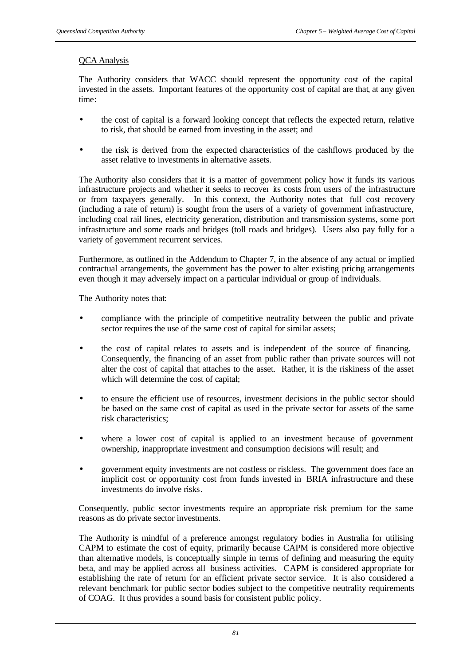# QCA Analysis

The Authority considers that WACC should represent the opportunity cost of the capital invested in the assets. Important features of the opportunity cost of capital are that, at any given time:

- the cost of capital is a forward looking concept that reflects the expected return, relative to risk, that should be earned from investing in the asset; and
- the risk is derived from the expected characteristics of the cashflows produced by the asset relative to investments in alternative assets.

The Authority also considers that it is a matter of government policy how it funds its various infrastructure projects and whether it seeks to recover its costs from users of the infrastructure or from taxpayers generally. In this context, the Authority notes that full cost recovery (including a rate of return) is sought from the users of a variety of government infrastructure, including coal rail lines, electricity generation, distribution and transmission systems, some port infrastructure and some roads and bridges (toll roads and bridges). Users also pay fully for a variety of government recurrent services.

Furthermore, as outlined in the Addendum to Chapter 7, in the absence of any actual or implied contractual arrangements, the government has the power to alter existing pricing arrangements even though it may adversely impact on a particular individual or group of individuals.

The Authority notes that:

- compliance with the principle of competitive neutrality between the public and private sector requires the use of the same cost of capital for similar assets;
- the cost of capital relates to assets and is independent of the source of financing. Consequently, the financing of an asset from public rather than private sources will not alter the cost of capital that attaches to the asset. Rather, it is the riskiness of the asset which will determine the cost of capital;
- to ensure the efficient use of resources, investment decisions in the public sector should be based on the same cost of capital as used in the private sector for assets of the same risk characteristics;
- where a lower cost of capital is applied to an investment because of government ownership, inappropriate investment and consumption decisions will result; and
- government equity investments are not costless or riskless. The government does face an implicit cost or opportunity cost from funds invested in BRIA infrastructure and these investments do involve risks.

Consequently, public sector investments require an appropriate risk premium for the same reasons as do private sector investments.

The Authority is mindful of a preference amongst regulatory bodies in Australia for utilising CAPM to estimate the cost of equity, primarily because CAPM is considered more objective than alternative models, is conceptually simple in terms of defining and measuring the equity beta, and may be applied across all business activities. CAPM is considered appropriate for establishing the rate of return for an efficient private sector service. It is also considered a relevant benchmark for public sector bodies subject to the competitive neutrality requirements of COAG. It thus provides a sound basis for consistent public policy.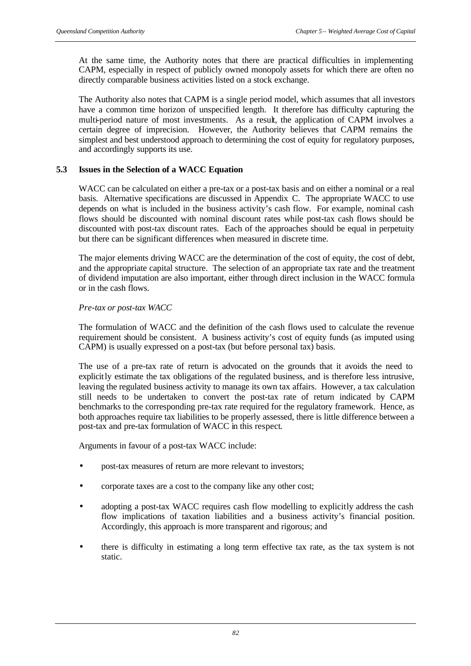At the same time, the Authority notes that there are practical difficulties in implementing CAPM, especially in respect of publicly owned monopoly assets for which there are often no directly comparable business activities listed on a stock exchange.

The Authority also notes that CAPM is a single period model, which assumes that all investors have a common time horizon of unspecified length. It therefore has difficulty capturing the multi-period nature of most investments. As a result, the application of CAPM involves a certain degree of imprecision. However, the Authority believes that CAPM remains the simplest and best understood approach to determining the cost of equity for regulatory purposes, and accordingly supports its use.

# **5.3 Issues in the Selection of a WACC Equation**

WACC can be calculated on either a pre-tax or a post-tax basis and on either a nominal or a real basis. Alternative specifications are discussed in Appendix C. The appropriate WACC to use depends on what is included in the business activity's cash flow. For example, nominal cash flows should be discounted with nominal discount rates while post-tax cash flows should be discounted with post-tax discount rates. Each of the approaches should be equal in perpetuity but there can be significant differences when measured in discrete time.

The major elements driving WACC are the determination of the cost of equity, the cost of debt, and the appropriate capital structure. The selection of an appropriate tax rate and the treatment of dividend imputation are also important, either through direct inclusion in the WACC formula or in the cash flows.

### *Pre-tax or post-tax WACC*

The formulation of WACC and the definition of the cash flows used to calculate the revenue requirement should be consistent. A business activity's cost of equity funds (as imputed using CAPM) is usually expressed on a post-tax (but before personal tax) basis.

The use of a pre-tax rate of return is advocated on the grounds that it avoids the need to explicitly estimate the tax obligations of the regulated business, and is therefore less intrusive, leaving the regulated business activity to manage its own tax affairs. However, a tax calculation still needs to be undertaken to convert the post-tax rate of return indicated by CAPM benchmarks to the corresponding pre-tax rate required for the regulatory framework. Hence, as both approaches require tax liabilities to be properly assessed, there is little difference between a post-tax and pre-tax formulation of WACC in this respect.

Arguments in favour of a post-tax WACC include:

- post-tax measures of return are more relevant to investors;
- corporate taxes are a cost to the company like any other cost;
- adopting a post-tax WACC requires cash flow modelling to explicitly address the cash flow implications of taxation liabilities and a business activity's financial position. Accordingly, this approach is more transparent and rigorous; and
- there is difficulty in estimating a long term effective tax rate, as the tax system is not static.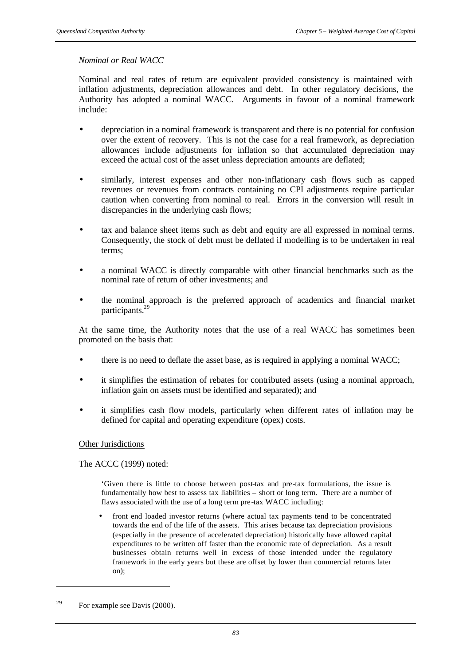### *Nominal or Real WACC*

Nominal and real rates of return are equivalent provided consistency is maintained with inflation adjustments, depreciation allowances and debt. In other regulatory decisions, the Authority has adopted a nominal WACC. Arguments in favour of a nominal framework include:

- depreciation in a nominal framework is transparent and there is no potential for confusion over the extent of recovery. This is not the case for a real framework, as depreciation allowances include adjustments for inflation so that accumulated depreciation may exceed the actual cost of the asset unless depreciation amounts are deflated;
- similarly, interest expenses and other non-inflationary cash flows such as capped revenues or revenues from contracts containing no CPI adjustments require particular caution when converting from nominal to real. Errors in the conversion will result in discrepancies in the underlying cash flows;
- tax and balance sheet items such as debt and equity are all expressed in nominal terms. Consequently, the stock of debt must be deflated if modelling is to be undertaken in real terms;
- a nominal WACC is directly comparable with other financial benchmarks such as the nominal rate of return of other investments; and
- the nominal approach is the preferred approach of academics and financial market participants.<sup>29</sup>

At the same time, the Authority notes that the use of a real WACC has sometimes been promoted on the basis that:

- there is no need to deflate the asset base, as is required in applying a nominal WACC;
- it simplifies the estimation of rebates for contributed assets (using a nominal approach, inflation gain on assets must be identified and separated); and
- it simplifies cash flow models, particularly when different rates of inflation may be defined for capital and operating expenditure (opex) costs.

### Other Jurisdictions

The ACCC (1999) noted:

'Given there is little to choose between post-tax and pre-tax formulations, the issue is fundamentally how best to assess tax liabilities – short or long term. There are a number of flaws associated with the use of a long term pre-tax WACC including:

front end loaded investor returns (where actual tax payments tend to be concentrated towards the end of the life of the assets. This arises because tax depreciation provisions (especially in the presence of accelerated depreciation) historically have allowed capital expenditures to be written off faster than the economic rate of depreciation. As a result businesses obtain returns well in excess of those intended under the regulatory framework in the early years but these are offset by lower than commercial returns later on);

l

<sup>&</sup>lt;sup>29</sup> For example see Davis  $(2000)$ .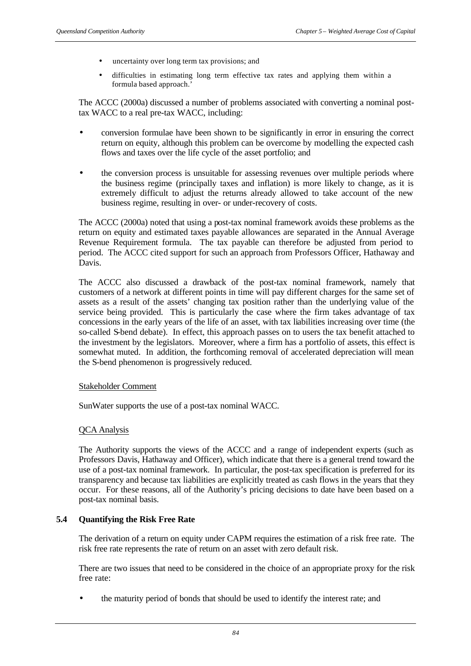- uncertainty over long term tax provisions; and
- difficulties in estimating long term effective tax rates and applying them within a formula based approach.'

The ACCC (2000a) discussed a number of problems associated with converting a nominal posttax WACC to a real pre-tax WACC, including:

- conversion formulae have been shown to be significantly in error in ensuring the correct return on equity, although this problem can be overcome by modelling the expected cash flows and taxes over the life cycle of the asset portfolio; and
- the conversion process is unsuitable for assessing revenues over multiple periods where the business regime (principally taxes and inflation) is more likely to change, as it is extremely difficult to adjust the returns already allowed to take account of the new business regime, resulting in over- or under-recovery of costs.

The ACCC (2000a) noted that using a post-tax nominal framework avoids these problems as the return on equity and estimated taxes payable allowances are separated in the Annual Average Revenue Requirement formula. The tax payable can therefore be adjusted from period to period. The ACCC cited support for such an approach from Professors Officer, Hathaway and Davis.

The ACCC also discussed a drawback of the post-tax nominal framework, namely that customers of a network at different points in time will pay different charges for the same set of assets as a result of the assets' changing tax position rather than the underlying value of the service being provided. This is particularly the case where the firm takes advantage of tax concessions in the early years of the life of an asset, with tax liabilities increasing over time (the so-called S-bend debate). In effect, this approach passes on to users the tax benefit attached to the investment by the legislators. Moreover, where a firm has a portfolio of assets, this effect is somewhat muted. In addition, the forthcoming removal of accelerated depreciation will mean the S-bend phenomenon is progressively reduced.

### Stakeholder Comment

SunWater supports the use of a post-tax nominal WACC.

### QCA Analysis

The Authority supports the views of the ACCC and a range of independent experts (such as Professors Davis, Hathaway and Officer), which indicate that there is a general trend toward the use of a post-tax nominal framework. In particular, the post-tax specification is preferred for its transparency and because tax liabilities are explicitly treated as cash flows in the years that they occur. For these reasons, all of the Authority's pricing decisions to date have been based on a post-tax nominal basis.

### **5.4 Quantifying the Risk Free Rate**

The derivation of a return on equity under CAPM requires the estimation of a risk free rate. The risk free rate represents the rate of return on an asset with zero default risk.

There are two issues that need to be considered in the choice of an appropriate proxy for the risk free rate:

• the maturity period of bonds that should be used to identify the interest rate; and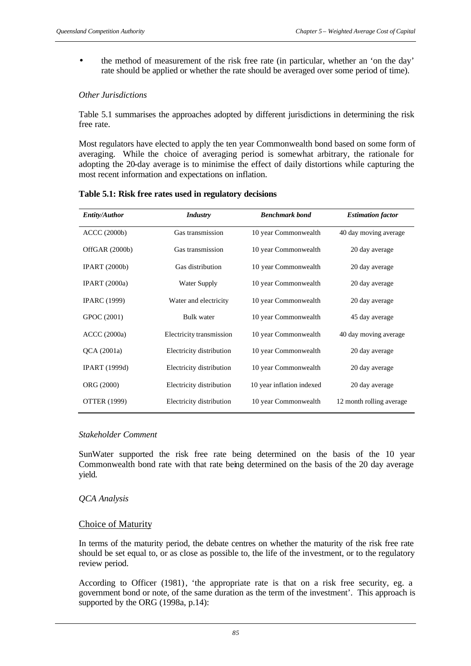• the method of measurement of the risk free rate (in particular, whether an 'on the day' rate should be applied or whether the rate should be averaged over some period of time).

# *Other Jurisdictions*

Table 5.1 summarises the approaches adopted by different jurisdictions in determining the risk free rate.

Most regulators have elected to apply the ten year Commonwealth bond based on some form of averaging. While the choice of averaging period is somewhat arbitrary, the rationale for adopting the 20-day average is to minimise the effect of daily distortions while capturing the most recent information and expectations on inflation.

**Table 5.1: Risk free rates used in regulatory decisions**

| <b>Entity/Author</b> | <b>Industry</b>          | <b>Benchmark</b> bond     | <b>Estimation factor</b> |
|----------------------|--------------------------|---------------------------|--------------------------|
| <b>ACCC</b> (2000b)  | Gas transmission         | 10 year Commonwealth      | 40 day moving average    |
| OffGAR (2000b)       | Gas transmission         | 10 year Commonwealth      | 20 day average           |
| IPART (2000b)        | Gas distribution         | 10 year Commonwealth      | 20 day average           |
| <b>IPART</b> (2000a) | Water Supply             | 10 year Commonwealth      | 20 day average           |
| <b>IPARC</b> (1999)  | Water and electricity    | 10 year Commonwealth      | 20 day average           |
| GPOC (2001)          | Bulk water               | 10 year Commonwealth      | 45 day average           |
| <b>ACCC</b> (2000a)  | Electricity transmission | 10 year Commonwealth      | 40 day moving average    |
| QCA(2001a)           | Electricity distribution | 10 year Commonwealth      | 20 day average           |
| <b>IPART</b> (1999d) | Electricity distribution | 10 year Commonwealth      | 20 day average           |
| ORG (2000)           | Electricity distribution | 10 year inflation indexed | 20 day average           |
| <b>OTTER (1999)</b>  | Electricity distribution | 10 year Commonwealth      | 12 month rolling average |

### *Stakeholder Comment*

SunWater supported the risk free rate being determined on the basis of the 10 year Commonwealth bond rate with that rate being determined on the basis of the 20 day average yield.

### *QCA Analysis*

### Choice of Maturity

In terms of the maturity period, the debate centres on whether the maturity of the risk free rate should be set equal to, or as close as possible to, the life of the investment, or to the regulatory review period.

According to Officer (1981), 'the appropriate rate is that on a risk free security, eg. a government bond or note, of the same duration as the term of the investment'. This approach is supported by the ORG (1998a, p.14):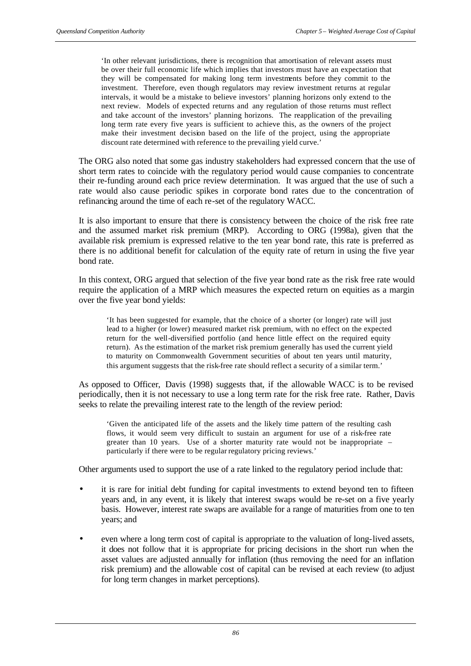'In other relevant jurisdictions, there is recognition that amortisation of relevant assets must be over their full economic life which implies that investors must have an expectation that they will be compensated for making long term investments before they commit to the investment. Therefore, even though regulators may review investment returns at regular intervals, it would be a mistake to believe investors' planning horizons only extend to the next review. Models of expected returns and any regulation of those returns must reflect and take account of the investors' planning horizons. The reapplication of the prevailing long term rate every five years is sufficient to achieve this, as the owners of the project make their investment decision based on the life of the project, using the appropriate discount rate determined with reference to the prevailing yield curve.'

The ORG also noted that some gas industry stakeholders had expressed concern that the use of short term rates to coincide with the regulatory period would cause companies to concentrate their re-funding around each price review determination. It was argued that the use of such a rate would also cause periodic spikes in corporate bond rates due to the concentration of refinancing around the time of each re-set of the regulatory WACC.

It is also important to ensure that there is consistency between the choice of the risk free rate and the assumed market risk premium (MRP). According to ORG (1998a), given that the available risk premium is expressed relative to the ten year bond rate, this rate is preferred as there is no additional benefit for calculation of the equity rate of return in using the five year bond rate.

In this context, ORG argued that selection of the five year bond rate as the risk free rate would require the application of a MRP which measures the expected return on equities as a margin over the five year bond yields:

'It has been suggested for example, that the choice of a shorter (or longer) rate will just lead to a higher (or lower) measured market risk premium, with no effect on the expected return for the well-diversified portfolio (and hence little effect on the required equity return). As the estimation of the market risk premium generally has used the current yield to maturity on Commonwealth Government securities of about ten years until maturity, this argument suggests that the risk-free rate should reflect a security of a similar term.'

As opposed to Officer, Davis (1998) suggests that, if the allowable WACC is to be revised periodically, then it is not necessary to use a long term rate for the risk free rate. Rather, Davis seeks to relate the prevailing interest rate to the length of the review period:

'Given the anticipated life of the assets and the likely time pattern of the resulting cash flows, it would seem very difficult to sustain an argument for use of a risk-free rate greater than 10 years. Use of a shorter maturity rate would not be inappropriate – particularly if there were to be regular regulatory pricing reviews.'

Other arguments used to support the use of a rate linked to the regulatory period include that:

- it is rare for initial debt funding for capital investments to extend beyond ten to fifteen years and, in any event, it is likely that interest swaps would be re-set on a five yearly basis. However, interest rate swaps are available for a range of maturities from one to ten years; and
- even where a long term cost of capital is appropriate to the valuation of long-lived assets, it does not follow that it is appropriate for pricing decisions in the short run when the asset values are adjusted annually for inflation (thus removing the need for an inflation risk premium) and the allowable cost of capital can be revised at each review (to adjust for long term changes in market perceptions).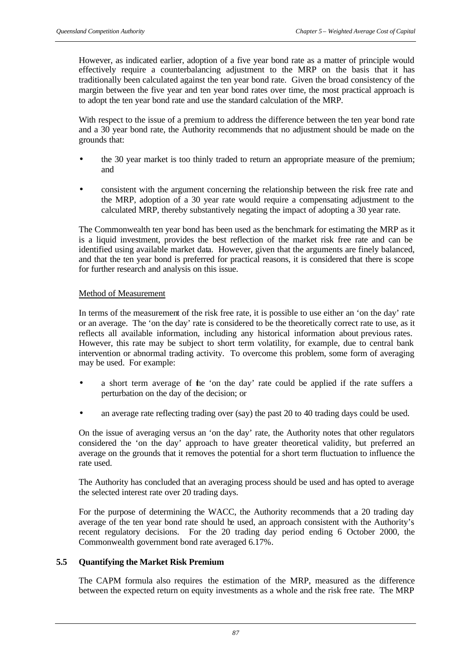However, as indicated earlier, adoption of a five year bond rate as a matter of principle would effectively require a counterbalancing adjustment to the MRP on the basis that it has traditionally been calculated against the ten year bond rate. Given the broad consistency of the margin between the five year and ten year bond rates over time, the most practical approach is to adopt the ten year bond rate and use the standard calculation of the MRP.

With respect to the issue of a premium to address the difference between the ten year bond rate and a 30 year bond rate, the Authority recommends that no adjustment should be made on the grounds that:

- the 30 year market is too thinly traded to return an appropriate measure of the premium; and
- consistent with the argument concerning the relationship between the risk free rate and the MRP, adoption of a 30 year rate would require a compensating adjustment to the calculated MRP, thereby substantively negating the impact of adopting a 30 year rate.

The Commonwealth ten year bond has been used as the benchmark for estimating the MRP as it is a liquid investment, provides the best reflection of the market risk free rate and can be identified using available market data. However, given that the arguments are finely balanced, and that the ten year bond is preferred for practical reasons, it is considered that there is scope for further research and analysis on this issue.

### Method of Measurement

In terms of the measurement of the risk free rate, it is possible to use either an 'on the day' rate or an average. The 'on the day' rate is considered to be the theoretically correct rate to use, as it reflects all available information, including any historical information about previous rates. However, this rate may be subject to short term volatility, for example, due to central bank intervention or abnormal trading activity. To overcome this problem, some form of averaging may be used. For example:

- a short term average of the 'on the day' rate could be applied if the rate suffers a perturbation on the day of the decision; or
- an average rate reflecting trading over (say) the past 20 to 40 trading days could be used.

On the issue of averaging versus an 'on the day' rate, the Authority notes that other regulators considered the 'on the day' approach to have greater theoretical validity, but preferred an average on the grounds that it removes the potential for a short term fluctuation to influence the rate used.

The Authority has concluded that an averaging process should be used and has opted to average the selected interest rate over 20 trading days.

For the purpose of determining the WACC, the Authority recommends that a 20 trading day average of the ten year bond rate should be used, an approach consistent with the Authority's recent regulatory decisions. For the 20 trading day period ending 6 October 2000, the Commonwealth government bond rate averaged 6.17%.

# **5.5 Quantifying the Market Risk Premium**

The CAPM formula also requires the estimation of the MRP, measured as the difference between the expected return on equity investments as a whole and the risk free rate. The MRP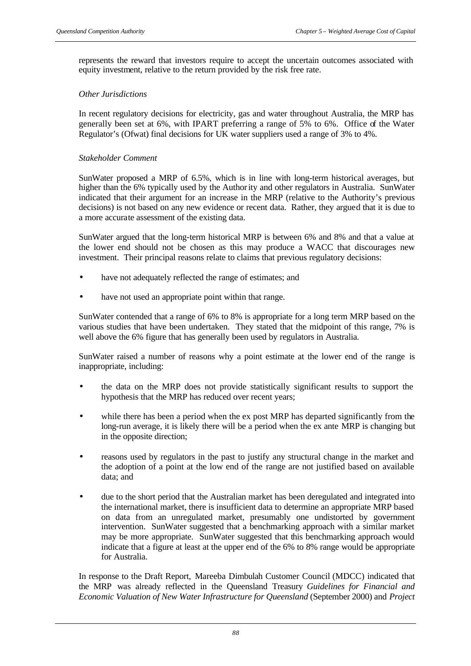represents the reward that investors require to accept the uncertain outcomes associated with equity investment, relative to the return provided by the risk free rate.

# *Other Jurisdictions*

In recent regulatory decisions for electricity, gas and water throughout Australia, the MRP has generally been set at 6%, with IPART preferring a range of 5% to 6%. Office of the Water Regulator's (Ofwat) final decisions for UK water suppliers used a range of 3% to 4%.

### *Stakeholder Comment*

SunWater proposed a MRP of 6.5%, which is in line with long-term historical averages, but higher than the 6% typically used by the Authority and other regulators in Australia. SunWater indicated that their argument for an increase in the MRP (relative to the Authority's previous decisions) is not based on any new evidence or recent data. Rather, they argued that it is due to a more accurate assessment of the existing data.

SunWater argued that the long-term historical MRP is between 6% and 8% and that a value at the lower end should not be chosen as this may produce a WACC that discourages new investment. Their principal reasons relate to claims that previous regulatory decisions:

- have not adequately reflected the range of estimates; and
- have not used an appropriate point within that range.

SunWater contended that a range of 6% to 8% is appropriate for a long term MRP based on the various studies that have been undertaken. They stated that the midpoint of this range, 7% is well above the 6% figure that has generally been used by regulators in Australia.

SunWater raised a number of reasons why a point estimate at the lower end of the range is inappropriate, including:

- the data on the MRP does not provide statistically significant results to support the hypothesis that the MRP has reduced over recent years;
- while there has been a period when the ex post MRP has departed significantly from the long-run average, it is likely there will be a period when the ex ante MRP is changing but in the opposite direction;
- reasons used by regulators in the past to justify any structural change in the market and the adoption of a point at the low end of the range are not justified based on available data; and
- due to the short period that the Australian market has been deregulated and integrated into the international market, there is insufficient data to determine an appropriate MRP based on data from an unregulated market, presumably one undistorted by government intervention. SunWater suggested that a benchmarking approach with a similar market may be more appropriate. SunWater suggested that this benchmarking approach would indicate that a figure at least at the upper end of the 6% to 8% range would be appropriate for Australia.

In response to the Draft Report, Mareeba Dimbulah Customer Council (MDCC) indicated that the MRP was already reflected in the Queensland Treasury *Guidelines for Financial and Economic Valuation of New Water Infrastructure for Queensland* (September 2000) and *Project*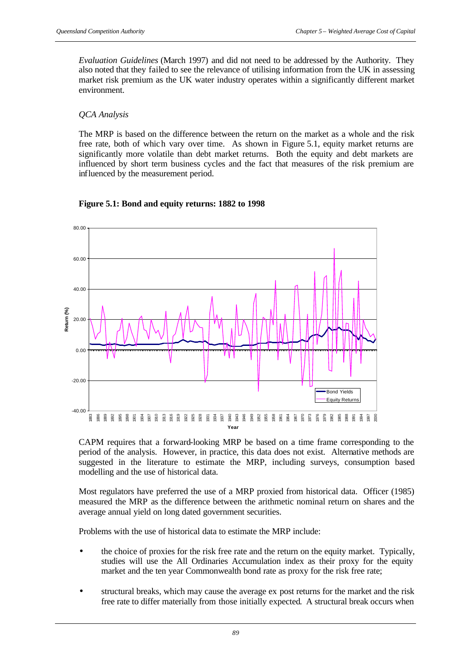*Evaluation Guidelines* (March 1997) and did not need to be addressed by the Authority. They also noted that they failed to see the relevance of utilising information from the UK in assessing market risk premium as the UK water industry operates within a significantly different market environment.

# *QCA Analysis*

The MRP is based on the difference between the return on the market as a whole and the risk free rate, both of which vary over time. As shown in Figure 5.1, equity market returns are significantly more volatile than debt market returns. Both the equity and debt markets are influenced by short term business cycles and the fact that measures of the risk premium are influenced by the measurement period.



**Figure 5.1: Bond and equity returns: 1882 to 1998**

CAPM requires that a forward-looking MRP be based on a time frame corresponding to the period of the analysis. However, in practice, this data does not exist. Alternative methods are suggested in the literature to estimate the MRP, including surveys, consumption based modelling and the use of historical data.

Most regulators have preferred the use of a MRP proxied from historical data. Officer (1985) measured the MRP as the difference between the arithmetic nominal return on shares and the average annual yield on long dated government securities.

Problems with the use of historical data to estimate the MRP include:

- the choice of proxies for the risk free rate and the return on the equity market. Typically, studies will use the All Ordinaries Accumulation index as their proxy for the equity market and the ten year Commonwealth bond rate as proxy for the risk free rate;
- structural breaks, which may cause the average ex post returns for the market and the risk free rate to differ materially from those initially expected. A structural break occurs when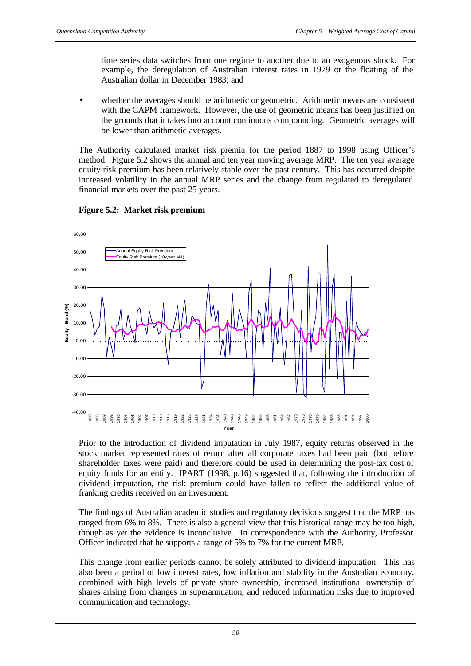time series data switches from one regime to another due to an exogenous shock. For example, the deregulation of Australian interest rates in 1979 or the floating of the Australian dollar in December 1983; and

whether the averages should be arithmetic or geometric. Arithmetic means are consistent with the CAPM framework. However, the use of geometric means has been justified on the grounds that it takes into account continuous compounding. Geometric averages will be lower than arithmetic averages.

The Authority calculated market risk premia for the period 1887 to 1998 using Officer's method. Figure 5.2 shows the annual and ten year moving average MRP. The ten year average equity risk premium has been relatively stable over the past century. This has occurred despite increased volatility in the annual MRP series and the change from regulated to deregulated financial markets over the past 25 years.



# **Figure 5.2: Market risk premium**

Prior to the introduction of dividend imputation in July 1987, equity returns observed in the stock market represented rates of return after all corporate taxes had been paid (but before shareholder taxes were paid) and therefore could be used in determining the post-tax cost of equity funds for an entity. IPART (1998, p.16) suggested that, following the introduction of dividend imputation, the risk premium could have fallen to reflect the additional value of franking credits received on an investment.

The findings of Australian academic studies and regulatory decisions suggest that the MRP has ranged from 6% to 8%. There is also a general view that this historical range may be too high, though as yet the evidence is inconclusive. In correspondence with the Authority, Professor Officer indicated that he supports a range of 5% to 7% for the current MRP.

This change from earlier periods cannot be solely attributed to dividend imputation. This has also been a period of low interest rates, low inflation and stability in the Australian economy, combined with high levels of private share ownership, increased institutional ownership of shares arising from changes in superannuation, and reduced information risks due to improved communication and technology.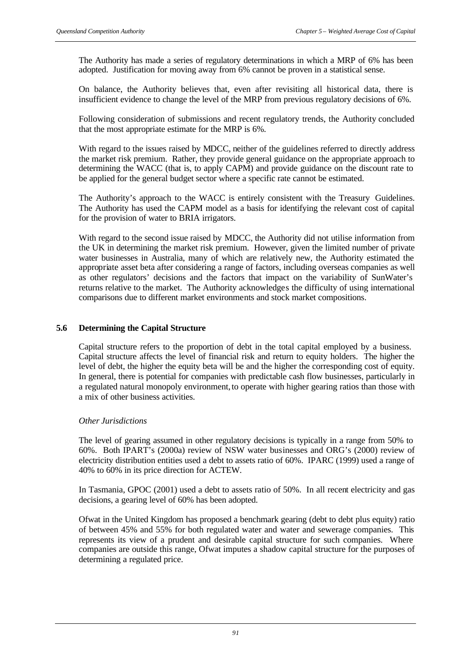The Authority has made a series of regulatory determinations in which a MRP of 6% has been adopted. Justification for moving away from 6% cannot be proven in a statistical sense.

On balance, the Authority believes that, even after revisiting all historical data, there is insufficient evidence to change the level of the MRP from previous regulatory decisions of 6%.

Following consideration of submissions and recent regulatory trends, the Authority concluded that the most appropriate estimate for the MRP is 6%.

With regard to the issues raised by MDCC, neither of the guidelines referred to directly address the market risk premium. Rather, they provide general guidance on the appropriate approach to determining the WACC (that is, to apply CAPM) and provide guidance on the discount rate to be applied for the general budget sector where a specific rate cannot be estimated.

The Authority's approach to the WACC is entirely consistent with the Treasury Guidelines. The Authority has used the CAPM model as a basis for identifying the relevant cost of capital for the provision of water to BRIA irrigators.

With regard to the second issue raised by MDCC, the Authority did not utilise information from the UK in determining the market risk premium. However, given the limited number of private water businesses in Australia, many of which are relatively new, the Authority estimated the appropriate asset beta after considering a range of factors, including overseas companies as well as other regulators' decisions and the factors that impact on the variability of SunWater's returns relative to the market. The Authority acknowledges the difficulty of using international comparisons due to different market environments and stock market compositions.

### **5.6 Determining the Capital Structure**

Capital structure refers to the proportion of debt in the total capital employed by a business. Capital structure affects the level of financial risk and return to equity holders. The higher the level of debt, the higher the equity beta will be and the higher the corresponding cost of equity. In general, there is potential for companies with predictable cash flow businesses, particularly in a regulated natural monopoly environment, to operate with higher gearing ratios than those with a mix of other business activities.

### *Other Jurisdictions*

The level of gearing assumed in other regulatory decisions is typically in a range from 50% to 60%. Both IPART's (2000a) review of NSW water businesses and ORG's (2000) review of electricity distribution entities used a debt to assets ratio of 60%. IPARC (1999) used a range of 40% to 60% in its price direction for ACTEW.

In Tasmania, GPOC (2001) used a debt to assets ratio of 50%. In all recent electricity and gas decisions, a gearing level of 60% has been adopted.

Ofwat in the United Kingdom has proposed a benchmark gearing (debt to debt plus equity) ratio of between 45% and 55% for both regulated water and water and sewerage companies. This represents its view of a prudent and desirable capital structure for such companies. Where companies are outside this range, Ofwat imputes a shadow capital structure for the purposes of determining a regulated price.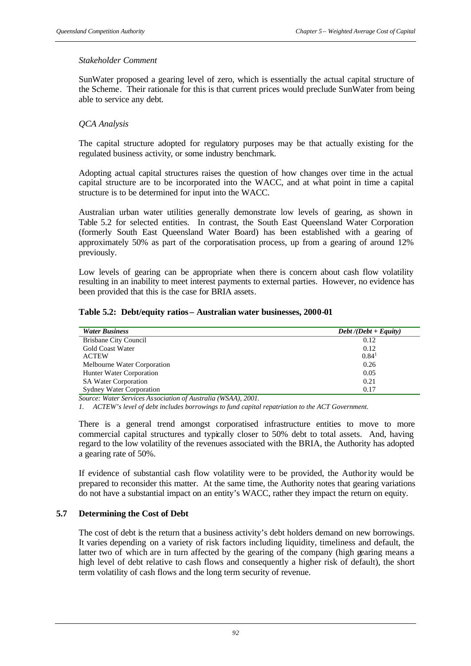### *Stakeholder Comment*

SunWater proposed a gearing level of zero, which is essentially the actual capital structure of the Scheme. Their rationale for this is that current prices would preclude SunWater from being able to service any debt.

# *QCA Analysis*

The capital structure adopted for regulatory purposes may be that actually existing for the regulated business activity, or some industry benchmark.

Adopting actual capital structures raises the question of how changes over time in the actual capital structure are to be incorporated into the WACC, and at what point in time a capital structure is to be determined for input into the WACC.

Australian urban water utilities generally demonstrate low levels of gearing, as shown in Table 5.2 for selected entities. In contrast, the South East Queensland Water Corporation (formerly South East Queensland Water Board) has been established with a gearing of approximately 50% as part of the corporatisation process, up from a gearing of around 12% previously.

Low levels of gearing can be appropriate when there is concern about cash flow volatility resulting in an inability to meet interest payments to external parties. However, no evidence has been provided that this is the case for BRIA assets.

### **Table 5.2: Debt/equity ratios – Australian water businesses, 2000-01**

| <b>Water Business</b>           | $Debt / (Debt + Equity)$ |
|---------------------------------|--------------------------|
| <b>Brisbane City Council</b>    | 0.12                     |
| <b>Gold Coast Water</b>         | 0.12                     |
| <b>ACTEW</b>                    | $0.84^1$                 |
| Melbourne Water Corporation     | 0.26                     |
| Hunter Water Corporation        | 0.05                     |
| <b>SA Water Corporation</b>     | 0.21                     |
| <b>Sydney Water Corporation</b> | 0.17                     |

*Source: Water Services Association of Australia (WSAA), 2001.*

*1. ACTEW's level of debt includes borrowings to fund capital repatriation to the ACT Government.*

There is a general trend amongst corporatised infrastructure entities to move to more commercial capital structures and typically closer to 50% debt to total assets. And, having regard to the low volatility of the revenues associated with the BRIA, the Authority has adopted a gearing rate of 50%.

If evidence of substantial cash flow volatility were to be provided, the Authority would be prepared to reconsider this matter. At the same time, the Authority notes that gearing variations do not have a substantial impact on an entity's WACC, rather they impact the return on equity.

### **5.7 Determining the Cost of Debt**

The cost of debt is the return that a business activity's debt holders demand on new borrowings. It varies depending on a variety of risk factors including liquidity, timeliness and default, the latter two of which are in turn affected by the gearing of the company (high gearing means a high level of debt relative to cash flows and consequently a higher risk of default), the short term volatility of cash flows and the long term security of revenue.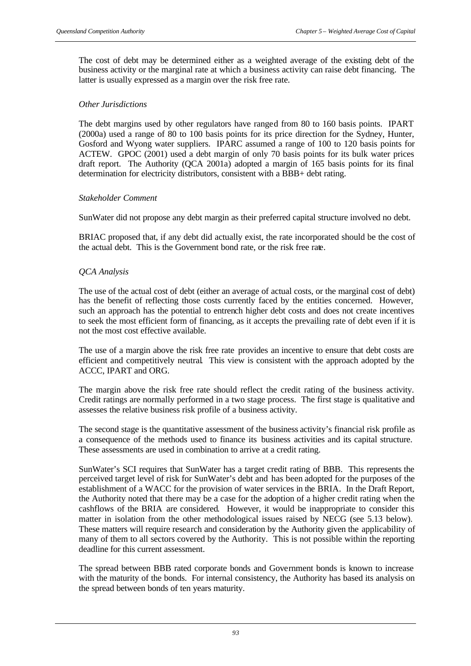The cost of debt may be determined either as a weighted average of the existing debt of the business activity or the marginal rate at which a business activity can raise debt financing. The latter is usually expressed as a margin over the risk free rate.

### *Other Jurisdictions*

The debt margins used by other regulators have ranged from 80 to 160 basis points. IPART (2000a) used a range of 80 to 100 basis points for its price direction for the Sydney, Hunter, Gosford and Wyong water suppliers. IPARC assumed a range of 100 to 120 basis points for ACTEW. GPOC (2001) used a debt margin of only 70 basis points for its bulk water prices draft report. The Authority (QCA 2001a) adopted a margin of 165 basis points for its final determination for electricity distributors, consistent with a BBB+ debt rating.

### *Stakeholder Comment*

SunWater did not propose any debt margin as their preferred capital structure involved no debt.

BRIAC proposed that, if any debt did actually exist, the rate incorporated should be the cost of the actual debt. This is the Government bond rate, or the risk free rate.

# *QCA Analysis*

The use of the actual cost of debt (either an average of actual costs, or the marginal cost of debt) has the benefit of reflecting those costs currently faced by the entities concerned. However, such an approach has the potential to entrench higher debt costs and does not create incentives to seek the most efficient form of financing, as it accepts the prevailing rate of debt even if it is not the most cost effective available.

The use of a margin above the risk free rate provides an incentive to ensure that debt costs are efficient and competitively neutral. This view is consistent with the approach adopted by the ACCC, IPART and ORG.

The margin above the risk free rate should reflect the credit rating of the business activity. Credit ratings are normally performed in a two stage process. The first stage is qualitative and assesses the relative business risk profile of a business activity.

The second stage is the quantitative assessment of the business activity's financial risk profile as a consequence of the methods used to finance its business activities and its capital structure. These assessments are used in combination to arrive at a credit rating.

SunWater's SCI requires that SunWater has a target credit rating of BBB. This represents the perceived target level of risk for SunWater's debt and has been adopted for the purposes of the establishment of a WACC for the provision of water services in the BRIA. In the Draft Report, the Authority noted that there may be a case for the adoption of a higher credit rating when the cashflows of the BRIA are considered. However, it would be inappropriate to consider this matter in isolation from the other methodological issues raised by NECG (see 5.13 below). These matters will require research and consideration by the Authority given the applicability of many of them to all sectors covered by the Authority. This is not possible within the reporting deadline for this current assessment.

The spread between BBB rated corporate bonds and Government bonds is known to increase with the maturity of the bonds. For internal consistency, the Authority has based its analysis on the spread between bonds of ten years maturity.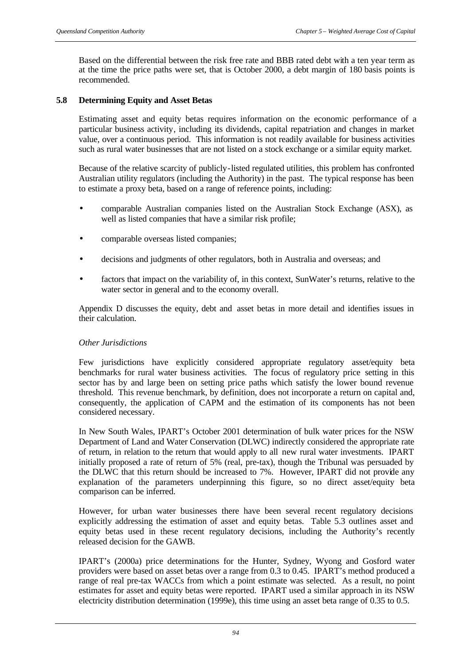Based on the differential between the risk free rate and BBB rated debt with a ten year term as at the time the price paths were set, that is October 2000, a debt margin of 180 basis points is recommended.

# **5.8 Determining Equity and Asset Betas**

Estimating asset and equity betas requires information on the economic performance of a particular business activity, including its dividends, capital repatriation and changes in market value, over a continuous period. This information is not readily available for business activities such as rural water businesses that are not listed on a stock exchange or a similar equity market.

Because of the relative scarcity of publicly-listed regulated utilities, this problem has confronted Australian utility regulators (including the Authority) in the past. The typical response has been to estimate a proxy beta, based on a range of reference points, including:

- comparable Australian companies listed on the Australian Stock Exchange (ASX), as well as listed companies that have a similar risk profile;
- comparable overseas listed companies;
- decisions and judgments of other regulators, both in Australia and overseas; and
- factors that impact on the variability of, in this context, SunWater's returns, relative to the water sector in general and to the economy overall.

Appendix D discusses the equity, debt and asset betas in more detail and identifies issues in their calculation.

### *Other Jurisdictions*

Few jurisdictions have explicitly considered appropriate regulatory asset/equity beta benchmarks for rural water business activities. The focus of regulatory price setting in this sector has by and large been on setting price paths which satisfy the lower bound revenue threshold. This revenue benchmark, by definition, does not incorporate a return on capital and, consequently, the application of CAPM and the estimation of its components has not been considered necessary.

In New South Wales, IPART's October 2001 determination of bulk water prices for the NSW Department of Land and Water Conservation (DLWC) indirectly considered the appropriate rate of return, in relation to the return that would apply to all new rural water investments. IPART initially proposed a rate of return of 5% (real, pre-tax), though the Tribunal was persuaded by the DLWC that this return should be increased to 7%. However, IPART did not provide any explanation of the parameters underpinning this figure, so no direct asset/equity beta comparison can be inferred.

However, for urban water businesses there have been several recent regulatory decisions explicitly addressing the estimation of asset and equity betas. Table 5.3 outlines asset and equity betas used in these recent regulatory decisions, including the Authority's recently released decision for the GAWB.

IPART's (2000a) price determinations for the Hunter, Sydney, Wyong and Gosford water providers were based on asset betas over a range from 0.3 to 0.45. IPART's method produced a range of real pre-tax WACCs from which a point estimate was selected. As a result, no point estimates for asset and equity betas were reported. IPART used a similar approach in its NSW electricity distribution determination (1999e), this time using an asset beta range of 0.35 to 0.5.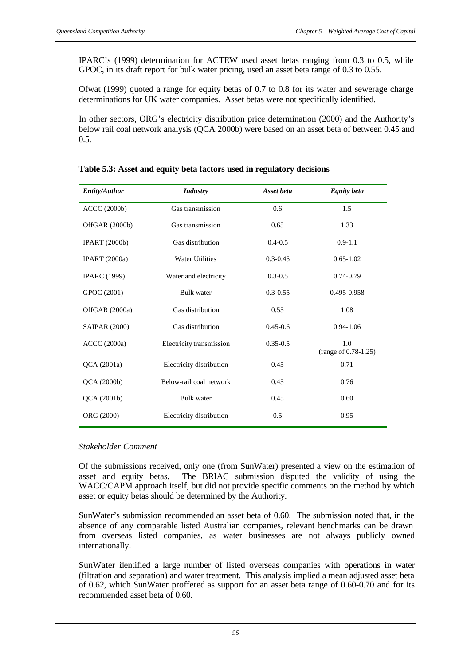IPARC's (1999) determination for ACTEW used asset betas ranging from 0.3 to 0.5, while GPOC, in its draft report for bulk water pricing, used an asset beta range of 0.3 to 0.55.

Ofwat (1999) quoted a range for equity betas of 0.7 to 0.8 for its water and sewerage charge determinations for UK water companies. Asset betas were not specifically identified.

In other sectors, ORG's electricity distribution price determination (2000) and the Authority's below rail coal network analysis (QCA 2000b) were based on an asset beta of between 0.45 and 0.5.

| <b>Entity/Author</b> | <b>Industry</b>          | Asset beta   | <b>Equity</b> beta          |
|----------------------|--------------------------|--------------|-----------------------------|
| <b>ACCC</b> (2000b)  | Gas transmission         | 0.6          | 1.5                         |
| OffGAR (2000b)       | Gas transmission         | 0.65         | 1.33                        |
| <b>IPART</b> (2000b) | Gas distribution         | $0.4 - 0.5$  | $0.9 - 1.1$                 |
| <b>IPART</b> (2000a) | <b>Water Utilities</b>   | $0.3 - 0.45$ | $0.65 - 1.02$               |
| <b>IPARC</b> (1999)  | Water and electricity    | $0.3 - 0.5$  | $0.74 - 0.79$               |
| GPOC (2001)          | <b>Bulk</b> water        | $0.3 - 0.55$ | 0.495-0.958                 |
| OffGAR (2000a)       | Gas distribution         | 0.55         | 1.08                        |
| <b>SAIPAR (2000)</b> | Gas distribution         | $0.45 - 0.6$ | $0.94 - 1.06$               |
| <b>ACCC</b> (2000a)  | Electricity transmission | $0.35 - 0.5$ | 1.0<br>(range of 0.78-1.25) |
| QCA (2001a)          | Electricity distribution | 0.45         | 0.71                        |
| QCA (2000b)          | Below-rail coal network  | 0.45         | 0.76                        |
| QCA (2001b)          | <b>Bulk</b> water        | 0.45         | 0.60                        |
| ORG (2000)           | Electricity distribution | 0.5          | 0.95                        |

**Table 5.3: Asset and equity beta factors used in regulatory decisions**

#### *Stakeholder Comment*

Of the submissions received, only one (from SunWater) presented a view on the estimation of asset and equity betas. The BRIAC submission disputed the validity of using the WACC/CAPM approach itself, but did not provide specific comments on the method by which asset or equity betas should be determined by the Authority.

SunWater's submission recommended an asset beta of 0.60. The submission noted that, in the absence of any comparable listed Australian companies, relevant benchmarks can be drawn from overseas listed companies, as water businesses are not always publicly owned internationally.

SunWater identified a large number of listed overseas companies with operations in water (filtration and separation) and water treatment. This analysis implied a mean adjusted asset beta of 0.62, which SunWater proffered as support for an asset beta range of 0.60-0.70 and for its recommended asset beta of 0.60.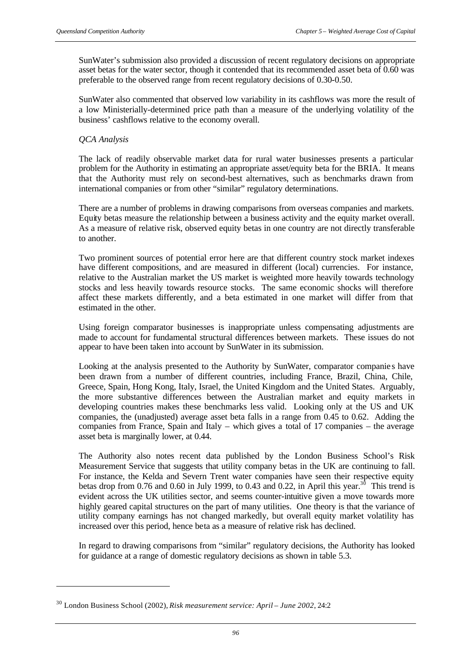SunWater's submission also provided a discussion of recent regulatory decisions on appropriate asset betas for the water sector, though it contended that its recommended asset beta of 0.60 was preferable to the observed range from recent regulatory decisions of 0.30-0.50.

SunWater also commented that observed low variability in its cashflows was more the result of a low Ministerially-determined price path than a measure of the underlying volatility of the business' cashflows relative to the economy overall.

### *QCA Analysis*

l

The lack of readily observable market data for rural water businesses presents a particular problem for the Authority in estimating an appropriate asset/equity beta for the BRIA. It means that the Authority must rely on second-best alternatives, such as benchmarks drawn from international companies or from other "similar" regulatory determinations.

There are a number of problems in drawing comparisons from overseas companies and markets. Equity betas measure the relationship between a business activity and the equity market overall. As a measure of relative risk, observed equity betas in one country are not directly transferable to another.

Two prominent sources of potential error here are that different country stock market indexes have different compositions, and are measured in different (local) currencies. For instance, relative to the Australian market the US market is weighted more heavily towards technology stocks and less heavily towards resource stocks. The same economic shocks will therefore affect these markets differently, and a beta estimated in one market will differ from that estimated in the other.

Using foreign comparator businesses is inappropriate unless compensating adjustments are made to account for fundamental structural differences between markets. These issues do not appear to have been taken into account by SunWater in its submission.

Looking at the analysis presented to the Authority by SunWater, comparator companie s have been drawn from a number of different countries, including France, Brazil, China, Chile, Greece, Spain, Hong Kong, Italy, Israel, the United Kingdom and the United States. Arguably, the more substantive differences between the Australian market and equity markets in developing countries makes these benchmarks less valid. Looking only at the US and UK companies, the (unadjusted) average asset beta falls in a range from 0.45 to 0.62. Adding the companies from France, Spain and Italy – which gives a total of 17 companies – the average asset beta is marginally lower, at 0.44.

The Authority also notes recent data published by the London Business School's Risk Measurement Service that suggests that utility company betas in the UK are continuing to fall. For instance, the Kelda and Severn Trent water companies have seen their respective equity betas drop from 0.76 and 0.60 in July 1999, to 0.43 and 0.22, in April this year.<sup>30</sup> This trend is evident across the UK utilities sector, and seems counter-intuitive given a move towards more highly geared capital structures on the part of many utilities. One theory is that the variance of utility company earnings has not changed markedly, but overall equity market volatility has increased over this period, hence beta as a measure of relative risk has declined.

In regard to drawing comparisons from "similar" regulatory decisions, the Authority has looked for guidance at a range of domestic regulatory decisions as shown in table 5.3.

<sup>30</sup> London Business School (2002), *Risk measurement service: April – June 2002*, 24:2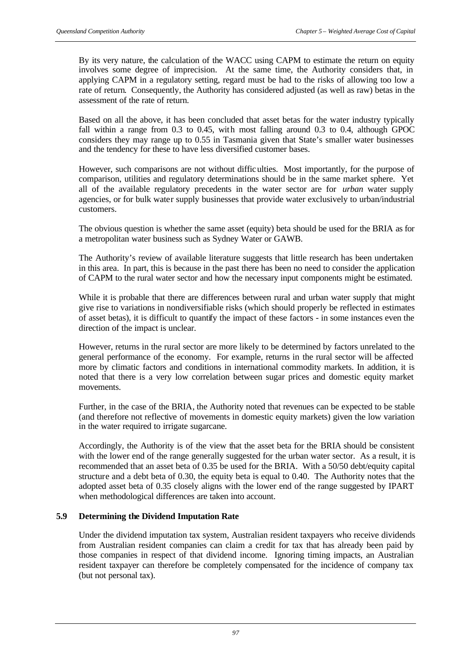By its very nature, the calculation of the WACC using CAPM to estimate the return on equity involves some degree of imprecision. At the same time, the Authority considers that, in applying CAPM in a regulatory setting, regard must be had to the risks of allowing too low a rate of return. Consequently, the Authority has considered adjusted (as well as raw) betas in the assessment of the rate of return.

Based on all the above, it has been concluded that asset betas for the water industry typically fall within a range from 0.3 to 0.45, with most falling around 0.3 to 0.4, although GPOC considers they may range up to 0.55 in Tasmania given that State's smaller water businesses and the tendency for these to have less diversified customer bases.

However, such comparisons are not without difficulties. Most importantly, for the purpose of comparison, utilities and regulatory determinations should be in the same market sphere. Yet all of the available regulatory precedents in the water sector are for *urban* water supply agencies, or for bulk water supply businesses that provide water exclusively to urban/industrial customers.

The obvious question is whether the same asset (equity) beta should be used for the BRIA as for a metropolitan water business such as Sydney Water or GAWB.

The Authority's review of available literature suggests that little research has been undertaken in this area. In part, this is because in the past there has been no need to consider the application of CAPM to the rural water sector and how the necessary input components might be estimated.

While it is probable that there are differences between rural and urban water supply that might give rise to variations in nondiversifiable risks (which should properly be reflected in estimates of asset betas), it is difficult to quantify the impact of these factors - in some instances even the direction of the impact is unclear.

However, returns in the rural sector are more likely to be determined by factors unrelated to the general performance of the economy. For example, returns in the rural sector will be affected more by climatic factors and conditions in international commodity markets. In addition, it is noted that there is a very low correlation between sugar prices and domestic equity market movements.

Further, in the case of the BRIA, the Authority noted that revenues can be expected to be stable (and therefore not reflective of movements in domestic equity markets) given the low variation in the water required to irrigate sugarcane.

Accordingly, the Authority is of the view that the asset beta for the BRIA should be consistent with the lower end of the range generally suggested for the urban water sector. As a result, it is recommended that an asset beta of 0.35 be used for the BRIA. With a 50/50 debt/equity capital structure and a debt beta of 0.30, the equity beta is equal to 0.40. The Authority notes that the adopted asset beta of 0.35 closely aligns with the lower end of the range suggested by IPART when methodological differences are taken into account.

# **5.9 Determining the Dividend Imputation Rate**

Under the dividend imputation tax system, Australian resident taxpayers who receive dividends from Australian resident companies can claim a credit for tax that has already been paid by those companies in respect of that dividend income. Ignoring timing impacts, an Australian resident taxpayer can therefore be completely compensated for the incidence of company tax (but not personal tax).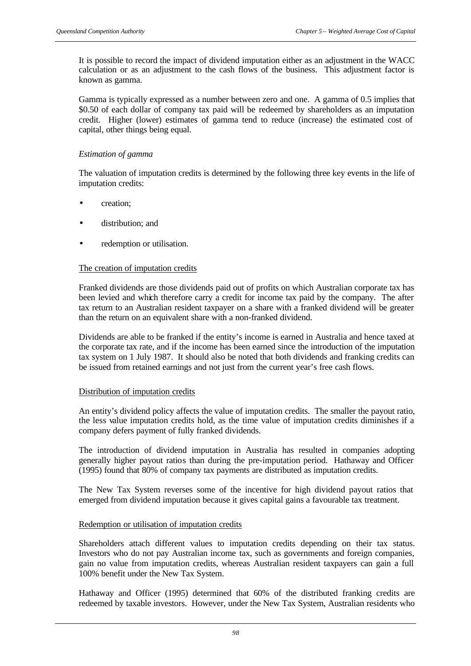It is possible to record the impact of dividend imputation either as an adjustment in the WACC calculation or as an adjustment to the cash flows of the business. This adjustment factor is known as gamma.

Gamma is typically expressed as a number between zero and one. A gamma of 0.5 implies that \$0.50 of each dollar of company tax paid will be redeemed by shareholders as an imputation credit. Higher (lower) estimates of gamma tend to reduce (increase) the estimated cost of capital, other things being equal.

### *Estimation of gamma*

The valuation of imputation credits is determined by the following three key events in the life of imputation credits:

- creation;
- distribution; and
- redemption or utilisation.

### The creation of imputation credits

Franked dividends are those dividends paid out of profits on which Australian corporate tax has been levied and which therefore carry a credit for income tax paid by the company. The after tax return to an Australian resident taxpayer on a share with a franked dividend will be greater than the return on an equivalent share with a non-franked dividend.

Dividends are able to be franked if the entity's income is earned in Australia and hence taxed at the corporate tax rate, and if the income has been earned since the introduction of the imputation tax system on 1 July 1987. It should also be noted that both dividends and franking credits can be issued from retained earnings and not just from the current year's free cash flows.

### Distribution of imputation credits

An entity's dividend policy affects the value of imputation credits. The smaller the payout ratio, the less value imputation credits hold, as the time value of imputation credits diminishes if a company defers payment of fully franked dividends.

The introduction of dividend imputation in Australia has resulted in companies adopting generally higher payout ratios than during the pre-imputation period. Hathaway and Officer (1995) found that 80% of company tax payments are distributed as imputation credits.

The New Tax System reverses some of the incentive for high dividend payout ratios that emerged from dividend imputation because it gives capital gains a favourable tax treatment.

### Redemption or utilisation of imputation credits

Shareholders attach different values to imputation credits depending on their tax status. Investors who do not pay Australian income tax, such as governments and foreign companies, gain no value from imputation credits, whereas Australian resident taxpayers can gain a full 100% benefit under the New Tax System.

Hathaway and Officer (1995) determined that 60% of the distributed franking credits are redeemed by taxable investors. However, under the New Tax System, Australian residents who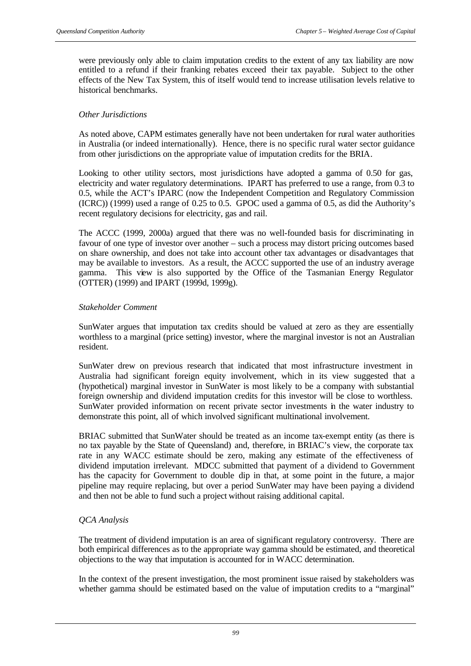were previously only able to claim imputation credits to the extent of any tax liability are now entitled to a refund if their franking rebates exceed their tax payable. Subject to the other effects of the New Tax System, this of itself would tend to increase utilisation levels relative to historical benchmarks.

#### *Other Jurisdictions*

As noted above, CAPM estimates generally have not been undertaken for rural water authorities in Australia (or indeed internationally). Hence, there is no specific rural water sector guidance from other jurisdictions on the appropriate value of imputation credits for the BRIA.

Looking to other utility sectors, most jurisdictions have adopted a gamma of 0.50 for gas, electricity and water regulatory determinations. IPART has preferred to use a range, from 0.3 to 0.5, while the ACT's IPARC (now the Independent Competition and Regulatory Commission (ICRC)) (1999) used a range of 0.25 to 0.5. GPOC used a gamma of 0.5, as did the Authority's recent regulatory decisions for electricity, gas and rail.

The ACCC (1999, 2000a) argued that there was no well-founded basis for discriminating in favour of one type of investor over another – such a process may distort pricing outcomes based on share ownership, and does not take into account other tax advantages or disadvantages that may be available to investors. As a result, the ACCC supported the use of an industry average gamma. This view is also supported by the Office of the Tasmanian Energy Regulator (OTTER) (1999) and IPART (1999d, 1999g).

#### *Stakeholder Comment*

SunWater argues that imputation tax credits should be valued at zero as they are essentially worthless to a marginal (price setting) investor, where the marginal investor is not an Australian resident.

SunWater drew on previous research that indicated that most infrastructure investment in Australia had significant foreign equity involvement, which in its view suggested that a (hypothetical) marginal investor in SunWater is most likely to be a company with substantial foreign ownership and dividend imputation credits for this investor will be close to worthless. SunWater provided information on recent private sector investments in the water industry to demonstrate this point, all of which involved significant multinational involvement.

BRIAC submitted that SunWater should be treated as an income tax-exempt entity (as there is no tax payable by the State of Queensland) and, therefore, in BRIAC's view, the corporate tax rate in any WACC estimate should be zero, making any estimate of the effectiveness of dividend imputation irrelevant. MDCC submitted that payment of a dividend to Government has the capacity for Government to double dip in that, at some point in the future, a major pipeline may require replacing, but over a period SunWater may have been paying a dividend and then not be able to fund such a project without raising additional capital.

## *QCA Analysis*

The treatment of dividend imputation is an area of significant regulatory controversy. There are both empirical differences as to the appropriate way gamma should be estimated, and theoretical objections to the way that imputation is accounted for in WACC determination.

In the context of the present investigation, the most prominent issue raised by stakeholders was whether gamma should be estimated based on the value of imputation credits to a "marginal"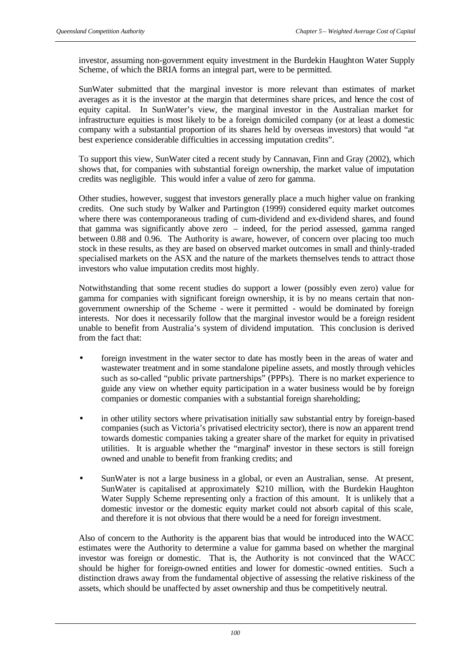investor, assuming non-government equity investment in the Burdekin Haughton Water Supply Scheme, of which the BRIA forms an integral part, were to be permitted.

SunWater submitted that the marginal investor is more relevant than estimates of market averages as it is the investor at the margin that determines share prices, and hence the cost of equity capital. In SunWater's view, the marginal investor in the Australian market for infrastructure equities is most likely to be a foreign domiciled company (or at least a domestic company with a substantial proportion of its shares held by overseas investors) that would "at best experience considerable difficulties in accessing imputation credits".

To support this view, SunWater cited a recent study by Cannavan, Finn and Gray (2002), which shows that, for companies with substantial foreign ownership, the market value of imputation credits was negligible. This would infer a value of zero for gamma.

Other studies, however, suggest that investors generally place a much higher value on franking credits. One such study by Walker and Partington (1999) considered equity market outcomes where there was contemporaneous trading of cum-dividend and ex-dividend shares, and found that gamma was significantly above zero – indeed, for the period assessed, gamma ranged between 0.88 and 0.96. The Authority is aware, however, of concern over placing too much stock in these results, as they are based on observed market outcomes in small and thinly-traded specialised markets on the ASX and the nature of the markets themselves tends to attract those investors who value imputation credits most highly.

Notwithstanding that some recent studies do support a lower (possibly even zero) value for gamma for companies with significant foreign ownership, it is by no means certain that nongovernment ownership of the Scheme - were it permitted - would be dominated by foreign interests. Nor does it necessarily follow that the marginal investor would be a foreign resident unable to benefit from Australia's system of dividend imputation. This conclusion is derived from the fact that:

- foreign investment in the water sector to date has mostly been in the areas of water and wastewater treatment and in some standalone pipeline assets, and mostly through vehicles such as so-called "public private partnerships" (PPPs). There is no market experience to guide any view on whether equity participation in a water business would be by foreign companies or domestic companies with a substantial foreign shareholding;
- in other utility sectors where privatisation initially saw substantial entry by foreign-based companies (such as Victoria's privatised electricity sector), there is now an apparent trend towards domestic companies taking a greater share of the market for equity in privatised utilities. It is arguable whether the "marginal" investor in these sectors is still foreign owned and unable to benefit from franking credits; and
- SunWater is not a large business in a global, or even an Australian, sense. At present, SunWater is capitalised at approximately \$210 million, with the Burdekin Haughton Water Supply Scheme representing only a fraction of this amount. It is unlikely that a domestic investor or the domestic equity market could not absorb capital of this scale, and therefore it is not obvious that there would be a need for foreign investment.

Also of concern to the Authority is the apparent bias that would be introduced into the WACC estimates were the Authority to determine a value for gamma based on whether the marginal investor was foreign or domestic. That is, the Authority is not convinced that the WACC should be higher for foreign-owned entities and lower for domestic -owned entities. Such a distinction draws away from the fundamental objective of assessing the relative riskiness of the assets, which should be unaffected by asset ownership and thus be competitively neutral.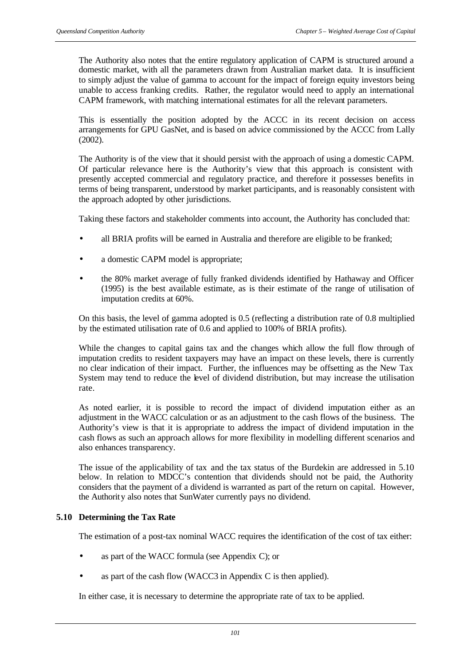The Authority also notes that the entire regulatory application of CAPM is structured around a domestic market, with all the parameters drawn from Australian market data. It is insufficient to simply adjust the value of gamma to account for the impact of foreign equity investors being unable to access franking credits. Rather, the regulator would need to apply an international CAPM framework, with matching international estimates for all the relevant parameters.

This is essentially the position adopted by the ACCC in its recent decision on access arrangements for GPU GasNet, and is based on advice commissioned by the ACCC from Lally (2002).

The Authority is of the view that it should persist with the approach of using a domestic CAPM. Of particular relevance here is the Authority's view that this approach is consistent with presently accepted commercial and regulatory practice, and therefore it possesses benefits in terms of being transparent, understood by market participants, and is reasonably consistent with the approach adopted by other jurisdictions.

Taking these factors and stakeholder comments into account, the Authority has concluded that:

- all BRIA profits will be earned in Australia and therefore are eligible to be franked;
- a domestic CAPM model is appropriate;
- the 80% market average of fully franked dividends identified by Hathaway and Officer (1995) is the best available estimate, as is their estimate of the range of utilisation of imputation credits at 60%.

On this basis, the level of gamma adopted is 0.5 (reflecting a distribution rate of 0.8 multiplied by the estimated utilisation rate of 0.6 and applied to 100% of BRIA profits).

While the changes to capital gains tax and the changes which allow the full flow through of imputation credits to resident taxpayers may have an impact on these levels, there is currently no clear indication of their impact. Further, the influences may be offsetting as the New Tax System may tend to reduce the level of dividend distribution, but may increase the utilisation rate.

As noted earlier, it is possible to record the impact of dividend imputation either as an adjustment in the WACC calculation or as an adjustment to the cash flows of the business. The Authority's view is that it is appropriate to address the impact of dividend imputation in the cash flows as such an approach allows for more flexibility in modelling different scenarios and also enhances transparency.

The issue of the applicability of tax and the tax status of the Burdekin are addressed in 5.10 below. In relation to MDCC's contention that dividends should not be paid, the Authority considers that the payment of a dividend is warranted as part of the return on capital. However, the Authority also notes that SunWater currently pays no dividend.

#### **5.10 Determining the Tax Rate**

The estimation of a post-tax nominal WACC requires the identification of the cost of tax either:

- as part of the WACC formula (see Appendix C); or
- as part of the cash flow (WACC3 in Appendix C is then applied).

In either case, it is necessary to determine the appropriate rate of tax to be applied.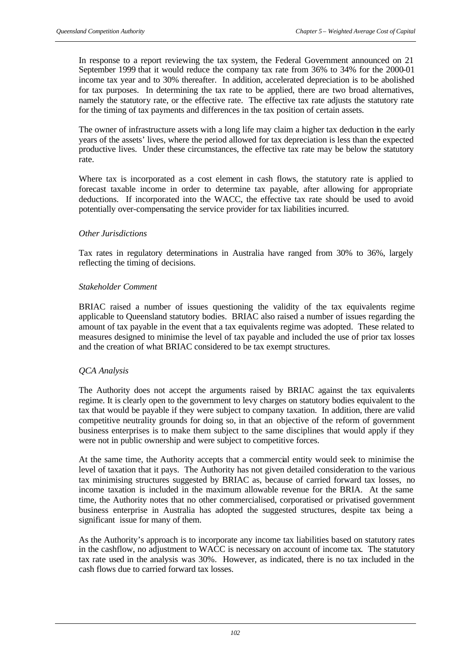In response to a report reviewing the tax system, the Federal Government announced on 21 September 1999 that it would reduce the company tax rate from 36% to 34% for the 2000-01 income tax year and to 30% thereafter. In addition, accelerated depreciation is to be abolished for tax purposes. In determining the tax rate to be applied, there are two broad alternatives, namely the statutory rate, or the effective rate. The effective tax rate adjusts the statutory rate for the timing of tax payments and differences in the tax position of certain assets.

The owner of infrastructure assets with a long life may claim a higher tax deduction in the early years of the assets' lives, where the period allowed for tax depreciation is less than the expected productive lives. Under these circumstances, the effective tax rate may be below the statutory rate.

Where tax is incorporated as a cost element in cash flows, the statutory rate is applied to forecast taxable income in order to determine tax payable, after allowing for appropriate deductions. If incorporated into the WACC, the effective tax rate should be used to avoid potentially over-compensating the service provider for tax liabilities incurred.

#### *Other Jurisdictions*

Tax rates in regulatory determinations in Australia have ranged from 30% to 36%, largely reflecting the timing of decisions.

#### *Stakeholder Comment*

BRIAC raised a number of issues questioning the validity of the tax equivalents regime applicable to Queensland statutory bodies. BRIAC also raised a number of issues regarding the amount of tax payable in the event that a tax equivalents regime was adopted. These related to measures designed to minimise the level of tax payable and included the use of prior tax losses and the creation of what BRIAC considered to be tax exempt structures.

## *QCA Analysis*

The Authority does not accept the arguments raised by BRIAC against the tax equivalents regime. It is clearly open to the government to levy charges on statutory bodies equivalent to the tax that would be payable if they were subject to company taxation. In addition, there are valid competitive neutrality grounds for doing so, in that an objective of the reform of government business enterprises is to make them subject to the same disciplines that would apply if they were not in public ownership and were subject to competitive forces.

At the same time, the Authority accepts that a commercial entity would seek to minimise the level of taxation that it pays. The Authority has not given detailed consideration to the various tax minimising structures suggested by BRIAC as, because of carried forward tax losses, no income taxation is included in the maximum allowable revenue for the BRIA. At the same time, the Authority notes that no other commercialised, corporatised or privatised government business enterprise in Australia has adopted the suggested structures, despite tax being a significant issue for many of them.

As the Authority's approach is to incorporate any income tax liabilities based on statutory rates in the cashflow, no adjustment to WACC is necessary on account of income tax. The statutory tax rate used in the analysis was 30%. However, as indicated, there is no tax included in the cash flows due to carried forward tax losses.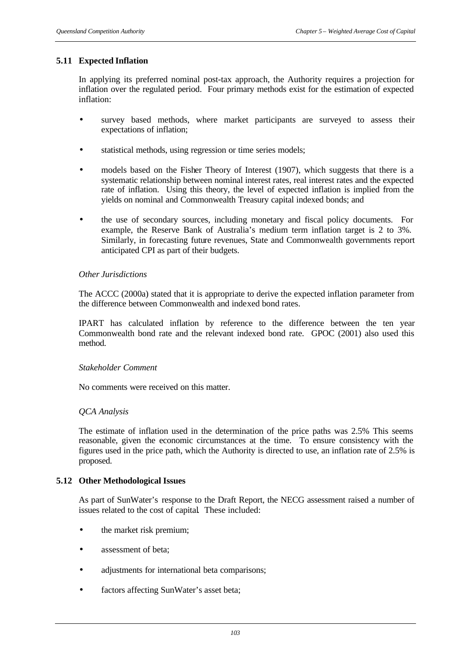## **5.11 Expected Inflation**

In applying its preferred nominal post-tax approach, the Authority requires a projection for inflation over the regulated period. Four primary methods exist for the estimation of expected inflation:

- survey based methods, where market participants are surveyed to assess their expectations of inflation;
- statistical methods, using regression or time series models;
- models based on the Fisher Theory of Interest (1907), which suggests that there is a systematic relationship between nominal interest rates, real interest rates and the expected rate of inflation. Using this theory, the level of expected inflation is implied from the yields on nominal and Commonwealth Treasury capital indexed bonds; and
- the use of secondary sources, including monetary and fiscal policy documents. For example, the Reserve Bank of Australia's medium term inflation target is 2 to 3%. Similarly, in forecasting future revenues, State and Commonwealth governments report anticipated CPI as part of their budgets.

#### *Other Jurisdictions*

The ACCC (2000a) stated that it is appropriate to derive the expected inflation parameter from the difference between Commonwealth and indexed bond rates.

IPART has calculated inflation by reference to the difference between the ten year Commonwealth bond rate and the relevant indexed bond rate. GPOC (2001) also used this method.

#### *Stakeholder Comment*

No comments were received on this matter.

#### *QCA Analysis*

The estimate of inflation used in the determination of the price paths was 2.5% This seems reasonable, given the economic circumstances at the time. To ensure consistency with the figures used in the price path, which the Authority is directed to use, an inflation rate of 2.5% is proposed.

#### **5.12 Other Methodological Issues**

As part of SunWater's response to the Draft Report, the NECG assessment raised a number of issues related to the cost of capital. These included:

- the market risk premium;
- assessment of beta;
- adjustments for international beta comparisons;
- factors affecting SunWater's asset beta;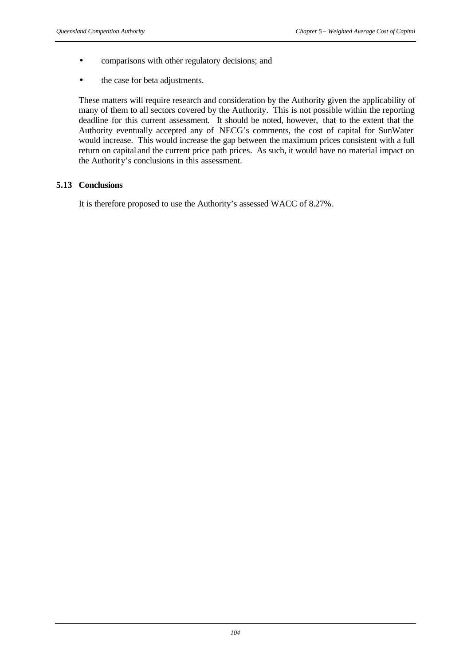- comparisons with other regulatory decisions; and
- the case for beta adjustments.

These matters will require research and consideration by the Authority given the applicability of many of them to all sectors covered by the Authority. This is not possible within the reporting deadline for this current assessment. It should be noted, however, that to the extent that the Authority eventually accepted any of NECG's comments, the cost of capital for SunWater would increase. This would increase the gap between the maximum prices consistent with a full return on capital and the current price path prices. As such, it would have no material impact on the Authority's conclusions in this assessment.

## **5.13 Conclusions**

It is therefore proposed to use the Authority's assessed WACC of 8.27%.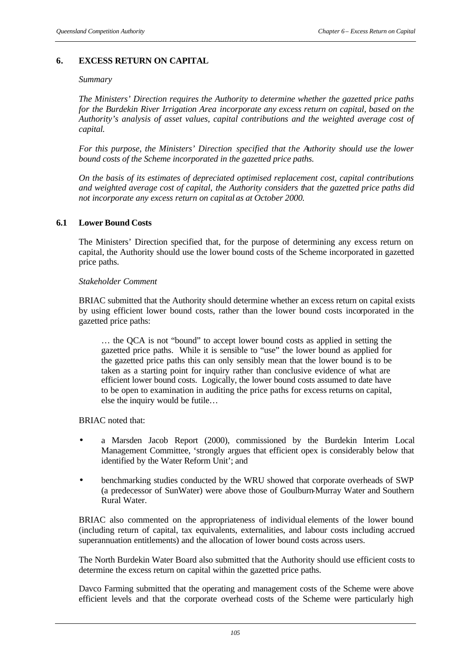## **6. EXCESS RETURN ON CAPITAL**

#### *Summary*

*The Ministers' Direction requires the Authority to determine whether the gazetted price paths for the Burdekin River Irrigation Area incorporate any excess return on capital, based on the Authority's analysis of asset values, capital contributions and the weighted average cost of capital.*

*For this purpose, the Ministers' Direction specified that the Authority should use the lower bound costs of the Scheme incorporated in the gazetted price paths.*

*On the basis of its estimates of depreciated optimised replacement cost, capital contributions and weighted average cost of capital, the Authority considers that the gazetted price paths did not incorporate any excess return on capital as at October 2000.* 

#### **6.1 Lower Bound Costs**

The Ministers' Direction specified that, for the purpose of determining any excess return on capital, the Authority should use the lower bound costs of the Scheme incorporated in gazetted price paths.

#### *Stakeholder Comment*

BRIAC submitted that the Authority should determine whether an excess return on capital exists by using efficient lower bound costs, rather than the lower bound costs incorporated in the gazetted price paths:

… the QCA is not "bound" to accept lower bound costs as applied in setting the gazetted price paths. While it is sensible to "use" the lower bound as applied for the gazetted price paths this can only sensibly mean that the lower bound is to be taken as a starting point for inquiry rather than conclusive evidence of what are efficient lower bound costs. Logically, the lower bound costs assumed to date have to be open to examination in auditing the price paths for excess returns on capital, else the inquiry would be futile…

BRIAC noted that:

- a Marsden Jacob Report (2000), commissioned by the Burdekin Interim Local Management Committee, 'strongly argues that efficient opex is considerably below that identified by the Water Reform Unit'; and
- benchmarking studies conducted by the WRU showed that corporate overheads of SWP (a predecessor of SunWater) were above those of Goulburn-Murray Water and Southern Rural Water.

BRIAC also commented on the appropriateness of individual elements of the lower bound (including return of capital, tax equivalents, externalities, and labour costs including accrued superannuation entitlements) and the allocation of lower bound costs across users.

The North Burdekin Water Board also submitted that the Authority should use efficient costs to determine the excess return on capital within the gazetted price paths.

Davco Farming submitted that the operating and management costs of the Scheme were above efficient levels and that the corporate overhead costs of the Scheme were particularly high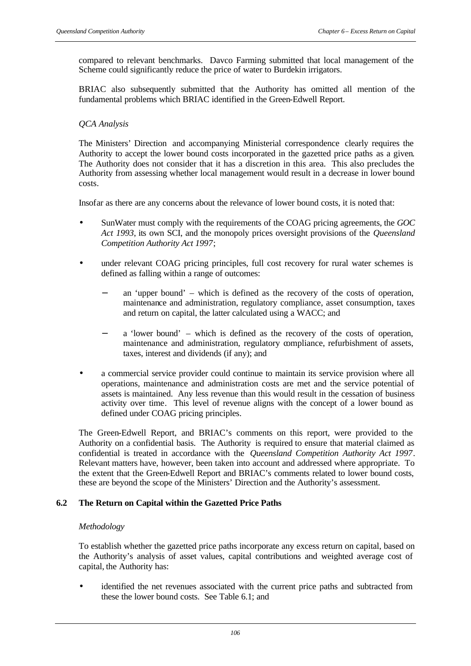compared to relevant benchmarks. Davco Farming submitted that local management of the Scheme could significantly reduce the price of water to Burdekin irrigators.

BRIAC also subsequently submitted that the Authority has omitted all mention of the fundamental problems which BRIAC identified in the Green-Edwell Report.

## *QCA Analysis*

The Ministers' Direction and accompanying Ministerial correspondence clearly requires the Authority to accept the lower bound costs incorporated in the gazetted price paths as a given. The Authority does not consider that it has a discretion in this area. This also precludes the Authority from assessing whether local management would result in a decrease in lower bound costs.

Insofar as there are any concerns about the relevance of lower bound costs, it is noted that:

- SunWater must comply with the requirements of the COAG pricing agreements, the *GOC Act 1993*, its own SCI, and the monopoly prices oversight provisions of the *Queensland Competition Authority Act 1997*;
- under relevant COAG pricing principles, full cost recovery for rural water schemes is defined as falling within a range of outcomes:
	- an 'upper bound' which is defined as the recovery of the costs of operation, maintenance and administration, regulatory compliance, asset consumption, taxes and return on capital, the latter calculated using a WACC; and
	- a 'lower bound' which is defined as the recovery of the costs of operation, maintenance and administration, regulatory compliance, refurbishment of assets, taxes, interest and dividends (if any); and
- a commercial service provider could continue to maintain its service provision where all operations, maintenance and administration costs are met and the service potential of assets is maintained. Any less revenue than this would result in the cessation of business activity over time. This level of revenue aligns with the concept of a lower bound as defined under COAG pricing principles.

The Green-Edwell Report, and BRIAC's comments on this report, were provided to the Authority on a confidential basis. The Authority is required to ensure that material claimed as confidential is treated in accordance with the *Queensland Competition Authority Act 1997*. Relevant matters have, however, been taken into account and addressed where appropriate. To the extent that the Green-Edwell Report and BRIAC's comments related to lower bound costs, these are beyond the scope of the Ministers' Direction and the Authority's assessment.

## **6.2 The Return on Capital within the Gazetted Price Paths**

## *Methodology*

To establish whether the gazetted price paths incorporate any excess return on capital, based on the Authority's analysis of asset values, capital contributions and weighted average cost of capital, the Authority has:

identified the net revenues associated with the current price paths and subtracted from these the lower bound costs. See Table 6.1; and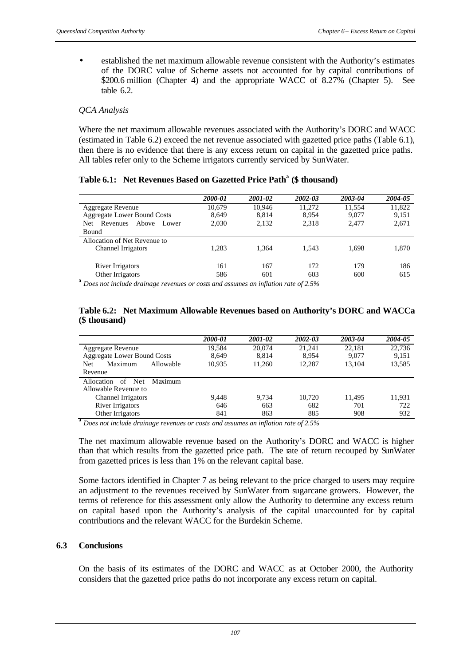• established the net maximum allowable revenue consistent with the Authority's estimates of the DORC value of Scheme assets not accounted for by capital contributions of \$200.6 million (Chapter 4) and the appropriate WACC of 8.27% (Chapter 5). See table 6.2.

#### *QCA Analysis*

Where the net maximum allowable revenues associated with the Authority's DORC and WACC (estimated in Table 6.2) exceed the net revenue associated with gazetted price paths (Table 6.1), then there is no evidence that there is any excess return on capital in the gazetted price paths. All tables refer only to the Scheme irrigators currently serviced by SunWater.

|  | Table 6.1: Net Revenues Based on Gazetted Price Path <sup>a</sup> (\$ thousand) |  |
|--|---------------------------------------------------------------------------------|--|
|--|---------------------------------------------------------------------------------|--|

|                                    | 2000-01 | 2001-02                  | 2002-03                                           | 2003-04 | 2004-05 |
|------------------------------------|---------|--------------------------|---------------------------------------------------|---------|---------|
| <b>Aggregate Revenue</b>           | 10.679  | 10.946                   | 11.272                                            | 11.554  | 11,822  |
| <b>Aggregate Lower Bound Costs</b> | 8.649   | 8.814                    | 8.954                                             | 9.077   | 9,151   |
| Above<br>Revenues<br>Net.<br>Lower | 2.030   | 2,132                    | 2,318                                             | 2.477   | 2,671   |
| Bound                              |         |                          |                                                   |         |         |
| Allocation of Net Revenue to       |         |                          |                                                   |         |         |
| Channel Irrigators                 | 1.283   | 1.364                    | 1.543                                             | 1,698   | 1,870   |
| River Irrigators                   | 161     | 167                      | 172                                               | 179     | 186     |
| Other Irrigators                   | 586     | 601                      | 603                                               | 600     | 615     |
| $a_{\mathbf{r}}$<br>.              |         | $\cdot$ $\alpha$ $\cdot$ | $c \wedge c$<br><b>Contract Contract Contract</b> |         |         |

*Does not include drainage revenues or costs and assumes an inflation rate of 2.5%*

#### **Table 6.2: Net Maximum Allowable Revenues based on Authority's DORC and WACCa (\$ thousand)**

|                                    | 2000-01 | 2001-02 | 2002-03 | 2003-04 | 2004-05 |
|------------------------------------|---------|---------|---------|---------|---------|
| Aggregate Revenue                  | 19.584  | 20,074  | 21.241  | 22.181  | 22,736  |
| <b>Aggregate Lower Bound Costs</b> | 8,649   | 8.814   | 8.954   | 9,077   | 9,151   |
| Maximum<br><b>Net</b><br>Allowable | 10,935  | 11.260  | 12.287  | 13.104  | 13,585  |
| Revenue                            |         |         |         |         |         |
| Allocation<br>Net<br>Maximum<br>of |         |         |         |         |         |
| Allowable Revenue to               |         |         |         |         |         |
| Channel Irrigators                 | 9,448   | 9.734   | 10.720  | 11.495  | 11,931  |
| River Irrigators                   | 646     | 663     | 682     | 701     | 722     |
| Other Irrigators                   | 841     | 863     | 885     | 908     | 932     |
|                                    |         |         |         |         |         |

a *Does not include drainage revenues or costs and assumes an inflation rate of 2.5%*

The net maximum allowable revenue based on the Authority's DORC and WACC is higher than that which results from the gazetted price path. The rate of return recouped by SunWater from gazetted prices is less than 1% on the relevant capital base.

Some factors identified in Chapter 7 as being relevant to the price charged to users may require an adjustment to the revenues received by SunWater from sugarcane growers. However, the terms of reference for this assessment only allow the Authority to determine any excess return on capital based upon the Authority's analysis of the capital unaccounted for by capital contributions and the relevant WACC for the Burdekin Scheme.

## **6.3 Conclusions**

On the basis of its estimates of the DORC and WACC as at October 2000, the Authority considers that the gazetted price paths do not incorporate any excess return on capital.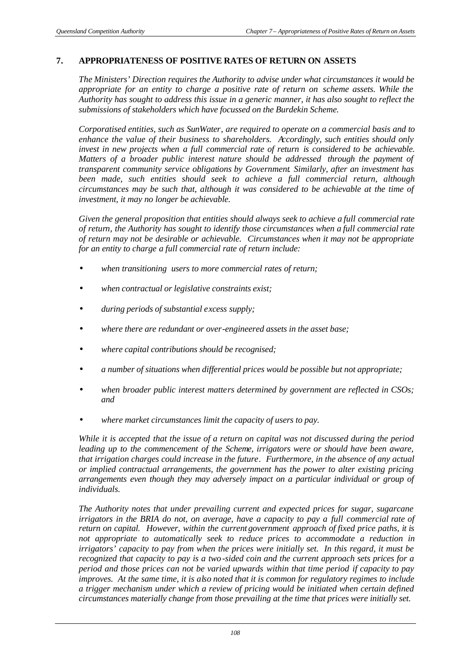## **7. APPROPRIATENESS OF POSITIVE RATES OF RETURN ON ASSETS**

*The Ministers' Direction requires the Authority to advise under what circumstances it would be appropriate for an entity to charge a positive rate of return on scheme assets. While the Authority has sought to address this issue in a generic manner, it has also sought to reflect the submissions of stakeholders which have focussed on the Burdekin Scheme.*

*Corporatised entities, such as SunWater, are required to operate on a commercial basis and to enhance the value of their business to shareholders. Accordingly, such entities should only invest in new projects when a full commercial rate of return is considered to be achievable. Matters of a broader public interest nature should be addressed through the payment of transparent community service obligations by Government. Similarly, after an investment has been made, such entities should seek to achieve a full commercial return, although circumstances may be such that, although it was considered to be achievable at the time of investment, it may no longer be achievable.*

*Given the general proposition that entities should always seek to achieve a full commercial rate of return, the Authority has sought to identify those circumstances when a full commercial rate of return may not be desirable or achievable. Circumstances when it may not be appropriate for an entity to charge a full commercial rate of return include:*

- *when transitioning users to more commercial rates of return;*
- *when contractual or legislative constraints exist;*
- *during periods of substantial excess supply;*
- *where there are redundant or over-engineered assets in the asset base;*
- *where capital contributions should be recognised;*
- *a number of situations when differential prices would be possible but not appropriate;*
- *when broader public interest matters determined by government are reflected in CSOs; and*
- *where market circumstances limit the capacity of users to pay.*

*While it is accepted that the issue of a return on capital was not discussed during the period leading up to the commencement of the Scheme, irrigators were or should have been aware, that irrigation charges could increase in the future. Furthermore, in the absence of any actual or implied contractual arrangements, the government has the power to alter existing pricing arrangements even though they may adversely impact on a particular individual or group of individuals.*

*The Authority notes that under prevailing current and expected prices for sugar, sugarcane irrigators in the BRIA do not, on average, have a capacity to pay a full commercial rate of return on capital. However, within the current government approach of fixed price paths, it is not appropriate to automatically seek to reduce prices to accommodate a reduction in irrigators' capacity to pay from when the prices were initially set. In this regard, it must be recognized that capacity to pay is a two-sided coin and the current approach sets prices for a period and those prices can not be varied upwards within that time period if capacity to pay improves. At the same time, it is also noted that it is common for regulatory regimes to include a trigger mechanism under which a review of pricing would be initiated when certain defined circumstances materially change from those prevailing at the time that prices were initially set.*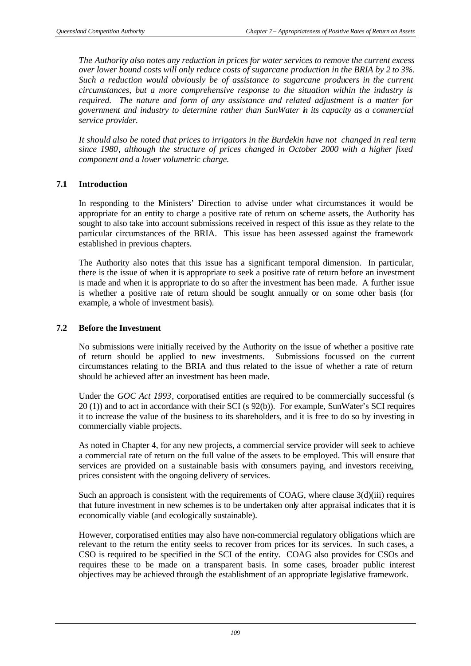*The Authority also notes any reduction in prices for water services to remove the current excess over lower bound costs will only reduce costs of sugarcane production in the BRIA by 2 to 3%. Such a reduction would obviously be of assistance to sugarcane producers in the current circumstances, but a more comprehensive response to the situation within the industry is required. The nature and form of any assistance and related adjustment is a matter for government and industry to determine rather than SunWater in its capacity as a commercial service provider.* 

*It should also be noted that prices to irrigators in the Burdekin have not changed in real term since 1980, although the structure of prices changed in October 2000 with a higher fixed component and a lower volumetric charge.* 

## **7.1 Introduction**

In responding to the Ministers' Direction to advise under what circumstances it would be appropriate for an entity to charge a positive rate of return on scheme assets, the Authority has sought to also take into account submissions received in respect of this issue as they relate to the particular circumstances of the BRIA. This issue has been assessed against the framework established in previous chapters.

The Authority also notes that this issue has a significant temporal dimension. In particular, there is the issue of when it is appropriate to seek a positive rate of return before an investment is made and when it is appropriate to do so after the investment has been made. A further issue is whether a positive rate of return should be sought annually or on some other basis (for example, a whole of investment basis).

#### **7.2 Before the Investment**

No submissions were initially received by the Authority on the issue of whether a positive rate of return should be applied to new investments. Submissions focussed on the current circumstances relating to the BRIA and thus related to the issue of whether a rate of return should be achieved after an investment has been made.

Under the *GOC Act 1993*, corporatised entities are required to be commercially successful (s 20 (1)) and to act in accordance with their SCI (s 92(b)). For example, SunWater's SCI requires it to increase the value of the business to its shareholders, and it is free to do so by investing in commercially viable projects.

As noted in Chapter 4, for any new projects, a commercial service provider will seek to achieve a commercial rate of return on the full value of the assets to be employed. This will ensure that services are provided on a sustainable basis with consumers paying, and investors receiving, prices consistent with the ongoing delivery of services.

Such an approach is consistent with the requirements of COAG, where clause  $3(d)(iii)$  requires that future investment in new schemes is to be undertaken only after appraisal indicates that it is economically viable (and ecologically sustainable).

However, corporatised entities may also have non-commercial regulatory obligations which are relevant to the return the entity seeks to recover from prices for its services. In such cases, a CSO is required to be specified in the SCI of the entity. COAG also provides for CSOs and requires these to be made on a transparent basis. In some cases, broader public interest objectives may be achieved through the establishment of an appropriate legislative framework.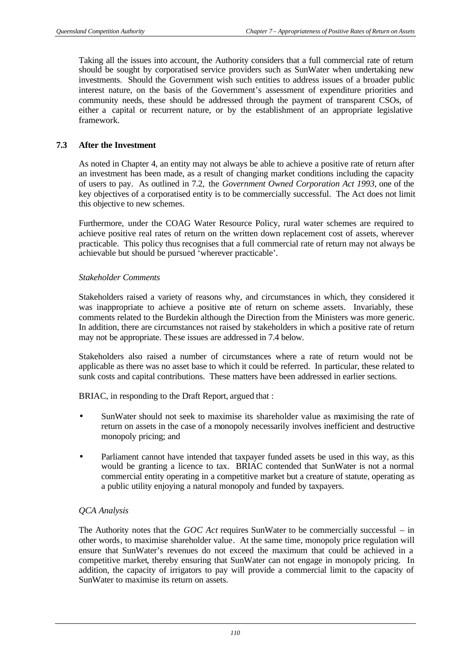Taking all the issues into account, the Authority considers that a full commercial rate of return should be sought by corporatised service providers such as SunWater when undertaking new investments. Should the Government wish such entities to address issues of a broader public interest nature, on the basis of the Government's assessment of expenditure priorities and community needs, these should be addressed through the payment of transparent CSOs, of either a capital or recurrent nature, or by the establishment of an appropriate legislative framework.

## **7.3 After the Investment**

As noted in Chapter 4, an entity may not always be able to achieve a positive rate of return after an investment has been made, as a result of changing market conditions including the capacity of users to pay. As outlined in 7.2, the *Government Owned Corporation Act 1993*, one of the key objectives of a corporatised entity is to be commercially successful. The Act does not limit this objective to new schemes.

Furthermore, under the COAG Water Resource Policy, rural water schemes are required to achieve positive real rates of return on the written down replacement cost of assets, wherever practicable. This policy thus recognises that a full commercial rate of return may not always be achievable but should be pursued 'wherever practicable'.

## *Stakeholder Comments*

Stakeholders raised a variety of reasons why, and circumstances in which, they considered it was inappropriate to achieve a positive rate of return on scheme assets. Invariably, these comments related to the Burdekin although the Direction from the Ministers was more generic. In addition, there are circumstances not raised by stakeholders in which a positive rate of return may not be appropriate. These issues are addressed in 7.4 below.

Stakeholders also raised a number of circumstances where a rate of return would not be applicable as there was no asset base to which it could be referred. In particular, these related to sunk costs and capital contributions. These matters have been addressed in earlier sections.

BRIAC, in responding to the Draft Report, argued that :

- SunWater should not seek to maximise its shareholder value as maximising the rate of return on assets in the case of a monopoly necessarily involves inefficient and destructive monopoly pricing; and
- Parliament cannot have intended that taxpayer funded assets be used in this way, as this would be granting a licence to tax. BRIAC contended that SunWater is not a normal commercial entity operating in a competitive market but a creature of statute, operating as a public utility enjoying a natural monopoly and funded by taxpayers.

## *QCA Analysis*

The Authority notes that the *GOC Act* requires SunWater to be commercially successful – in other words, to maximise shareholder value. At the same time, monopoly price regulation will ensure that SunWater's revenues do not exceed the maximum that could be achieved in a competitive market, thereby ensuring that SunWater can not engage in monopoly pricing. In addition, the capacity of irrigators to pay will provide a commercial limit to the capacity of SunWater to maximise its return on assets.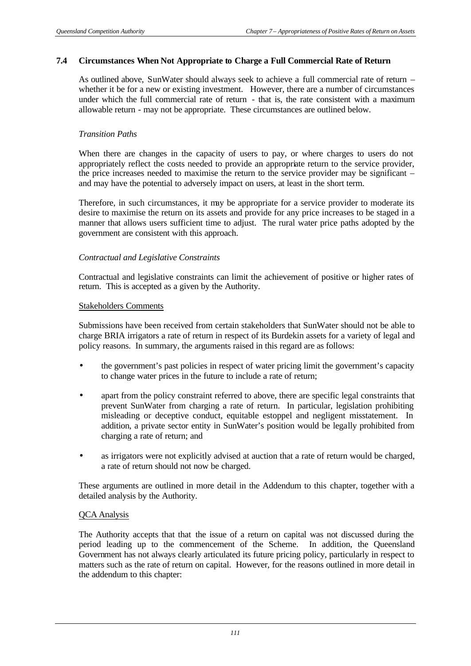#### **7.4 Circumstances When Not Appropriate to Charge a Full Commercial Rate of Return**

As outlined above, SunWater should always seek to achieve a full commercial rate of return – whether it be for a new or existing investment. However, there are a number of circumstances under which the full commercial rate of return - that is, the rate consistent with a maximum allowable return - may not be appropriate. These circumstances are outlined below.

#### *Transition Paths*

When there are changes in the capacity of users to pay, or where charges to users do not appropriately reflect the costs needed to provide an appropriate return to the service provider, the price increases needed to maximise the return to the service provider may be significant – and may have the potential to adversely impact on users, at least in the short term.

Therefore, in such circumstances, it may be appropriate for a service provider to moderate its desire to maximise the return on its assets and provide for any price increases to be staged in a manner that allows users sufficient time to adjust. The rural water price paths adopted by the government are consistent with this approach.

## *Contractual and Legislative Constraints*

Contractual and legislative constraints can limit the achievement of positive or higher rates of return. This is accepted as a given by the Authority.

#### Stakeholders Comments

Submissions have been received from certain stakeholders that SunWater should not be able to charge BRIA irrigators a rate of return in respect of its Burdekin assets for a variety of legal and policy reasons. In summary, the arguments raised in this regard are as follows:

- the government's past policies in respect of water pricing limit the government's capacity to change water prices in the future to include a rate of return;
- apart from the policy constraint referred to above, there are specific legal constraints that prevent SunWater from charging a rate of return. In particular, legislation prohibiting misleading or deceptive conduct, equitable estoppel and negligent misstatement. In addition, a private sector entity in SunWater's position would be legally prohibited from charging a rate of return; and
- as irrigators were not explicitly advised at auction that a rate of return would be charged, a rate of return should not now be charged.

These arguments are outlined in more detail in the Addendum to this chapter, together with a detailed analysis by the Authority.

#### QCA Analysis

The Authority accepts that that the issue of a return on capital was not discussed during the period leading up to the commencement of the Scheme. In addition, the Queensland Government has not always clearly articulated its future pricing policy, particularly in respect to matters such as the rate of return on capital. However, for the reasons outlined in more detail in the addendum to this chapter: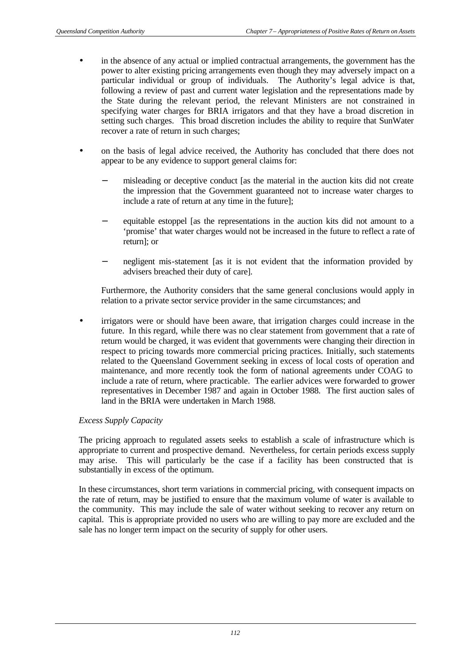- in the absence of any actual or implied contractual arrangements, the government has the power to alter existing pricing arrangements even though they may adversely impact on a particular individual or group of individuals. The Authority's legal advice is that, following a review of past and current water legislation and the representations made by the State during the relevant period, the relevant Ministers are not constrained in specifying water charges for BRIA irrigators and that they have a broad discretion in setting such charges. This broad discretion includes the ability to require that SunWater recover a rate of return in such charges;
- on the basis of legal advice received, the Authority has concluded that there does not appear to be any evidence to support general claims for:
	- misleading or deceptive conduct [as the material in the auction kits did not create the impression that the Government guaranteed not to increase water charges to include a rate of return at any time in the future];
	- equitable estoppel [as the representations in the auction kits did not amount to a 'promise' that water charges would not be increased in the future to reflect a rate of return]; or
	- negligent mis-statement [as it is not evident that the information provided by advisers breached their duty of care].

Furthermore, the Authority considers that the same general conclusions would apply in relation to a private sector service provider in the same circumstances; and

• irrigators were or should have been aware, that irrigation charges could increase in the future. In this regard, while there was no clear statement from government that a rate of return would be charged, it was evident that governments were changing their direction in respect to pricing towards more commercial pricing practices. Initially, such statements related to the Queensland Government seeking in excess of local costs of operation and maintenance, and more recently took the form of national agreements under COAG to include a rate of return, where practicable. The earlier advices were forwarded to grower representatives in December 1987 and again in October 1988. The first auction sales of land in the BRIA were undertaken in March 1988.

## *Excess Supply Capacity*

The pricing approach to regulated assets seeks to establish a scale of infrastructure which is appropriate to current and prospective demand. Nevertheless, for certain periods excess supply may arise. This will particularly be the case if a facility has been constructed that is substantially in excess of the optimum.

In these circumstances, short term variations in commercial pricing, with consequent impacts on the rate of return, may be justified to ensure that the maximum volume of water is available to the community. This may include the sale of water without seeking to recover any return on capital. This is appropriate provided no users who are willing to pay more are excluded and the sale has no longer term impact on the security of supply for other users.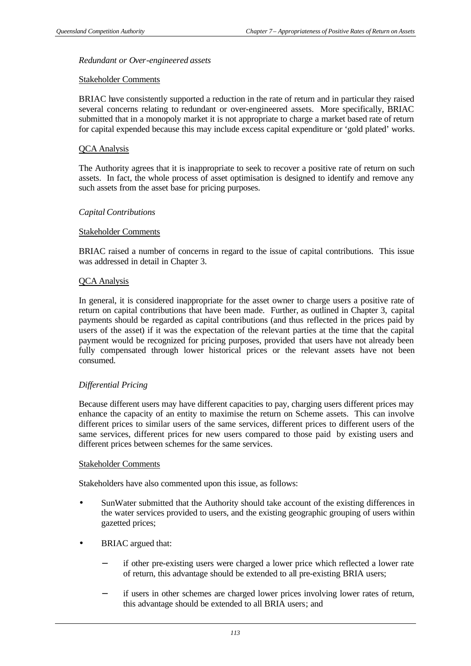## *Redundant or Over-engineered assets*

#### Stakeholder Comments

BRIAC have consistently supported a reduction in the rate of return and in particular they raised several concerns relating to redundant or over-engineered assets. More specifically, BRIAC submitted that in a monopoly market it is not appropriate to charge a market based rate of return for capital expended because this may include excess capital expenditure or 'gold plated' works.

#### QCA Analysis

The Authority agrees that it is inappropriate to seek to recover a positive rate of return on such assets. In fact, the whole process of asset optimisation is designed to identify and remove any such assets from the asset base for pricing purposes.

## *Capital Contributions*

#### Stakeholder Comments

BRIAC raised a number of concerns in regard to the issue of capital contributions. This issue was addressed in detail in Chapter 3.

#### QCA Analysis

In general, it is considered inappropriate for the asset owner to charge users a positive rate of return on capital contributions that have been made. Further, as outlined in Chapter 3, capital payments should be regarded as capital contributions (and thus reflected in the prices paid by users of the asset) if it was the expectation of the relevant parties at the time that the capital payment would be recognized for pricing purposes, provided that users have not already been fully compensated through lower historical prices or the relevant assets have not been consumed.

## *Differential Pricing*

Because different users may have different capacities to pay, charging users different prices may enhance the capacity of an entity to maximise the return on Scheme assets. This can involve different prices to similar users of the same services, different prices to different users of the same services, different prices for new users compared to those paid by existing users and different prices between schemes for the same services.

#### Stakeholder Comments

Stakeholders have also commented upon this issue, as follows:

- SunWater submitted that the Authority should take account of the existing differences in the water services provided to users, and the existing geographic grouping of users within gazetted prices;
- BRIAC argued that:
	- if other pre-existing users were charged a lower price which reflected a lower rate of return, this advantage should be extended to all pre-existing BRIA users;
	- if users in other schemes are charged lower prices involving lower rates of return, this advantage should be extended to all BRIA users; and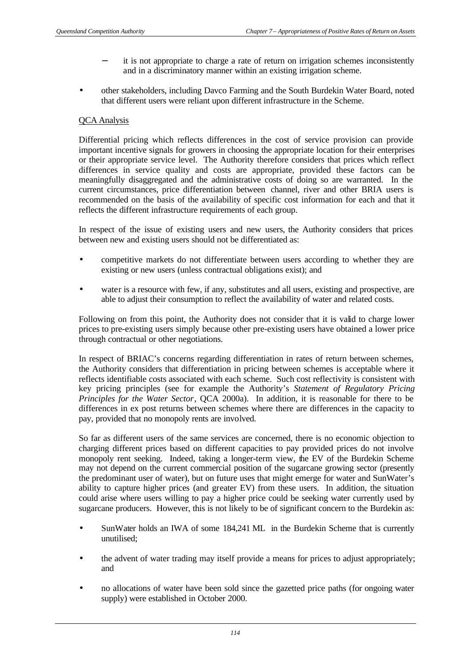- it is not appropriate to charge a rate of return on irrigation schemes inconsistently and in a discriminatory manner within an existing irrigation scheme.
- other stakeholders, including Davco Farming and the South Burdekin Water Board, noted that different users were reliant upon different infrastructure in the Scheme.

## QCA Analysis

Differential pricing which reflects differences in the cost of service provision can provide important incentive signals for growers in choosing the appropriate location for their enterprises or their appropriate service level. The Authority therefore considers that prices which reflect differences in service quality and costs are appropriate, provided these factors can be meaningfully disaggregated and the administrative costs of doing so are warranted. In the current circumstances, price differentiation between channel, river and other BRIA users is recommended on the basis of the availability of specific cost information for each and that it reflects the different infrastructure requirements of each group.

In respect of the issue of existing users and new users, the Authority considers that prices between new and existing users should not be differentiated as:

- competitive markets do not differentiate between users according to whether they are existing or new users (unless contractual obligations exist); and
- water is a resource with few, if any, substitutes and all users, existing and prospective, are able to adjust their consumption to reflect the availability of water and related costs.

Following on from this point, the Authority does not consider that it is valid to charge lower prices to pre-existing users simply because other pre-existing users have obtained a lower price through contractual or other negotiations.

In respect of BRIAC's concerns regarding differentiation in rates of return between schemes, the Authority considers that differentiation in pricing between schemes is acceptable where it reflects identifiable costs associated with each scheme. Such cost reflectivity is consistent with key pricing principles (see for example the Authority's *Statement of Regulatory Pricing Principles for the Water Sector*, QCA 2000a). In addition, it is reasonable for there to be differences in ex post returns between schemes where there are differences in the capacity to pay, provided that no monopoly rents are involved.

So far as different users of the same services are concerned, there is no economic objection to charging different prices based on different capacities to pay provided prices do not involve monopoly rent seeking. Indeed, taking a longer-term view, the EV of the Burdekin Scheme may not depend on the current commercial position of the sugarcane growing sector (presently the predominant user of water), but on future uses that might emerge for water and SunWater's ability to capture higher prices (and greater EV) from these users. In addition, the situation could arise where users willing to pay a higher price could be seeking water currently used by sugarcane producers. However, this is not likely to be of significant concern to the Burdekin as:

- SunWater holds an IWA of some 184,241 ML in the Burdekin Scheme that is currently unutilised;
- the advent of water trading may itself provide a means for prices to adjust appropriately; and
- no allocations of water have been sold since the gazetted price paths (for ongoing water supply) were established in October 2000.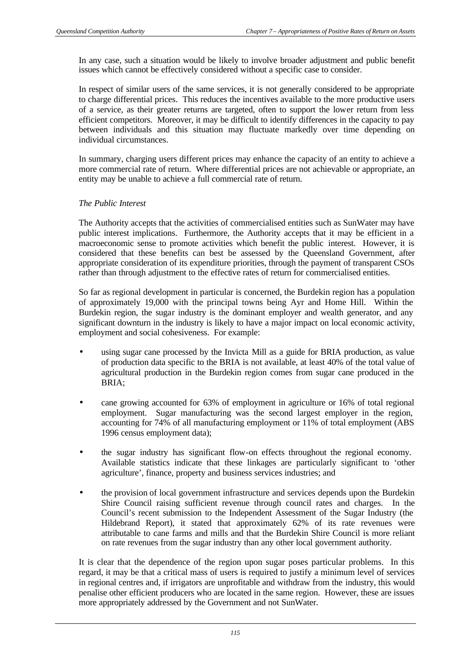In any case, such a situation would be likely to involve broader adjustment and public benefit issues which cannot be effectively considered without a specific case to consider.

In respect of similar users of the same services, it is not generally considered to be appropriate to charge differential prices. This reduces the incentives available to the more productive users of a service, as their greater returns are targeted, often to support the lower return from less efficient competitors. Moreover, it may be difficult to identify differences in the capacity to pay between individuals and this situation may fluctuate markedly over time depending on individual circumstances.

In summary, charging users different prices may enhance the capacity of an entity to achieve a more commercial rate of return. Where differential prices are not achievable or appropriate, an entity may be unable to achieve a full commercial rate of return.

## *The Public Interest*

The Authority accepts that the activities of commercialised entities such as SunWater may have public interest implications. Furthermore, the Authority accepts that it may be efficient in a macroeconomic sense to promote activities which benefit the public interest. However, it is considered that these benefits can best be assessed by the Queensland Government, after appropriate consideration of its expenditure priorities, through the payment of transparent CSOs rather than through adjustment to the effective rates of return for commercialised entities.

So far as regional development in particular is concerned, the Burdekin region has a population of approximately 19,000 with the principal towns being Ayr and Home Hill. Within the Burdekin region, the sugar industry is the dominant employer and wealth generator, and any significant downturn in the industry is likely to have a major impact on local economic activity, employment and social cohesiveness. For example:

- using sugar cane processed by the Invicta Mill as a guide for BRIA production, as value of production data specific to the BRIA is not available, at least 40% of the total value of agricultural production in the Burdekin region comes from sugar cane produced in the BRIA;
- cane growing accounted for 63% of employment in agriculture or 16% of total regional employment. Sugar manufacturing was the second largest employer in the region, accounting for 74% of all manufacturing employment or 11% of total employment (ABS 1996 census employment data);
- the sugar industry has significant flow-on effects throughout the regional economy. Available statistics indicate that these linkages are particularly significant to 'other agriculture', finance, property and business services industries; and
- the provision of local government infrastructure and services depends upon the Burdekin Shire Council raising sufficient revenue through council rates and charges. In the Council's recent submission to the Independent Assessment of the Sugar Industry (the Hildebrand Report), it stated that approximately 62% of its rate revenues were attributable to cane farms and mills and that the Burdekin Shire Council is more reliant on rate revenues from the sugar industry than any other local government authority.

It is clear that the dependence of the region upon sugar poses particular problems. In this regard, it may be that a critical mass of users is required to justify a minimum level of services in regional centres and, if irrigators are unprofitable and withdraw from the industry, this would penalise other efficient producers who are located in the same region. However, these are issues more appropriately addressed by the Government and not SunWater.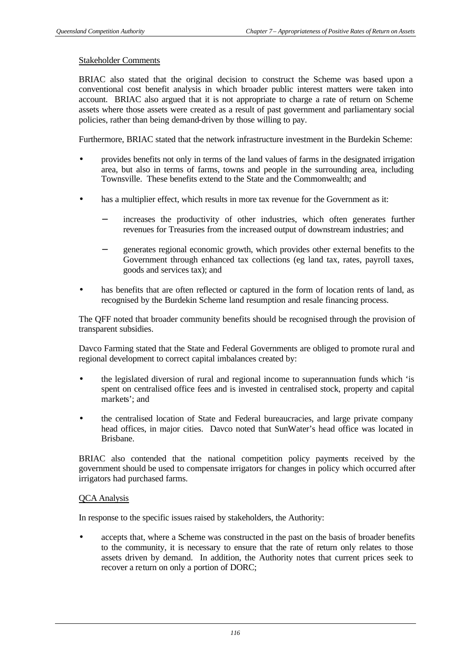#### Stakeholder Comments

BRIAC also stated that the original decision to construct the Scheme was based upon a conventional cost benefit analysis in which broader public interest matters were taken into account. BRIAC also argued that it is not appropriate to charge a rate of return on Scheme assets where those assets were created as a result of past government and parliamentary social policies, rather than being demand-driven by those willing to pay.

Furthermore, BRIAC stated that the network infrastructure investment in the Burdekin Scheme:

- provides benefits not only in terms of the land values of farms in the designated irrigation area, but also in terms of farms, towns and people in the surrounding area, including Townsville. These benefits extend to the State and the Commonwealth; and
- has a multiplier effect, which results in more tax revenue for the Government as it:
	- increases the productivity of other industries, which often generates further revenues for Treasuries from the increased output of downstream industries; and
	- generates regional economic growth, which provides other external benefits to the Government through enhanced tax collections (eg land tax, rates, payroll taxes, goods and services tax); and
- has benefits that are often reflected or captured in the form of location rents of land, as recognised by the Burdekin Scheme land resumption and resale financing process.

The QFF noted that broader community benefits should be recognised through the provision of transparent subsidies.

Davco Farming stated that the State and Federal Governments are obliged to promote rural and regional development to correct capital imbalances created by:

- the legislated diversion of rural and regional income to superannuation funds which 'is spent on centralised office fees and is invested in centralised stock, property and capital markets'; and
- the centralised location of State and Federal bureaucracies, and large private company head offices, in major cities. Davco noted that SunWater's head office was located in Brisbane.

BRIAC also contended that the national competition policy payments received by the government should be used to compensate irrigators for changes in policy which occurred after irrigators had purchased farms.

#### QCA Analysis

In response to the specific issues raised by stakeholders, the Authority:

• accepts that, where a Scheme was constructed in the past on the basis of broader benefits to the community, it is necessary to ensure that the rate of return only relates to those assets driven by demand. In addition, the Authority notes that current prices seek to recover a return on only a portion of DORC;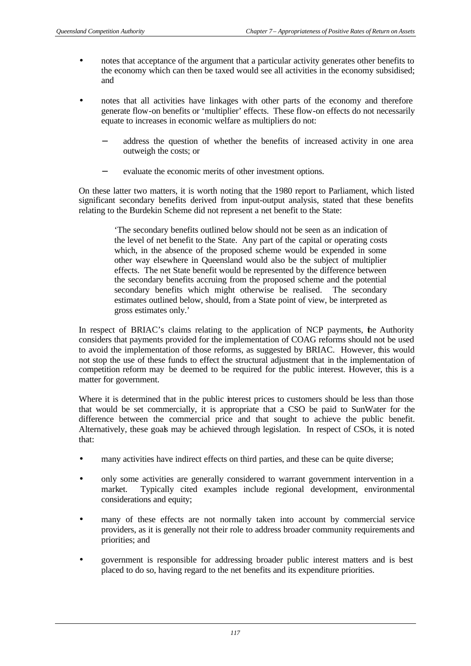- notes that acceptance of the argument that a particular activity generates other benefits to the economy which can then be taxed would see all activities in the economy subsidised; and
- notes that all activities have linkages with other parts of the economy and therefore generate flow-on benefits or 'multiplier' effects. These flow-on effects do not necessarily equate to increases in economic welfare as multipliers do not:
	- address the question of whether the benefits of increased activity in one area outweigh the costs; or
	- evaluate the economic merits of other investment options.

On these latter two matters, it is worth noting that the 1980 report to Parliament, which listed significant secondary benefits derived from input-output analysis, stated that these benefits relating to the Burdekin Scheme did not represent a net benefit to the State:

> 'The secondary benefits outlined below should not be seen as an indication of the level of net benefit to the State. Any part of the capital or operating costs which, in the absence of the proposed scheme would be expended in some other way elsewhere in Queensland would also be the subject of multiplier effects. The net State benefit would be represented by the difference between the secondary benefits accruing from the proposed scheme and the potential secondary benefits which might otherwise be realised. The secondary estimates outlined below, should, from a State point of view, be interpreted as gross estimates only.'

In respect of BRIAC's claims relating to the application of NCP payments, the Authority considers that payments provided for the implementation of COAG reforms should not be used to avoid the implementation of those reforms, as suggested by BRIAC. However, this would not stop the use of these funds to effect the structural adjustment that in the implementation of competition reform may be deemed to be required for the public interest. However, this is a matter for government.

Where it is determined that in the public interest prices to customers should be less than those that would be set commercially, it is appropriate that a CSO be paid to SunWater for the difference between the commercial price and that sought to achieve the public benefit. Alternatively, these goals may be achieved through legislation. In respect of CSOs, it is noted that:

- many activities have indirect effects on third parties, and these can be quite diverse;
- only some activities are generally considered to warrant government intervention in a market. Typically cited examples include regional development, environmental considerations and equity;
- many of these effects are not normally taken into account by commercial service providers, as it is generally not their role to address broader community requirements and priorities; and
- government is responsible for addressing broader public interest matters and is best placed to do so, having regard to the net benefits and its expenditure priorities.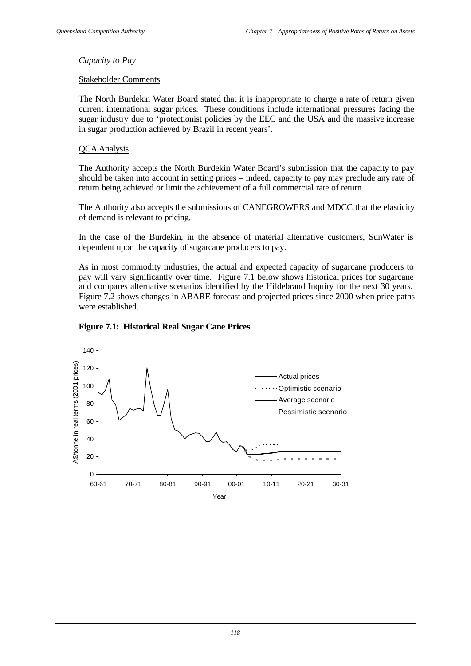#### *Capacity to Pay*

#### Stakeholder Comments

The North Burdekin Water Board stated that it is inappropriate to charge a rate of return given current international sugar prices. These conditions include international pressures facing the sugar industry due to 'protectionist policies by the EEC and the USA and the massive increase in sugar production achieved by Brazil in recent years'.

## QCA Analysis

The Authority accepts the North Burdekin Water Board's submission that the capacity to pay should be taken into account in setting prices – indeed, capacity to pay may preclude any rate of return being achieved or limit the achievement of a full commercial rate of return.

The Authority also accepts the submissions of CANEGROWERS and MDCC that the elasticity of demand is relevant to pricing.

In the case of the Burdekin, in the absence of material alternative customers, SunWater is dependent upon the capacity of sugarcane producers to pay.

As in most commodity industries, the actual and expected capacity of sugarcane producers to pay will vary significantly over time. Figure 7.1 below shows historical prices for sugarcane and compares alternative scenarios identified by the Hildebrand Inquiry for the next 30 years. Figure 7.2 shows changes in ABARE forecast and projected prices since 2000 when price paths were established.



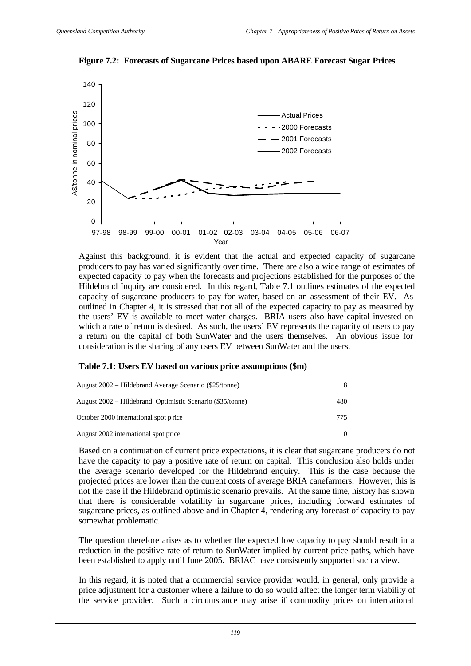

**Figure 7.2: Forecasts of Sugarcane Prices based upon ABARE Forecast Sugar Prices**

Against this background, it is evident that the actual and expected capacity of sugarcane producers to pay has varied significantly over time. There are also a wide range of estimates of expected capacity to pay when the forecasts and projections established for the purposes of the Hildebrand Inquiry are considered. In this regard, Table 7.1 outlines estimates of the expected capacity of sugarcane producers to pay for water, based on an assessment of their EV. As outlined in Chapter 4, it is stressed that not all of the expected capacity to pay as measured by the users' EV is available to meet water charges. BRIA users also have capital invested on which a rate of return is desired. As such, the users' EV represents the capacity of users to pay a return on the capital of both SunWater and the users themselves. An obvious issue for consideration is the sharing of any users EV between SunWater and the users.

#### **Table 7.1: Users EV based on various price assumptions (\$m)**

| August 2002 – Hildebrand Average Scenario (\$25/tonne)    |     |
|-----------------------------------------------------------|-----|
| August 2002 – Hildebrand Optimistic Scenario (\$35/tonne) | 480 |
| October 2000 international spot p rice                    | 775 |
| August 2002 international spot price                      |     |

Based on a continuation of current price expectations, it is clear that sugarcane producers do not have the capacity to pay a positive rate of return on capital. This conclusion also holds under the average scenario developed for the Hildebrand enquiry. This is the case because the projected prices are lower than the current costs of average BRIA canefarmers. However, this is not the case if the Hildebrand optimistic scenario prevails. At the same time, history has shown that there is considerable volatility in sugarcane prices, including forward estimates of sugarcane prices, as outlined above and in Chapter 4, rendering any forecast of capacity to pay somewhat problematic.

The question therefore arises as to whether the expected low capacity to pay should result in a reduction in the positive rate of return to SunWater implied by current price paths, which have been established to apply until June 2005. BRIAC have consistently supported such a view.

In this regard, it is noted that a commercial service provider would, in general, only provide a price adjustment for a customer where a failure to do so would affect the longer term viability of the service provider. Such a circumstance may arise if commodity prices on international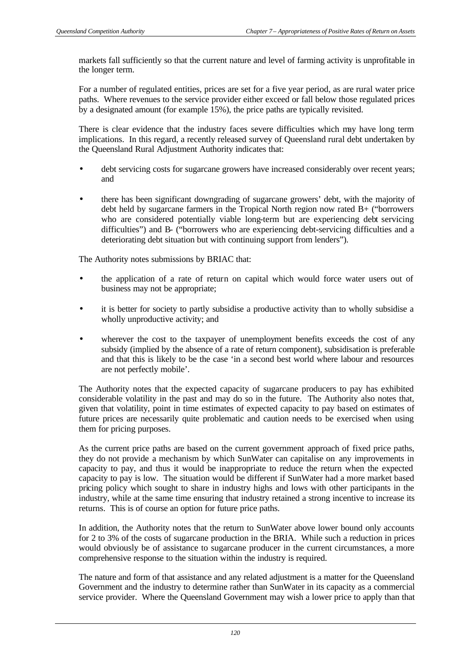markets fall sufficiently so that the current nature and level of farming activity is unprofitable in the longer term.

For a number of regulated entities, prices are set for a five year period, as are rural water price paths. Where revenues to the service provider either exceed or fall below those regulated prices by a designated amount (for example 15%), the price paths are typically revisited.

There is clear evidence that the industry faces severe difficulties which may have long term implications. In this regard, a recently released survey of Queensland rural debt undertaken by the Queensland Rural Adjustment Authority indicates that:

- debt servicing costs for sugarcane growers have increased considerably over recent years; and
- there has been significant downgrading of sugarcane growers' debt, with the majority of debt held by sugarcane farmers in the Tropical North region now rated B+ ("borrowers who are considered potentially viable long-term but are experiencing debt servicing difficulties") and B- ("borrowers who are experiencing debt-servicing difficulties and a deteriorating debt situation but with continuing support from lenders").

The Authority notes submissions by BRIAC that:

- the application of a rate of return on capital which would force water users out of business may not be appropriate;
- it is better for society to partly subsidise a productive activity than to wholly subsidise a wholly unproductive activity; and
- wherever the cost to the taxpayer of unemployment benefits exceeds the cost of any subsidy (implied by the absence of a rate of return component), subsidisation is preferable and that this is likely to be the case 'in a second best world where labour and resources are not perfectly mobile'.

The Authority notes that the expected capacity of sugarcane producers to pay has exhibited considerable volatility in the past and may do so in the future. The Authority also notes that, given that volatility, point in time estimates of expected capacity to pay based on estimates of future prices are necessarily quite problematic and caution needs to be exercised when using them for pricing purposes.

As the current price paths are based on the current government approach of fixed price paths, they do not provide a mechanism by which SunWater can capitalise on any improvements in capacity to pay, and thus it would be inappropriate to reduce the return when the expected capacity to pay is low. The situation would be different if SunWater had a more market based pricing policy which sought to share in industry highs and lows with other participants in the industry, while at the same time ensuring that industry retained a strong incentive to increase its returns. This is of course an option for future price paths.

In addition, the Authority notes that the return to SunWater above lower bound only accounts for 2 to 3% of the costs of sugarcane production in the BRIA. While such a reduction in prices would obviously be of assistance to sugarcane producer in the current circumstances, a more comprehensive response to the situation within the industry is required.

The nature and form of that assistance and any related adjustment is a matter for the Queensland Government and the industry to determine rather than SunWater in its capacity as a commercial service provider. Where the Queensland Government may wish a lower price to apply than that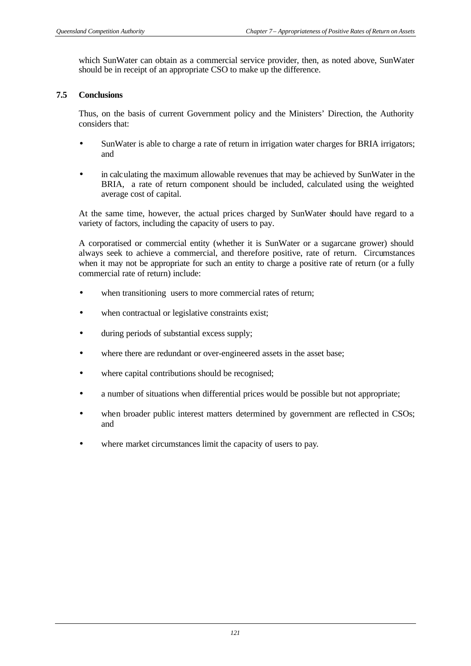which SunWater can obtain as a commercial service provider, then, as noted above, SunWater should be in receipt of an appropriate CSO to make up the difference.

## **7.5 Conclusions**

Thus, on the basis of current Government policy and the Ministers' Direction, the Authority considers that:

- SunWater is able to charge a rate of return in irrigation water charges for BRIA irrigators; and
- in calculating the maximum allowable revenues that may be achieved by SunWater in the BRIA, a rate of return component should be included, calculated using the weighted average cost of capital.

At the same time, however, the actual prices charged by SunWater should have regard to a variety of factors, including the capacity of users to pay.

A corporatised or commercial entity (whether it is SunWater or a sugarcane grower) should always seek to achieve a commercial, and therefore positive, rate of return. Circumstances when it may not be appropriate for such an entity to charge a positive rate of return (or a fully commercial rate of return) include:

- when transitioning users to more commercial rates of return;
- when contractual or legislative constraints exist;
- during periods of substantial excess supply;
- where there are redundant or over-engineered assets in the asset base;
- where capital contributions should be recognised;
- a number of situations when differential prices would be possible but not appropriate;
- when broader public interest matters determined by government are reflected in CSOs; and
- where market circumstances limit the capacity of users to pay.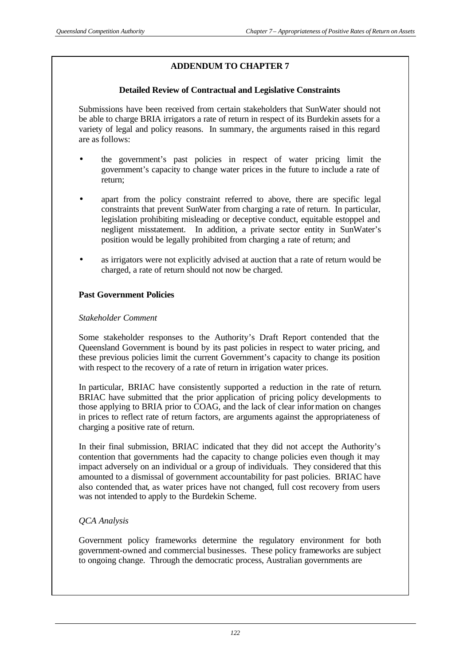## **ADDENDUM TO CHAPTER 7**

## **Detailed Review of Contractual and Legislative Constraints**

Submissions have been received from certain stakeholders that SunWater should not be able to charge BRIA irrigators a rate of return in respect of its Burdekin assets for a variety of legal and policy reasons. In summary, the arguments raised in this regard are as follows:

- the government's past policies in respect of water pricing limit the government's capacity to change water prices in the future to include a rate of return;
- apart from the policy constraint referred to above, there are specific legal constraints that prevent SunWater from charging a rate of return. In particular, legislation prohibiting misleading or deceptive conduct, equitable estoppel and negligent misstatement. In addition, a private sector entity in SunWater's position would be legally prohibited from charging a rate of return; and
- as irrigators were not explicitly advised at auction that a rate of return would be charged, a rate of return should not now be charged.

## **Past Government Policies**

## *Stakeholder Comment*

Some stakeholder responses to the Authority's Draft Report contended that the Queensland Government is bound by its past policies in respect to water pricing, and these previous policies limit the current Government's capacity to change its position with respect to the recovery of a rate of return in irrigation water prices.

In particular, BRIAC have consistently supported a reduction in the rate of return. BRIAC have submitted that the prior application of pricing policy developments to those applying to BRIA prior to COAG, and the lack of clear information on changes in prices to reflect rate of return factors, are arguments against the appropriateness of charging a positive rate of return.

In their final submission, BRIAC indicated that they did not accept the Authority's contention that governments had the capacity to change policies even though it may impact adversely on an individual or a group of individuals. They considered that this amounted to a dismissal of government accountability for past policies. BRIAC have also contended that, as water prices have not changed, full cost recovery from users was not intended to apply to the Burdekin Scheme.

## *QCA Analysis*

Government policy frameworks determine the regulatory environment for both government-owned and commercial businesses. These policy frameworks are subject to ongoing change. Through the democratic process, Australian governments are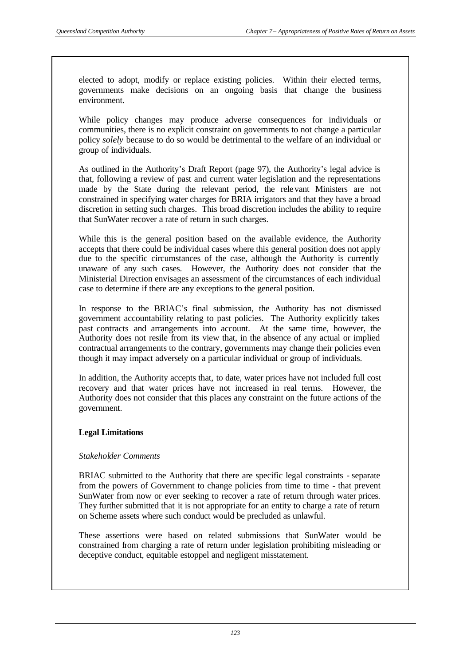elected to adopt, modify or replace existing policies. Within their elected terms, governments make decisions on an ongoing basis that change the business environment.

While policy changes may produce adverse consequences for individuals or communities, there is no explicit constraint on governments to not change a particular policy *solely* because to do so would be detrimental to the welfare of an individual or group of individuals.

As outlined in the Authority's Draft Report (page 97), the Authority's legal advice is that, following a review of past and current water legislation and the representations made by the State during the relevant period, the relevant Ministers are not constrained in specifying water charges for BRIA irrigators and that they have a broad discretion in setting such charges. This broad discretion includes the ability to require that SunWater recover a rate of return in such charges.

While this is the general position based on the available evidence, the Authority accepts that there could be individual cases where this general position does not apply due to the specific circumstances of the case, although the Authority is currently unaware of any such cases. However, the Authority does not consider that the Ministerial Direction envisages an assessment of the circumstances of each individual case to determine if there are any exceptions to the general position.

In response to the BRIAC's final submission, the Authority has not dismissed government accountability relating to past policies. The Authority explicitly takes past contracts and arrangements into account. At the same time, however, the Authority does not resile from its view that, in the absence of any actual or implied contractual arrangements to the contrary, governments may change their policies even though it may impact adversely on a particular individual or group of individuals.

In addition, the Authority accepts that, to date, water prices have not included full cost recovery and that water prices have not increased in real terms. However, the Authority does not consider that this places any constraint on the future actions of the government.

#### **Legal Limitations**

#### *Stakeholder Comments*

BRIAC submitted to the Authority that there are specific legal constraints - separate from the powers of Government to change policies from time to time - that prevent SunWater from now or ever seeking to recover a rate of return through water prices. They further submitted that it is not appropriate for an entity to charge a rate of return on Scheme assets where such conduct would be precluded as unlawful.

These assertions were based on related submissions that SunWater would be constrained from charging a rate of return under legislation prohibiting misleading or deceptive conduct, equitable estoppel and negligent misstatement.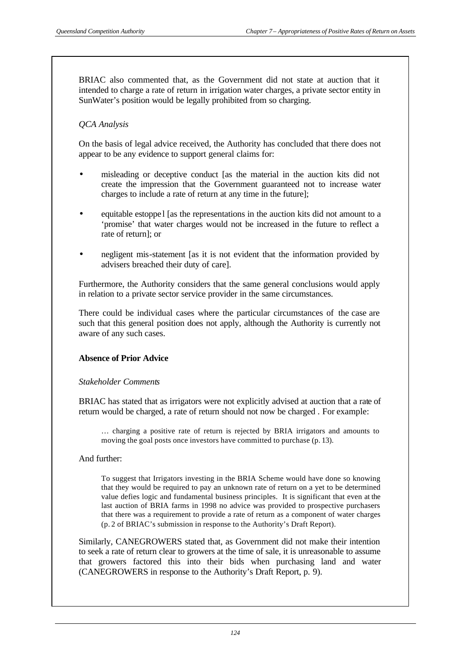BRIAC also commented that, as the Government did not state at auction that it intended to charge a rate of return in irrigation water charges, a private sector entity in SunWater's position would be legally prohibited from so charging.

## *QCA Analysis*

On the basis of legal advice received, the Authority has concluded that there does not appear to be any evidence to support general claims for:

- misleading or deceptive conduct [as the material in the auction kits did not create the impression that the Government guaranteed not to increase water charges to include a rate of return at any time in the future];
- equitable estoppe l [as the representations in the auction kits did not amount to a 'promise' that water charges would not be increased in the future to reflect a rate of return]; or
- negligent mis-statement [as it is not evident that the information provided by advisers breached their duty of care].

Furthermore, the Authority considers that the same general conclusions would apply in relation to a private sector service provider in the same circumstances.

There could be individual cases where the particular circumstances of the case are such that this general position does not apply, although the Authority is currently not aware of any such cases.

## **Absence of Prior Advice**

#### *Stakeholder Comments*

BRIAC has stated that as irrigators were not explicitly advised at auction that a rate of return would be charged, a rate of return should not now be charged . For example:

… charging a positive rate of return is rejected by BRIA irrigators and amounts to moving the goal posts once investors have committed to purchase (p. 13).

#### And further:

To suggest that Irrigators investing in the BRIA Scheme would have done so knowing that they would be required to pay an unknown rate of return on a yet to be determined value defies logic and fundamental business principles. It is significant that even at the last auction of BRIA farms in 1998 no advice was provided to prospective purchasers that there was a requirement to provide a rate of return as a component of water charges (p. 2 of BRIAC's submission in response to the Authority's Draft Report).

Similarly, CANEGROWERS stated that, as Government did not make their intention to seek a rate of return clear to growers at the time of sale, it is unreasonable to assume that growers factored this into their bids when purchasing land and water (CANEGROWERS in response to the Authority's Draft Report, p. 9).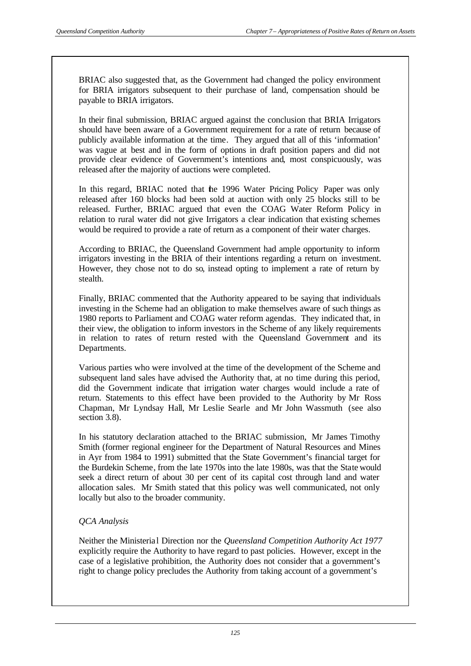BRIAC also suggested that, as the Government had changed the policy environment for BRIA irrigators subsequent to their purchase of land, compensation should be payable to BRIA irrigators.

In their final submission, BRIAC argued against the conclusion that BRIA Irrigators should have been aware of a Government requirement for a rate of return because of publicly available information at the time. They argued that all of this 'information' was vague at best and in the form of options in draft position papers and did not provide clear evidence of Government's intentions and, most conspicuously, was released after the majority of auctions were completed.

In this regard, BRIAC noted that the 1996 Water Pricing Policy Paper was only released after 160 blocks had been sold at auction with only 25 blocks still to be released. Further, BRIAC argued that even the COAG Water Reform Policy in relation to rural water did not give Irrigators a clear indication that existing schemes would be required to provide a rate of return as a component of their water charges.

According to BRIAC, the Queensland Government had ample opportunity to inform irrigators investing in the BRIA of their intentions regarding a return on investment. However, they chose not to do so, instead opting to implement a rate of return by stealth.

Finally, BRIAC commented that the Authority appeared to be saying that individuals investing in the Scheme had an obligation to make themselves aware of such things as 1980 reports to Parliament and COAG water reform agendas. They indicated that, in their view, the obligation to inform investors in the Scheme of any likely requirements in relation to rates of return rested with the Queensland Government and its Departments.

Various parties who were involved at the time of the development of the Scheme and subsequent land sales have advised the Authority that, at no time during this period, did the Government indicate that irrigation water charges would include a rate of return. Statements to this effect have been provided to the Authority by Mr Ross Chapman, Mr Lyndsay Hall, Mr Leslie Searle and Mr John Wassmuth (see also section 3.8).

In his statutory declaration attached to the BRIAC submission, Mr James Timothy Smith (former regional engineer for the Department of Natural Resources and Mines in Ayr from 1984 to 1991) submitted that the State Government's financial target for the Burdekin Scheme, from the late 1970s into the late 1980s, was that the State would seek a direct return of about 30 per cent of its capital cost through land and water allocation sales. Mr Smith stated that this policy was well communicated, not only locally but also to the broader community.

## *QCA Analysis*

Neither the Ministeria l Direction nor the *Queensland Competition Authority Act 1977* explicitly require the Authority to have regard to past policies. However, except in the case of a legislative prohibition, the Authority does not consider that a government's right to change policy precludes the Authority from taking account of a government's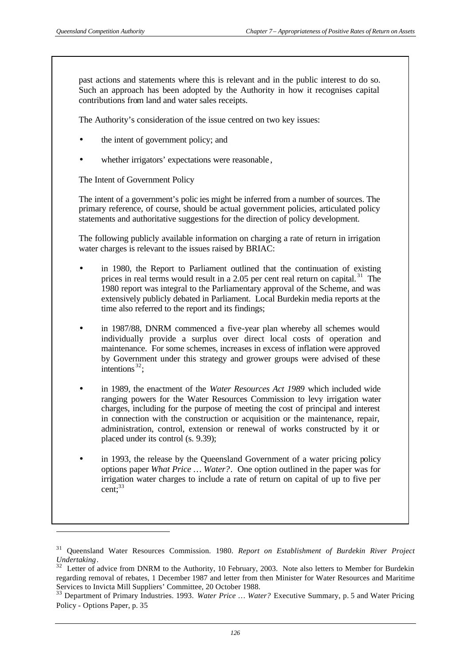l

past actions and statements where this is relevant and in the public interest to do so. Such an approach has been adopted by the Authority in how it recognises capital contributions from land and water sales receipts.

The Authority's consideration of the issue centred on two key issues:

- the intent of government policy; and
- whether irrigators' expectations were reasonable,

The Intent of Government Policy

The intent of a government's polic ies might be inferred from a number of sources. The primary reference, of course, should be actual government policies, articulated policy statements and authoritative suggestions for the direction of policy development.

The following publicly available information on charging a rate of return in irrigation water charges is relevant to the issues raised by BRIAC:

- in 1980, the Report to Parliament outlined that the continuation of existing prices in real terms would result in a 2.05 per cent real return on capital. <sup>31</sup> The 1980 report was integral to the Parliamentary approval of the Scheme, and was extensively publicly debated in Parliament. Local Burdekin media reports at the time also referred to the report and its findings;
- in 1987/88, DNRM commenced a five-year plan whereby all schemes would individually provide a surplus over direct local costs of operation and maintenance. For some schemes, increases in excess of inflation were approved by Government under this strategy and grower groups were advised of these intentions<sup>32</sup>;
- in 1989, the enactment of the *Water Resources Act 1989* which included wide ranging powers for the Water Resources Commission to levy irrigation water charges, including for the purpose of meeting the cost of principal and interest in connection with the construction or acquisition or the maintenance, repair, administration, control, extension or renewal of works constructed by it or placed under its control (s. 9.39);
- in 1993, the release by the Queensland Government of a water pricing policy options paper *What Price … Water?*. One option outlined in the paper was for irrigation water charges to include a rate of return on capital of up to five per  $cent: <sup>33</sup>$

<sup>31</sup> Queensland Water Resources Commission. 1980. *Report on Establishment of Burdekin River Project Undertaking*.

<sup>&</sup>lt;sup>32</sup> Letter of advice from DNRM to the Authority, 10 February, 2003. Note also letters to Member for Burdekin regarding removal of rebates, 1 December 1987 and letter from then Minister for Water Resources and Maritime Services to Invicta Mill Suppliers' Committee, 20 October 1988.

<sup>33</sup> Department of Primary Industries. 1993. *Water Price … Water?* Executive Summary, p. 5 and Water Pricing Policy - Options Paper, p. 35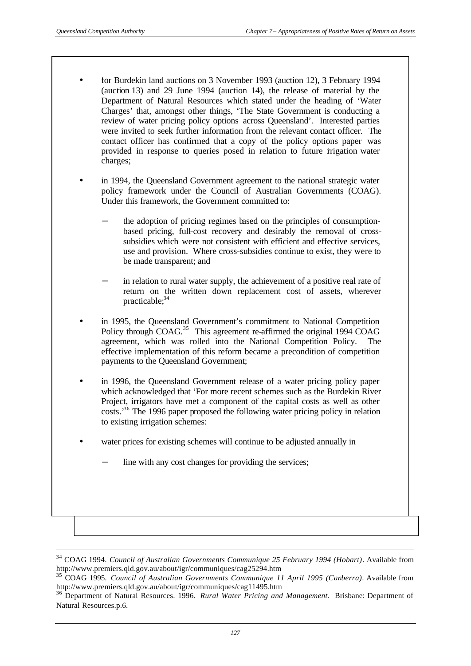l

- for Burdekin land auctions on 3 November 1993 (auction 12), 3 February 1994 (auction 13) and 29 June 1994 (auction 14), the release of material by the Department of Natural Resources which stated under the heading of 'Water Charges' that, amongst other things, 'The State Government is conducting a review of water pricing policy options across Queensland'. Interested parties were invited to seek further information from the relevant contact officer. The contact officer has confirmed that a copy of the policy options paper was provided in response to queries posed in relation to future rrigation water charges;
- in 1994, the Queensland Government agreement to the national strategic water policy framework under the Council of Australian Governments (COAG). Under this framework, the Government committed to:
	- the adoption of pricing regimes based on the principles of consumptionbased pricing, full-cost recovery and desirably the removal of crosssubsidies which were not consistent with efficient and effective services, use and provision. Where cross-subsidies continue to exist, they were to be made transparent; and
	- in relation to rural water supply, the achievement of a positive real rate of return on the written down replacement cost of assets, wherever practicable; $34$
- in 1995, the Queensland Government's commitment to National Competition Policy through COAG.<sup>35</sup> This agreement re-affirmed the original 1994 COAG agreement, which was rolled into the National Competition Policy. The effective implementation of this reform became a precondition of competition payments to the Queensland Government;
- in 1996, the Queensland Government release of a water pricing policy paper which acknowledged that 'For more recent schemes such as the Burdekin River Project, irrigators have met a component of the capital costs as well as other costs.'<sup>36</sup> The 1996 paper proposed the following water pricing policy in relation to existing irrigation schemes:
- water prices for existing schemes will continue to be adjusted annually in
	- line with any cost changes for providing the services;

<sup>34</sup> COAG 1994. *Council of Australian Governments Communique 25 February 1994 (Hobart)*. Available from http://www.premiers.qld.gov.au/about/igr/communiques/cag25294.htm

<sup>35</sup> COAG 1995. *Council of Australian Governments Communique 11 April 1995 (Canberra)*. Available from http://www.premiers.qld.gov.au/about/igr/communiques/cag11495.htm

<sup>36</sup> Department of Natural Resources. 1996. *Rural Water Pricing and Management*. Brisbane: Department of Natural Resources.p.6.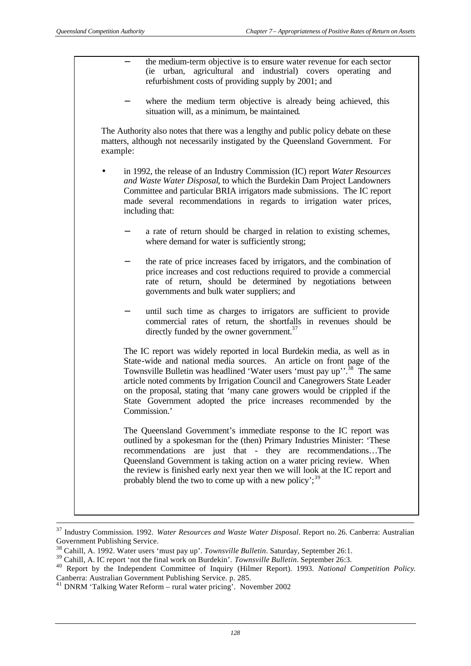the medium-term objective is to ensure water revenue for each sector (ie urban, agricultural and industrial) covers operating and refurbishment costs of providing supply by 2001; and where the medium term objective is already being achieved, this situation will, as a minimum, be maintained. The Authority also notes that there was a lengthy and public policy debate on these matters, although not necessarily instigated by the Queensland Government. For example: • in 1992, the release of an Industry Commission (IC) report *Water Resources and Waste Water Disposal*, to which the Burdekin Dam Project Landowners Committee and particular BRIA irrigators made submissions. The IC report made several recommendations in regards to irrigation water prices, including that: a rate of return should be charged in relation to existing schemes, where demand for water is sufficiently strong; the rate of price increases faced by irrigators, and the combination of price increases and cost reductions required to provide a commercial rate of return, should be determined by negotiations between governments and bulk water suppliers; and until such time as charges to irrigators are sufficient to provide commercial rates of return, the shortfalls in revenues should be directly funded by the owner government.<sup>37</sup> The IC report was widely reported in local Burdekin media, as well as in State-wide and national media sources. An article on front page of the Townsville Bulletin was headlined 'Water users 'must pay up'.<sup>38</sup> The same article noted comments by Irrigation Council and Canegrowers State Leader on the proposal, stating that 'many cane growers would be crippled if the State Government adopted the price increases recommended by the Commission.' The Queensland Government's immediate response to the IC report was outlined by a spokesman for the (then) Primary Industries Minister: 'These recommendations are just that - they are recommendations…The Queensland Government is taking action on a water pricing review. When the review is finished early next year then we will look at the IC report and probably blend the two to come up with a new policy';  $39$ 

l

<sup>37</sup> Industry Commission. 1992. *Water Resources and Waste Water Disposal*. Report no. 26. Canberra: Australian Government Publishing Service.

<sup>38</sup> Cahill, A. 1992. Water users 'must pay up'. *Townsville Bulletin*. Saturday, September 26:1.

<sup>39</sup> Cahill, A. IC report 'not the final work on Burdekin'. *Townsville Bulletin*. September 26:3.

<sup>40</sup> Report by the Independent Committee of Inquiry (Hilmer Report). 1993. *National Competition Policy*. Canberra: Australian Government Publishing Service. p. 285.

<sup>41</sup> DNRM 'Talking Water Reform – rural water pricing'. November 2002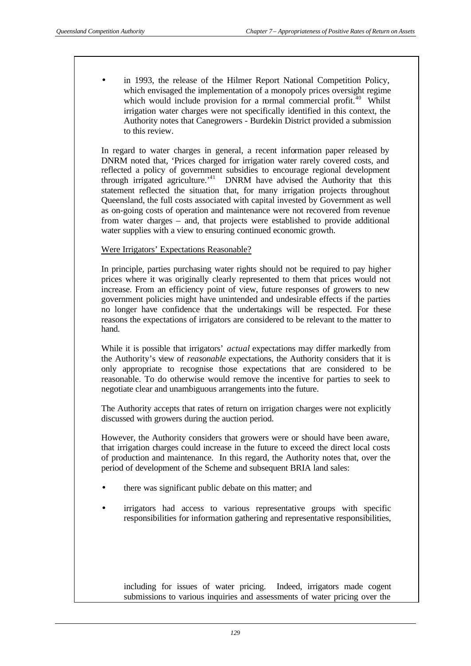in 1993, the release of the Hilmer Report National Competition Policy, which envisaged the implementation of a monopoly prices oversight regime which would include provision for a normal commercial profit. $40$  Whilst irrigation water charges were not specifically identified in this context, the Authority notes that Canegrowers - Burdekin District provided a submission to this review.

In regard to water charges in general, a recent information paper released by DNRM noted that, 'Prices charged for irrigation water rarely covered costs, and reflected a policy of government subsidies to encourage regional development through irrigated agriculture.<sup>41</sup> DNRM have advised the Authority that this statement reflected the situation that, for many irrigation projects throughout Queensland, the full costs associated with capital invested by Government as well as on-going costs of operation and maintenance were not recovered from revenue from water charges – and, that projects were established to provide additional water supplies with a view to ensuring continued economic growth.

#### Were Irrigators' Expectations Reasonable?

In principle, parties purchasing water rights should not be required to pay higher prices where it was originally clearly represented to them that prices would not increase. From an efficiency point of view, future responses of growers to new government policies might have unintended and undesirable effects if the parties no longer have confidence that the undertakings will be respected. For these reasons the expectations of irrigators are considered to be relevant to the matter to hand.

While it is possible that irrigators' *actual* expectations may differ markedly from the Authority's view of *reasonable* expectations, the Authority considers that it is only appropriate to recognise those expectations that are considered to be reasonable. To do otherwise would remove the incentive for parties to seek to negotiate clear and unambiguous arrangements into the future.

The Authority accepts that rates of return on irrigation charges were not explicitly discussed with growers during the auction period.

However, the Authority considers that growers were or should have been aware, that irrigation charges could increase in the future to exceed the direct local costs of production and maintenance. In this regard, the Authority notes that, over the period of development of the Scheme and subsequent BRIA land sales:

- there was significant public debate on this matter; and
- irrigators had access to various representative groups with specific responsibilities for information gathering and representative responsibilities,

including for issues of water pricing. Indeed, irrigators made cogent submissions to various inquiries and assessments of water pricing over the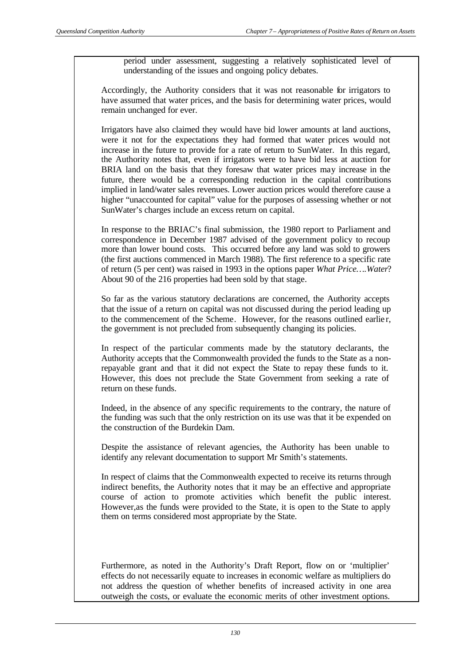period under assessment, suggesting a relatively sophisticated level of understanding of the issues and ongoing policy debates.

Accordingly, the Authority considers that it was not reasonable for irrigators to have assumed that water prices, and the basis for determining water prices, would remain unchanged for ever.

Irrigators have also claimed they would have bid lower amounts at land auctions, were it not for the expectations they had formed that water prices would not increase in the future to provide for a rate of return to SunWater. In this regard, the Authority notes that, even if irrigators were to have bid less at auction for BRIA land on the basis that they foresaw that water prices may increase in the future, there would be a corresponding reduction in the capital contributions implied in land/water sales revenues. Lower auction prices would therefore cause a higher "unaccounted for capital" value for the purposes of assessing whether or not SunWater's charges include an excess return on capital.

In response to the BRIAC's final submission, the 1980 report to Parliament and correspondence in December 1987 advised of the government policy to recoup more than lower bound costs. This occurred before any land was sold to growers (the first auctions commenced in March 1988). The first reference to a specific rate of return (5 per cent) was raised in 1993 in the options paper *What Price….Water*? About 90 of the 216 properties had been sold by that stage.

So far as the various statutory declarations are concerned, the Authority accepts that the issue of a return on capital was not discussed during the period leading up to the commencement of the Scheme. However, for the reasons outlined earlier, the government is not precluded from subsequently changing its policies.

In respect of the particular comments made by the statutory declarants, the Authority accepts that the Commonwealth provided the funds to the State as a nonrepayable grant and that it did not expect the State to repay these funds to it. However, this does not preclude the State Government from seeking a rate of return on these funds.

Indeed, in the absence of any specific requirements to the contrary, the nature of the funding was such that the only restriction on its use was that it be expended on the construction of the Burdekin Dam.

Despite the assistance of relevant agencies, the Authority has been unable to identify any relevant documentation to support Mr Smith's statements.

In respect of claims that the Commonwealth expected to receive its returns through indirect benefits, the Authority notes that it may be an effective and appropriate course of action to promote activities which benefit the public interest. However,as the funds were provided to the State, it is open to the State to apply them on terms considered most appropriate by the State.

Furthermore, as noted in the Authority's Draft Report, flow on or 'multiplier' effects do not necessarily equate to increases in economic welfare as multipliers do not address the question of whether benefits of increased activity in one area outweigh the costs, or evaluate the economic merits of other investment options.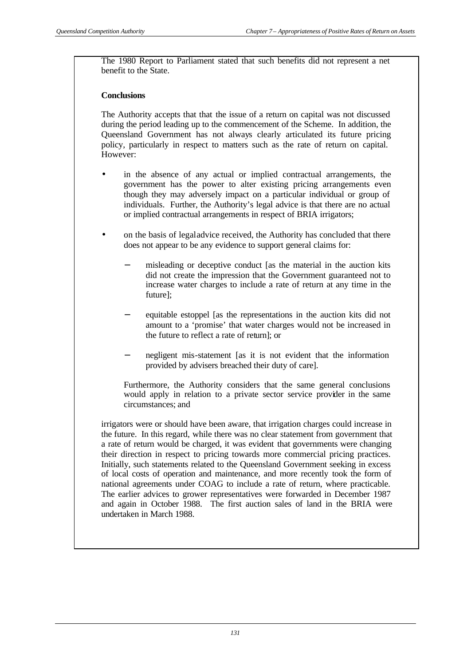The 1980 Report to Parliament stated that such benefits did not represent a net benefit to the State.

#### **Conclusions**

The Authority accepts that that the issue of a return on capital was not discussed during the period leading up to the commencement of the Scheme. In addition, the Queensland Government has not always clearly articulated its future pricing policy, particularly in respect to matters such as the rate of return on capital. However:

- in the absence of any actual or implied contractual arrangements, the government has the power to alter existing pricing arrangements even though they may adversely impact on a particular individual or group of individuals. Further, the Authority's legal advice is that there are no actual or implied contractual arrangements in respect of BRIA irrigators;
- on the basis of legal advice received, the Authority has concluded that there does not appear to be any evidence to support general claims for:
	- misleading or deceptive conduct [as the material in the auction kits did not create the impression that the Government guaranteed not to increase water charges to include a rate of return at any time in the future];
	- equitable estoppel [as the representations in the auction kits did not amount to a 'promise' that water charges would not be increased in the future to reflect a rate of return]; or
	- negligent mis-statement [as it is not evident that the information provided by advisers breached their duty of care].

Furthermore, the Authority considers that the same general conclusions would apply in relation to a private sector service provider in the same circumstances; and

irrigators were or should have been aware, that irrigation charges could increase in the future. In this regard, while there was no clear statement from government that a rate of return would be charged, it was evident that governments were changing their direction in respect to pricing towards more commercial pricing practices. Initially, such statements related to the Queensland Government seeking in excess of local costs of operation and maintenance, and more recently took the form of national agreements under COAG to include a rate of return, where practicable. The earlier advices to grower representatives were forwarded in December 1987 and again in October 1988. The first auction sales of land in the BRIA were undertaken in March 1988.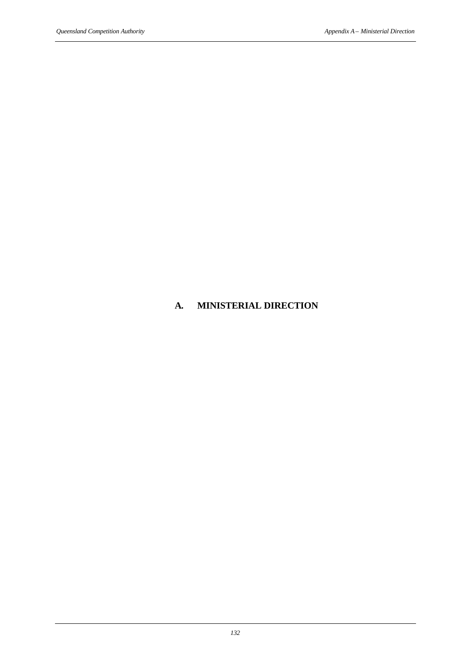## **A. MINISTERIAL DIRECTION**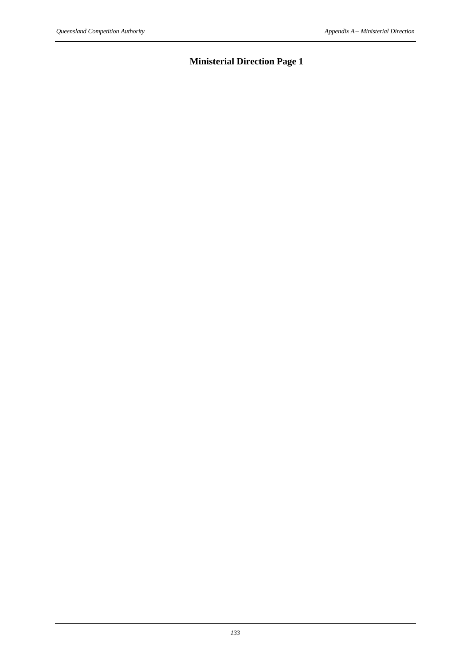# **Ministerial Direction Page 1**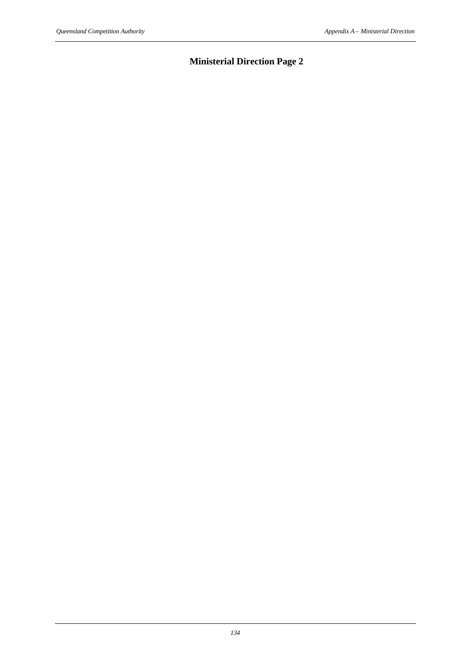# **Ministerial Direction Page 2**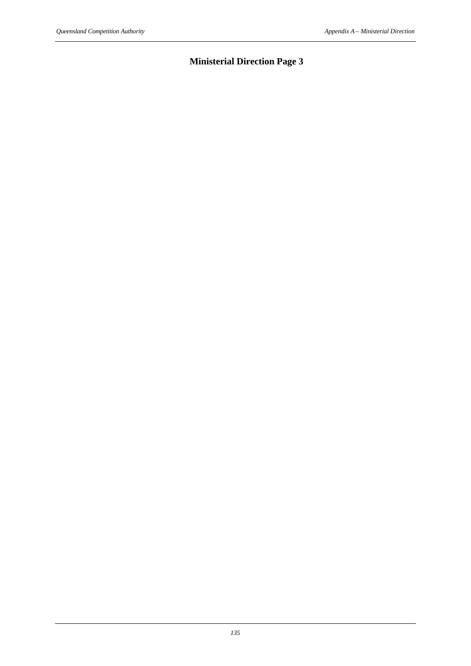# **Ministerial Direction Page 3**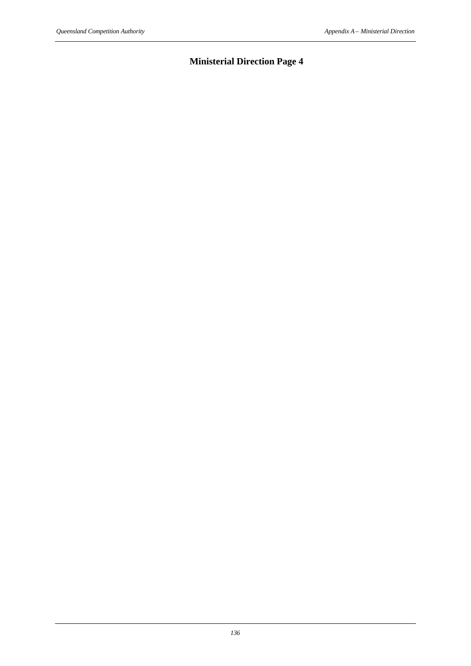# **Ministerial Direction Page 4**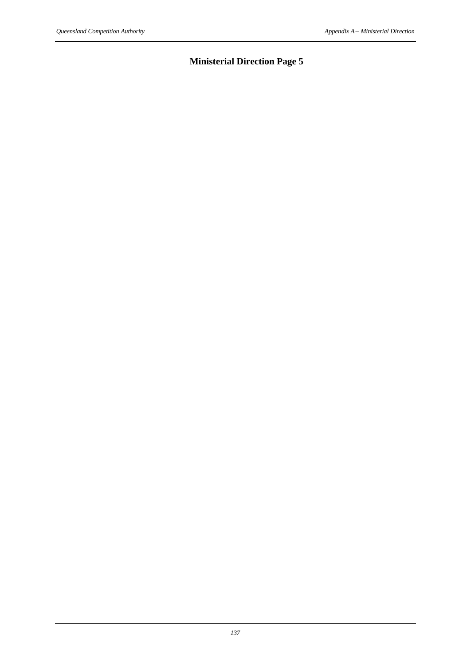# **Ministerial Direction Page 5**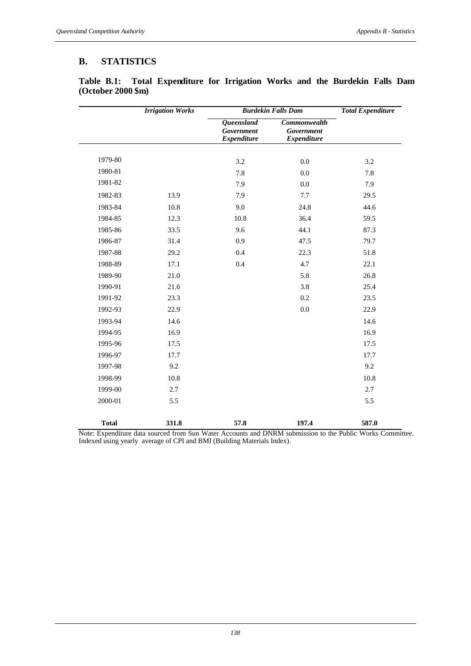# **B. STATISTICS**

|              | <b>Irrigation Works</b> | <b>Burdekin Falls Dam</b>                                    |                                                  | <b>Total Expenditure</b> |
|--------------|-------------------------|--------------------------------------------------------------|--------------------------------------------------|--------------------------|
|              |                         | <b>Queensland</b><br><b>Government</b><br><b>Expenditure</b> | Commonwealth<br>Government<br><b>Expenditure</b> |                          |
| 1979-80      |                         |                                                              |                                                  |                          |
| 1980-81      |                         | 3.2                                                          | 0.0                                              | 3.2                      |
| 1981-82      |                         | 7.8                                                          | 0.0                                              | 7.8                      |
|              |                         | 7.9                                                          | 0.0                                              | 7.9                      |
| 1982-83      | 13.9                    | 7.9                                                          | 7.7                                              | 29.5                     |
| 1983-84      | 10.8                    | 9.0                                                          | 24.8                                             | 44.6                     |
| 1984-85      | 12.3                    | 10.8                                                         | 36.4                                             | 59.5                     |
| 1985-86      | 33.5                    | 9.6                                                          | 44.1                                             | 87.3                     |
| 1986-87      | 31.4                    | 0.9                                                          | 47.5                                             | 79.7                     |
| 1987-88      | 29.2                    | 0.4                                                          | 22.3                                             | 51.8                     |
| 1988-89      | 17.1                    | 0.4                                                          | 4.7                                              | 22.1                     |
| 1989-90      | 21.0                    |                                                              | 5.8                                              | 26.8                     |
| 1990-91      | 21.6                    |                                                              | 3.8                                              | 25.4                     |
| 1991-92      | 23.3                    |                                                              | 0.2                                              | 23.5                     |
| 1992-93      | 22.9                    |                                                              | 0.0                                              | 22.9                     |
| 1993-94      | 14.6                    |                                                              |                                                  | 14.6                     |
| 1994-95      | 16.9                    |                                                              |                                                  | 16.9                     |
| 1995-96      | 17.5                    |                                                              |                                                  | 17.5                     |
| 1996-97      | 17.7                    |                                                              |                                                  | 17.7                     |
| 1997-98      | 9.2                     |                                                              |                                                  | 9.2                      |
| 1998-99      | 10.8                    |                                                              |                                                  | 10.8                     |
| 1999-00      | 2.7                     |                                                              |                                                  | 2.7                      |
| 2000-01      | 5.5                     |                                                              |                                                  | 5.5                      |
| <b>Total</b> | 331.8                   | 57.8                                                         | 197.4                                            | 587.0                    |

**Table B.1: Total Expenditure for Irrigation Works and the Burdekin Falls Dam (October 2000 \$m)**

Note: Expenditure data sourced from Sun Water Accounts and DNRM submission to the Public Works Committee. Indexed using yearly average of CPI and BMI (Building Materials Index).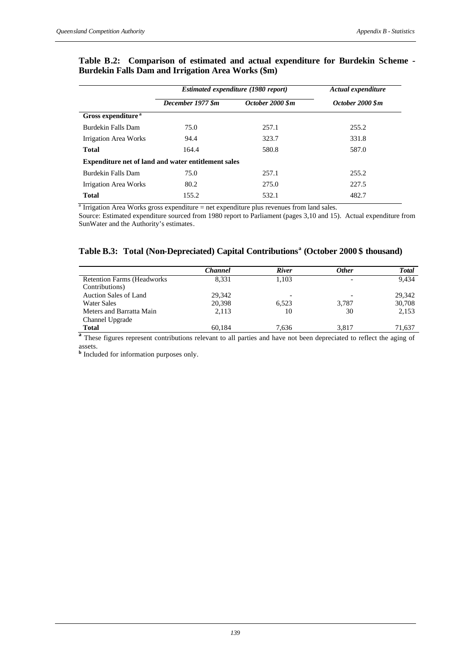|                                | Estimated expenditure (1980 report)                        | Actual expenditure |                  |
|--------------------------------|------------------------------------------------------------|--------------------|------------------|
|                                | December 1977 \$m                                          | October 2000 \$m   | October 2000 \$m |
| Gross expenditure <sup>a</sup> |                                                            |                    |                  |
| Burdekin Falls Dam             | 75.0                                                       | 257.1              | 255.2            |
| Irrigation Area Works          | 94.4                                                       | 323.7              | 331.8            |
| <b>Total</b>                   | 164.4                                                      | 580.8              | 587.0            |
|                                | <b>Expenditure net of land and water entitlement sales</b> |                    |                  |
| Burdekin Falls Dam             | 75.0                                                       | 257.1              | 255.2            |
| Irrigation Area Works          | 80.2                                                       | 275.0              | 227.5            |
| <b>Total</b>                   | 155.2                                                      | 532.1              | 482.7            |

### **Table B.2: Comparison of estimated and actual expenditure for Burdekin Scheme - Burdekin Falls Dam and Irrigation Area Works (\$m)**

 $^{\text{a}}$  Irrigation Area Works gross expenditure = net expenditure plus revenues from land sales.

Source: Estimated expenditure sourced from 1980 report to Parliament (pages 3,10 and 15). Actual expenditure from SunWater and the Authority's estimates*.*

### **Table B.3: Total (Non-Depreciated) Capital Contributions<sup>a</sup> (October 2000 \$ thousand)**

|                                                      | <b>Channel</b> | <b>River</b> | <b>Other</b> | <b>Total</b> |
|------------------------------------------------------|----------------|--------------|--------------|--------------|
| <b>Retention Farms (Headworks)</b><br>Contributions) | 8.331          | 1.103        |              | 9.434        |
| <b>Auction Sales of Land</b>                         | 29.342         | ٠            |              | 29.342       |
| Water Sales                                          | 20.398         | 6.523        | 3,787        | 30,708       |
| Meters and Barratta Main                             | 2.113          | 10           | 30           | 2,153        |
| Channel Upgrade                                      |                |              |              |              |
| <b>Total</b>                                         | 60.184         | 7,636        | 3.817        | 71,637       |

<sup>a</sup> These figures represent contributions relevant to all parties and have not been depreciated to reflect the aging of assets.

**b** Included for information purposes only.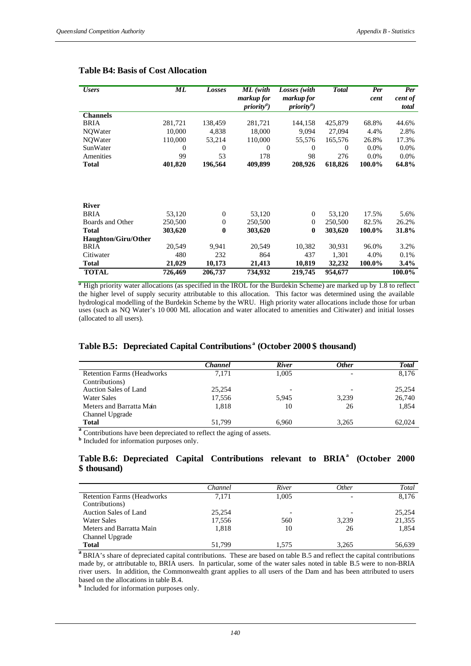| <b>Users</b>               | ML       | Losses       | ML (with<br>markup for | Losses (with<br>markup for | <b>Total</b> | Per<br>cent | Per<br>cent of |
|----------------------------|----------|--------------|------------------------|----------------------------|--------------|-------------|----------------|
|                            |          |              | $priority^a$ )         | $priority^a$ )             |              |             | total          |
| <b>Channels</b>            |          |              |                        |                            |              |             |                |
| BRIA                       | 281,721  | 138,459      | 281,721                | 144,158                    | 425,879      | 68.8%       | 44.6%          |
| NQWater                    | 10,000   | 4,838        | 18,000                 | 9,094                      | 27,094       | 4.4%        | 2.8%           |
| NQWater                    | 110,000  | 53,214       | 110,000                | 55,576                     | 165,576      | 26.8%       | 17.3%          |
| SunWater                   | $\theta$ | $\mathbf{0}$ | $\overline{0}$         | $\theta$                   | $\theta$     | 0.0%        | 0.0%           |
| Amenities                  | 99       | 53           | 178                    | 98                         | 276          | $0.0\%$     | 0.0%           |
| Total                      | 401,820  | 196,564      | 409,899                | 208,926                    | 618,826      | 100.0%      | 64.8%          |
|                            |          |              |                        |                            |              |             |                |
| <b>River</b>               |          |              |                        |                            |              |             |                |
| <b>BRIA</b>                | 53,120   | $\theta$     | 53,120                 | $\Omega$                   | 53,120       | 17.5%       | 5.6%           |
| Boards and Other           | 250,500  | $\theta$     | 250,500                | $\mathbf{0}$               | 250,500      | 82.5%       | 26.2%          |
| <b>Total</b>               | 303,620  | $\bf{0}$     | 303,620                | $\bf{0}$                   | 303,620      | 100.0%      | 31.8%          |
| <b>Haughton/Giru/Other</b> |          |              |                        |                            |              |             |                |
| <b>BRIA</b>                | 20,549   | 9,941        | 20,549                 | 10,382                     | 30,931       | 96.0%       | 3.2%           |
| Citiwater                  | 480      | 232          | 864                    | 437                        | 1,301        | 4.0%        | 0.1%           |
| <b>Total</b>               | 21,029   | 10,173       | 21,413                 | 10,819                     | 32,232       | 100.0%      | 3.4%           |
| <b>TOTAL</b>               | 726,469  | 206,737      | 734,932                | 219,745                    | 954,677      |             | 100.0%         |

#### **Table B4: Basis of Cost Allocation**

<sup>*a*</sup> High priority water allocations (as specified in the IROL for the Burdekin Scheme) are marked up by 1.8 to reflect the higher level of supply security attributable to this allocation. This factor was determined using the available hydrological modelling of the Burdekin Scheme by the WRU. High priority water allocations include those for urban uses (such as NQ Water's 10 000 ML allocation and water allocated to amenities and Citiwater) and initial losses (allocated to all users).

## **Table B.5: Depreciated Capital Contributions <sup>a</sup> (October 2000 \$ thousand)**

|                                    | <b>Channel</b> | <b>River</b>             | <b>Other</b> | <b>Total</b> |
|------------------------------------|----------------|--------------------------|--------------|--------------|
| <b>Retention Farms (Headworks)</b> | 7.171          | 1.005                    |              | 8,176        |
| Contributions)                     |                |                          |              |              |
| <b>Auction Sales of Land</b>       | 25.254         | $\overline{\phantom{a}}$ |              | 25,254       |
| <b>Water Sales</b>                 | 17,556         | 5.945                    | 3,239        | 26,740       |
| Meters and Barratta Main           | 1.818          | 10                       | 26           | 1,854        |
| Channel Upgrade                    |                |                          |              |              |
| <b>Total</b>                       | 51.799         | 6.960                    | 3.265        | 62,024       |

<sup>a</sup> Contributions have been depreciated to reflect the aging of assets.

**b** Included for information purposes only.

### **Table B.6: Depreciated Capital Contributions relevant to BRIA<sup>a</sup> (October 2000 \$ thousand)**

|                                    | Channel | River                    | <i>Other</i> | Total  |
|------------------------------------|---------|--------------------------|--------------|--------|
| <b>Retention Farms (Headworks)</b> | 7.171   | 1.005                    |              | 8.176  |
| Contributions)                     |         |                          |              |        |
| Auction Sales of Land              | 25.254  | $\overline{\phantom{0}}$ |              | 25,254 |
| <b>Water Sales</b>                 | 17.556  | 560                      | 3,239        | 21,355 |
| Meters and Barratta Main           | 1,818   | 10                       | 26           | 1,854  |
| Channel Upgrade                    |         |                          |              |        |
| <b>Total</b>                       | 51.799  | 1.575                    | 3,265        | 56,639 |

**a** BRIA's share of depreciated capital contributions. These are based on table B.5 and reflect the capital contributions made by, or attributable to, BRIA users. In particular, some of the water sales noted in table B.5 were to non-BRIA river users. In addition, the Commonwealth grant applies to all users of the Dam and has been attributed to users based on the allocations in table B.4.

**b** Included for information purposes only.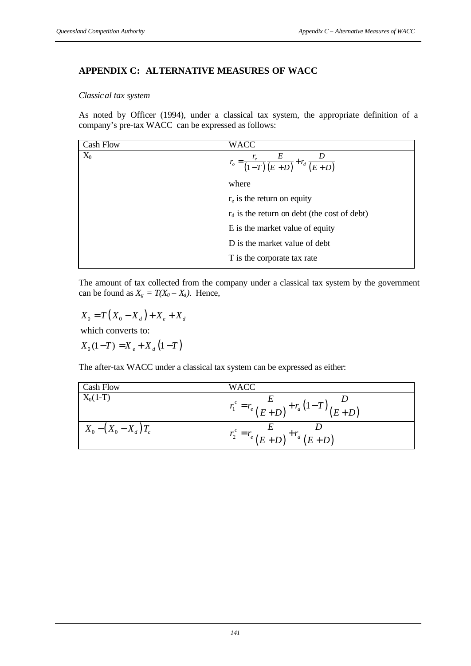# **APPENDIX C: ALTERNATIVE MEASURES OF WACC**

### *Classical tax system*

As noted by Officer (1994), under a classical tax system, the appropriate definition of a company's pre-tax WACC can be expressed as follows:

| <b>Cash Flow</b> | WACC                                                            |
|------------------|-----------------------------------------------------------------|
| $X_0$            | $r_o = \frac{r_e}{(1-T)} \frac{E}{(E+D)} + r_d \frac{D}{(E+D)}$ |
|                  | where                                                           |
|                  | $r_e$ is the return on equity                                   |
|                  | $r_d$ is the return on debt (the cost of debt)                  |
|                  | E is the market value of equity                                 |
|                  | D is the market value of debt                                   |
|                  | T is the corporate tax rate                                     |

The amount of tax collected from the company under a classical tax system by the government can be found as  $X_g = T(X_0 - X_d)$ . Hence,

 $X_0 = T(X_0 - X_d) + X_e + X_d$  $X_0(1-T) = X_e + X_d(1-T)$ which converts to:

The after-tax WACC under a classical tax system can be expressed as either:

| Cash Flow              | WACC                                                      |
|------------------------|-----------------------------------------------------------|
| $X_0(1-T)$             | $r_1^c = r_e \frac{E}{(E+D)} + r_d (1-T) \frac{E}{(E+D)}$ |
| $X_0 - (X_0 - X_d)T_c$ | $r_2^{\rm c} = r_e \frac{1}{(E+D)} + r_d \frac{1}{(E+D)}$ |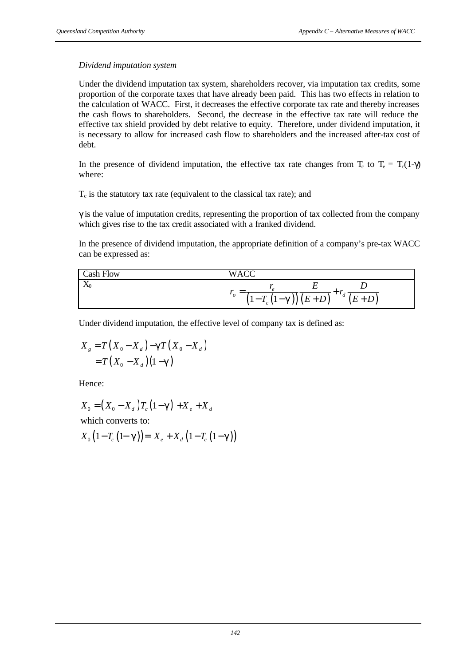## *Dividend imputation system*

Under the dividend imputation tax system, shareholders recover, via imputation tax credits, some proportion of the corporate taxes that have already been paid. This has two effects in relation to the calculation of WACC. First, it decreases the effective corporate tax rate and thereby increases the cash flows to shareholders. Second, the decrease in the effective tax rate will reduce the effective tax shield provided by debt relative to equity. Therefore, under dividend imputation, it is necessary to allow for increased cash flow to shareholders and the increased after-tax cost of debt.

In the presence of dividend imputation, the effective tax rate changes from  $T_c$  to  $T_e = T_c(1-\gamma)$ where:

 $T_c$  is the statutory tax rate (equivalent to the classical tax rate); and

 $\gamma$  is the value of imputation credits, representing the proportion of tax collected from the company which gives rise to the tax credit associated with a franked dividend.

In the presence of dividend imputation, the appropriate definition of a company's pre-tax WACC can be expressed as:

| <b>Cash Flow</b>                    | $\overline{\mathbf{u}}$ $\overline{\mathbf{v}}$<br>$W_{\rm A}$                                                             |
|-------------------------------------|----------------------------------------------------------------------------------------------------------------------------|
| $\mathbf{r}$<br>$\mathbf{\Lambda}0$ |                                                                                                                            |
|                                     | $\mathcal{O}$<br>$\boldsymbol{a}$<br>$\mathbf{r}$<br>$E+D$<br>$(E+D)$<br>$-g))$<br>$-1$<br>$\mathcal{L}_c$ ( $\mathcal{L}$ |

Under dividend imputation, the effective level of company tax is defined as:

$$
X_{g} = T(X_{0} - X_{d}) - \boldsymbol{g}T(X_{0} - X_{d})
$$
  
=  $T(X_{0} - X_{d})(1 - \boldsymbol{g})$ 

Hence:

$$
X_0 = (X_0 - X_d)T_c(1 - \mathbf{g}) + X_e + X_d
$$
  
which converts to:

$$
X_{0}\left(1-T_{c}\left(1-\mathbf{g}\right)\right)=X_{e}+X_{d}\left(1-T_{c}\left(1-\mathbf{g}\right)\right)
$$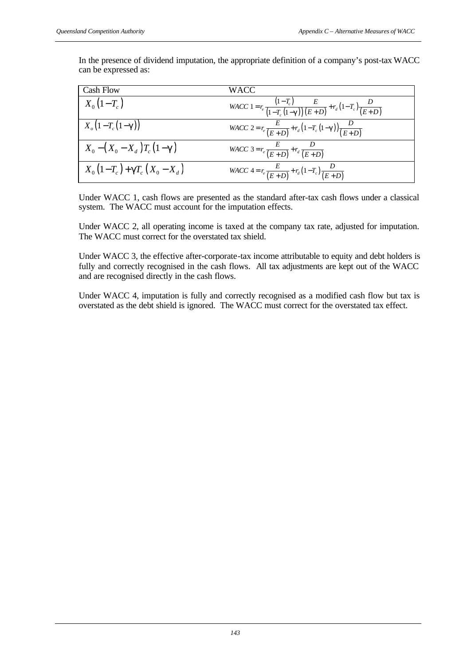In the presence of dividend imputation, the appropriate definition of a company's post-tax WACC can be expressed as:

| <b>Cash Flow</b>            | WACC-                                                                                                 |
|-----------------------------|-------------------------------------------------------------------------------------------------------|
| $X_0(1-T_c)$                | $WACC1 = r_e \frac{(1 - T_c)}{(1 - T_c (1 - g))} \frac{E}{(E + D)} + r_d (1 - T_c) \frac{D}{(E + D)}$ |
| $X_{o}(1-T_{c}(1-g))$       | $WACC\ 2 = r_e \frac{E}{(E+D)} + r_d (1-T_c (1-g)) \frac{D}{(E+D)}$                                   |
| $X_0 - (X_0 - X_d)T_c(1-g)$ | $WACC$ 3 = $r_e \frac{E}{(E+D)} + r_d \frac{D}{(E+D)}$                                                |
| $X_0(1-T_c)+gT_c(X_0-X_d)$  | $WACC = r_e \frac{E}{(E+D)} + r_d (1-T_c) \frac{D}{(E+D)}$                                            |

Under WACC 1, cash flows are presented as the standard after-tax cash flows under a classical system. The WACC must account for the imputation effects.

Under WACC 2, all operating income is taxed at the company tax rate, adjusted for imputation. The WACC must correct for the overstated tax shield.

Under WACC 3, the effective after-corporate-tax income attributable to equity and debt holders is fully and correctly recognised in the cash flows. All tax adjustments are kept out of the WACC and are recognised directly in the cash flows.

Under WACC 4, imputation is fully and correctly recognised as a modified cash flow but tax is overstated as the debt shield is ignored. The WACC must correct for the overstated tax effect.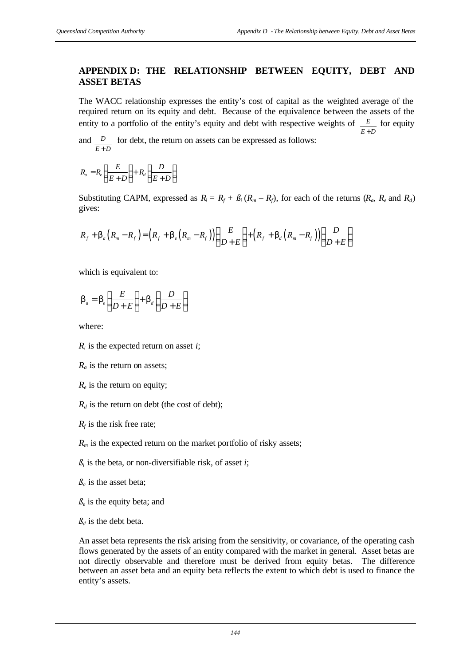## **APPENDIX D: THE RELATIONSHIP BETWEEN EQUITY, DEBT AND ASSET BETAS**

The WACC relationship expresses the entity's cost of capital as the weighted average of the required return on its equity and debt. Because of the equivalence between the assets of the entity to a portfolio of the entity's equity and debt with respective weights of *E E D*+ for equity

and *D E D*+ for debt, the return on assets can be expressed as follows:

$$
R_a = R_e \left(\frac{E}{E+D}\right) + R_d \left(\frac{D}{E+D}\right)
$$

Substituting CAPM, expressed as  $R_i = R_f + \beta_i (R_m - R_f)$ , for each of the returns  $(R_\alpha, R_\beta, R_f)$ gives:

$$
R_f + \boldsymbol{b}_a (R_m - R_f) = (R_f + \boldsymbol{b}_e (R_m - R_f)) \left( \frac{E}{D+E} \right) + (R_f + \boldsymbol{b}_d (R_m - R_f)) \left( \frac{D}{D+E} \right)
$$

which is equivalent to:

$$
\boldsymbol{b}_a = \boldsymbol{b}_e \left( \frac{E}{D+E} \right) + \boldsymbol{b}_d \left( \frac{D}{D+E} \right)
$$

where:

- $R_i$  is the expected return on asset *i*;
- *Ra* is the return on assets;
- *Re* is the return on equity;
- $R_d$  is the return on debt (the cost of debt);
- $R_f$  is the risk free rate;
- $R<sub>m</sub>$  is the expected return on the market portfolio of risky assets;
- $\beta_i$  is the beta, or non-diversifiable risk, of asset *i*;
- $\beta_a$  is the asset beta;
- $\beta_e$  is the equity beta; and
- $\beta_d$  is the debt beta.

An asset beta represents the risk arising from the sensitivity, or covariance, of the operating cash flows generated by the assets of an entity compared with the market in general. Asset betas are not directly observable and therefore must be derived from equity betas. The difference between an asset beta and an equity beta reflects the extent to which debt is used to finance the entity's assets.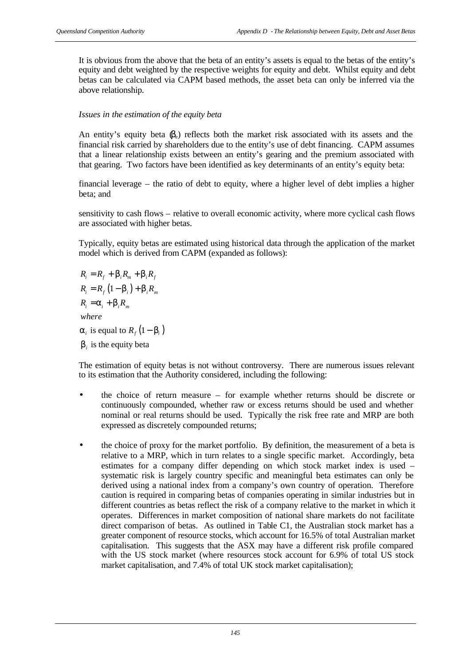It is obvious from the above that the beta of an entity's assets is equal to the betas of the entity's equity and debt weighted by the respective weights for equity and debt. Whilst equity and debt betas can be calculated via CAPM based methods, the asset beta can only be inferred via the above relationship.

### *Issues in the estimation of the equity beta*

An entity's equity beta  $(\beta_e)$  reflects both the market risk associated with its assets and the financial risk carried by shareholders due to the entity's use of debt financing. CAPM assumes that a linear relationship exists between an entity's gearing and the premium associated with that gearing. Two factors have been identified as key determinants of an entity's equity beta:

financial leverage – the ratio of debt to equity, where a higher level of debt implies a higher beta; and

sensitivity to cash flows – relative to overall economic activity, where more cyclical cash flows are associated with higher betas.

Typically, equity betas are estimated using historical data through the application of the market model which is derived from CAPM (expanded as follows):

 $R_{i} = R_{f} (1 - \boldsymbol{b}_{i}) + \boldsymbol{b}_{i} R_{m}$  $\mathbf{a}_i$  is equal to  $R_f$   $(1 - \mathbf{b}_i)$  $\bm{b}_i$  is the equity beta  $R_i = R_f + b_i R_m + b_i R_f$  $R_i = a_i + b_i R_m$ *where*

The estimation of equity betas is not without controversy. There are numerous issues relevant to its estimation that the Authority considered, including the following:

- the choice of return measure for example whether returns should be discrete or continuously compounded, whether raw or excess returns should be used and whether nominal or real returns should be used. Typically the risk free rate and MRP are both expressed as discretely compounded returns;
- the choice of proxy for the market portfolio. By definition, the measurement of a beta is relative to a MRP, which in turn relates to a single specific market. Accordingly, beta estimates for a company differ depending on which stock market index is used – systematic risk is largely country specific and meaningful beta estimates can only be derived using a national index from a company's own country of operation. Therefore caution is required in comparing betas of companies operating in similar industries but in different countries as betas reflect the risk of a company relative to the market in which it operates. Differences in market composition of national share markets do not facilitate direct comparison of betas. As outlined in Table C1, the Australian stock market has a greater component of resource stocks, which account for 16.5% of total Australian market capitalisation. This suggests that the ASX may have a different risk profile compared with the US stock market (where resources stock account for 6.9% of total US stock market capitalisation, and 7.4% of total UK stock market capitalisation);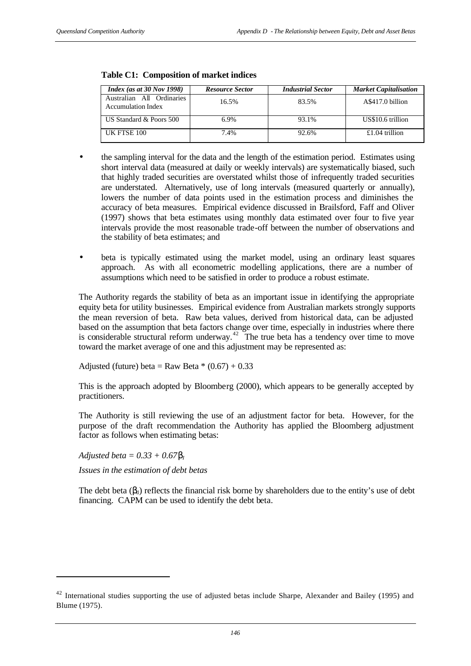| Index (as at $30$ Nov 1998)                            | <b>Resource Sector</b> | <b>Industrial Sector</b> | <b>Market Capitalisation</b> |
|--------------------------------------------------------|------------------------|--------------------------|------------------------------|
| Australian All Ordinaries<br><b>Accumulation Index</b> | 16.5%                  | 83.5%                    | A\$417.0 billion             |
| US Standard & Poors 500                                | 6.9%                   | 93.1%                    | US\$10.6 trillion            |
| UK FTSE 100                                            | 7.4%                   | 92.6%                    | $£1.04$ trillion             |

### **Table C1: Composition of market indices**

- the sampling interval for the data and the length of the estimation period. Estimates using short interval data (measured at daily or weekly intervals) are systematically biased, such that highly traded securities are overstated whilst those of infrequently traded securities are understated. Alternatively, use of long intervals (measured quarterly or annually), lowers the number of data points used in the estimation process and diminishes the accuracy of beta measures. Empirical evidence discussed in Brailsford, Faff and Oliver (1997) shows that beta estimates using monthly data estimated over four to five year intervals provide the most reasonable trade-off between the number of observations and the stability of beta estimates; and
- beta is typically estimated using the market model, using an ordinary least squares approach. As with all econometric modelling applications, there are a number of assumptions which need to be satisfied in order to produce a robust estimate.

The Authority regards the stability of beta as an important issue in identifying the appropriate equity beta for utility businesses. Empirical evidence from Australian markets strongly supports the mean reversion of beta. Raw beta values, derived from historical data, can be adjusted based on the assumption that beta factors change over time, especially in industries where there is considerable structural reform underway.<sup>42</sup> The true beta has a tendency over time to move toward the market average of one and this adjustment may be represented as:

Adjusted (future) beta = Raw Beta  $*(0.67) + 0.33$ 

This is the approach adopted by Bloomberg (2000), which appears to be generally accepted by practitioners.

The Authority is still reviewing the use of an adjustment factor for beta. However, for the purpose of the draft recommendation the Authority has applied the Bloomberg adjustment factor as follows when estimating betas:

*Adjusted beta* =  $0.33 + 0.67$ *bI* 

l

*Issues in the estimation of debt betas*

The debt beta  $(\beta_i)$  reflects the financial risk borne by shareholders due to the entity's use of debt financing. CAPM can be used to identify the debt beta.

 $42$  International studies supporting the use of adjusted betas include Sharpe, Alexander and Bailey (1995) and Blume (1975).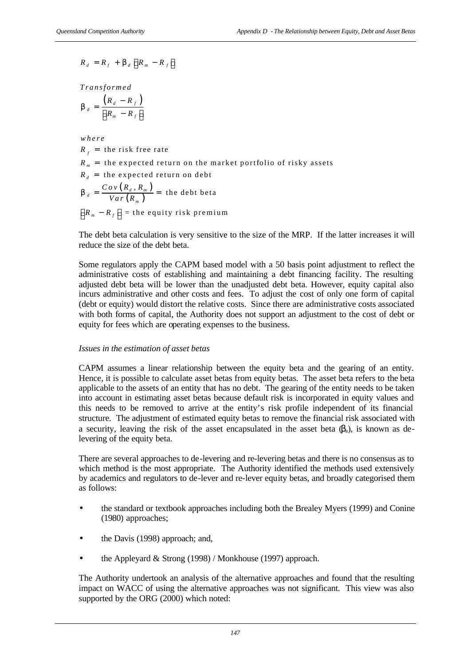$$
R_d = R_f + \boldsymbol{b}_d \left[ R_m - R_f \right]
$$

*Transformed*

$$
\boldsymbol{b}_{d} = \frac{\left(R_{d} - R_{f}\right)}{\left[R_{m} - R_{f}\right]}
$$

 $(R_d, R_m)$  $(R_m)$  $R_f$  = the risk free rate  $R_{_{m}}$  = the expected return on the market portfolio of risky assets  $R_d$  = the expected return on debt  $d = \frac{Cov(R_d, R_m)}{V(G_m)}$  = the debt beta *m*  $R_m - R_f$  ] = the equity risk premium *where*  $Cov(R_A, R_B)$  $\boldsymbol{b}_d = \frac{\partial \partial \boldsymbol{v}(\mathbf{A}_d, \mathbf{A}_m)}{\nabla a \, r \left( R_m \right)} =$ 

The debt beta calculation is very sensitive to the size of the MRP. If the latter increases it will reduce the size of the debt beta.

Some regulators apply the CAPM based model with a 50 basis point adjustment to reflect the administrative costs of establishing and maintaining a debt financing facility. The resulting adjusted debt beta will be lower than the unadjusted debt beta. However, equity capital also incurs administrative and other costs and fees. To adjust the cost of only one form of capital (debt or equity) would distort the relative costs. Since there are administrative costs associated with both forms of capital, the Authority does not support an adjustment to the cost of debt or equity for fees which are operating expenses to the business.

## *Issues in the estimation of asset betas*

CAPM assumes a linear relationship between the equity beta and the gearing of an entity. Hence, it is possible to calculate asset betas from equity betas. The asset beta refers to the beta applicable to the assets of an entity that has no debt. The gearing of the entity needs to be taken into account in estimating asset betas because default risk is incorporated in equity values and this needs to be removed to arrive at the entity's risk profile independent of its financial structure. The adjustment of estimated equity betas to remove the financial risk associated with a security, leaving the risk of the asset encapsulated in the asset beta  $(\beta_a)$ , is known as delevering of the equity beta.

There are several approaches to de-levering and re-levering betas and there is no consensus as to which method is the most appropriate. The Authority identified the methods used extensively by academics and regulators to de-lever and re-lever equity betas, and broadly categorised them as follows:

- the standard or textbook approaches including both the Brealey Myers (1999) and Conine (1980) approaches;
- the Davis (1998) approach; and,
- the Appleyard & Strong  $(1998)$  / Monkhouse  $(1997)$  approach.

The Authority undertook an analysis of the alternative approaches and found that the resulting impact on WACC of using the alternative approaches was not significant. This view was also supported by the ORG (2000) which noted: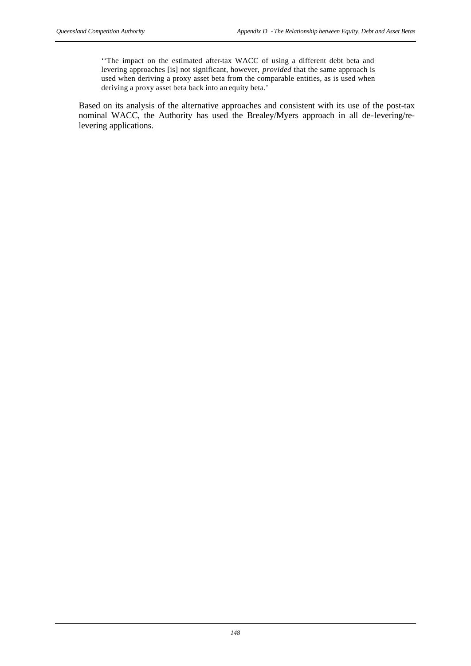''The impact on the estimated after-tax WACC of using a different debt beta and levering approaches [is] not significant, however, *provided* that the same approach is used when deriving a proxy asset beta from the comparable entities, as is used when deriving a proxy asset beta back into an equity beta.'

Based on its analysis of the alternative approaches and consistent with its use of the post-tax nominal WACC, the Authority has used the Brealey/Myers approach in all de-levering/relevering applications.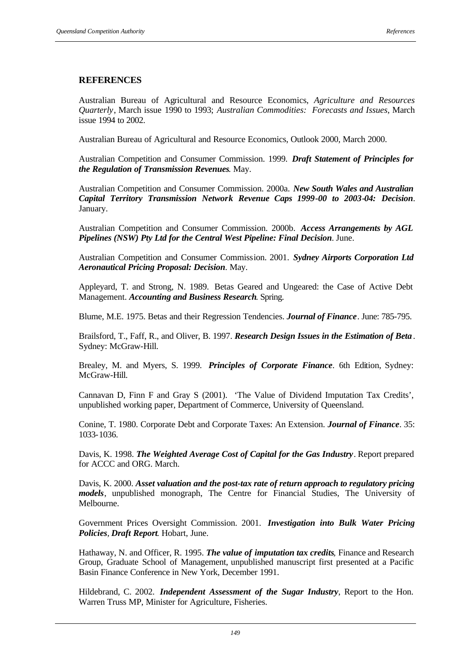### **REFERENCES**

Australian Bureau of Agricultural and Resource Economics, *Agriculture and Resources Quarterly*, March issue 1990 to 1993; *Australian Commodities: Forecasts and Issues*, March issue 1994 to 2002.

Australian Bureau of Agricultural and Resource Economics, Outlook 2000, March 2000.

Australian Competition and Consumer Commission. 1999. *Draft Statement of Principles for the Regulation of Transmission Revenues*. May.

Australian Competition and Consumer Commission. 2000a. *New South Wales and Australian Capital Territory Transmission Network Revenue Caps 1999-00 to 2003-04: Decision*. January.

Australian Competition and Consumer Commission. 2000b. *Access Arrangements by AGL Pipelines (NSW) Pty Ltd for the Central West Pipeline: Final Decision*. June.

Australian Competition and Consumer Commission. 2001. *Sydney Airports Corporation Ltd Aeronautical Pricing Proposal: Decision*. May.

Appleyard, T. and Strong, N. 1989. Betas Geared and Ungeared: the Case of Active Debt Management. *Accounting and Business Research*. Spring.

Blume, M.E. 1975. Betas and their Regression Tendencies. *Journal of Finance*. June: 785-795.

Brailsford, T., Faff, R., and Oliver, B. 1997. *Research Design Issues in the Estimation of Beta*. Sydney: McGraw-Hill.

Brealey, M. and Myers, S. 1999. *Principles of Corporate Finance*. 6th Edition, Sydney: McGraw-Hill.

Cannavan D, Finn F and Gray S (2001). 'The Value of Dividend Imputation Tax Credits', unpublished working paper, Department of Commerce, University of Queensland.

Conine, T. 1980. Corporate Debt and Corporate Taxes: An Extension. *Journal of Finance*. 35: 1033-1036.

Davis, K. 1998. *The Weighted Average Cost of Capital for the Gas Industry*. Report prepared for ACCC and ORG. March.

Davis, K. 2000. *Asset valuation and the post-tax rate of return approach to regulatory pricing models*, unpublished monograph, The Centre for Financial Studies, The University of Melbourne.

Government Prices Oversight Commission. 2001. *Investigation into Bulk Water Pricing Policies, Draft Report*. Hobart, June.

Hathaway, N. and Officer, R. 1995. *The value of imputation tax credits,* Finance and Research Group, Graduate School of Management, unpublished manuscript first presented at a Pacific Basin Finance Conference in New York, December 1991.

Hildebrand, C. 2002. *Independent Assessment of the Sugar Industry*, Report to the Hon. Warren Truss MP, Minister for Agriculture, Fisheries.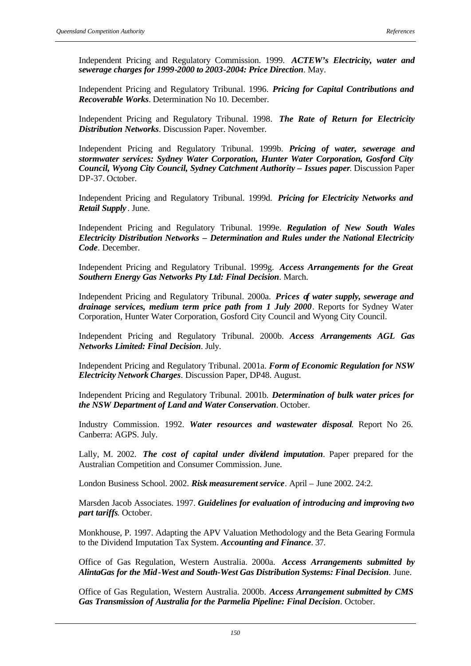Independent Pricing and Regulatory Commission. 1999. *ACTEW's Electricity, water and sewerage charges for 1999-2000 to 2003-2004: Price Direction*. May.

Independent Pricing and Regulatory Tribunal. 1996. *Pricing for Capital Contributions and Recoverable Works*. Determination No 10. December.

Independent Pricing and Regulatory Tribunal. 1998. *The Rate of Return for Electricity Distribution Networks*. Discussion Paper. November.

Independent Pricing and Regulatory Tribunal. 1999b. *Pricing of water, sewerage and stormwater services: Sydney Water Corporation, Hunter Water Corporation, Gosford City Council, Wyong City Council, Sydney Catchment Authority – Issues paper*. Discussion Paper DP-37. October.

Independent Pricing and Regulatory Tribunal. 1999d. *Pricing for Electricity Networks and Retail Supply* . June.

Independent Pricing and Regulatory Tribunal. 1999e. *Regulation of New South Wales Electricity Distribution Networks – Determination and Rules under the National Electricity Code*. December.

Independent Pricing and Regulatory Tribunal. 1999g. *Access Arrangements for the Great Southern Energy Gas Networks Pty Ltd: Final Decision*. March.

Independent Pricing and Regulatory Tribunal. 2000a. *Prices of water supply, sewerage and drainage services, medium term price path from 1 July 2000*. Reports for Sydney Water Corporation, Hunter Water Corporation, Gosford City Council and Wyong City Council.

Independent Pricing and Regulatory Tribunal. 2000b. *Access Arrangements AGL Gas Networks Limited: Final Decision*. July.

Independent Pricing and Regulatory Tribunal. 2001a. *Form of Economic Regulation for NSW Electricity Network Charges*. Discussion Paper, DP48. August.

Independent Pricing and Regulatory Tribunal. 2001b. *Determination of bulk water prices for the NSW Department of Land and Water Conservation*. October.

Industry Commission. 1992. *Water resources and wastewater disposal*. Report No 26. Canberra: AGPS. July.

Lally, M. 2002. *The cost of capital under dividend imputation*. Paper prepared for the Australian Competition and Consumer Commission. June.

London Business School. 2002. *Risk measurement service.* April – June 2002. 24:2.

Marsden Jacob Associates. 1997. *Guidelines for evaluation of introducing and improving two part tariffs*. October.

Monkhouse, P. 1997. Adapting the APV Valuation Methodology and the Beta Gearing Formula to the Dividend Imputation Tax System. *Accounting and Finance*. 37.

Office of Gas Regulation, Western Australia. 2000a. *Access Arrangements submitted by AlintaGas for the Mid-West and South-West Gas Distribution Systems: Final Decision*. June.

Office of Gas Regulation, Western Australia. 2000b. *Access Arrangement submitted by CMS Gas Transmission of Australia for the Parmelia Pipeline: Final Decision*. October.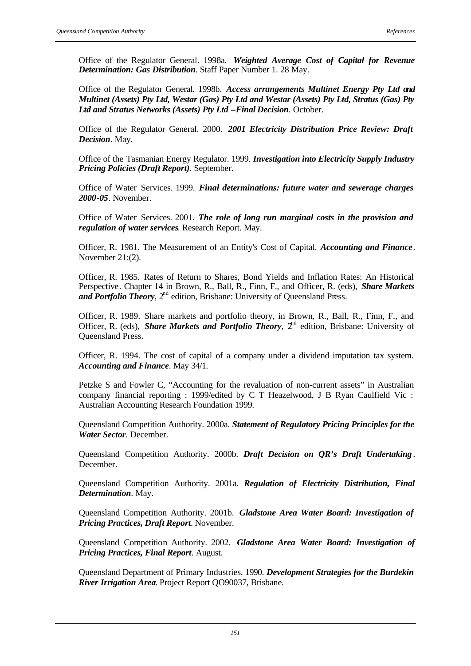Office of the Regulator General. 1998a. *Weighted Average Cost of Capital for Revenue Determination: Gas Distribution*. Staff Paper Number 1. 28 May.

Office of the Regulator General. 1998b. *Access arrangements Multinet Energy Pty Ltd and Multinet (Assets) Pty Ltd, Westar (Gas) Pty Ltd and Westar (Assets) Pty Ltd, Stratus (Gas) Pty Ltd and Stratus Networks (Assets) Pty Ltd –Final Decision*. October.

Office of the Regulator General. 2000. *2001 Electricity Distribution Price Review: Draft Decision*. May.

Office of the Tasmanian Energy Regulator. 1999. *Investigation into Electricity Supply Industry Pricing Policies (Draft Report)*. September.

Office of Water Services. 1999. *Final determinations: future water and sewerage charges 2000-05*. November.

Office of Water Services. 2001. *The role of long run marginal costs in the provision and regulation of water services*. Research Report. May.

Officer, R. 1981. The Measurement of an Entity's Cost of Capital. *Accounting and Finance*. November 21:(2).

Officer, R. 1985. Rates of Return to Shares, Bond Yields and Inflation Rates: An Historical Perspective. Chapter 14 in Brown, R., Ball, R., Finn, F., and Officer, R. (eds), *Share Markets*  and Portfolio Theory, 2<sup>nd</sup> edition, Brisbane: University of Queensland Press.

Officer, R. 1989. Share markets and portfolio theory, in Brown, R., Ball, R., Finn, F., and Officer, R. (eds), *Share Markets and Portfolio Theory*, 2<sup>nd</sup> edition, Brisbane: University of Queensland Press.

Officer, R. 1994. The cost of capital of a company under a dividend imputation tax system. *Accounting and Finance*. May 34/1.

Petzke S and Fowler C, "Accounting for the revaluation of non-current assets" in Australian company financial reporting : 1999/edited by C T Heazelwood, J B Ryan Caulfield Vic : Australian Accounting Research Foundation 1999.

Queensland Competition Authority. 2000a. *Statement of Regulatory Pricing Principles for the Water Sector*. December.

Queensland Competition Authority. 2000b. *Draft Decision on QR's Draft Undertaking*. December.

Queensland Competition Authority. 2001a. *Regulation of Electricity Distribution, Final Determination*. May.

Queensland Competition Authority. 2001b. *Gladstone Area Water Board: Investigation of Pricing Practices, Draft Report*. November.

Queensland Competition Authority. 2002. *Gladstone Area Water Board: Investigation of Pricing Practices, Final Report*. August.

Queensland Department of Primary Industries. 1990. *Development Strategies for the Burdekin River Irrigation Area*. Project Report QO90037, Brisbane.